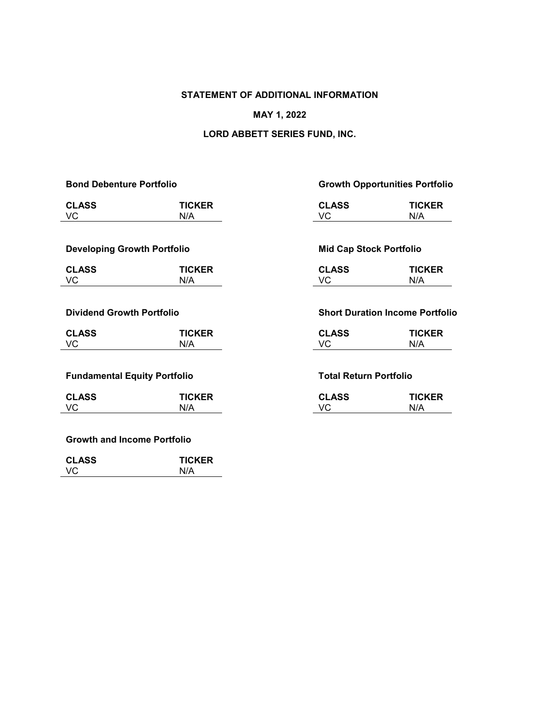## **STATEMENT OF ADDITIONAL INFORMATION**

## **MAY 1, 2022**

## **LORD ABBETT SERIES FUND, INC.**

| <b>Bond Debenture Portfolio</b>     |                      | <b>Growth Opportunities Portfolio</b> |                                        |  |
|-------------------------------------|----------------------|---------------------------------------|----------------------------------------|--|
| <b>CLASS</b><br>VC                  | <b>TICKER</b><br>N/A | <b>CLASS</b><br>VC                    | <b>TICKER</b><br>N/A                   |  |
| <b>Developing Growth Portfolio</b>  |                      | <b>Mid Cap Stock Portfolio</b>        |                                        |  |
| <b>CLASS</b>                        | <b>TICKER</b>        | <b>CLASS</b>                          | <b>TICKER</b>                          |  |
| VC                                  | N/A                  | VC                                    | N/A                                    |  |
| <b>Dividend Growth Portfolio</b>    |                      |                                       | <b>Short Duration Income Portfolio</b> |  |
| <b>CLASS</b>                        | <b>TICKER</b>        | <b>CLASS</b>                          | <b>TICKER</b>                          |  |
| VC                                  | N/A                  | VC                                    | N/A                                    |  |
| <b>Fundamental Equity Portfolio</b> |                      | <b>Total Return Portfolio</b>         |                                        |  |
| <b>CLASS</b>                        | <b>TICKER</b>        | <b>CLASS</b>                          | <b>TICKER</b>                          |  |
|                                     |                      | VC                                    | N/A                                    |  |

## **Growth and Income Portfolio**

| <b>CLASS</b> | <b>TICKER</b> |
|--------------|---------------|
| ۱٬۲          | N/A           |
|              |               |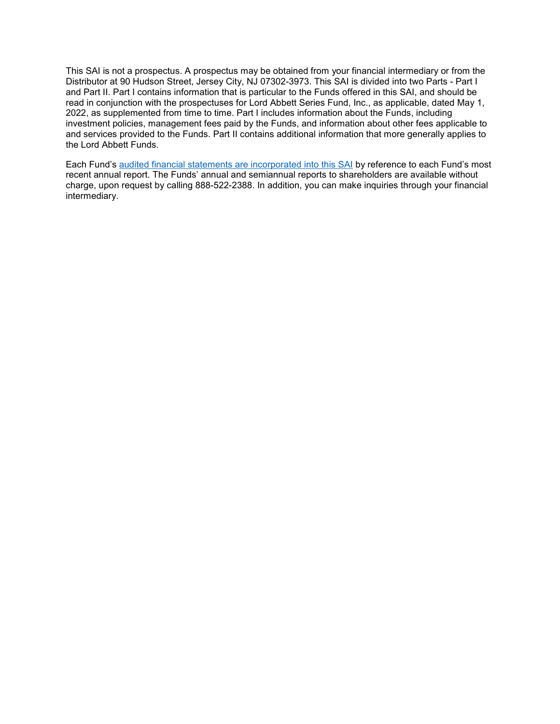This SAI is not a prospectus. A prospectus may be obtained from your financial intermediary or from the Distributor at 90 Hudson Street, Jersey City, NJ 07302-3973. This SAI is divided into two Parts - Part I and Part II. Part I contains information that is particular to the Funds offered in this SAI, and should be read in conjunction with the prospectuses for Lord Abbett Series Fund, Inc., as applicable, dated May 1, 2022, as supplemented from time to time. Part I includes information about the Funds, including investment policies, management fees paid by the Funds, and information about other fees applicable to and services provided to the Funds. Part II contains additional information that more generally applies to the Lord Abbett Funds.

Each Fund's audited financial statements are incorporated into this SAI by reference to each Fund's most recent annual report. The Funds' annual and semiannual reports to shareholders are available without charge, upon request by calling 888-522-2388. In addition, you can make inquiries through your financial intermediary.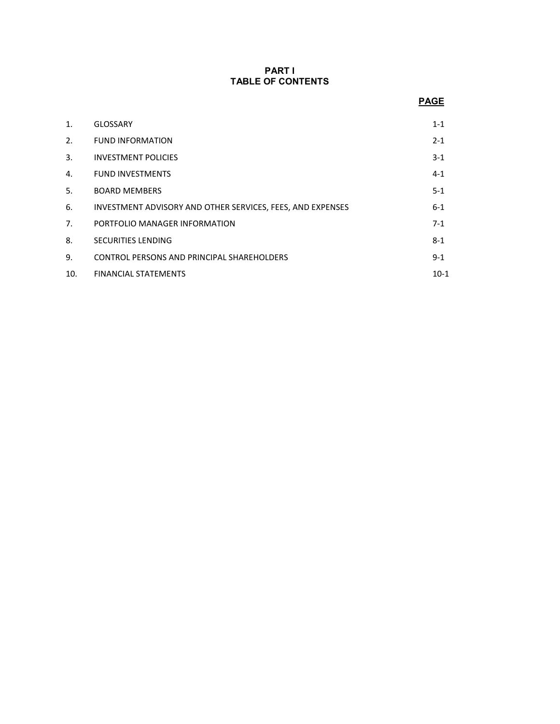## **PART I TABLE OF CONTENTS**

| 1.  | <b>GLOSSARY</b>                                            | $1 - 1$ |
|-----|------------------------------------------------------------|---------|
| 2.  | <b>FUND INFORMATION</b>                                    | $2 - 1$ |
| 3.  | <b>INVESTMENT POLICIES</b>                                 | $3-1$   |
| 4.  | <b>FUND INVESTMENTS</b>                                    | $4 - 1$ |
| 5.  | <b>BOARD MEMBERS</b>                                       | $5-1$   |
| 6.  | INVESTMENT ADVISORY AND OTHER SERVICES, FEES, AND EXPENSES | $6-1$   |
| 7.  | PORTFOLIO MANAGER INFORMATION                              | $7-1$   |
| 8.  | <b>SECURITIES LENDING</b>                                  | $8-1$   |
| 9.  | CONTROL PERSONS AND PRINCIPAL SHAREHOLDERS                 | $9-1$   |
| 10. | <b>FINANCIAL STATEMENTS</b>                                | $10-1$  |

## **PAGE**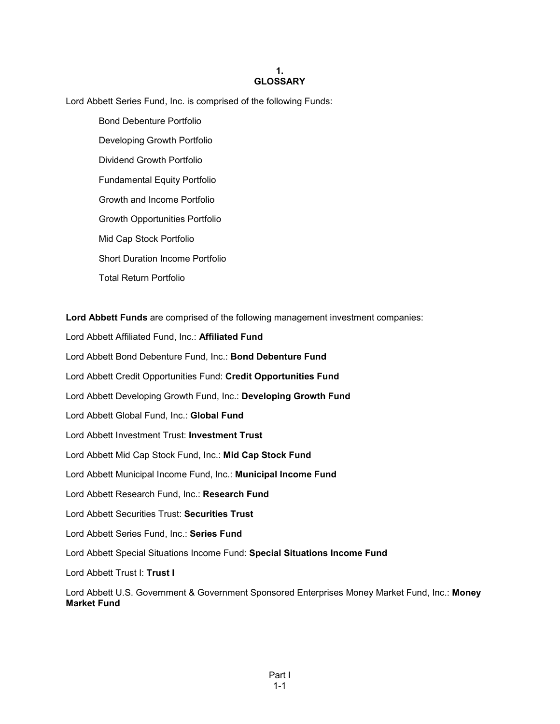#### **1. GLOSSARY**

Lord Abbett Series Fund, Inc. is comprised of the following Funds:

Bond Debenture Portfolio Developing Growth Portfolio Dividend Growth Portfolio Fundamental Equity Portfolio Growth and Income Portfolio Growth Opportunities Portfolio Mid Cap Stock Portfolio Short Duration Income Portfolio Total Return Portfolio

**Lord Abbett Funds** are comprised of the following management investment companies:

Lord Abbett Affiliated Fund, Inc.: **Affiliated Fund** 

Lord Abbett Bond Debenture Fund, Inc.: **Bond Debenture Fund** 

Lord Abbett Credit Opportunities Fund: **Credit Opportunities Fund**

Lord Abbett Developing Growth Fund, Inc.: **Developing Growth Fund**

Lord Abbett Global Fund, Inc.: **Global Fund**

Lord Abbett Investment Trust: **Investment Trust**

Lord Abbett Mid Cap Stock Fund, Inc.: **Mid Cap Stock Fund**

Lord Abbett Municipal Income Fund, Inc.: **Municipal Income Fund**

Lord Abbett Research Fund, Inc.: **Research Fund**

Lord Abbett Securities Trust: **Securities Trust** 

Lord Abbett Series Fund, Inc.: **Series Fund** 

Lord Abbett Special Situations Income Fund: **Special Situations Income Fund**

Lord Abbett Trust I: **Trust I**

Lord Abbett U.S. Government & Government Sponsored Enterprises Money Market Fund, Inc.: **Money Market Fund**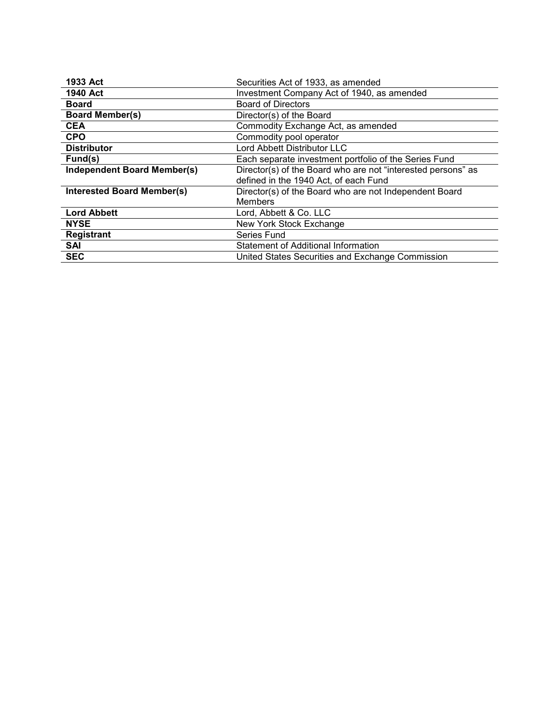| 1933 Act                           | Securities Act of 1933, as amended                           |
|------------------------------------|--------------------------------------------------------------|
| 1940 Act                           | Investment Company Act of 1940, as amended                   |
| <b>Board</b>                       | <b>Board of Directors</b>                                    |
| <b>Board Member(s)</b>             | Director(s) of the Board                                     |
| <b>CEA</b>                         | Commodity Exchange Act, as amended                           |
| <b>CPO</b>                         | Commodity pool operator                                      |
| <b>Distributor</b>                 | <b>Lord Abbett Distributor LLC</b>                           |
| Fund(s)                            | Each separate investment portfolio of the Series Fund        |
| <b>Independent Board Member(s)</b> | Director(s) of the Board who are not "interested persons" as |
|                                    | defined in the 1940 Act, of each Fund                        |
| <b>Interested Board Member(s)</b>  | Director(s) of the Board who are not Independent Board       |
|                                    | <b>Members</b>                                               |
| <b>Lord Abbett</b>                 | Lord, Abbett & Co. LLC                                       |
| <b>NYSE</b>                        | New York Stock Exchange                                      |
| <b>Registrant</b>                  | Series Fund                                                  |
| <b>SAI</b>                         | Statement of Additional Information                          |
| <b>SEC</b>                         | United States Securities and Exchange Commission             |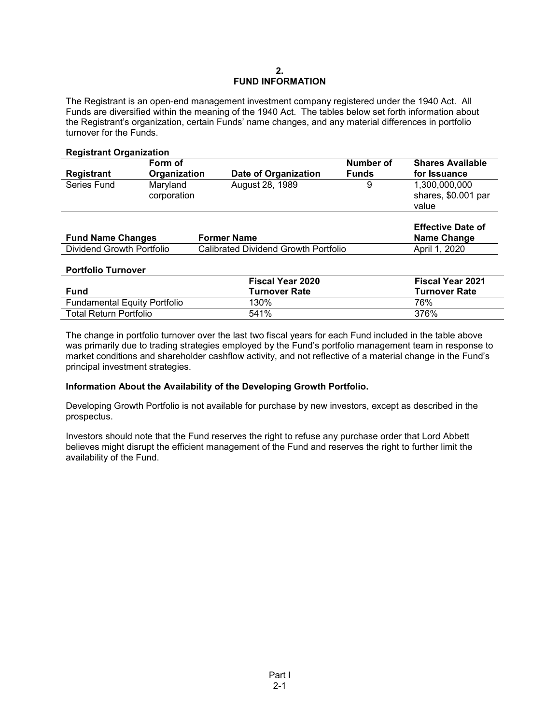#### **2. FUND INFORMATION**

The Registrant is an open-end management investment company registered under the 1940 Act. All Funds are diversified within the meaning of the 1940 Act. The tables below set forth information about the Registrant's organization, certain Funds' name changes, and any material differences in portfolio turnover for the Funds.

| <b>Registrant Organization</b> |                         |                                      |              |                                               |
|--------------------------------|-------------------------|--------------------------------------|--------------|-----------------------------------------------|
|                                | Form of                 |                                      | Number of    | <b>Shares Available</b>                       |
| Registrant                     | Organization            | Date of Organization                 | <b>Funds</b> | for Issuance                                  |
| Series Fund                    | Maryland<br>corporation | August 28, 1989                      | 9            | 1,300,000,000<br>shares, \$0.001 par<br>value |
| <b>Fund Name Changes</b>       |                         | <b>Former Name</b>                   |              | <b>Effective Date of</b><br>Name Change       |
| Dividend Growth Portfolio      |                         | Calibrated Dividend Growth Portfolio |              | April 1, 2020                                 |
| <b>Portfolio Turnover</b>      |                         |                                      |              |                                               |
|                                |                         | <b>Fiscal Year 2020</b>              |              | <b>Fiscal Year 2021</b>                       |
| <b>Fund</b>                    |                         | <b>Turnover Rate</b>                 |              | <b>Turnover Rate</b>                          |

| <b>Fund</b>                         | Turnover Rate | Turnover Rate |
|-------------------------------------|---------------|---------------|
| <b>Fundamental Equity Portfolio</b> | 130%          | 76%           |
| Total Return Portfolio              | 541%          | 376%          |
|                                     |               |               |

The change in portfolio turnover over the last two fiscal years for each Fund included in the table above was primarily due to trading strategies employed by the Fund's portfolio management team in response to market conditions and shareholder cashflow activity, and not reflective of a material change in the Fund's principal investment strategies.

#### **Information About the Availability of the Developing Growth Portfolio.**

Developing Growth Portfolio is not available for purchase by new investors, except as described in the prospectus.

Investors should note that the Fund reserves the right to refuse any purchase order that Lord Abbett believes might disrupt the efficient management of the Fund and reserves the right to further limit the availability of the Fund.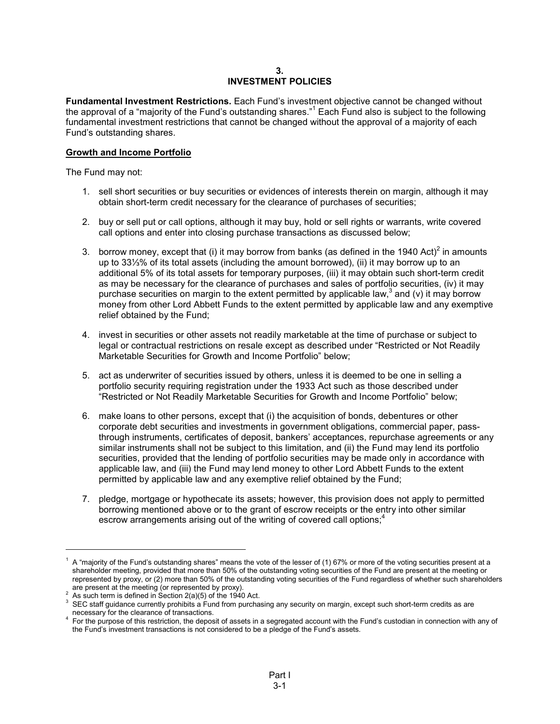#### **3. INVESTMENT POLICIES**

**Fundamental Investment Restrictions.** Each Fund's investment objective cannot be changed without the approval of a "majority of the Fund's outstanding shares."<sup>1</sup> Each Fund also is subject to the following fundamental investment restrictions that cannot be changed without the approval of a majority of each Fund's outstanding shares.

#### **Growth and Income Portfolio**

The Fund may not:

- 1. sell short securities or buy securities or evidences of interests therein on margin, although it may obtain short-term credit necessary for the clearance of purchases of securities;
- 2. buy or sell put or call options, although it may buy, hold or sell rights or warrants, write covered call options and enter into closing purchase transactions as discussed below;
- 3. borrow money, except that (i) it may borrow from banks (as defined in the 1940 Act)<sup>2</sup> in amounts up to 33⅓% of its total assets (including the amount borrowed), (ii) it may borrow up to an additional 5% of its total assets for temporary purposes, (iii) it may obtain such short-term credit as may be necessary for the clearance of purchases and sales of portfolio securities, (iv) it may purchase securities on margin to the extent permitted by applicable law,<sup>3</sup> and (v) it may borrow money from other Lord Abbett Funds to the extent permitted by applicable law and any exemptive relief obtained by the Fund;
- 4. invest in securities or other assets not readily marketable at the time of purchase or subject to legal or contractual restrictions on resale except as described under "Restricted or Not Readily Marketable Securities for Growth and Income Portfolio" below;
- 5. act as underwriter of securities issued by others, unless it is deemed to be one in selling a portfolio security requiring registration under the 1933 Act such as those described under "Restricted or Not Readily Marketable Securities for Growth and Income Portfolio" below;
- 6. make loans to other persons, except that (i) the acquisition of bonds, debentures or other corporate debt securities and investments in government obligations, commercial paper, passthrough instruments, certificates of deposit, bankers' acceptances, repurchase agreements or any similar instruments shall not be subject to this limitation, and (ii) the Fund may lend its portfolio securities, provided that the lending of portfolio securities may be made only in accordance with applicable law, and (iii) the Fund may lend money to other Lord Abbett Funds to the extent permitted by applicable law and any exemptive relief obtained by the Fund;
- 7. pledge, mortgage or hypothecate its assets; however, this provision does not apply to permitted borrowing mentioned above or to the grant of escrow receipts or the entry into other similar escrow arrangements arising out of the writing of covered call options;<sup>4</sup>

<sup>1</sup> A "majority of the Fund's outstanding shares" means the vote of the lesser of (1) 67% or more of the voting securities present at a shareholder meeting, provided that more than 50% of the outstanding voting securities of the Fund are present at the meeting or represented by proxy, or (2) more than 50% of the outstanding voting securities of the Fund regardless of whether such shareholders are present at the meeting (or represented by proxy).

<sup>&</sup>lt;sup>2</sup> As such term is defined in Section 2(a)(5) of the 1940 Act.

<sup>3</sup> SEC staff guidance currently prohibits a Fund from purchasing any security on margin, except such short-term credits as are necessary for the clearance of transactions. 4

For the purpose of this restriction, the deposit of assets in a segregated account with the Fund's custodian in connection with any of the Fund's investment transactions is not considered to be a pledge of the Fund's assets.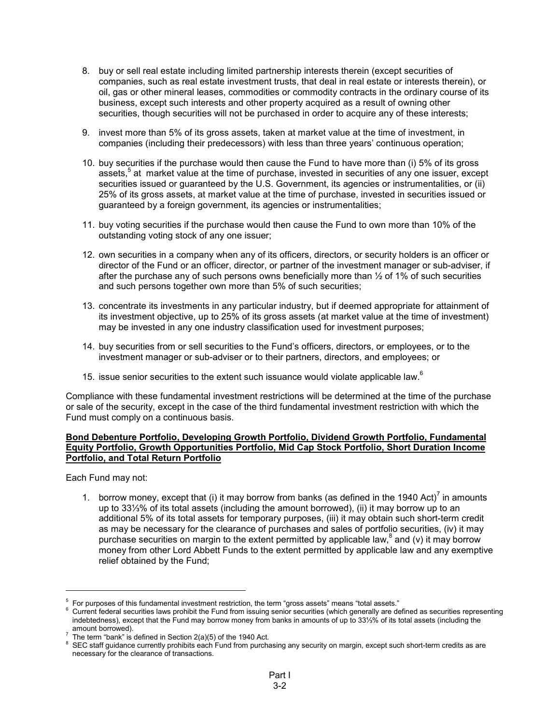- 8. buy or sell real estate including limited partnership interests therein (except securities of companies, such as real estate investment trusts, that deal in real estate or interests therein), or oil, gas or other mineral leases, commodities or commodity contracts in the ordinary course of its business, except such interests and other property acquired as a result of owning other securities, though securities will not be purchased in order to acquire any of these interests;
- 9. invest more than 5% of its gross assets, taken at market value at the time of investment, in companies (including their predecessors) with less than three years' continuous operation;
- 10. buy securities if the purchase would then cause the Fund to have more than (i) 5% of its gross assets,<sup>5</sup> at market value at the time of purchase, invested in securities of any one issuer, except securities issued or guaranteed by the U.S. Government, its agencies or instrumentalities, or (ii) 25% of its gross assets, at market value at the time of purchase, invested in securities issued or guaranteed by a foreign government, its agencies or instrumentalities;
- 11. buy voting securities if the purchase would then cause the Fund to own more than 10% of the outstanding voting stock of any one issuer;
- 12. own securities in a company when any of its officers, directors, or security holders is an officer or director of the Fund or an officer, director, or partner of the investment manager or sub-adviser, if after the purchase any of such persons owns beneficially more than  $\frac{1}{2}$  of 1% of such securities and such persons together own more than 5% of such securities;
- 13. concentrate its investments in any particular industry, but if deemed appropriate for attainment of its investment objective, up to 25% of its gross assets (at market value at the time of investment) may be invested in any one industry classification used for investment purposes;
- 14. buy securities from or sell securities to the Fund's officers, directors, or employees, or to the investment manager or sub-adviser or to their partners, directors, and employees; or
- 15. issue senior securities to the extent such issuance would violate applicable law.<sup>6</sup>

Compliance with these fundamental investment restrictions will be determined at the time of the purchase or sale of the security, except in the case of the third fundamental investment restriction with which the Fund must comply on a continuous basis.

#### **Bond Debenture Portfolio, Developing Growth Portfolio, Dividend Growth Portfolio, Fundamental Equity Portfolio, Growth Opportunities Portfolio, Mid Cap Stock Portfolio, Short Duration Income Portfolio, and Total Return Portfolio**

Each Fund may not:

1. borrow money, except that (i) it may borrow from banks (as defined in the 1940 Act)<sup>7</sup> in amounts up to 33⅓% of its total assets (including the amount borrowed), (ii) it may borrow up to an additional 5% of its total assets for temporary purposes, (iii) it may obtain such short-term credit as may be necessary for the clearance of purchases and sales of portfolio securities, (iv) it may purchase securities on margin to the extent permitted by applicable law,<sup>8</sup> and (v) it may borrow money from other Lord Abbett Funds to the extent permitted by applicable law and any exemptive relief obtained by the Fund;

 $5$  For purposes of this fundamental investment restriction, the term "gross assets" means "total assets."

<sup>&</sup>lt;sup>6</sup> Current federal securities laws prohibit the Fund from issuing senior securities (which generally are defined as securities representing indebtedness), except that the Fund may borrow money from banks in amounts of up to 33⅓% of its total assets (including the amount borrowed).

The term "bank" is defined in Section 2(a)(5) of the 1940 Act.

 $8$  SEC staff guidance currently prohibits each Fund from purchasing any security on margin, except such short-term credits as are necessary for the clearance of transactions.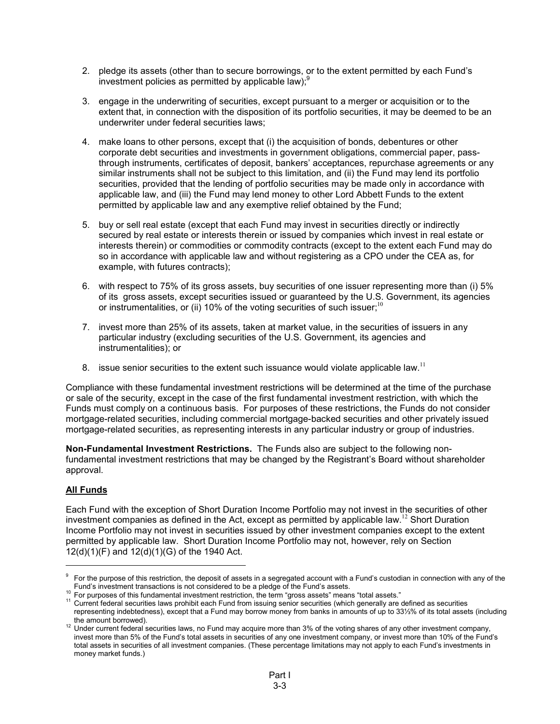- 2. pledge its assets (other than to secure borrowings, or to the extent permitted by each Fund's investment policies as permitted by applicable  $\text{law}$ );
- 3. engage in the underwriting of securities, except pursuant to a merger or acquisition or to the extent that, in connection with the disposition of its portfolio securities, it may be deemed to be an underwriter under federal securities laws;
- 4. make loans to other persons, except that (i) the acquisition of bonds, debentures or other corporate debt securities and investments in government obligations, commercial paper, passthrough instruments, certificates of deposit, bankers' acceptances, repurchase agreements or any similar instruments shall not be subject to this limitation, and (ii) the Fund may lend its portfolio securities, provided that the lending of portfolio securities may be made only in accordance with applicable law, and (iii) the Fund may lend money to other Lord Abbett Funds to the extent permitted by applicable law and any exemptive relief obtained by the Fund;
- 5. buy or sell real estate (except that each Fund may invest in securities directly or indirectly secured by real estate or interests therein or issued by companies which invest in real estate or interests therein) or commodities or commodity contracts (except to the extent each Fund may do so in accordance with applicable law and without registering as a CPO under the CEA as, for example, with futures contracts);
- 6. with respect to 75% of its gross assets, buy securities of one issuer representing more than (i) 5% of its gross assets, except securities issued or guaranteed by the U.S. Government, its agencies or instrumentalities, or (ii) 10% of the voting securities of such issuer;<sup>10</sup>
- 7. invest more than 25% of its assets, taken at market value, in the securities of issuers in any particular industry (excluding securities of the U.S. Government, its agencies and instrumentalities); or
- 8. issue senior securities to the extent such issuance would violate applicable law.<sup>11</sup>

Compliance with these fundamental investment restrictions will be determined at the time of the purchase or sale of the security, except in the case of the first fundamental investment restriction, with which the Funds must comply on a continuous basis. For purposes of these restrictions, the Funds do not consider mortgage-related securities, including commercial mortgage-backed securities and other privately issued mortgage-related securities, as representing interests in any particular industry or group of industries.

**Non-Fundamental Investment Restrictions.** The Funds also are subject to the following nonfundamental investment restrictions that may be changed by the Registrant's Board without shareholder approval.

## **All Funds**

Each Fund with the exception of Short Duration Income Portfolio may not invest in the securities of other investment companies as defined in the Act, except as permitted by applicable law.<sup>12</sup> Short Duration Income Portfolio may not invest in securities issued by other investment companies except to the extent permitted by applicable law. Short Duration Income Portfolio may not, however, rely on Section 12(d)(1)(F) and 12(d)(1)(G) of the 1940 Act.

<sup>&</sup>lt;sup>9</sup> For the purpose of this restriction, the deposit of assets in a segregated account with a Fund's custodian in connection with any of the

Fund's investment transactions is not considered to be a pledge of the Fund's assets.<br><sup>10</sup> For purposes of this fundamental investment restriction, the term "gross assets" means "total assets."<br><sup>11</sup> Current federal securit representing indebtedness), except that a Fund may borrow money from banks in amounts of up to 33⅓% of its total assets (including

the amount borrowed).<br><sup>12</sup> Under current federal securities laws, no Fund may acquire more than 3% of the voting shares of any other investment company, invest more than 5% of the Fund's total assets in securities of any one investment company, or invest more than 10% of the Fund's total assets in securities of all investment companies. (These percentage limitations may not apply to each Fund's investments in money market funds.)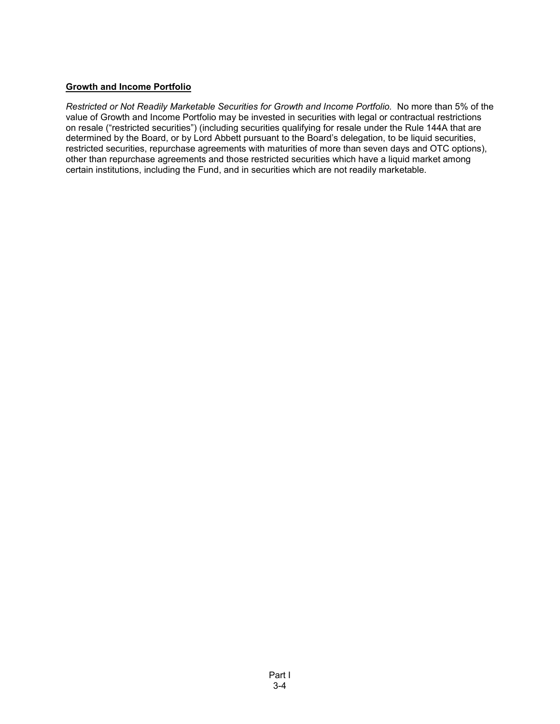## **Growth and Income Portfolio**

*Restricted or Not Readily Marketable Securities for Growth and Income Portfolio.* No more than 5% of the value of Growth and Income Portfolio may be invested in securities with legal or contractual restrictions on resale ("restricted securities") (including securities qualifying for resale under the Rule 144A that are determined by the Board, or by Lord Abbett pursuant to the Board's delegation, to be liquid securities, restricted securities, repurchase agreements with maturities of more than seven days and OTC options), other than repurchase agreements and those restricted securities which have a liquid market among certain institutions, including the Fund, and in securities which are not readily marketable.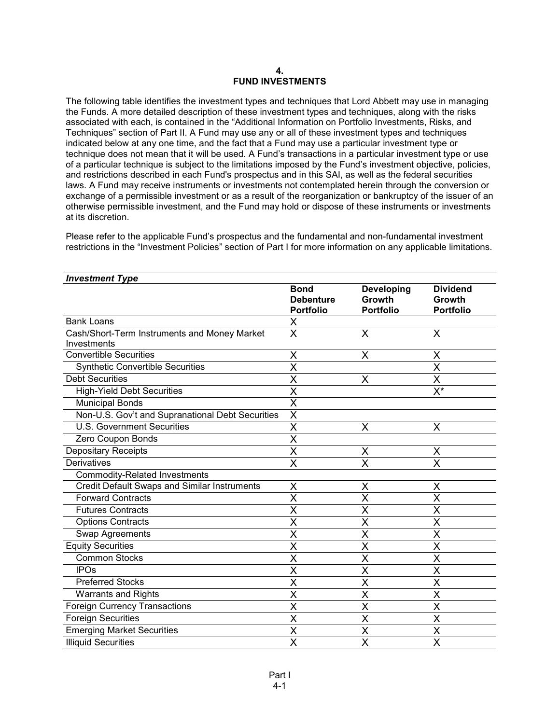#### **4. FUND INVESTMENTS**

The following table identifies the investment types and techniques that Lord Abbett may use in managing the Funds. A more detailed description of these investment types and techniques, along with the risks associated with each, is contained in the "Additional Information on Portfolio Investments, Risks, and Techniques" section of Part II. A Fund may use any or all of these investment types and techniques indicated below at any one time, and the fact that a Fund may use a particular investment type or technique does not mean that it will be used. A Fund's transactions in a particular investment type or use of a particular technique is subject to the limitations imposed by the Fund's investment objective, policies, and restrictions described in each Fund's prospectus and in this SAI, as well as the federal securities laws. A Fund may receive instruments or investments not contemplated herein through the conversion or exchange of a permissible investment or as a result of the reorganization or bankruptcy of the issuer of an otherwise permissible investment, and the Fund may hold or dispose of these instruments or investments at its discretion.

Please refer to the applicable Fund's prospectus and the fundamental and non-fundamental investment restrictions in the "Investment Policies" section of Part I for more information on any applicable limitations.

| <b>Investment Type</b>                           |                                                     |                                                 |                                               |
|--------------------------------------------------|-----------------------------------------------------|-------------------------------------------------|-----------------------------------------------|
|                                                  | <b>Bond</b><br><b>Debenture</b><br><b>Portfolio</b> | <b>Developing</b><br>Growth<br><b>Portfolio</b> | <b>Dividend</b><br>Growth<br><b>Portfolio</b> |
| <b>Bank Loans</b>                                | X                                                   |                                                 |                                               |
| Cash/Short-Term Instruments and Money Market     | $\overline{\mathsf{x}}$                             | X                                               | X                                             |
| Investments                                      |                                                     |                                                 |                                               |
| <b>Convertible Securities</b>                    | X                                                   | Χ                                               | Χ                                             |
| <b>Synthetic Convertible Securities</b>          | X                                                   |                                                 | X                                             |
| <b>Debt Securities</b>                           | X                                                   | X                                               | X                                             |
| <b>High-Yield Debt Securities</b>                | X                                                   |                                                 | $X^*$                                         |
| Municipal Bonds                                  | $\overline{\mathsf{x}}$                             |                                                 |                                               |
| Non-U.S. Gov't and Supranational Debt Securities | $\overline{\mathsf{x}}$                             |                                                 |                                               |
| <b>U.S. Government Securities</b>                | X                                                   | Χ                                               | X                                             |
| Zero Coupon Bonds                                | X                                                   |                                                 |                                               |
| <b>Depositary Receipts</b>                       | $\overline{\mathsf{x}}$                             | Х                                               | х                                             |
| Derivatives                                      | X                                                   | X                                               | X                                             |
| <b>Commodity-Related Investments</b>             |                                                     |                                                 |                                               |
| Credit Default Swaps and Similar Instruments     | Χ                                                   | Χ                                               | Х                                             |
| <b>Forward Contracts</b>                         | X                                                   | X                                               | X                                             |
| <b>Futures Contracts</b>                         | Χ                                                   | Χ                                               | Χ                                             |
| <b>Options Contracts</b>                         | $\overline{\mathsf{x}}$                             | X                                               | $\overline{\mathsf{x}}$                       |
| Swap Agreements                                  | X                                                   | Χ                                               | Χ                                             |
| <b>Equity Securities</b>                         | X                                                   | X                                               | X                                             |
| <b>Common Stocks</b>                             | X                                                   | X                                               | X                                             |
| <b>IPOs</b>                                      | X                                                   | X                                               | X                                             |
| <b>Preferred Stocks</b>                          | X                                                   | X                                               | X                                             |
| <b>Warrants and Rights</b>                       | X                                                   | Χ                                               | X                                             |
| <b>Foreign Currency Transactions</b>             | X                                                   | X                                               | X                                             |
| <b>Foreign Securities</b>                        | X                                                   | X                                               | X                                             |
| <b>Emerging Market Securities</b>                | X                                                   | X                                               | X                                             |
| <b>Illiquid Securities</b>                       | $\overline{\mathsf{x}}$                             | X                                               | X                                             |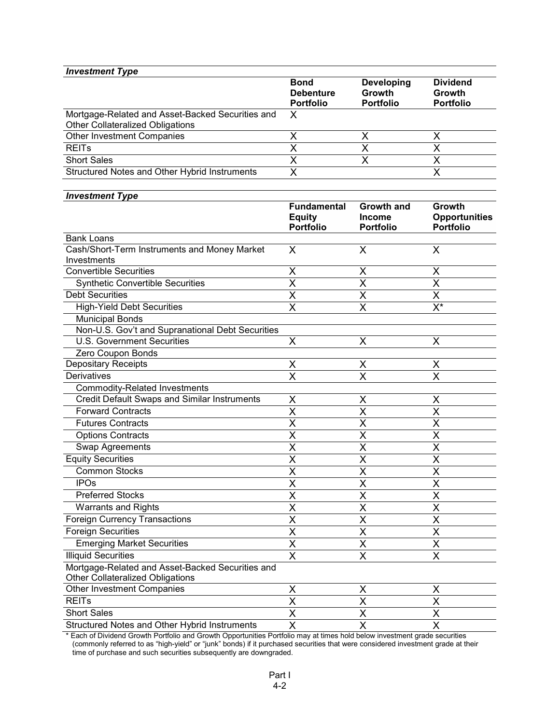| <b>Investment Type</b>                                                                      |                                              |                                                        |                                               |
|---------------------------------------------------------------------------------------------|----------------------------------------------|--------------------------------------------------------|-----------------------------------------------|
|                                                                                             | Bond<br><b>Debenture</b><br><b>Portfolio</b> | <b>Developing</b><br><b>Growth</b><br><b>Portfolio</b> | <b>Dividend</b><br>Growth<br><b>Portfolio</b> |
| Mortgage-Related and Asset-Backed Securities and<br><b>Other Collateralized Obligations</b> | х                                            |                                                        |                                               |
| Other Investment Companies                                                                  |                                              |                                                        |                                               |
| <b>REIT<sub>s</sub></b>                                                                     |                                              | X                                                      |                                               |
| <b>Short Sales</b>                                                                          |                                              |                                                        |                                               |
| Structured Notes and Other Hybrid Instruments                                               |                                              |                                                        |                                               |

| <b>Investment Type</b>                                                                      |                                                         |                                                        |                                                           |
|---------------------------------------------------------------------------------------------|---------------------------------------------------------|--------------------------------------------------------|-----------------------------------------------------------|
|                                                                                             | <b>Fundamental</b><br><b>Equity</b><br><b>Portfolio</b> | <b>Growth and</b><br><b>Income</b><br><b>Portfolio</b> | <b>Growth</b><br><b>Opportunities</b><br><b>Portfolio</b> |
| <b>Bank Loans</b>                                                                           |                                                         |                                                        |                                                           |
| Cash/Short-Term Instruments and Money Market<br>Investments                                 | X                                                       | X                                                      | X                                                         |
| <b>Convertible Securities</b>                                                               | X                                                       | X                                                      | Χ                                                         |
| <b>Synthetic Convertible Securities</b>                                                     | $\overline{\mathsf{x}}$                                 | $\overline{\mathsf{x}}$                                | $\overline{\mathsf{x}}$                                   |
| <b>Debt Securities</b>                                                                      | X                                                       | X                                                      | X                                                         |
| <b>High-Yield Debt Securities</b>                                                           | X                                                       | X                                                      | $X^*$                                                     |
| <b>Municipal Bonds</b>                                                                      |                                                         |                                                        |                                                           |
| Non-U.S. Gov't and Supranational Debt Securities                                            |                                                         |                                                        |                                                           |
| <b>U.S. Government Securities</b>                                                           | X                                                       | X                                                      | X                                                         |
| Zero Coupon Bonds                                                                           |                                                         |                                                        |                                                           |
| <b>Depositary Receipts</b>                                                                  | X                                                       | X                                                      | X                                                         |
| Derivatives                                                                                 | X                                                       | X                                                      | X                                                         |
| <b>Commodity-Related Investments</b>                                                        |                                                         |                                                        |                                                           |
| Credit Default Swaps and Similar Instruments                                                | X                                                       | X                                                      | Х                                                         |
| <b>Forward Contracts</b>                                                                    | $\overline{\mathsf{x}}$                                 | X                                                      | X                                                         |
| <b>Futures Contracts</b>                                                                    | X                                                       | X                                                      | X                                                         |
| <b>Options Contracts</b>                                                                    | X                                                       | X                                                      | X                                                         |
| Swap Agreements                                                                             | $\overline{\mathsf{x}}$                                 | $\overline{\mathsf{x}}$                                | X                                                         |
| <b>Equity Securities</b>                                                                    | $\overline{\sf x}$                                      | $\overline{\mathsf{X}}$                                | X                                                         |
| Common Stocks                                                                               | X                                                       | X                                                      | Χ                                                         |
| <b>IPOs</b>                                                                                 | $\overline{\mathsf{x}}$                                 | $\overline{\mathsf{x}}$                                | $\overline{\mathsf{x}}$                                   |
| <b>Preferred Stocks</b>                                                                     | X                                                       | X                                                      | Χ                                                         |
| <b>Warrants and Rights</b>                                                                  | $\overline{\mathsf{x}}$                                 | $\overline{\mathsf{x}}$                                | $\overline{\mathsf{x}}$                                   |
| <b>Foreign Currency Transactions</b>                                                        | $\overline{\mathsf{x}}$                                 | $\overline{\mathsf{x}}$                                | $\overline{\mathsf{x}}$                                   |
| <b>Foreign Securities</b>                                                                   | $\overline{\mathsf{x}}$                                 | $\overline{\mathsf{x}}$                                | $\overline{\mathsf{X}}$                                   |
| <b>Emerging Market Securities</b>                                                           | $\overline{\mathsf{x}}$                                 | $\overline{\mathsf{x}}$                                | $\overline{\mathsf{x}}$                                   |
| <b>Illiquid Securities</b>                                                                  | $\overline{\mathsf{x}}$                                 | $\overline{\mathsf{x}}$                                | $\overline{\mathsf{x}}$                                   |
| Mortgage-Related and Asset-Backed Securities and<br><b>Other Collateralized Obligations</b> |                                                         |                                                        |                                                           |
| <b>Other Investment Companies</b>                                                           | X                                                       | X                                                      | X                                                         |
| <b>REITs</b>                                                                                | X                                                       | X                                                      | X                                                         |
| <b>Short Sales</b>                                                                          | X                                                       | X                                                      | X                                                         |
| Structured Notes and Other Hybrid Instruments                                               | $\overline{\mathsf{x}}$                                 | $\overline{\mathsf{x}}$                                | $\overline{\mathsf{x}}$                                   |

\* Each of Dividend Growth Portfolio and Growth Opportunities Portfolio may at times hold below investment grade securities (commonly referred to as "high-yield" or "junk" bonds) if it purchased securities that were considered investment grade at their time of purchase and such securities subsequently are downgraded.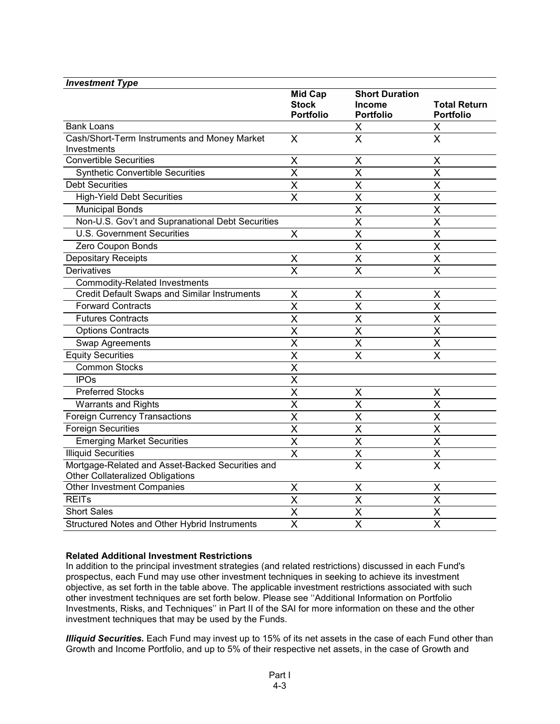| <b>Investment Type</b>                                                                      |                         |                         |                         |
|---------------------------------------------------------------------------------------------|-------------------------|-------------------------|-------------------------|
|                                                                                             | <b>Mid Cap</b>          | <b>Short Duration</b>   |                         |
|                                                                                             | <b>Stock</b>            | <b>Income</b>           | <b>Total Return</b>     |
|                                                                                             | <b>Portfolio</b>        | <b>Portfolio</b>        | <b>Portfolio</b>        |
| <b>Bank Loans</b>                                                                           |                         | X                       | X                       |
| Cash/Short-Term Instruments and Money Market                                                | X                       | X                       | X                       |
| Investments<br><b>Convertible Securities</b>                                                |                         |                         |                         |
|                                                                                             | X                       | X                       | Χ                       |
| <b>Synthetic Convertible Securities</b>                                                     | $\overline{\mathsf{x}}$ | X                       | X                       |
| <b>Debt Securities</b>                                                                      | X                       | X                       | X                       |
| <b>High-Yield Debt Securities</b>                                                           | $\overline{\mathsf{X}}$ | X                       | X                       |
| <b>Municipal Bonds</b>                                                                      |                         | X                       | X                       |
| Non-U.S. Gov't and Supranational Debt Securities                                            |                         | X                       | X                       |
| <b>U.S. Government Securities</b>                                                           | X                       | X                       | X                       |
| Zero Coupon Bonds                                                                           |                         | X                       | X                       |
| <b>Depositary Receipts</b>                                                                  | X                       | $\overline{\mathsf{X}}$ | X                       |
| Derivatives                                                                                 | $\overline{\mathsf{x}}$ | X                       | X                       |
| <b>Commodity-Related Investments</b>                                                        |                         |                         |                         |
| Credit Default Swaps and Similar Instruments                                                | X                       | X                       | X                       |
| <b>Forward Contracts</b>                                                                    | X                       | X                       | X                       |
| <b>Futures Contracts</b>                                                                    | $\overline{\mathsf{x}}$ | $\overline{\mathsf{X}}$ | X                       |
| <b>Options Contracts</b>                                                                    | X                       | X                       | X                       |
| Swap Agreements                                                                             | $\overline{\mathsf{x}}$ | X                       | X                       |
| <b>Equity Securities</b>                                                                    | $\overline{\mathsf{x}}$ | $\overline{\mathsf{X}}$ | X                       |
| <b>Common Stocks</b>                                                                        | X                       |                         |                         |
| <b>IPOs</b>                                                                                 | $\overline{\mathsf{x}}$ |                         |                         |
| <b>Preferred Stocks</b>                                                                     | $\overline{\mathsf{x}}$ | X                       | X                       |
| <b>Warrants and Rights</b>                                                                  | $\overline{\mathsf{x}}$ | $\overline{\mathsf{x}}$ | $\overline{\mathsf{x}}$ |
| <b>Foreign Currency Transactions</b>                                                        | $\overline{\mathsf{x}}$ | $\overline{\mathsf{x}}$ | X                       |
| <b>Foreign Securities</b>                                                                   | $\overline{\mathsf{x}}$ | $\overline{\mathsf{x}}$ | $\overline{\mathsf{X}}$ |
| <b>Emerging Market Securities</b>                                                           | $\overline{\mathsf{X}}$ | $\overline{\mathsf{x}}$ | $\overline{\mathsf{x}}$ |
| <b>Illiquid Securities</b>                                                                  | $\overline{\mathsf{x}}$ | X                       | X                       |
| Mortgage-Related and Asset-Backed Securities and<br><b>Other Collateralized Obligations</b> |                         | $\overline{\mathsf{x}}$ | $\overline{\mathsf{x}}$ |
| Other Investment Companies                                                                  | X                       | X                       | X                       |
| <b>REITs</b>                                                                                | X                       | X                       | X                       |
| <b>Short Sales</b>                                                                          | X                       | X                       | X                       |
| Structured Notes and Other Hybrid Instruments                                               | $\overline{\mathsf{x}}$ | $\overline{\mathsf{x}}$ | $\overline{\mathsf{x}}$ |

#### **Related Additional Investment Restrictions**

In addition to the principal investment strategies (and related restrictions) discussed in each Fund's prospectus, each Fund may use other investment techniques in seeking to achieve its investment objective, as set forth in the table above. The applicable investment restrictions associated with such other investment techniques are set forth below. Please see ''Additional Information on Portfolio Investments, Risks, and Techniques'' in Part II of the SAI for more information on these and the other investment techniques that may be used by the Funds.

*Illiquid Securities.* Each Fund may invest up to 15% of its net assets in the case of each Fund other than Growth and Income Portfolio, and up to 5% of their respective net assets, in the case of Growth and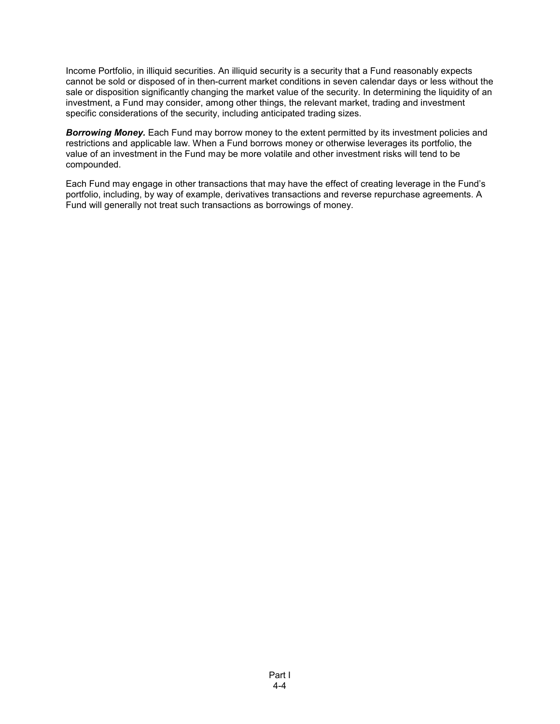Income Portfolio, in illiquid securities. An illiquid security is a security that a Fund reasonably expects cannot be sold or disposed of in then-current market conditions in seven calendar days or less without the sale or disposition significantly changing the market value of the security. In determining the liquidity of an investment, a Fund may consider, among other things, the relevant market, trading and investment specific considerations of the security, including anticipated trading sizes.

**Borrowing Money.** Each Fund may borrow money to the extent permitted by its investment policies and restrictions and applicable law. When a Fund borrows money or otherwise leverages its portfolio, the value of an investment in the Fund may be more volatile and other investment risks will tend to be compounded.

Each Fund may engage in other transactions that may have the effect of creating leverage in the Fund's portfolio, including, by way of example, derivatives transactions and reverse repurchase agreements. A Fund will generally not treat such transactions as borrowings of money.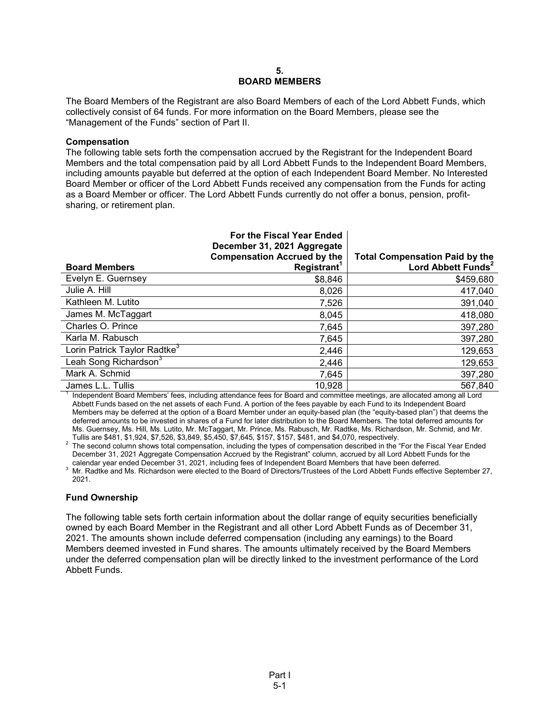#### **5. BOARD MEMBERS**

The Board Members of the Registrant are also Board Members of each of the Lord Abbett Funds, which collectively consist of 64 funds. For more information on the Board Members, please see the "Management of the Funds" section of Part II.

#### **Compensation**

The following table sets forth the compensation accrued by the Registrant for the Independent Board Members and the total compensation paid by all Lord Abbett Funds to the Independent Board Members, including amounts payable but deferred at the option of each Independent Board Member. No Interested Board Member or officer of the Lord Abbett Funds received any compensation from the Funds for acting as a Board Member or officer. The Lord Abbett Funds currently do not offer a bonus, pension, profitsharing, or retirement plan.

|                                          | For the Fiscal Year Ended<br>December 31, 2021 Aggregate<br><b>Compensation Accrued by the</b> | <b>Total Compensation Paid by the</b> |
|------------------------------------------|------------------------------------------------------------------------------------------------|---------------------------------------|
| <b>Board Members</b>                     | Registrant <sup>1</sup>                                                                        | Lord Abbett Funds <sup>2</sup>        |
| Evelyn E. Guernsey                       | \$8,846                                                                                        | \$459,680                             |
| Julie A. Hill                            | 8,026                                                                                          | 417,040                               |
| Kathleen M. Lutito                       | 7,526                                                                                          | 391,040                               |
| James M. McTaggart                       | 8,045                                                                                          | 418,080                               |
| Charles O. Prince                        | 7,645                                                                                          | 397,280                               |
| Karla M. Rabusch                         | 7,645                                                                                          | 397,280                               |
| Lorin Patrick Taylor Radtke <sup>3</sup> | 2,446                                                                                          | 129,653                               |
| Leah Song Richardson <sup>3</sup>        | 2,446                                                                                          | 129,653                               |
| Mark A. Schmid                           | 7,645                                                                                          | 397,280                               |
| James L.L. Tullis                        | 10,928                                                                                         | 567.840                               |

1 Independent Board Members' fees, including attendance fees for Board and committee meetings, are allocated among all Lord Abbett Funds based on the net assets of each Fund. A portion of the fees payable by each Fund to its Independent Board Members may be deferred at the option of a Board Member under an equity-based plan (the "equity-based plan") that deems the deferred amounts to be invested in shares of a Fund for later distribution to the Board Members. The total deferred amounts for Ms. Guernsey, Ms. Hill, Ms. Lutito, Mr. McTaggart, Mr. Prince, Ms. Rabusch, Mr. Radtke, Ms. Richardson, Mr. Schmid, and Mr.<br>Tullis are \$481, \$1,924, \$7,526, \$3,849, \$5,450, \$7,645, \$157, \$157, \$481, and \$4,070, respectivel

The second column shows total compensation, including the types of compensation described in the "For the Fiscal Year Ended" December 31, 2021 Aggregate Compensation Accrued by the Registrant" column, accrued by all Lord Abbett Funds for the calendar year ended December 31, 2021, including fees of Independent Board Members that have been deferre

<sup>3</sup> Mr. Radtke and Ms. Richardson were elected to the Board of Directors/Trustees of the Lord Abbett Funds effective September 27, 2021.

#### **Fund Ownership**

The following table sets forth certain information about the dollar range of equity securities beneficially owned by each Board Member in the Registrant and all other Lord Abbett Funds as of December 31, 2021. The amounts shown include deferred compensation (including any earnings) to the Board Members deemed invested in Fund shares. The amounts ultimately received by the Board Members under the deferred compensation plan will be directly linked to the investment performance of the Lord Abbett Funds.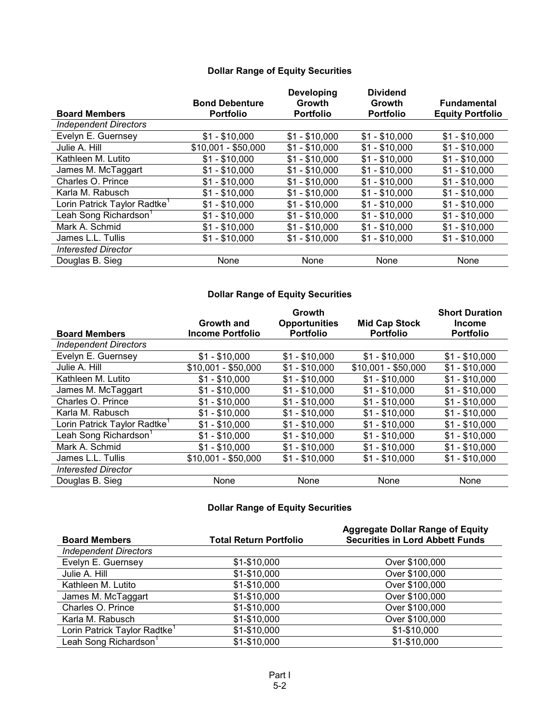# **Dollar Range of Equity Securities**

|                                          | <b>Bond Debenture</b> | <b>Developing</b><br>Growth | <b>Dividend</b><br>Growth | <b>Fundamental</b>      |
|------------------------------------------|-----------------------|-----------------------------|---------------------------|-------------------------|
| <b>Board Members</b>                     | <b>Portfolio</b>      | <b>Portfolio</b>            | <b>Portfolio</b>          | <b>Equity Portfolio</b> |
| <b>Independent Directors</b>             |                       |                             |                           |                         |
| Evelyn E. Guernsey                       | $$1 - $10,000$        | $$1 - $10,000$              | $$1 - $10,000$            | $$1 - $10,000$          |
| Julie A. Hill                            | $$10,001 - $50,000$   | $$1 - $10,000$              | $$1 - $10,000$            | $$1 - $10,000$          |
| Kathleen M. Lutito                       | $$1 - $10,000$        | $$1 - $10,000$              | $$1 - $10,000$            | $$1 - $10,000$          |
| James M. McTaggart                       | $$1 - $10,000$        | $$1 - $10,000$              | $$1 - $10,000$            | $$1 - $10,000$          |
| Charles O. Prince                        | $$1 - $10,000$        | $$1 - $10,000$              | $$1 - $10,000$            | $$1 - $10,000$          |
| Karla M. Rabusch                         | $$1 - $10,000$        | $$1 - $10,000$              | $$1 - $10,000$            | $$1 - $10,000$          |
| Lorin Patrick Taylor Radtke <sup>1</sup> | $$1 - $10,000$        | $$1 - $10,000$              | $$1 - $10,000$            | $$1 - $10,000$          |
| Leah Song Richardson                     | $$1 - $10,000$        | $$1 - $10,000$              | $$1 - $10,000$            | $$1 - $10,000$          |
| Mark A. Schmid                           | $$1 - $10,000$        | $$1 - $10,000$              | $$1 - $10,000$            | $$1 - $10,000$          |
| James L.L. Tullis                        | $$1 - $10,000$        | $$1 - $10,000$              | $$1 - $10,000$            | $$1 - $10,000$          |
| <b>Interested Director</b>               |                       |                             |                           |                         |
| Douglas B. Sieg                          | None                  | None                        | None                      | None                    |

# **Dollar Range of Equity Securities**

|                                   | <b>Growth and</b>       | Growth<br><b>Opportunities</b> | <b>Mid Cap Stock</b> | <b>Short Duration</b><br><b>Income</b> |
|-----------------------------------|-------------------------|--------------------------------|----------------------|----------------------------------------|
| <b>Board Members</b>              | <b>Income Portfolio</b> | <b>Portfolio</b>               | <b>Portfolio</b>     | <b>Portfolio</b>                       |
| <b>Independent Directors</b>      |                         |                                |                      |                                        |
| Evelyn E. Guernsey                | $$1 - $10,000$          | $$1 - $10,000$                 | $$1 - $10,000$       | $$1 - $10,000$                         |
| Julie A. Hill                     | $$10,001 - $50,000$     | $$1 - $10,000$                 | $$10,001 - $50,000$  | $$1 - $10,000$                         |
| Kathleen M. Lutito                | $$1 - $10,000$          | $$1 - $10,000$                 | $$1 - $10,000$       | $$1 - $10,000$                         |
| James M. McTaggart                | $$1 - $10,000$          | $$1 - $10,000$                 | $$1 - $10,000$       | $$1 - $10,000$                         |
| Charles O. Prince                 | $$1 - $10,000$          | $$1 - $10,000$                 | $$1 - $10,000$       | $$1 - $10,000$                         |
| Karla M. Rabusch                  | $$1 - $10,000$          | $$1 - $10,000$                 | $$1 - $10,000$       | $$1 - $10,000$                         |
| Lorin Patrick Taylor Radtke'      | $$1 - $10,000$          | $$1 - $10,000$                 | $$1 - $10,000$       | $$1 - $10,000$                         |
| Leah Song Richardson <sup>1</sup> | $$1 - $10,000$          | $$1 - $10,000$                 | $$1 - $10,000$       | $$1 - $10,000$                         |
| Mark A. Schmid                    | $$1 - $10,000$          | $$1 - $10,000$                 | $$1 - $10,000$       | $$1 - $10,000$                         |
| James L.L. Tullis                 | $$10,001 - $50,000$     | $$1 - $10,000$                 | $$1 - $10,000$       | $$1 - $10,000$                         |
| <b>Interested Director</b>        |                         |                                |                      |                                        |
| Douglas B. Sieg                   | None                    | None                           | None                 | None                                   |

## **Dollar Range of Equity Securities**

|                                          |                        | <b>Aggregate Dollar Range of Equity</b> |
|------------------------------------------|------------------------|-----------------------------------------|
| <b>Board Members</b>                     | Total Return Portfolio | <b>Securities in Lord Abbett Funds</b>  |
| <b>Independent Directors</b>             |                        |                                         |
| Evelyn E. Guernsey                       | \$1-\$10,000           | Over \$100,000                          |
| Julie A. Hill                            | \$1-\$10,000           | Over \$100,000                          |
| Kathleen M. Lutito                       | \$1-\$10,000           | Over \$100,000                          |
| James M. McTaggart                       | \$1-\$10,000           | Over \$100,000                          |
| Charles O. Prince                        | \$1-\$10,000           | Over \$100,000                          |
| Karla M. Rabusch                         | \$1-\$10,000           | Over \$100,000                          |
| Lorin Patrick Taylor Radtke <sup>1</sup> | \$1-\$10,000           | \$1-\$10,000                            |
| Leah Song Richardson <sup>1</sup>        | \$1-\$10,000           | \$1-\$10,000                            |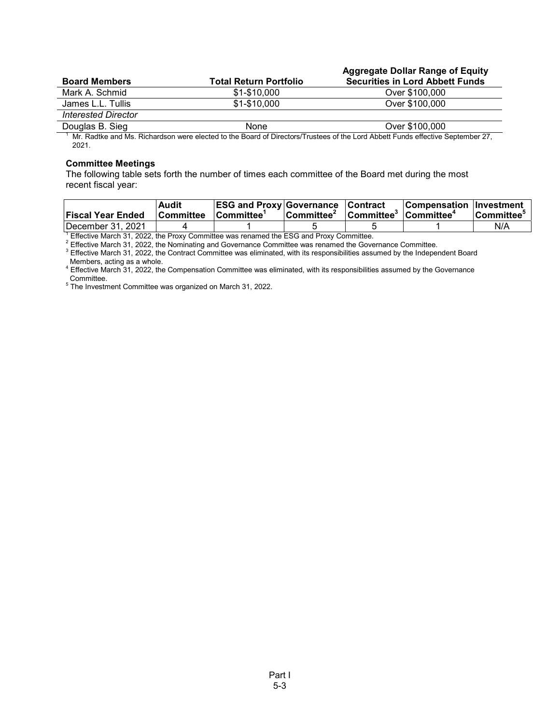| <b>Board Members</b>       | <b>Total Return Portfolio</b> | <b>Aggregate Dollar Range of Equity</b><br><b>Securities in Lord Abbett Funds</b> |
|----------------------------|-------------------------------|-----------------------------------------------------------------------------------|
| Mark A. Schmid             | \$1-\$10.000                  | Over \$100,000                                                                    |
| James L.L. Tullis          | \$1-\$10.000                  | Over \$100,000                                                                    |
| <b>Interested Director</b> |                               |                                                                                   |

Douglas B. Sieg **None** None **Over \$100,000**<br>T Mr. Radtke and Ms. Richardson were elected to the Board of Directors/Trustees of the Lord Abbett Funds effective September 27, 2021.

## **Committee Meetings**

The following table sets forth the number of times each committee of the Board met during the most recent fiscal year:

| <b>Fiscal Year Ended</b>                                                               | <b>Audit</b><br><b>Committee</b>                                                                                     | <b>ESG and Proxy Governance Contract</b><br>Committee <sup>1</sup> | $\mathsf{ICommittee}^2$ | $ $ Committee ${}^{3}$ Committee <sup>4</sup> | <b>Compensation Investment</b> | <b>Committee</b> <sup>9</sup> |
|----------------------------------------------------------------------------------------|----------------------------------------------------------------------------------------------------------------------|--------------------------------------------------------------------|-------------------------|-----------------------------------------------|--------------------------------|-------------------------------|
| December 31, 2021                                                                      |                                                                                                                      |                                                                    |                         |                                               |                                | N/A                           |
| Effective March 31, 2022, the Proxy Committee was renamed the ESG and Proxy Committee. |                                                                                                                      |                                                                    |                         |                                               |                                |                               |
|                                                                                        | <sup>2</sup> Effective March 31, 2022, the Nominating and Governance Committee was renamed the Governance Committee. |                                                                    |                         |                                               |                                |                               |

 $3$  Effective March 31, 2022, the Contract Committee was eliminated, with its responsibilities assumed by the Independent Board

Members, acting as a whole.<br><sup>4</sup> Effective March 31, 2022, the Compensation Committee was eliminated, with its responsibilities assumed by the Governance

Committee. 5 The Investment Committee was organized on March 31, 2022.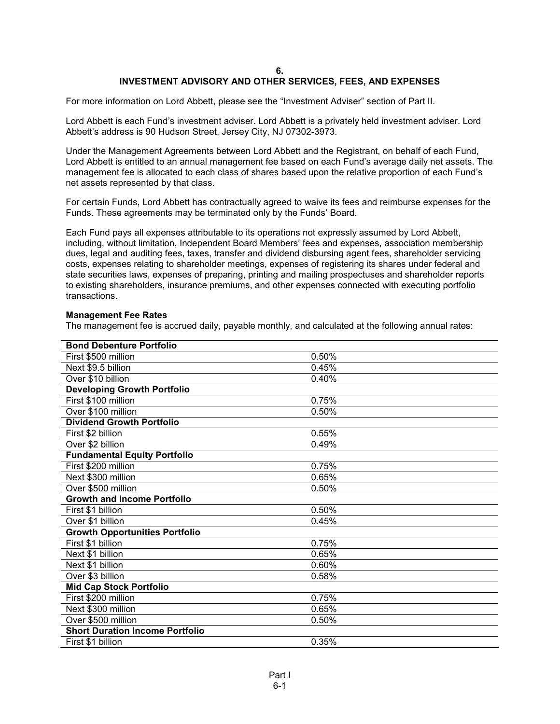#### **6.**

## **INVESTMENT ADVISORY AND OTHER SERVICES, FEES, AND EXPENSES**

For more information on Lord Abbett, please see the "Investment Adviser" section of Part II.

Lord Abbett is each Fund's investment adviser. Lord Abbett is a privately held investment adviser. Lord Abbett's address is 90 Hudson Street, Jersey City, NJ 07302-3973.

Under the Management Agreements between Lord Abbett and the Registrant, on behalf of each Fund, Lord Abbett is entitled to an annual management fee based on each Fund's average daily net assets. The management fee is allocated to each class of shares based upon the relative proportion of each Fund's net assets represented by that class.

For certain Funds, Lord Abbett has contractually agreed to waive its fees and reimburse expenses for the Funds. These agreements may be terminated only by the Funds' Board.

Each Fund pays all expenses attributable to its operations not expressly assumed by Lord Abbett, including, without limitation, Independent Board Members' fees and expenses, association membership dues, legal and auditing fees, taxes, transfer and dividend disbursing agent fees, shareholder servicing costs, expenses relating to shareholder meetings, expenses of registering its shares under federal and state securities laws, expenses of preparing, printing and mailing prospectuses and shareholder reports to existing shareholders, insurance premiums, and other expenses connected with executing portfolio transactions.

#### **Management Fee Rates**

The management fee is accrued daily, payable monthly, and calculated at the following annual rates:

| <b>Bond Debenture Portfolio</b>        |       |
|----------------------------------------|-------|
| First \$500 million                    | 0.50% |
| Next \$9.5 billion                     | 0.45% |
| Over \$10 billion                      | 0.40% |
| <b>Developing Growth Portfolio</b>     |       |
| First \$100 million                    | 0.75% |
| Over \$100 million                     | 0.50% |
| <b>Dividend Growth Portfolio</b>       |       |
| First \$2 billion                      | 0.55% |
| Over \$2 billion                       | 0.49% |
| <b>Fundamental Equity Portfolio</b>    |       |
| First \$200 million                    | 0.75% |
| Next \$300 million                     | 0.65% |
| Over \$500 million                     | 0.50% |
| <b>Growth and Income Portfolio</b>     |       |
| First \$1 billion                      | 0.50% |
| Over \$1 billion                       | 0.45% |
| <b>Growth Opportunities Portfolio</b>  |       |
| First \$1 billion                      | 0.75% |
| Next \$1 billion                       | 0.65% |
| Next \$1 billion                       | 0.60% |
| Over \$3 billion                       | 0.58% |
| <b>Mid Cap Stock Portfolio</b>         |       |
| First \$200 million                    | 0.75% |
| Next \$300 million                     | 0.65% |
| Over \$500 million                     | 0.50% |
| <b>Short Duration Income Portfolio</b> |       |
| First \$1 billion                      | 0.35% |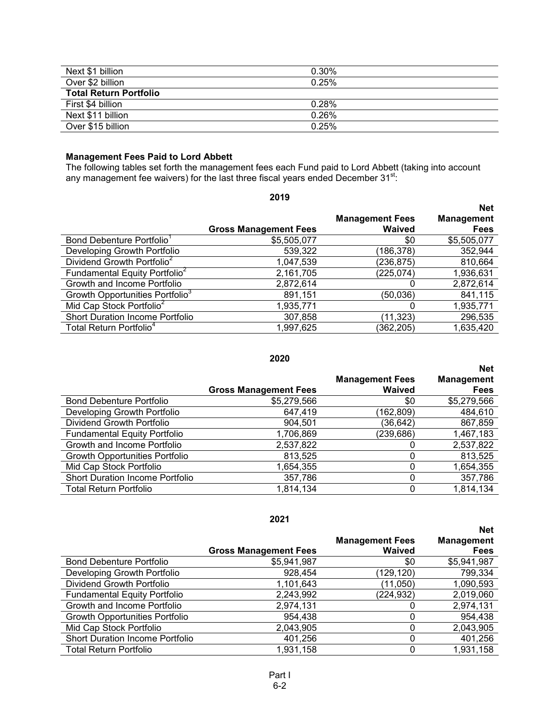| Next \$1 billion              | 0.30% |
|-------------------------------|-------|
| Over \$2 billion              | 0.25% |
| <b>Total Return Portfolio</b> |       |
| First \$4 billion             | 0.28% |
| Next \$11 billion             | 0.26% |
| Over \$15 billion             | 0.25% |

#### **Management Fees Paid to Lord Abbett**

The following tables set forth the management fees each Fund paid to Lord Abbett (taking into account any management fee waivers) for the last three fiscal years ended December  $31^{st}$ .

**2019** 

|                                             | <b>Gross Management Fees</b> | <b>Management Fees</b><br><b>Waived</b> | <b>Net</b><br><b>Management</b><br><b>Fees</b> |
|---------------------------------------------|------------------------------|-----------------------------------------|------------------------------------------------|
| Bond Debenture Portfolio <sup>1</sup>       | \$5,505,077                  | \$0                                     | \$5,505,077                                    |
| Developing Growth Portfolio                 | 539,322                      | (186,378)                               | 352,944                                        |
| Dividend Growth Portfolio <sup>2</sup>      | 1,047,539                    | (236,875)                               | 810,664                                        |
| Fundamental Equity Portfolio <sup>2</sup>   | 2,161,705                    | (225, 074)                              | 1,936,631                                      |
| Growth and Income Portfolio                 | 2,872,614                    | O                                       | 2,872,614                                      |
| Growth Opportunities Portfolio <sup>3</sup> | 891,151                      | (50,036)                                | 841,115                                        |
| Mid Cap Stock Portfolio <sup>2</sup>        | 1,935,771                    |                                         | 1,935,771                                      |
| <b>Short Duration Income Portfolio</b>      | 307,858                      | (11,323)                                | 296,535                                        |
| Total Return Portfolio <sup>4</sup>         | 1,997,625                    | (362,205)                               | 1,635,420                                      |

#### **2020**

|                                        |                              |                        | <b>Net</b>        |
|----------------------------------------|------------------------------|------------------------|-------------------|
|                                        |                              | <b>Management Fees</b> | <b>Management</b> |
|                                        | <b>Gross Management Fees</b> | <b>Waived</b>          | <b>Fees</b>       |
| <b>Bond Debenture Portfolio</b>        | \$5,279,566                  | \$0                    | \$5,279,566       |
| Developing Growth Portfolio            | 647.419                      | (162,809)              | 484,610           |
| Dividend Growth Portfolio              | 904.501                      | (36,642)               | 867,859           |
| <b>Fundamental Equity Portfolio</b>    | 1,706,869                    | (239,686)              | 1,467,183         |
| Growth and Income Portfolio            | 2,537,822                    |                        | 2,537,822         |
| <b>Growth Opportunities Portfolio</b>  | 813,525                      | 0                      | 813,525           |
| Mid Cap Stock Portfolio                | 1,654,355                    | 0                      | 1,654,355         |
| <b>Short Duration Income Portfolio</b> | 357,786                      | 0                      | 357,786           |
| Total Return Portfolio                 | 1,814,134                    | 0                      | 1,814,134         |

## **2021**

|                                        |                              | <b>Management Fees</b> | <b>Net</b><br><b>Management</b> |
|----------------------------------------|------------------------------|------------------------|---------------------------------|
|                                        | <b>Gross Management Fees</b> | <b>Waived</b>          | <b>Fees</b>                     |
| <b>Bond Debenture Portfolio</b>        | \$5,941,987                  | \$0                    | \$5,941,987                     |
| Developing Growth Portfolio            | 928,454                      | (129, 120)             | 799,334                         |
| Dividend Growth Portfolio              | 1,101,643                    | (11, 050)              | 1,090,593                       |
| <b>Fundamental Equity Portfolio</b>    | 2,243,992                    | (224, 932)             | 2,019,060                       |
| Growth and Income Portfolio            | 2,974,131                    |                        | 2,974,131                       |
| <b>Growth Opportunities Portfolio</b>  | 954,438                      | 0                      | 954,438                         |
| Mid Cap Stock Portfolio                | 2,043,905                    | 0                      | 2,043,905                       |
| <b>Short Duration Income Portfolio</b> | 401,256                      | 0                      | 401,256                         |
| Total Return Portfolio                 | 1,931,158                    | 0                      | 1,931,158                       |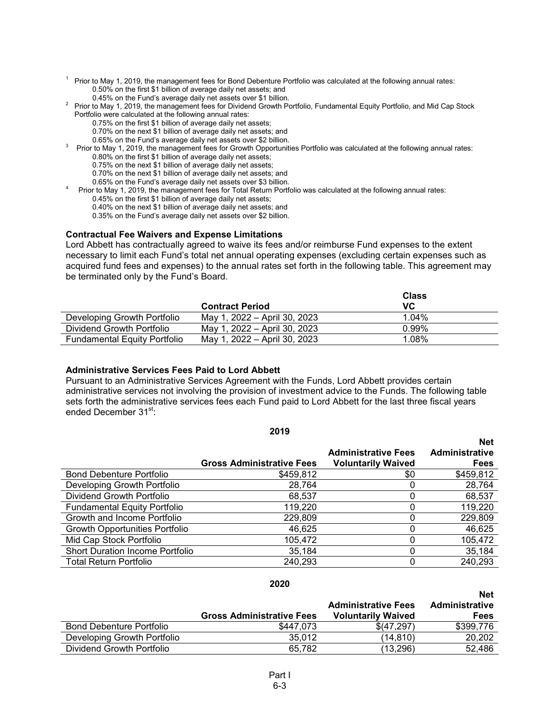- 1 Prior to May 1, 2019, the management fees for Bond Debenture Portfolio was calculated at the following annual rates: 0.50% on the first \$1 billion of average daily net assets; and
	- 0.45% on the Fund's average daily net assets over \$1 billion.
- $2$  Prior to May 1, 2019, the management fees for Dividend Growth Portfolio, Fundamental Equity Portfolio, and Mid Cap Stock Portfolio were calculated at the following annual rates:
	- 0.75% on the first \$1 billion of average daily net assets;
	- 0.70% on the next \$1 billion of average daily net assets; and
	- 0.65% on the Fund's average daily net assets over \$2 billion. Prior to May 1, 2019, the management fees for Growth Opportunities Portfolio was calculated at the following annual rates:
		- 0.80% on the first \$1 billion of average daily net assets;

3

- 0.75% on the next \$1 billion of average daily net assets;
- 0.70% on the next \$1 billion of average daily net assets; and
- 0.65% on the Fund's average daily net assets over \$3 billion.
- 4 Prior to May 1, 2019, the management fees for Total Return Portfolio was calculated at the following annual rates:
	- 0.45% on the first \$1 billion of average daily net assets;
	- 0.40% on the next \$1 billion of average daily net assets; and
	- 0.35% on the Fund's average daily net assets over \$2 billion.

#### **Contractual Fee Waivers and Expense Limitations**

Lord Abbett has contractually agreed to waive its fees and/or reimburse Fund expenses to the extent necessary to limit each Fund's total net annual operating expenses (excluding certain expenses such as acquired fund fees and expenses) to the annual rates set forth in the following table. This agreement may be terminated only by the Fund's Board.

|                                     |                              | <b>Class</b> |  |
|-------------------------------------|------------------------------|--------------|--|
|                                     | <b>Contract Period</b>       | VC.          |  |
| Developing Growth Portfolio         | May 1, 2022 - April 30, 2023 | 1.04%        |  |
| Dividend Growth Portfolio           | May 1, 2022 - April 30, 2023 | $0.99\%$     |  |
| <b>Fundamental Equity Portfolio</b> | May 1, 2022 - April 30, 2023 | 1.08%        |  |

#### **Administrative Services Fees Paid to Lord Abbett**

Pursuant to an Administrative Services Agreement with the Funds, Lord Abbett provides certain administrative services not involving the provision of investment advice to the Funds. The following table sets forth the administrative services fees each Fund paid to Lord Abbett for the last three fiscal years ended December 31<sup>st</sup>:

**2019** 

|                                        |                                  | <b>Administrative Fees</b> | <b>Net</b><br>Administrative |
|----------------------------------------|----------------------------------|----------------------------|------------------------------|
|                                        | <b>Gross Administrative Fees</b> | <b>Voluntarily Waived</b>  | <b>Fees</b>                  |
| <b>Bond Debenture Portfolio</b>        | \$459,812                        | \$0                        | \$459,812                    |
| Developing Growth Portfolio            | 28.764                           | O                          | 28,764                       |
| Dividend Growth Portfolio              | 68.537                           | 0                          | 68,537                       |
| <b>Fundamental Equity Portfolio</b>    | 119,220                          | 0                          | 119,220                      |
| Growth and Income Portfolio            | 229,809                          | ი                          | 229,809                      |
| Growth Opportunities Portfolio         | 46,625                           | 0                          | 46,625                       |
| Mid Cap Stock Portfolio                | 105,472                          |                            | 105,472                      |
| <b>Short Duration Income Portfolio</b> | 35.184                           | 0                          | 35,184                       |
| <b>Total Return Portfolio</b>          | 240,293                          | 0                          | 240,293                      |

#### **2020**

**Net** 

|                                 | <b>Gross Administrative Fees</b> | <b>Administrative Fees</b><br><b>Voluntarily Waived</b> | IVGL<br><b>Administrative</b><br>Fees |
|---------------------------------|----------------------------------|---------------------------------------------------------|---------------------------------------|
| <b>Bond Debenture Portfolio</b> | \$447.073                        | \$(47.297)                                              | \$399,776                             |
| Developing Growth Portfolio     | 35.012                           | (14.810)                                                | 20.202                                |
| Dividend Growth Portfolio       | 65.782                           | (13,296)                                                | 52.486                                |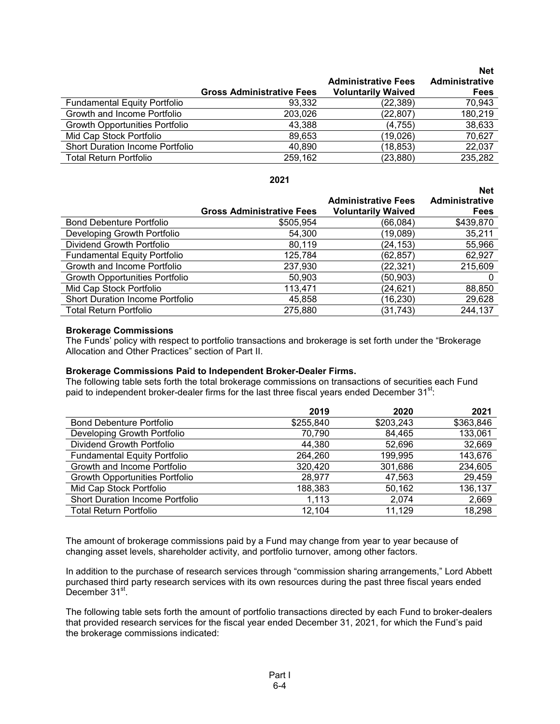|                                        |                                  | <b>Administrative Fees</b> | <b>Net</b><br>Administrative |
|----------------------------------------|----------------------------------|----------------------------|------------------------------|
|                                        | <b>Gross Administrative Fees</b> | <b>Voluntarily Waived</b>  | Fees                         |
| <b>Fundamental Equity Portfolio</b>    | 93,332                           | (22, 389)                  | 70,943                       |
| Growth and Income Portfolio            | 203,026                          | (22, 807)                  | 180,219                      |
| <b>Growth Opportunities Portfolio</b>  | 43,388                           | (4, 755)                   | 38,633                       |
| Mid Cap Stock Portfolio                | 89.653                           | (19,026)                   | 70,627                       |
| <b>Short Duration Income Portfolio</b> | 40,890                           | (18,853)                   | 22,037                       |
| <b>Total Return Portfolio</b>          | 259,162                          | (23, 880)                  | 235,282                      |

#### **2021**

**Net** 

|                                        | <b>Gross Administrative Fees</b> | <b>Administrative Fees</b><br><b>Voluntarily Waived</b> | <b>Administrative</b><br>Fees |
|----------------------------------------|----------------------------------|---------------------------------------------------------|-------------------------------|
| <b>Bond Debenture Portfolio</b>        | \$505,954                        | (66,084)                                                | \$439,870                     |
| Developing Growth Portfolio            | 54,300                           | (19,089)                                                | 35,211                        |
| Dividend Growth Portfolio              | 80,119                           | (24,153)                                                | 55,966                        |
| <b>Fundamental Equity Portfolio</b>    | 125,784                          | (62, 857)                                               | 62,927                        |
| Growth and Income Portfolio            | 237,930                          | (22,321)                                                | 215,609                       |
| <b>Growth Opportunities Portfolio</b>  | 50.903                           | (50,903)                                                |                               |
| Mid Cap Stock Portfolio                | 113.471                          | (24,621)                                                | 88,850                        |
| <b>Short Duration Income Portfolio</b> | 45,858                           | (16,230)                                                | 29,628                        |
| <b>Total Return Portfolio</b>          | 275,880                          | (31,743)                                                | 244,137                       |

#### **Brokerage Commissions**

The Funds' policy with respect to portfolio transactions and brokerage is set forth under the "Brokerage Allocation and Other Practices" section of Part II.

#### **Brokerage Commissions Paid to Independent Broker-Dealer Firms.**

The following table sets forth the total brokerage commissions on transactions of securities each Fund paid to independent broker-dealer firms for the last three fiscal years ended December  $31^{st}$ .

|                                        | 2019      | 2020      | 2021      |
|----------------------------------------|-----------|-----------|-----------|
| <b>Bond Debenture Portfolio</b>        | \$255,840 | \$203,243 | \$363,846 |
| Developing Growth Portfolio            | 70,790    | 84,465    | 133,061   |
| Dividend Growth Portfolio              | 44,380    | 52,696    | 32,669    |
| <b>Fundamental Equity Portfolio</b>    | 264,260   | 199,995   | 143,676   |
| Growth and Income Portfolio            | 320,420   | 301,686   | 234,605   |
| <b>Growth Opportunities Portfolio</b>  | 28.977    | 47,563    | 29,459    |
| Mid Cap Stock Portfolio                | 188,383   | 50,162    | 136,137   |
| <b>Short Duration Income Portfolio</b> | 1.113     | 2.074     | 2,669     |
| Total Return Portfolio                 | 12.104    | 11.129    | 18,298    |

The amount of brokerage commissions paid by a Fund may change from year to year because of changing asset levels, shareholder activity, and portfolio turnover, among other factors.

In addition to the purchase of research services through "commission sharing arrangements," Lord Abbett purchased third party research services with its own resources during the past three fiscal years ended .<br>December 31<sup>st</sup>.

The following table sets forth the amount of portfolio transactions directed by each Fund to broker-dealers that provided research services for the fiscal year ended December 31, 2021, for which the Fund's paid the brokerage commissions indicated: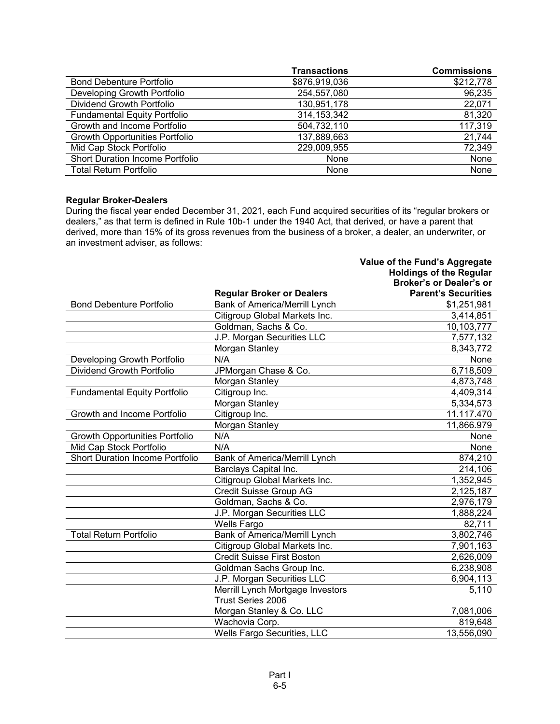|                                        | <b>Transactions</b> | <b>Commissions</b> |
|----------------------------------------|---------------------|--------------------|
| <b>Bond Debenture Portfolio</b>        | \$876,919,036       | \$212,778          |
| Developing Growth Portfolio            | 254,557,080         | 96,235             |
| Dividend Growth Portfolio              | 130,951,178         | 22,071             |
| <b>Fundamental Equity Portfolio</b>    | 314, 153, 342       | 81,320             |
| Growth and Income Portfolio            | 504,732,110         | 117,319            |
| <b>Growth Opportunities Portfolio</b>  | 137,889,663         | 21,744             |
| Mid Cap Stock Portfolio                | 229,009,955         | 72,349             |
| <b>Short Duration Income Portfolio</b> | None                | None               |
| <b>Total Return Portfolio</b>          | None                | None               |

#### **Regular Broker-Dealers**

During the fiscal year ended December 31, 2021, each Fund acquired securities of its "regular brokers or dealers," as that term is defined in Rule 10b-1 under the 1940 Act, that derived, or have a parent that derived, more than 15% of its gross revenues from the business of a broker, a dealer, an underwriter, or an investment adviser, as follows:

|                                        |                                      | Value of the Fund's Aggregate<br><b>Holdings of the Regular</b><br><b>Broker's or Dealer's or</b> |
|----------------------------------------|--------------------------------------|---------------------------------------------------------------------------------------------------|
|                                        | <b>Regular Broker or Dealers</b>     | <b>Parent's Securities</b>                                                                        |
| <b>Bond Debenture Portfolio</b>        | Bank of America/Merrill Lynch        | \$1,251,981                                                                                       |
|                                        | Citigroup Global Markets Inc.        | 3,414,851                                                                                         |
|                                        | Goldman, Sachs & Co.                 | 10,103,777                                                                                        |
|                                        | J.P. Morgan Securities LLC           | 7,577,132                                                                                         |
|                                        | Morgan Stanley                       | 8,343,772                                                                                         |
| Developing Growth Portfolio            | N/A                                  | None                                                                                              |
| Dividend Growth Portfolio              | JPMorgan Chase & Co.                 | 6,718,509                                                                                         |
|                                        | Morgan Stanley                       | 4,873,748                                                                                         |
| Fundamental Equity Portfolio           | Citigroup Inc.                       | 4,409,314                                                                                         |
|                                        | Morgan Stanley                       | 5,334,573                                                                                         |
| Growth and Income Portfolio            | Citigroup Inc.                       | 11.117.470                                                                                        |
|                                        | Morgan Stanley                       | 11,866.979                                                                                        |
| <b>Growth Opportunities Portfolio</b>  | N/A                                  | None                                                                                              |
| Mid Cap Stock Portfolio                | N/A                                  | None                                                                                              |
| <b>Short Duration Income Portfolio</b> | <b>Bank of America/Merrill Lynch</b> | 874, 210                                                                                          |
|                                        | Barclays Capital Inc.                | 214,106                                                                                           |
|                                        | Citigroup Global Markets Inc.        | 1,352,945                                                                                         |
|                                        | Credit Suisse Group AG               | 2,125,187                                                                                         |
|                                        | Goldman, Sachs & Co.                 | 2,976,179                                                                                         |
|                                        | J.P. Morgan Securities LLC           | 1,888,224                                                                                         |
|                                        | <b>Wells Fargo</b>                   | 82,711                                                                                            |
| <b>Total Return Portfolio</b>          | Bank of America/Merrill Lynch        | 3,802,746                                                                                         |
|                                        | Citigroup Global Markets Inc.        | 7,901,163                                                                                         |
|                                        | <b>Credit Suisse First Boston</b>    | 2,626,009                                                                                         |
|                                        | Goldman Sachs Group Inc.             | 6,238,908                                                                                         |
|                                        | J.P. Morgan Securities LLC           | 6,904,113                                                                                         |
|                                        | Merrill Lynch Mortgage Investors     | 5,110                                                                                             |
|                                        | Trust Series 2006                    |                                                                                                   |
|                                        | Morgan Stanley & Co. LLC             | 7,081,006                                                                                         |
|                                        | Wachovia Corp.                       | 819,648                                                                                           |
|                                        | Wells Fargo Securities, LLC          | 13,556,090                                                                                        |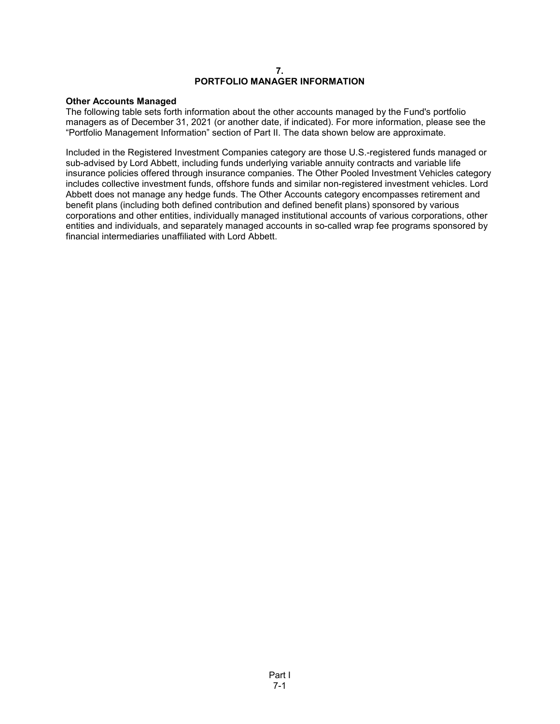#### **7. PORTFOLIO MANAGER INFORMATION**

#### **Other Accounts Managed**

The following table sets forth information about the other accounts managed by the Fund's portfolio managers as of December 31, 2021 (or another date, if indicated). For more information, please see the "Portfolio Management Information" section of Part II. The data shown below are approximate.

Included in the Registered Investment Companies category are those U.S.-registered funds managed or sub-advised by Lord Abbett, including funds underlying variable annuity contracts and variable life insurance policies offered through insurance companies. The Other Pooled Investment Vehicles category includes collective investment funds, offshore funds and similar non-registered investment vehicles. Lord Abbett does not manage any hedge funds. The Other Accounts category encompasses retirement and benefit plans (including both defined contribution and defined benefit plans) sponsored by various corporations and other entities, individually managed institutional accounts of various corporations, other entities and individuals, and separately managed accounts in so-called wrap fee programs sponsored by financial intermediaries unaffiliated with Lord Abbett.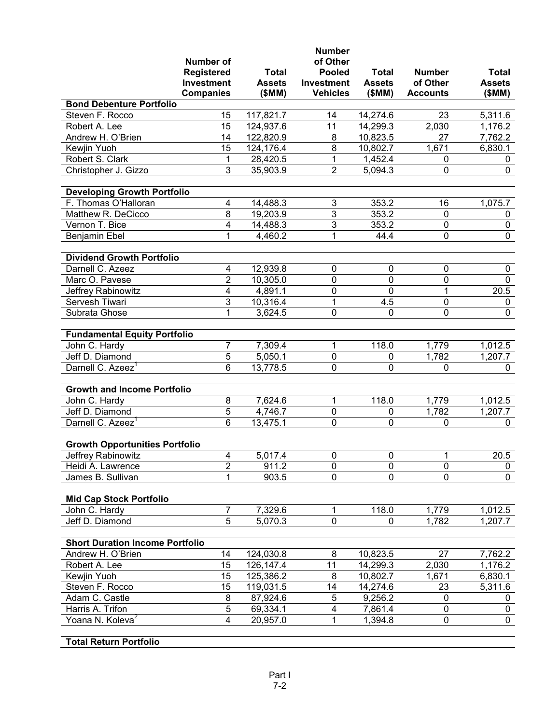|                                        | <b>Number of</b><br><b>Registered</b> | <b>Total</b>            | <b>Number</b><br>of Other<br><b>Pooled</b> | <b>Total</b>           | <b>Number</b>               | <b>Total</b>           |
|----------------------------------------|---------------------------------------|-------------------------|--------------------------------------------|------------------------|-----------------------------|------------------------|
|                                        | <b>Investment</b><br><b>Companies</b> | <b>Assets</b><br>(\$MM) | <b>Investment</b><br><b>Vehicles</b>       | <b>Assets</b><br>(SMM) | of Other<br><b>Accounts</b> | <b>Assets</b><br>(SMM) |
| <b>Bond Debenture Portfolio</b>        |                                       |                         |                                            |                        |                             |                        |
| Steven F. Rocco                        | 15                                    | 117,821.7               | 14                                         | 14,274.6               | 23                          | 5,311.6                |
| Robert A. Lee                          | 15                                    | 124,937.6               | 11                                         | 14,299.3               | 2,030                       | 1,176.2                |
| Andrew H. O'Brien                      | 14                                    | 122,820.9               | 8                                          | 10,823.5               | 27                          | 7,762.2                |
| Kewjin Yuoh                            | 15                                    | 124,176.4               | 8                                          | 10,802.7               | 1,671                       | 6,830.1                |
| Robert S. Clark                        | 1                                     | 28,420.5                | 1                                          | 1,452.4                | 0                           | 0                      |
| Christopher J. Gizzo                   | 3                                     | 35,903.9                | $\overline{2}$                             | 5,094.3                | 0                           | $\mathbf 0$            |
|                                        |                                       |                         |                                            |                        |                             |                        |
| <b>Developing Growth Portfolio</b>     |                                       |                         |                                            |                        |                             |                        |
| F. Thomas O'Halloran                   | 4                                     | 14,488.3                | 3                                          | 353.2                  | 16                          | 1,075.7                |
| Matthew R. DeCicco                     | 8                                     | 19,203.9                | 3                                          | 353.2                  | 0                           | 0                      |
| Vernon T. Bice                         | 4                                     | 14,488.3                | 3                                          | 353.2                  | $\mathbf 0$                 | $\pmb{0}$              |
| Benjamin Ebel                          | 1                                     | 4,460.2                 | 1                                          | 44.4                   | 0                           | 0                      |
| <b>Dividend Growth Portfolio</b>       |                                       |                         |                                            |                        |                             |                        |
| Darnell C. Azeez                       | 4                                     | 12,939.8                | 0                                          | 0                      | 0                           | $\pmb{0}$              |
| Marc O. Pavese                         | $\overline{2}$                        | 10,305.0                | 0                                          | 0                      | 0                           | $\mathbf 0$            |
| Jeffrey Rabinowitz                     | 4                                     | 4,891.1                 | $\mathbf 0$                                | 0                      | 1                           | 20.5                   |
| Servesh Tiwari                         | 3                                     | 10,316.4                | 1                                          | 4.5                    | 0                           | $\pmb{0}$              |
| Subrata Ghose                          | 1                                     | 3,624.5                 | 0                                          | 0                      | 0                           | $\Omega$               |
|                                        |                                       |                         |                                            |                        |                             |                        |
| <b>Fundamental Equity Portfolio</b>    |                                       |                         |                                            |                        |                             |                        |
| John C. Hardy                          | 7                                     | 7,309.4                 | 1                                          | 118.0                  | 1,779                       | 1,012.5                |
| Jeff D. Diamond                        | 5                                     | $\overline{5,050.1}$    | 0                                          | 0                      | 1,782                       | 1,207.7                |
| Darnell C. Azeez <sup>1</sup>          | 6                                     | 13,778.5                | 0                                          | 0                      | 0                           | 0                      |
|                                        |                                       |                         |                                            |                        |                             |                        |
| <b>Growth and Income Portfolio</b>     |                                       |                         |                                            |                        |                             |                        |
| John C. Hardy<br>Jeff D. Diamond       | 8<br>5                                | 7,624.6<br>4,746.7      | 1<br>$\mathbf 0$                           | 118.0                  | 1,779<br>1,782              | 1,012.5<br>1,207.7     |
| Darnell C. Azeez <sup>1</sup>          | 6                                     | 13,475.1                | 0                                          | 0<br>0                 | 0                           | 0                      |
|                                        |                                       |                         |                                            |                        |                             |                        |
| <b>Growth Opportunities Portfolio</b>  |                                       |                         |                                            |                        |                             |                        |
| Jeffrey Rabinowitz                     | 4                                     | 5,017.4                 | 0                                          | 0                      | 1                           | 20.5                   |
| Heidi A. Lawrence                      | 2                                     | 911.2                   | 0                                          | 0                      | $\mathbf{0}$                | 0                      |
| James B. Sullivan                      | 1                                     | 903.5                   | 0                                          | $\mathbf{0}$           | 0                           | $\mathbf{0}$           |
|                                        |                                       |                         |                                            |                        |                             |                        |
| <b>Mid Cap Stock Portfolio</b>         |                                       |                         |                                            |                        |                             |                        |
| John C. Hardy                          | 7                                     | 7,329.6                 | 1                                          | 118.0                  | 1,779                       | 1,012.5                |
| Jeff D. Diamond                        | $\overline{5}$                        | 5,070.3                 | 0                                          | 0                      | 1,782                       | 1,207.7                |
|                                        |                                       |                         |                                            |                        |                             |                        |
| <b>Short Duration Income Portfolio</b> |                                       |                         |                                            |                        |                             |                        |
| Andrew H. O'Brien<br>Robert A. Lee     | 14<br>15                              | 124,030.8               | 8<br>11                                    | 10,823.5               | 27<br>2,030                 | 7,762.2                |
| Kewjin Yuoh                            | 15                                    | 126, 147.4<br>125,386.2 | 8                                          | 14,299.3<br>10,802.7   | 1,671                       | 1,176.2<br>6,830.1     |
| Steven F. Rocco                        | 15                                    | 119,031.5               | 14                                         | 14,274.6               | 23                          | 5,311.6                |
| Adam C. Castle                         | 8                                     | 87,924.6                | 5                                          | 9,256.2                | 0                           | 0                      |
| Harris A. Trifon                       | 5                                     | 69,334.1                | 4                                          | 7,861.4                | 0                           | $\pmb{0}$              |
| Yoana N. Koleva <sup>2</sup>           | 4                                     | 20,957.0                | 1                                          | 1,394.8                | 0                           | 0                      |
|                                        |                                       |                         |                                            |                        |                             |                        |

**Total Return Portfolio**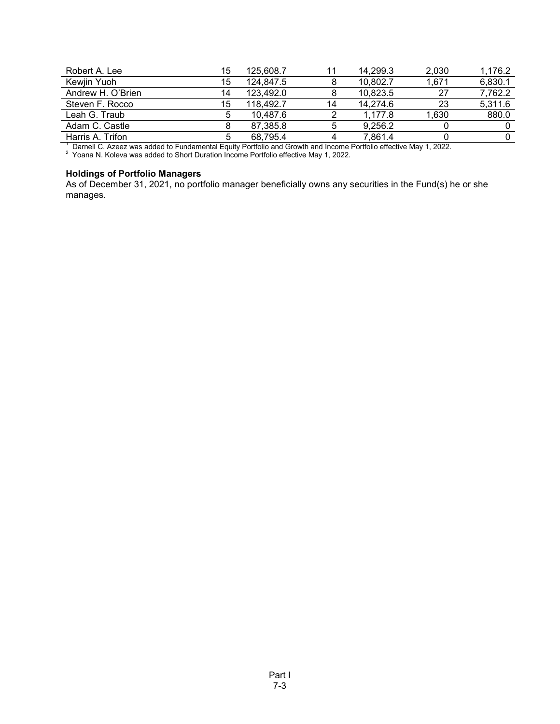| Robert A. Lee     | 15 | 125.608.7 | 11 | 14.299.3 | 2.030 | 1,176.2  |
|-------------------|----|-----------|----|----------|-------|----------|
| Kewjin Yuoh       | 15 | 124.847.5 |    | 10,802.7 | 1.671 | 6,830.1  |
| Andrew H. O'Brien | 14 | 123,492.0 |    | 10,823.5 | 27    | 7,762.2  |
| Steven F. Rocco   | 15 | 118.492.7 | 14 | 14.274.6 | 23    | 5,311.6  |
| Leah G. Traub     | 5  | 10.487.6  |    | 1.177.8  | 1,630 | 880.0    |
| Adam C. Castle    |    | 87,385.8  |    | 9.256.2  |       |          |
| Harris A. Trifon  | 5  | 68,795.4  |    | 7,861.4  |       | $\Omega$ |

<sup>1</sup> Darnell C. Azeez was added to Fundamental Equity Portfolio and Growth and Income Portfolio effective May 1, 2022.<br><sup>2</sup> Yoana N. Koleva was added to Short Duration Income Portfolio effective May 1, 2022.

#### **Holdings of Portfolio Managers**

As of December 31, 2021, no portfolio manager beneficially owns any securities in the Fund(s) he or she manages.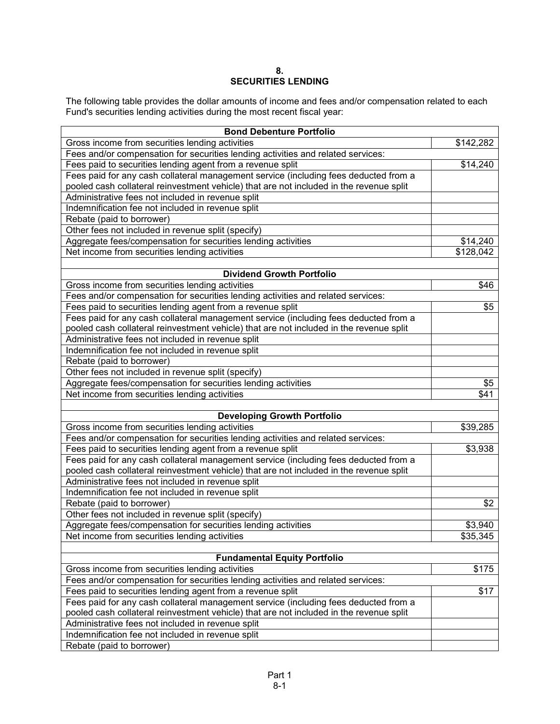### **8. SECURITIES LENDING**

The following table provides the dollar amounts of income and fees and/or compensation related to each Fund's securities lending activities during the most recent fiscal year:

| <b>Bond Debenture Portfolio</b>                                                         |           |
|-----------------------------------------------------------------------------------------|-----------|
| Gross income from securities lending activities                                         | \$142,282 |
| Fees and/or compensation for securities lending activities and related services:        |           |
| Fees paid to securities lending agent from a revenue split                              | \$14,240  |
| Fees paid for any cash collateral management service (including fees deducted from a    |           |
| pooled cash collateral reinvestment vehicle) that are not included in the revenue split |           |
| Administrative fees not included in revenue split                                       |           |
| Indemnification fee not included in revenue split                                       |           |
| Rebate (paid to borrower)                                                               |           |
| Other fees not included in revenue split (specify)                                      |           |
| Aggregate fees/compensation for securities lending activities                           | \$14,240  |
| Net income from securities lending activities                                           | \$128,042 |
| <b>Dividend Growth Portfolio</b>                                                        |           |
| Gross income from securities lending activities                                         | \$46      |
| Fees and/or compensation for securities lending activities and related services:        |           |
| Fees paid to securities lending agent from a revenue split                              | \$5       |
| Fees paid for any cash collateral management service (including fees deducted from a    |           |
| pooled cash collateral reinvestment vehicle) that are not included in the revenue split |           |
| Administrative fees not included in revenue split                                       |           |
| Indemnification fee not included in revenue split                                       |           |
| Rebate (paid to borrower)                                                               |           |
| Other fees not included in revenue split (specify)                                      |           |
| Aggregate fees/compensation for securities lending activities                           | \$5       |
| Net income from securities lending activities                                           | \$41      |
|                                                                                         |           |
| <b>Developing Growth Portfolio</b>                                                      |           |
| Gross income from securities lending activities                                         | \$39,285  |
| Fees and/or compensation for securities lending activities and related services:        |           |
| Fees paid to securities lending agent from a revenue split                              | \$3,938   |
| Fees paid for any cash collateral management service (including fees deducted from a    |           |
| pooled cash collateral reinvestment vehicle) that are not included in the revenue split |           |
| Administrative fees not included in revenue split                                       |           |
| Indemnification fee not included in revenue split                                       |           |
| Rebate (paid to borrower)                                                               | \$2       |
| Other fees not included in revenue split (specify)                                      |           |
| Aggregate fees/compensation for securities lending activities                           | \$3,940   |
| Net income from securities lending activities                                           | \$35,345  |
|                                                                                         |           |
| <b>Fundamental Equity Portfolio</b>                                                     |           |
| Gross income from securities lending activities                                         | \$175     |
| Fees and/or compensation for securities lending activities and related services:        |           |
| Fees paid to securities lending agent from a revenue split                              | \$17      |
| Fees paid for any cash collateral management service (including fees deducted from a    |           |
| pooled cash collateral reinvestment vehicle) that are not included in the revenue split |           |
| Administrative fees not included in revenue split                                       |           |
| Indemnification fee not included in revenue split                                       |           |
| Rebate (paid to borrower)                                                               |           |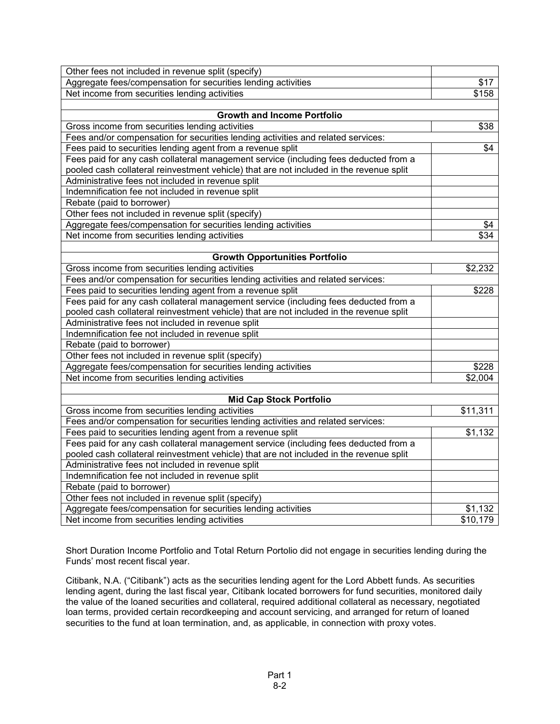| Other fees not included in revenue split (specify)                                      |          |
|-----------------------------------------------------------------------------------------|----------|
| Aggregate fees/compensation for securities lending activities                           | \$17     |
| Net income from securities lending activities                                           | \$158    |
|                                                                                         |          |
| <b>Growth and Income Portfolio</b>                                                      |          |
| Gross income from securities lending activities                                         | \$38     |
| Fees and/or compensation for securities lending activities and related services:        |          |
| Fees paid to securities lending agent from a revenue split                              | \$4      |
| Fees paid for any cash collateral management service (including fees deducted from a    |          |
| pooled cash collateral reinvestment vehicle) that are not included in the revenue split |          |
| Administrative fees not included in revenue split                                       |          |
| Indemnification fee not included in revenue split                                       |          |
| Rebate (paid to borrower)                                                               |          |
| Other fees not included in revenue split (specify)                                      |          |
| Aggregate fees/compensation for securities lending activities                           | \$4      |
| Net income from securities lending activities                                           | \$34     |
|                                                                                         |          |
| <b>Growth Opportunities Portfolio</b>                                                   |          |
| Gross income from securities lending activities                                         | \$2,232  |
| Fees and/or compensation for securities lending activities and related services:        |          |
| Fees paid to securities lending agent from a revenue split                              | \$228    |
| Fees paid for any cash collateral management service (including fees deducted from a    |          |
| pooled cash collateral reinvestment vehicle) that are not included in the revenue split |          |
| Administrative fees not included in revenue split                                       |          |
| Indemnification fee not included in revenue split                                       |          |
| Rebate (paid to borrower)                                                               |          |
| Other fees not included in revenue split (specify)                                      |          |
| Aggregate fees/compensation for securities lending activities                           | \$228    |
| Net income from securities lending activities                                           | \$2,004  |
|                                                                                         |          |
| <b>Mid Cap Stock Portfolio</b>                                                          |          |
| Gross income from securities lending activities                                         | \$11,311 |
| Fees and/or compensation for securities lending activities and related services:        |          |
| Fees paid to securities lending agent from a revenue split                              | \$1,132  |
| Fees paid for any cash collateral management service (including fees deducted from a    |          |
| pooled cash collateral reinvestment vehicle) that are not included in the revenue split |          |
| Administrative fees not included in revenue split                                       |          |
| Indemnification fee not included in revenue split                                       |          |
| Rebate (paid to borrower)                                                               |          |
| Other fees not included in revenue split (specify)                                      |          |
| Aggregate fees/compensation for securities lending activities                           | \$1,132  |
| Net income from securities lending activities                                           | \$10,179 |

Short Duration Income Portfolio and Total Return Portolio did not engage in securities lending during the Funds' most recent fiscal year.

Citibank, N.A. ("Citibank") acts as the securities lending agent for the Lord Abbett funds. As securities lending agent, during the last fiscal year, Citibank located borrowers for fund securities, monitored daily the value of the loaned securities and collateral, required additional collateral as necessary, negotiated loan terms, provided certain recordkeeping and account servicing, and arranged for return of loaned securities to the fund at loan termination, and, as applicable, in connection with proxy votes.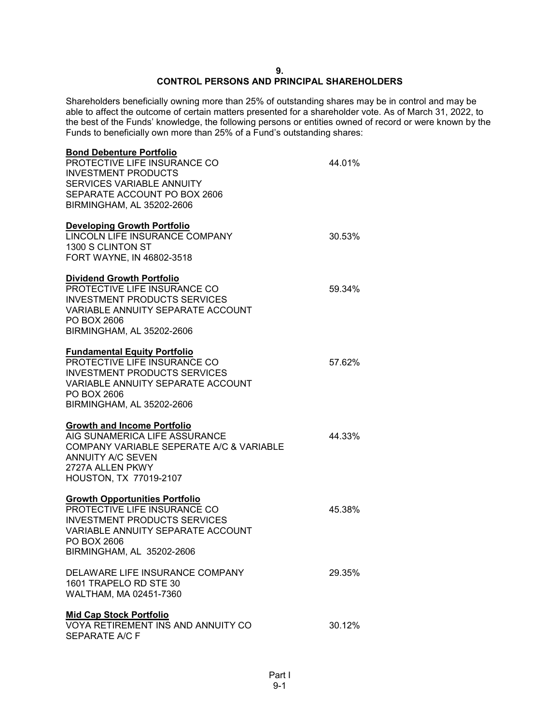**9.** 

#### **CONTROL PERSONS AND PRINCIPAL SHAREHOLDERS**

Shareholders beneficially owning more than 25% of outstanding shares may be in control and may be able to affect the outcome of certain matters presented for a shareholder vote. As of March 31, 2022, to the best of the Funds' knowledge, the following persons or entities owned of record or were known by the Funds to beneficially own more than 25% of a Fund's outstanding shares:

| <b>Bond Debenture Portfolio</b>          |        |
|------------------------------------------|--------|
| PROTECTIVE LIFE INSURANCE CO             | 44.01% |
| <b>INVESTMENT PRODUCTS</b>               |        |
| SERVICES VARIABLE ANNUITY                |        |
| SEPARATE ACCOUNT PO BOX 2606             |        |
| BIRMINGHAM, AL 35202-2606                |        |
| <b>Developing Growth Portfolio</b>       |        |
| LINCOLN LIFE INSURANCE COMPANY           | 30.53% |
| 1300 S CLINTON ST                        |        |
| FORT WAYNE, IN 46802-3518                |        |
| <b>Dividend Growth Portfolio</b>         |        |
| PROTECTIVE LIFE INSURANCE CO             | 59.34% |
| <b>INVESTMENT PRODUCTS SERVICES</b>      |        |
| VARIABLE ANNUITY SEPARATE ACCOUNT        |        |
| PO BOX 2606                              |        |
| BIRMINGHAM, AL 35202-2606                |        |
| <b>Fundamental Equity Portfolio</b>      |        |
| PROTECTIVE LIFE INSURANCE CO             | 57.62% |
| <b>INVESTMENT PRODUCTS SERVICES</b>      |        |
| VARIABLE ANNUITY SEPARATE ACCOUNT        |        |
| PO BOX 2606                              |        |
| BIRMINGHAM, AL 35202-2606                |        |
| <b>Growth and Income Portfolio</b>       |        |
| AIG SUNAMERICA LIFE ASSURANCE            | 44.33% |
| COMPANY VARIABLE SEPERATE A/C & VARIABLE |        |
| ANNUITY A/C SEVEN                        |        |
| 2727A ALLEN PKWY                         |        |
| HOUSTON, TX 77019-2107                   |        |
| <b>Growth Opportunities Portfolio</b>    |        |
| PROTECTIVE LIFE INSURANCE CO             | 45.38% |
| <b>INVESTMENT PRODUCTS SERVICES</b>      |        |
| VARIABLE ANNUITY SEPARATE ACCOUNT        |        |
| PO BOX 2606                              |        |
| BIRMINGHAM, AL 35202-2606                |        |
| DELAWARE LIFE INSURANCE COMPANY          | 29.35% |
| 1601 TRAPELO RD STE 30                   |        |
| WALTHAM, MA 02451-7360                   |        |
| <b>Mid Cap Stock Portfolio</b>           |        |
| VOYA RETIREMENT INS AND ANNUITY CO       | 30.12% |
| SEPARATE A/C F                           |        |
|                                          |        |

Part I 9-1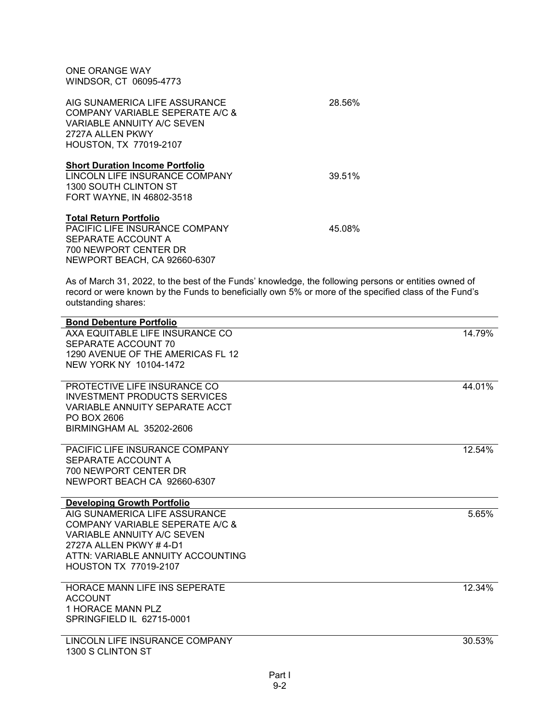| ONE ORANGE WAY         |  |
|------------------------|--|
| WINDSOR, CT 06095-4773 |  |

AIG SUNAMERICA LIFE ASSURANCE 28.56% COMPANY VARIABLE SEPERATE A/C & VARIABLE ANNUITY A/C SEVEN 2727A ALLEN PKWY HOUSTON, TX 77019-2107

## **Short Duration Income Portfolio**

LINCOLN LIFE INSURANCE COMPANY 39.51% 1300 SOUTH CLINTON ST FORT WAYNE, IN 46802-3518

#### **Total Return Portfolio**

PACIFIC LIFE INSURANCE COMPANY 45.08% SEPARATE ACCOUNT A 700 NEWPORT CENTER DR NEWPORT BEACH, CA 92660-6307

As of March 31, 2022, to the best of the Funds' knowledge, the following persons or entities owned of record or were known by the Funds to beneficially own 5% or more of the specified class of the Fund's outstanding shares:

| <b>Bond Debenture Portfolio</b>                                   |        |
|-------------------------------------------------------------------|--------|
| AXA EQUITABLE LIFE INSURANCE CO                                   | 14.79% |
| SEPARATE ACCOUNT 70                                               |        |
| 1290 AVENUE OF THE AMERICAS FL 12                                 |        |
| NEW YORK NY 10104-1472                                            |        |
| PROTECTIVE LIFE INSURANCE CO                                      | 44.01% |
| <b>INVESTMENT PRODUCTS SERVICES</b>                               |        |
| VARIABLE ANNUITY SEPARATE ACCT                                    |        |
| PO BOX 2606                                                       |        |
| BIRMINGHAM AL 35202-2606                                          |        |
| PACIFIC LIFE INSURANCE COMPANY                                    | 12.54% |
| SEPARATE ACCOUNT A                                                |        |
| 700 NEWPORT CENTER DR                                             |        |
| NEWPORT BEACH CA 92660-6307                                       |        |
| <b>Developing Growth Portfolio</b>                                |        |
| AIG SUNAMERICA LIFE ASSURANCE                                     | 5.65%  |
| COMPANY VARIABLE SEPERATE A/C &                                   |        |
| VARIABLE ANNUITY A/C SEVEN                                        |        |
| 2727A ALLEN PKWY #4-D1                                            |        |
| ATTN: VARIABLE ANNUITY ACCOUNTING<br><b>HOUSTON TX 77019-2107</b> |        |
|                                                                   |        |
| HORACE MANN LIFE INS SEPERATE                                     | 12.34% |
| <b>ACCOUNT</b>                                                    |        |
| 1 HORACE MANN PLZ                                                 |        |
| SPRINGFIELD IL 62715-0001                                         |        |
| LINCOLN LIFE INSURANCE COMPANY                                    | 30.53% |
| 1300 S CLINTON ST                                                 |        |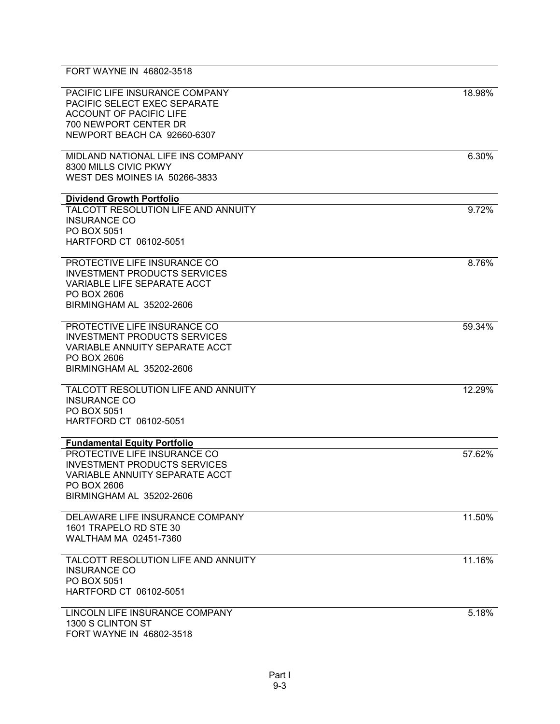| FORT WAYNE IN 46802-3518                                       |        |
|----------------------------------------------------------------|--------|
|                                                                |        |
| PACIFIC LIFE INSURANCE COMPANY<br>PACIFIC SELECT EXEC SEPARATE | 18.98% |
| <b>ACCOUNT OF PACIFIC LIFE</b>                                 |        |
| 700 NEWPORT CENTER DR                                          |        |
| NEWPORT BEACH CA 92660-6307                                    |        |
|                                                                |        |
| MIDLAND NATIONAL LIFE INS COMPANY                              | 6.30%  |
| 8300 MILLS CIVIC PKWY                                          |        |
| WEST DES MOINES IA 50266-3833                                  |        |
| <b>Dividend Growth Portfolio</b>                               |        |
| TALCOTT RESOLUTION LIFE AND ANNUITY                            | 9.72%  |
| <b>INSURANCE CO</b>                                            |        |
| PO BOX 5051                                                    |        |
| HARTFORD CT 06102-5051                                         |        |
| PROTECTIVE LIFE INSURANCE CO                                   |        |
| <b>INVESTMENT PRODUCTS SERVICES</b>                            | 8.76%  |
| VARIABLE LIFE SEPARATE ACCT                                    |        |
| PO BOX 2606                                                    |        |
| BIRMINGHAM AL 35202-2606                                       |        |
|                                                                |        |
| PROTECTIVE LIFE INSURANCE CO                                   | 59.34% |
| <b>INVESTMENT PRODUCTS SERVICES</b>                            |        |
| VARIABLE ANNUITY SEPARATE ACCT                                 |        |
| PO BOX 2606                                                    |        |
| BIRMINGHAM AL 35202-2606                                       |        |
| TALCOTT RESOLUTION LIFE AND ANNUITY                            | 12.29% |
| <b>INSURANCE CO</b>                                            |        |
| PO BOX 5051                                                    |        |
| HARTFORD CT 06102-5051                                         |        |
| <b>Fundamental Equity Portfolio</b>                            |        |
| PROTECTIVE LIFE INSURANCE CO                                   | 57.62% |
| <b>INVESTMENT PRODUCTS SERVICES</b>                            |        |
| VARIABLE ANNUITY SEPARATE ACCT                                 |        |
| PO BOX 2606                                                    |        |
| BIRMINGHAM AL 35202-2606                                       |        |
| DELAWARE LIFE INSURANCE COMPANY                                | 11.50% |
| 1601 TRAPELO RD STE 30                                         |        |
| WALTHAM MA 02451-7360                                          |        |
|                                                                |        |
| TALCOTT RESOLUTION LIFE AND ANNUITY                            | 11.16% |
| <b>INSURANCE CO</b>                                            |        |
| PO BOX 5051                                                    |        |
| HARTFORD CT 06102-5051                                         |        |
| LINCOLN LIFE INSURANCE COMPANY                                 | 5.18%  |
| 1300 S CLINTON ST                                              |        |
| FORT WAYNE IN 46802-3518                                       |        |
|                                                                |        |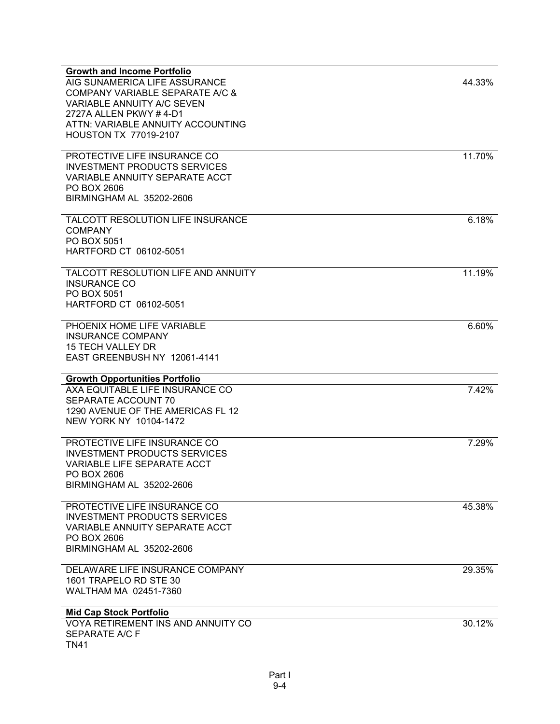| <b>Growth and Income Portfolio</b>    |        |
|---------------------------------------|--------|
| AIG SUNAMERICA LIFE ASSURANCE         | 44.33% |
| COMPANY VARIABLE SEPARATE A/C &       |        |
| VARIABLE ANNUITY A/C SEVEN            |        |
| 2727A ALLEN PKWY #4-D1                |        |
| ATTN: VARIABLE ANNUITY ACCOUNTING     |        |
| HOUSTON TX 77019-2107                 |        |
| PROTECTIVE LIFE INSURANCE CO          | 11.70% |
| <b>INVESTMENT PRODUCTS SERVICES</b>   |        |
| VARIABLE ANNUITY SEPARATE ACCT        |        |
| PO BOX 2606                           |        |
| BIRMINGHAM AL 35202-2606              |        |
| TALCOTT RESOLUTION LIFE INSURANCE     | 6.18%  |
| <b>COMPANY</b>                        |        |
| PO BOX 5051                           |        |
| HARTFORD CT 06102-5051                |        |
| TALCOTT RESOLUTION LIFE AND ANNUITY   | 11.19% |
| <b>INSURANCE CO</b>                   |        |
| PO BOX 5051                           |        |
| HARTFORD CT 06102-5051                |        |
| PHOENIX HOME LIFE VARIABLE            | 6.60%  |
| <b>INSURANCE COMPANY</b>              |        |
| <b>15 TECH VALLEY DR</b>              |        |
| EAST GREENBUSH NY 12061-4141          |        |
| <b>Growth Opportunities Portfolio</b> |        |
| AXA EQUITABLE LIFE INSURANCE CO       | 7.42%  |
| SEPARATE ACCOUNT 70                   |        |
| 1290 AVENUE OF THE AMERICAS FL 12     |        |
| NEW YORK NY 10104-1472                |        |
|                                       |        |
| PROTECTIVE LIFE INSURANCE CO          | 7.29%  |
| <b>INVESTMENT PRODUCTS SERVICES</b>   |        |
| VARIABLE LIFE SEPARATE ACCT           |        |
| PO BOX 2606                           |        |
| BIRMINGHAM AL 35202-2606              |        |
| PROTECTIVE LIFE INSURANCE CO          | 45.38% |
| <b>INVESTMENT PRODUCTS SERVICES</b>   |        |
| VARIABLE ANNUITY SEPARATE ACCT        |        |
|                                       |        |
| PO BOX 2606                           |        |
| BIRMINGHAM AL 35202-2606              |        |
| DELAWARE LIFE INSURANCE COMPANY       | 29.35% |
| 1601 TRAPELO RD STE 30                |        |
| WALTHAM MA 02451-7360                 |        |
| <b>Mid Cap Stock Portfolio</b>        |        |
| VOYA RETIREMENT INS AND ANNUITY CO    | 30.12% |
| SEPARATE A/C F                        |        |
| <b>TN41</b>                           |        |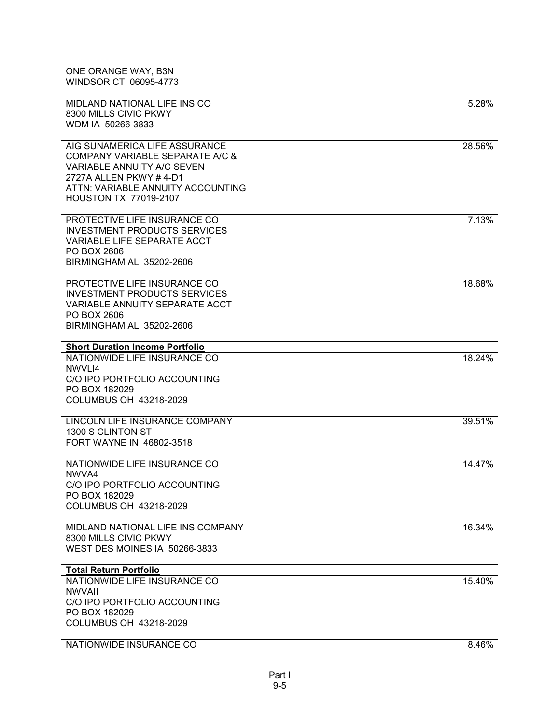| ONE ORANGE WAY, B3N<br>WINDSOR CT 06095-4773                         |        |
|----------------------------------------------------------------------|--------|
| MIDLAND NATIONAL LIFE INS CO                                         | 5.28%  |
| 8300 MILLS CIVIC PKWY                                                |        |
| WDM IA 50266-3833                                                    |        |
| AIG SUNAMERICA LIFE ASSURANCE                                        | 28.56% |
| COMPANY VARIABLE SEPARATE A/C &<br><b>VARIABLE ANNUITY A/C SEVEN</b> |        |
| 2727A ALLEN PKWY #4-D1                                               |        |
| ATTN: VARIABLE ANNUITY ACCOUNTING                                    |        |
| <b>HOUSTON TX 77019-2107</b>                                         |        |
| PROTECTIVE LIFE INSURANCE CO                                         | 7.13%  |
| <b>INVESTMENT PRODUCTS SERVICES</b><br>VARIABLE LIFE SEPARATE ACCT   |        |
| PO BOX 2606                                                          |        |
| BIRMINGHAM AL 35202-2606                                             |        |
| PROTECTIVE LIFE INSURANCE CO                                         | 18.68% |
| <b>INVESTMENT PRODUCTS SERVICES</b>                                  |        |
| VARIABLE ANNUITY SEPARATE ACCT<br>PO BOX 2606                        |        |
| BIRMINGHAM AL 35202-2606                                             |        |
| <b>Short Duration Income Portfolio</b>                               |        |
| NATIONWIDE LIFE INSURANCE CO                                         | 18.24% |
| NWVLI4                                                               |        |
| C/O IPO PORTFOLIO ACCOUNTING<br>PO BOX 182029                        |        |
| COLUMBUS OH 43218-2029                                               |        |
|                                                                      |        |
| LINCOLN LIFE INSURANCE COMPANY<br>1300 S CLINTON ST                  | 39.51% |
| FORT WAYNE IN 46802-3518                                             |        |
|                                                                      |        |
| NATIONWIDE LIFE INSURANCE CO<br>NWVA4                                | 14.47% |
| C/O IPO PORTFOLIO ACCOUNTING                                         |        |
| PO BOX 182029                                                        |        |
| COLUMBUS OH 43218-2029                                               |        |
| MIDLAND NATIONAL LIFE INS COMPANY                                    | 16.34% |
| 8300 MILLS CIVIC PKWY                                                |        |
| WEST DES MOINES IA 50266-3833                                        |        |
| <b>Total Return Portfolio</b>                                        |        |
| NATIONWIDE LIFE INSURANCE CO<br><b>NWVAII</b>                        | 15.40% |
| C/O IPO PORTFOLIO ACCOUNTING                                         |        |
| PO BOX 182029                                                        |        |
| COLUMBUS OH 43218-2029                                               |        |
| NATIONWIDE INSURANCE CO                                              | 8.46%  |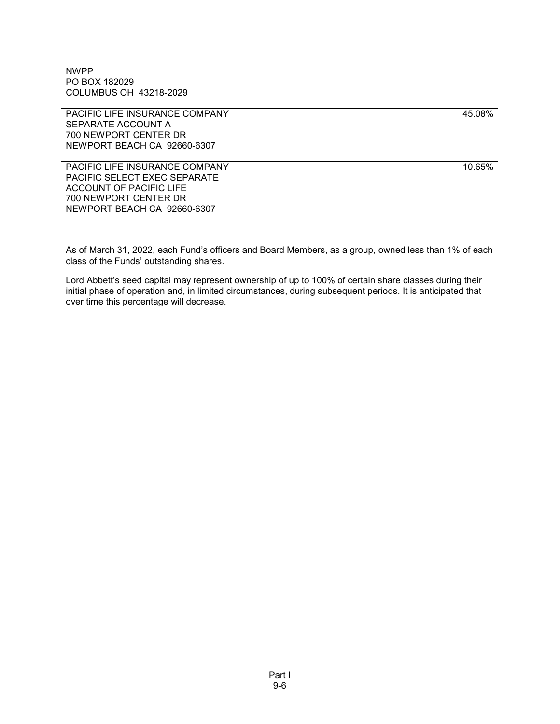NWPP PO BOX 182029 COLUMBUS OH 43218-2029

PACIFIC LIFE INSURANCE COMPANY SEPARATE ACCOUNT A 700 NEWPORT CENTER DR NEWPORT BEACH CA 92660-6307

PACIFIC LIFE INSURANCE COMPANY PACIFIC SELECT EXEC SEPARATE ACCOUNT OF PACIFIC LIFE 700 NEWPORT CENTER DR NEWPORT BEACH CA 92660-6307

As of March 31, 2022, each Fund's officers and Board Members, as a group, owned less than 1% of each class of the Funds' outstanding shares.

Lord Abbett's seed capital may represent ownership of up to 100% of certain share classes during their initial phase of operation and, in limited circumstances, during subsequent periods. It is anticipated that over time this percentage will decrease.

45.08%

10.65%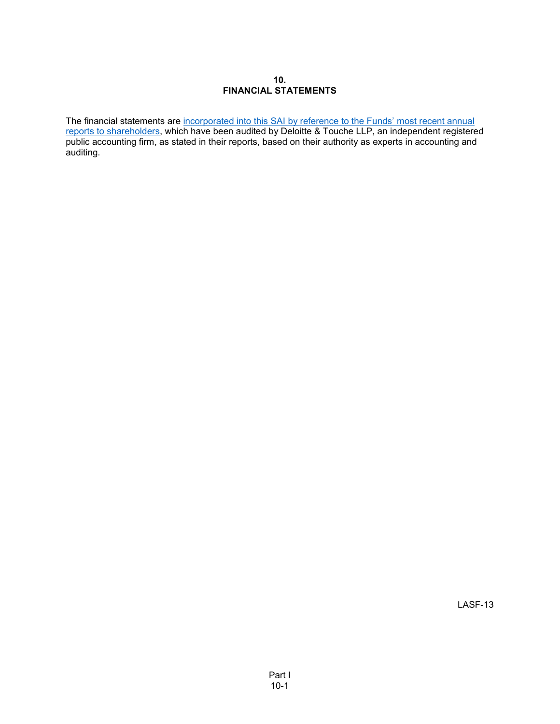### **10. FINANCIAL STATEMENTS**

The financial statements are incorporated into this SAI by reference to the Funds' most recent annual reports to shareholders, which have been audited by Deloitte & Touche LLP, an independent registered public accounting firm, as stated in their reports, based on their authority as experts in accounting and auditing.

LASF-13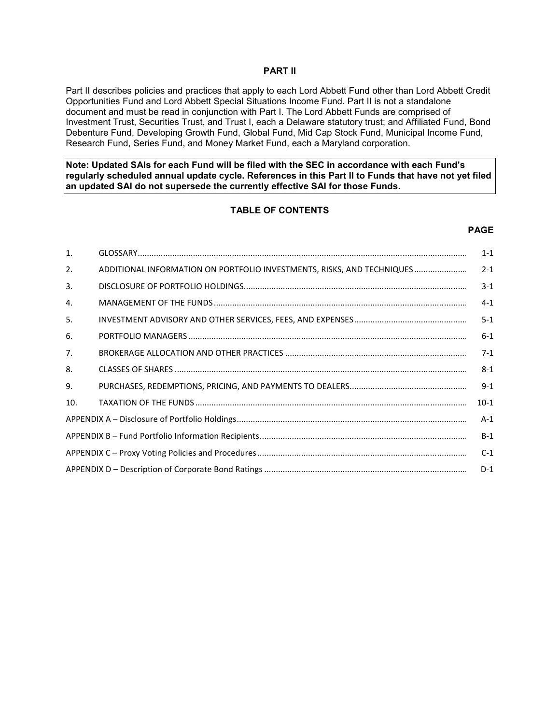#### **PART II**

Part II describes policies and practices that apply to each Lord Abbett Fund other than Lord Abbett Credit Opportunities Fund and Lord Abbett Special Situations Income Fund. Part II is not a standalone document and must be read in conjunction with Part I. The Lord Abbett Funds are comprised of Investment Trust, Securities Trust, and Trust I, each a Delaware statutory trust; and Affiliated Fund, Bond Debenture Fund, Developing Growth Fund, Global Fund, Mid Cap Stock Fund, Municipal Income Fund, Research Fund, Series Fund, and Money Market Fund, each a Maryland corporation.

**Note: Updated SAIs for each Fund will be filed with the SEC in accordance with each Fund's regularly scheduled annual update cycle. References in this Part II to Funds that have not yet filed an updated SAI do not supersede the currently effective SAI for those Funds.** 

## **TABLE OF CONTENTS**

# **PAGE**

| $\mathbf{1}$ . |                                                                        | $1 - 1$ |  |
|----------------|------------------------------------------------------------------------|---------|--|
| 2.             | ADDITIONAL INFORMATION ON PORTFOLIO INVESTMENTS, RISKS, AND TECHNIQUES | $2 - 1$ |  |
| 3.             |                                                                        | $3 - 1$ |  |
| 4.             |                                                                        | $4 - 1$ |  |
| 5.             |                                                                        | $5 - 1$ |  |
| 6.             |                                                                        | $6 - 1$ |  |
| 7.             |                                                                        | $7 - 1$ |  |
| 8.             |                                                                        | $8 - 1$ |  |
| 9.             |                                                                        | $9 - 1$ |  |
| 10.            |                                                                        | $10-1$  |  |
|                |                                                                        | $A-1$   |  |
|                |                                                                        | $B-1$   |  |
| $C-1$          |                                                                        |         |  |
| $D-1$          |                                                                        |         |  |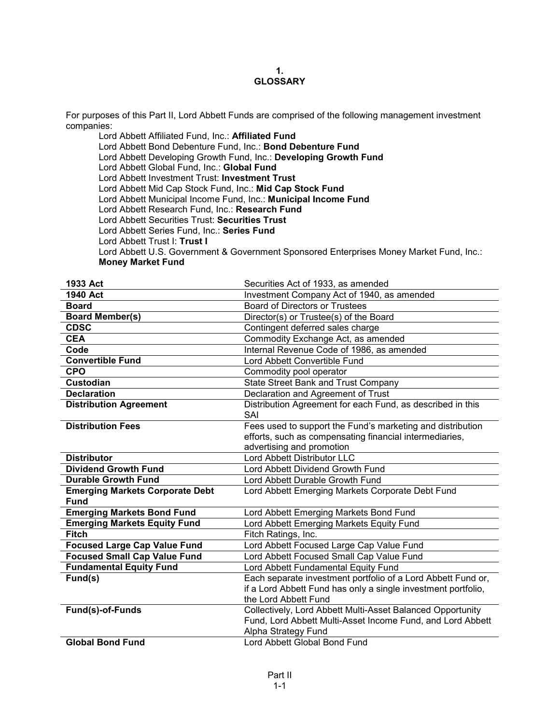## **1. GLOSSARY**

For purposes of this Part II, Lord Abbett Funds are comprised of the following management investment companies:

Lord Abbett Affiliated Fund, Inc.: **Affiliated Fund** Lord Abbett Bond Debenture Fund, Inc.: **Bond Debenture Fund** Lord Abbett Developing Growth Fund, Inc.: **Developing Growth Fund** Lord Abbett Global Fund, Inc.: **Global Fund** Lord Abbett Investment Trust: **Investment Trust** Lord Abbett Mid Cap Stock Fund, Inc.: **Mid Cap Stock Fund** Lord Abbett Municipal Income Fund, Inc.: **Municipal Income Fund** Lord Abbett Research Fund, Inc.: **Research Fund** Lord Abbett Securities Trust: **Securities Trust** Lord Abbett Series Fund, Inc.: **Series Fund**  Lord Abbett Trust I: **Trust I** Lord Abbett U.S. Government & Government Sponsored Enterprises Money Market Fund, Inc.: **Money Market Fund** 

| 1933 Act                               | Securities Act of 1933, as amended                                |
|----------------------------------------|-------------------------------------------------------------------|
| 1940 Act                               | Investment Company Act of 1940, as amended                        |
| <b>Board</b>                           | <b>Board of Directors or Trustees</b>                             |
| <b>Board Member(s)</b>                 | Director(s) or Trustee(s) of the Board                            |
| <b>CDSC</b>                            | Contingent deferred sales charge                                  |
| <b>CEA</b>                             | Commodity Exchange Act, as amended                                |
| Code                                   | Internal Revenue Code of 1986, as amended                         |
| <b>Convertible Fund</b>                | Lord Abbett Convertible Fund                                      |
| <b>CPO</b>                             | Commodity pool operator                                           |
| <b>Custodian</b>                       | <b>State Street Bank and Trust Company</b>                        |
| <b>Declaration</b>                     | Declaration and Agreement of Trust                                |
| <b>Distribution Agreement</b>          | Distribution Agreement for each Fund, as described in this<br>SAI |
| <b>Distribution Fees</b>               | Fees used to support the Fund's marketing and distribution        |
|                                        | efforts, such as compensating financial intermediaries,           |
|                                        | advertising and promotion                                         |
| <b>Distributor</b>                     | Lord Abbett Distributor LLC                                       |
| <b>Dividend Growth Fund</b>            | Lord Abbett Dividend Growth Fund                                  |
| <b>Durable Growth Fund</b>             | Lord Abbett Durable Growth Fund                                   |
| <b>Emerging Markets Corporate Debt</b> | Lord Abbett Emerging Markets Corporate Debt Fund                  |
| <b>Fund</b>                            |                                                                   |
| <b>Emerging Markets Bond Fund</b>      | Lord Abbett Emerging Markets Bond Fund                            |
| <b>Emerging Markets Equity Fund</b>    | Lord Abbett Emerging Markets Equity Fund                          |
| <b>Fitch</b>                           | Fitch Ratings, Inc.                                               |
| <b>Focused Large Cap Value Fund</b>    | Lord Abbett Focused Large Cap Value Fund                          |
| <b>Focused Small Cap Value Fund</b>    | Lord Abbett Focused Small Cap Value Fund                          |
| <b>Fundamental Equity Fund</b>         | Lord Abbett Fundamental Equity Fund                               |
| Fund(s)                                | Each separate investment portfolio of a Lord Abbett Fund or,      |
|                                        | if a Lord Abbett Fund has only a single investment portfolio,     |
|                                        | the Lord Abbett Fund                                              |
| Fund(s)-of-Funds                       | Collectively, Lord Abbett Multi-Asset Balanced Opportunity        |
|                                        | Fund, Lord Abbett Multi-Asset Income Fund, and Lord Abbett        |
|                                        | Alpha Strategy Fund                                               |
| <b>Global Bond Fund</b>                | Lord Abbett Global Bond Fund                                      |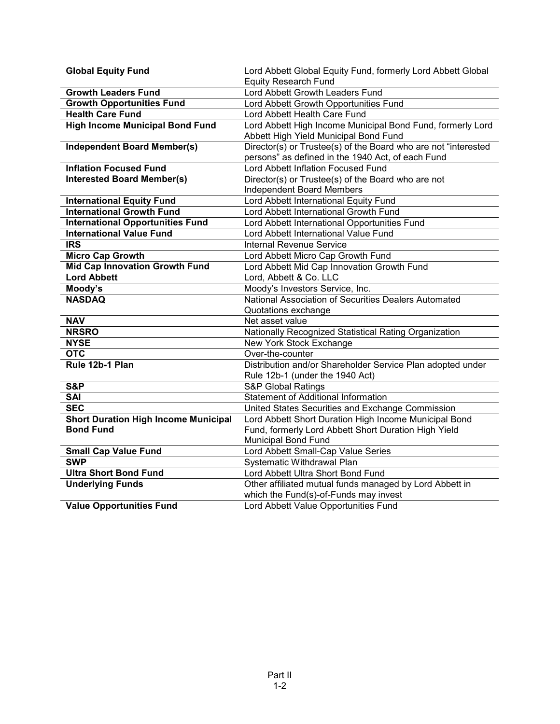| <b>Global Equity Fund</b>                   | Lord Abbett Global Equity Fund, formerly Lord Abbett Global    |
|---------------------------------------------|----------------------------------------------------------------|
|                                             | <b>Equity Research Fund</b>                                    |
| <b>Growth Leaders Fund</b>                  | Lord Abbett Growth Leaders Fund                                |
| <b>Growth Opportunities Fund</b>            | Lord Abbett Growth Opportunities Fund                          |
| <b>Health Care Fund</b>                     | Lord Abbett Health Care Fund                                   |
| <b>High Income Municipal Bond Fund</b>      | Lord Abbett High Income Municipal Bond Fund, formerly Lord     |
|                                             | Abbett High Yield Municipal Bond Fund                          |
| <b>Independent Board Member(s)</b>          | Director(s) or Trustee(s) of the Board who are not "interested |
|                                             | persons" as defined in the 1940 Act, of each Fund              |
| <b>Inflation Focused Fund</b>               | Lord Abbett Inflation Focused Fund                             |
| <b>Interested Board Member(s)</b>           | Director(s) or Trustee(s) of the Board who are not             |
|                                             | <b>Independent Board Members</b>                               |
| <b>International Equity Fund</b>            | Lord Abbett International Equity Fund                          |
| <b>International Growth Fund</b>            | Lord Abbett International Growth Fund                          |
| <b>International Opportunities Fund</b>     | Lord Abbett International Opportunities Fund                   |
| <b>International Value Fund</b>             | Lord Abbett International Value Fund                           |
| <b>IRS</b>                                  | <b>Internal Revenue Service</b>                                |
| <b>Micro Cap Growth</b>                     | Lord Abbett Micro Cap Growth Fund                              |
| <b>Mid Cap Innovation Growth Fund</b>       | Lord Abbett Mid Cap Innovation Growth Fund                     |
| <b>Lord Abbett</b>                          | Lord, Abbett & Co. LLC                                         |
| Moody's                                     | Moody's Investors Service, Inc.                                |
| <b>NASDAQ</b>                               | National Association of Securities Dealers Automated           |
|                                             | Quotations exchange                                            |
| <b>NAV</b>                                  | Net asset value                                                |
| <b>NRSRO</b>                                | Nationally Recognized Statistical Rating Organization          |
| <b>NYSE</b>                                 | New York Stock Exchange                                        |
| $\overline{OTC}$                            | Over-the-counter                                               |
| Rule 12b-1 Plan                             | Distribution and/or Shareholder Service Plan adopted under     |
|                                             | Rule 12b-1 (under the 1940 Act)                                |
| S&P                                         | <b>S&amp;P Global Ratings</b>                                  |
| <b>SAI</b>                                  | Statement of Additional Information                            |
| <b>SEC</b>                                  | United States Securities and Exchange Commission               |
| <b>Short Duration High Income Municipal</b> | Lord Abbett Short Duration High Income Municipal Bond          |
| <b>Bond Fund</b>                            | Fund, formerly Lord Abbett Short Duration High Yield           |
|                                             | Municipal Bond Fund                                            |
| <b>Small Cap Value Fund</b>                 | Lord Abbett Small-Cap Value Series                             |
| <b>SWP</b>                                  | Systematic Withdrawal Plan                                     |
| <b>Ultra Short Bond Fund</b>                | Lord Abbett Ultra Short Bond Fund                              |
| <b>Underlying Funds</b>                     | Other affiliated mutual funds managed by Lord Abbett in        |
|                                             | which the Fund(s)-of-Funds may invest                          |
| <b>Value Opportunities Fund</b>             | Lord Abbett Value Opportunities Fund                           |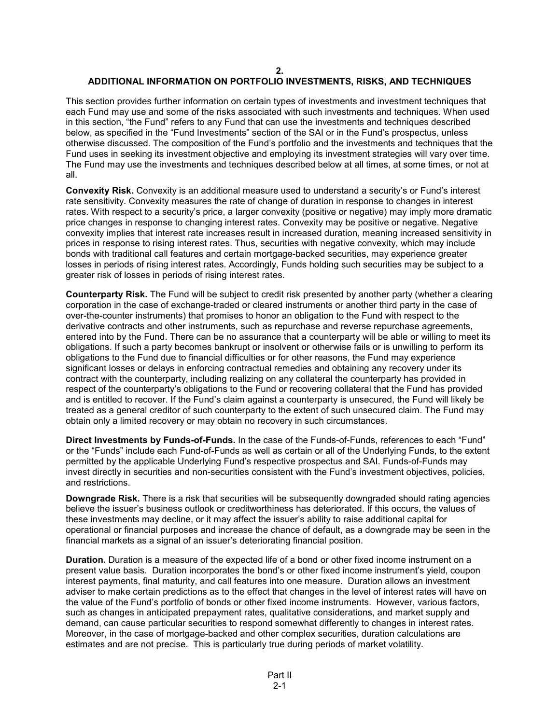## **2. ADDITIONAL INFORMATION ON PORTFOLIO INVESTMENTS, RISKS, AND TECHNIQUES**

This section provides further information on certain types of investments and investment techniques that each Fund may use and some of the risks associated with such investments and techniques. When used in this section, "the Fund" refers to any Fund that can use the investments and techniques described below, as specified in the "Fund Investments" section of the SAI or in the Fund's prospectus, unless otherwise discussed. The composition of the Fund's portfolio and the investments and techniques that the Fund uses in seeking its investment objective and employing its investment strategies will vary over time. The Fund may use the investments and techniques described below at all times, at some times, or not at all.

**Convexity Risk.** Convexity is an additional measure used to understand a security's or Fund's interest rate sensitivity. Convexity measures the rate of change of duration in response to changes in interest rates. With respect to a security's price, a larger convexity (positive or negative) may imply more dramatic price changes in response to changing interest rates. Convexity may be positive or negative. Negative convexity implies that interest rate increases result in increased duration, meaning increased sensitivity in prices in response to rising interest rates. Thus, securities with negative convexity, which may include bonds with traditional call features and certain mortgage-backed securities, may experience greater losses in periods of rising interest rates. Accordingly, Funds holding such securities may be subject to a greater risk of losses in periods of rising interest rates.

**Counterparty Risk.** The Fund will be subject to credit risk presented by another party (whether a clearing corporation in the case of exchange-traded or cleared instruments or another third party in the case of over-the-counter instruments) that promises to honor an obligation to the Fund with respect to the derivative contracts and other instruments, such as repurchase and reverse repurchase agreements, entered into by the Fund. There can be no assurance that a counterparty will be able or willing to meet its obligations. If such a party becomes bankrupt or insolvent or otherwise fails or is unwilling to perform its obligations to the Fund due to financial difficulties or for other reasons, the Fund may experience significant losses or delays in enforcing contractual remedies and obtaining any recovery under its contract with the counterparty, including realizing on any collateral the counterparty has provided in respect of the counterparty's obligations to the Fund or recovering collateral that the Fund has provided and is entitled to recover. If the Fund's claim against a counterparty is unsecured, the Fund will likely be treated as a general creditor of such counterparty to the extent of such unsecured claim. The Fund may obtain only a limited recovery or may obtain no recovery in such circumstances.

**Direct Investments by Funds-of-Funds.** In the case of the Funds-of-Funds, references to each "Fund" or the "Funds" include each Fund-of-Funds as well as certain or all of the Underlying Funds, to the extent permitted by the applicable Underlying Fund's respective prospectus and SAI. Funds-of-Funds may invest directly in securities and non-securities consistent with the Fund's investment objectives, policies, and restrictions.

**Downgrade Risk.** There is a risk that securities will be subsequently downgraded should rating agencies believe the issuer's business outlook or creditworthiness has deteriorated. If this occurs, the values of these investments may decline, or it may affect the issuer's ability to raise additional capital for operational or financial purposes and increase the chance of default, as a downgrade may be seen in the financial markets as a signal of an issuer's deteriorating financial position.

**Duration.** Duration is a measure of the expected life of a bond or other fixed income instrument on a present value basis. Duration incorporates the bond's or other fixed income instrument's yield, coupon interest payments, final maturity, and call features into one measure. Duration allows an investment adviser to make certain predictions as to the effect that changes in the level of interest rates will have on the value of the Fund's portfolio of bonds or other fixed income instruments. However, various factors, such as changes in anticipated prepayment rates, qualitative considerations, and market supply and demand, can cause particular securities to respond somewhat differently to changes in interest rates. Moreover, in the case of mortgage-backed and other complex securities, duration calculations are estimates and are not precise. This is particularly true during periods of market volatility.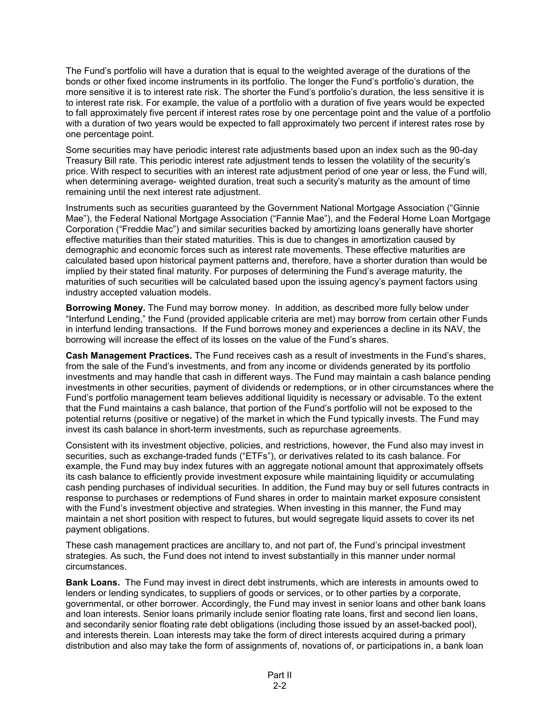The Fund's portfolio will have a duration that is equal to the weighted average of the durations of the bonds or other fixed income instruments in its portfolio. The longer the Fund's portfolio's duration, the more sensitive it is to interest rate risk. The shorter the Fund's portfolio's duration, the less sensitive it is to interest rate risk. For example, the value of a portfolio with a duration of five years would be expected to fall approximately five percent if interest rates rose by one percentage point and the value of a portfolio with a duration of two years would be expected to fall approximately two percent if interest rates rose by one percentage point.

Some securities may have periodic interest rate adjustments based upon an index such as the 90-day Treasury Bill rate. This periodic interest rate adjustment tends to lessen the volatility of the security's price. With respect to securities with an interest rate adjustment period of one year or less, the Fund will, when determining average- weighted duration, treat such a security's maturity as the amount of time remaining until the next interest rate adjustment.

Instruments such as securities guaranteed by the Government National Mortgage Association ("Ginnie Mae"), the Federal National Mortgage Association ("Fannie Mae"), and the Federal Home Loan Mortgage Corporation ("Freddie Mac") and similar securities backed by amortizing loans generally have shorter effective maturities than their stated maturities. This is due to changes in amortization caused by demographic and economic forces such as interest rate movements. These effective maturities are calculated based upon historical payment patterns and, therefore, have a shorter duration than would be implied by their stated final maturity. For purposes of determining the Fund's average maturity, the maturities of such securities will be calculated based upon the issuing agency's payment factors using industry accepted valuation models.

**Borrowing Money.** The Fund may borrow money. In addition, as described more fully below under "Interfund Lending," the Fund (provided applicable criteria are met) may borrow from certain other Funds in interfund lending transactions. If the Fund borrows money and experiences a decline in its NAV, the borrowing will increase the effect of its losses on the value of the Fund's shares.

**Cash Management Practices.** The Fund receives cash as a result of investments in the Fund's shares, from the sale of the Fund's investments, and from any income or dividends generated by its portfolio investments and may handle that cash in different ways. The Fund may maintain a cash balance pending investments in other securities, payment of dividends or redemptions, or in other circumstances where the Fund's portfolio management team believes additional liquidity is necessary or advisable. To the extent that the Fund maintains a cash balance, that portion of the Fund's portfolio will not be exposed to the potential returns (positive or negative) of the market in which the Fund typically invests. The Fund may invest its cash balance in short-term investments, such as repurchase agreements.

Consistent with its investment objective, policies, and restrictions, however, the Fund also may invest in securities, such as exchange-traded funds ("ETFs"), or derivatives related to its cash balance. For example, the Fund may buy index futures with an aggregate notional amount that approximately offsets its cash balance to efficiently provide investment exposure while maintaining liquidity or accumulating cash pending purchases of individual securities. In addition, the Fund may buy or sell futures contracts in response to purchases or redemptions of Fund shares in order to maintain market exposure consistent with the Fund's investment objective and strategies. When investing in this manner, the Fund may maintain a net short position with respect to futures, but would segregate liquid assets to cover its net payment obligations.

These cash management practices are ancillary to, and not part of, the Fund's principal investment strategies. As such, the Fund does not intend to invest substantially in this manner under normal circumstances.

**Bank Loans.** The Fund may invest in direct debt instruments, which are interests in amounts owed to lenders or lending syndicates, to suppliers of goods or services, or to other parties by a corporate, governmental, or other borrower. Accordingly, the Fund may invest in senior loans and other bank loans and loan interests. Senior loans primarily include senior floating rate loans, first and second lien loans, and secondarily senior floating rate debt obligations (including those issued by an asset-backed pool), and interests therein. Loan interests may take the form of direct interests acquired during a primary distribution and also may take the form of assignments of, novations of, or participations in, a bank loan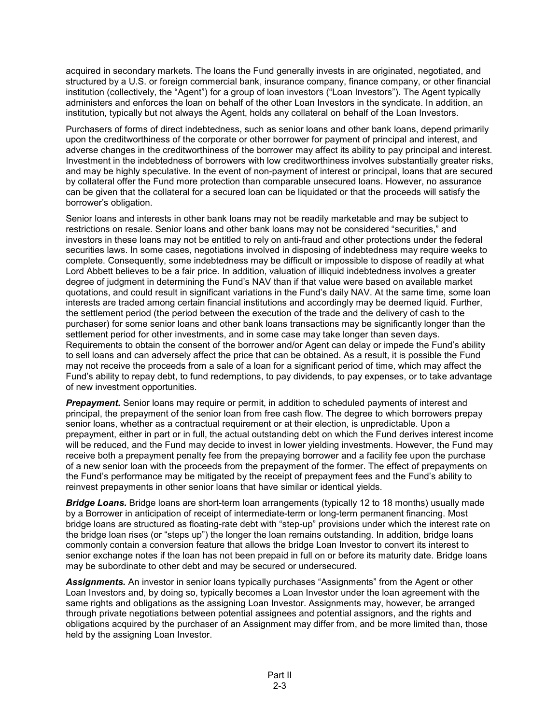acquired in secondary markets. The loans the Fund generally invests in are originated, negotiated, and structured by a U.S. or foreign commercial bank, insurance company, finance company, or other financial institution (collectively, the "Agent") for a group of loan investors ("Loan Investors"). The Agent typically administers and enforces the loan on behalf of the other Loan Investors in the syndicate. In addition, an institution, typically but not always the Agent, holds any collateral on behalf of the Loan Investors.

Purchasers of forms of direct indebtedness, such as senior loans and other bank loans, depend primarily upon the creditworthiness of the corporate or other borrower for payment of principal and interest, and adverse changes in the creditworthiness of the borrower may affect its ability to pay principal and interest. Investment in the indebtedness of borrowers with low creditworthiness involves substantially greater risks, and may be highly speculative. In the event of non-payment of interest or principal, loans that are secured by collateral offer the Fund more protection than comparable unsecured loans. However, no assurance can be given that the collateral for a secured loan can be liquidated or that the proceeds will satisfy the borrower's obligation.

Senior loans and interests in other bank loans may not be readily marketable and may be subject to restrictions on resale. Senior loans and other bank loans may not be considered "securities," and investors in these loans may not be entitled to rely on anti-fraud and other protections under the federal securities laws. In some cases, negotiations involved in disposing of indebtedness may require weeks to complete. Consequently, some indebtedness may be difficult or impossible to dispose of readily at what Lord Abbett believes to be a fair price. In addition, valuation of illiquid indebtedness involves a greater degree of judgment in determining the Fund's NAV than if that value were based on available market quotations, and could result in significant variations in the Fund's daily NAV. At the same time, some loan interests are traded among certain financial institutions and accordingly may be deemed liquid. Further, the settlement period (the period between the execution of the trade and the delivery of cash to the purchaser) for some senior loans and other bank loans transactions may be significantly longer than the settlement period for other investments, and in some case may take longer than seven days. Requirements to obtain the consent of the borrower and/or Agent can delay or impede the Fund's ability to sell loans and can adversely affect the price that can be obtained. As a result, it is possible the Fund may not receive the proceeds from a sale of a loan for a significant period of time, which may affect the Fund's ability to repay debt, to fund redemptions, to pay dividends, to pay expenses, or to take advantage of new investment opportunities.

**Prepayment.** Senior loans may require or permit, in addition to scheduled payments of interest and principal, the prepayment of the senior loan from free cash flow. The degree to which borrowers prepay senior loans, whether as a contractual requirement or at their election, is unpredictable. Upon a prepayment, either in part or in full, the actual outstanding debt on which the Fund derives interest income will be reduced, and the Fund may decide to invest in lower yielding investments. However, the Fund may receive both a prepayment penalty fee from the prepaying borrower and a facility fee upon the purchase of a new senior loan with the proceeds from the prepayment of the former. The effect of prepayments on the Fund's performance may be mitigated by the receipt of prepayment fees and the Fund's ability to reinvest prepayments in other senior loans that have similar or identical yields.

*Bridge Loans.* Bridge loans are short-term loan arrangements (typically 12 to 18 months) usually made by a Borrower in anticipation of receipt of intermediate-term or long-term permanent financing. Most bridge loans are structured as floating-rate debt with "step-up" provisions under which the interest rate on the bridge loan rises (or "steps up") the longer the loan remains outstanding. In addition, bridge loans commonly contain a conversion feature that allows the bridge Loan Investor to convert its interest to senior exchange notes if the loan has not been prepaid in full on or before its maturity date. Bridge loans may be subordinate to other debt and may be secured or undersecured.

*Assignments.* An investor in senior loans typically purchases "Assignments" from the Agent or other Loan Investors and, by doing so, typically becomes a Loan Investor under the loan agreement with the same rights and obligations as the assigning Loan Investor. Assignments may, however, be arranged through private negotiations between potential assignees and potential assignors, and the rights and obligations acquired by the purchaser of an Assignment may differ from, and be more limited than, those held by the assigning Loan Investor.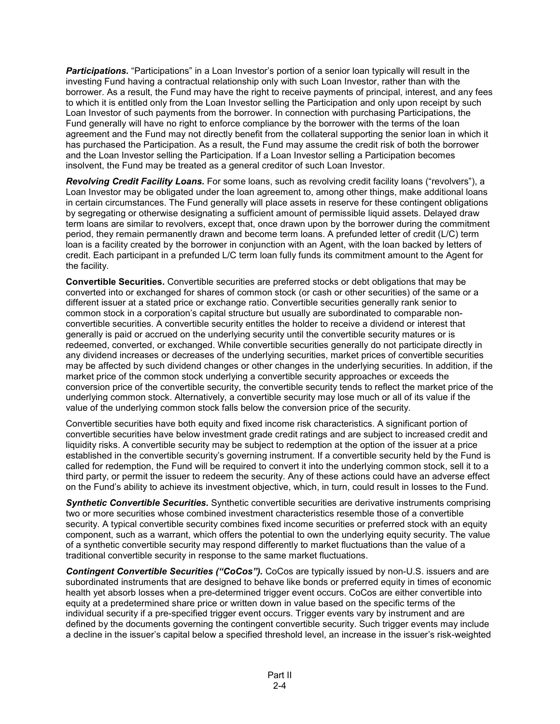*Participations.* "Participations" in a Loan Investor's portion of a senior loan typically will result in the investing Fund having a contractual relationship only with such Loan Investor, rather than with the borrower. As a result, the Fund may have the right to receive payments of principal, interest, and any fees to which it is entitled only from the Loan Investor selling the Participation and only upon receipt by such Loan Investor of such payments from the borrower. In connection with purchasing Participations, the Fund generally will have no right to enforce compliance by the borrower with the terms of the loan agreement and the Fund may not directly benefit from the collateral supporting the senior loan in which it has purchased the Participation. As a result, the Fund may assume the credit risk of both the borrower and the Loan Investor selling the Participation. If a Loan Investor selling a Participation becomes insolvent, the Fund may be treated as a general creditor of such Loan Investor.

*Revolving Credit Facility Loans.* For some loans, such as revolving credit facility loans ("revolvers"), a Loan Investor may be obligated under the loan agreement to, among other things, make additional loans in certain circumstances. The Fund generally will place assets in reserve for these contingent obligations by segregating or otherwise designating a sufficient amount of permissible liquid assets. Delayed draw term loans are similar to revolvers, except that, once drawn upon by the borrower during the commitment period, they remain permanently drawn and become term loans. A prefunded letter of credit (L/C) term loan is a facility created by the borrower in conjunction with an Agent, with the loan backed by letters of credit. Each participant in a prefunded L/C term loan fully funds its commitment amount to the Agent for the facility.

**Convertible Securities.** Convertible securities are preferred stocks or debt obligations that may be converted into or exchanged for shares of common stock (or cash or other securities) of the same or a different issuer at a stated price or exchange ratio. Convertible securities generally rank senior to common stock in a corporation's capital structure but usually are subordinated to comparable nonconvertible securities. A convertible security entitles the holder to receive a dividend or interest that generally is paid or accrued on the underlying security until the convertible security matures or is redeemed, converted, or exchanged. While convertible securities generally do not participate directly in any dividend increases or decreases of the underlying securities, market prices of convertible securities may be affected by such dividend changes or other changes in the underlying securities. In addition, if the market price of the common stock underlying a convertible security approaches or exceeds the conversion price of the convertible security, the convertible security tends to reflect the market price of the underlying common stock. Alternatively, a convertible security may lose much or all of its value if the value of the underlying common stock falls below the conversion price of the security.

Convertible securities have both equity and fixed income risk characteristics. A significant portion of convertible securities have below investment grade credit ratings and are subject to increased credit and liquidity risks. A convertible security may be subject to redemption at the option of the issuer at a price established in the convertible security's governing instrument. If a convertible security held by the Fund is called for redemption, the Fund will be required to convert it into the underlying common stock, sell it to a third party, or permit the issuer to redeem the security. Any of these actions could have an adverse effect on the Fund's ability to achieve its investment objective, which, in turn, could result in losses to the Fund.

*Synthetic Convertible Securities.* Synthetic convertible securities are derivative instruments comprising two or more securities whose combined investment characteristics resemble those of a convertible security. A typical convertible security combines fixed income securities or preferred stock with an equity component, such as a warrant, which offers the potential to own the underlying equity security. The value of a synthetic convertible security may respond differently to market fluctuations than the value of a traditional convertible security in response to the same market fluctuations.

*Contingent Convertible Securities ("CoCos").* CoCos are typically issued by non-U.S. issuers and are subordinated instruments that are designed to behave like bonds or preferred equity in times of economic health yet absorb losses when a pre-determined trigger event occurs. CoCos are either convertible into equity at a predetermined share price or written down in value based on the specific terms of the individual security if a pre-specified trigger event occurs. Trigger events vary by instrument and are defined by the documents governing the contingent convertible security. Such trigger events may include a decline in the issuer's capital below a specified threshold level, an increase in the issuer's risk-weighted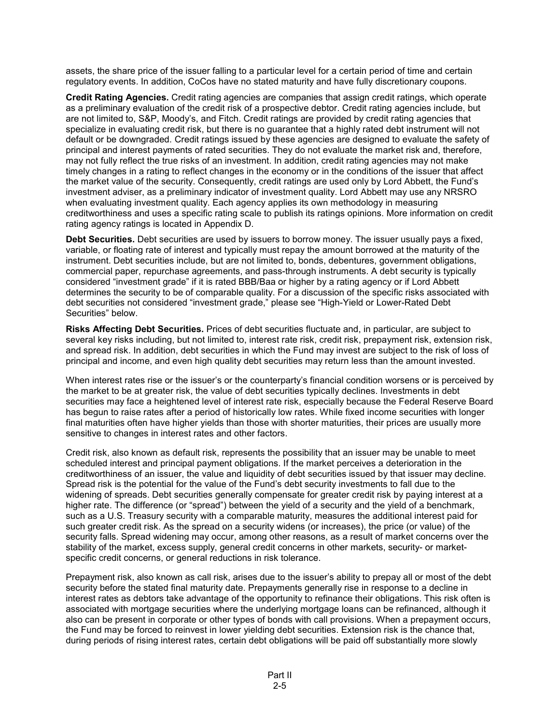assets, the share price of the issuer falling to a particular level for a certain period of time and certain regulatory events. In addition, CoCos have no stated maturity and have fully discretionary coupons.

**Credit Rating Agencies.** Credit rating agencies are companies that assign credit ratings, which operate as a preliminary evaluation of the credit risk of a prospective debtor. Credit rating agencies include, but are not limited to, S&P, Moody's, and Fitch. Credit ratings are provided by credit rating agencies that specialize in evaluating credit risk, but there is no guarantee that a highly rated debt instrument will not default or be downgraded. Credit ratings issued by these agencies are designed to evaluate the safety of principal and interest payments of rated securities. They do not evaluate the market risk and, therefore, may not fully reflect the true risks of an investment. In addition, credit rating agencies may not make timely changes in a rating to reflect changes in the economy or in the conditions of the issuer that affect the market value of the security. Consequently, credit ratings are used only by Lord Abbett, the Fund's investment adviser, as a preliminary indicator of investment quality. Lord Abbett may use any NRSRO when evaluating investment quality. Each agency applies its own methodology in measuring creditworthiness and uses a specific rating scale to publish its ratings opinions. More information on credit rating agency ratings is located in Appendix D.

**Debt Securities.** Debt securities are used by issuers to borrow money. The issuer usually pays a fixed, variable, or floating rate of interest and typically must repay the amount borrowed at the maturity of the instrument. Debt securities include, but are not limited to, bonds, debentures, government obligations, commercial paper, repurchase agreements, and pass-through instruments. A debt security is typically considered "investment grade" if it is rated BBB/Baa or higher by a rating agency or if Lord Abbett determines the security to be of comparable quality. For a discussion of the specific risks associated with debt securities not considered "investment grade," please see "High-Yield or Lower-Rated Debt Securities" below.

**Risks Affecting Debt Securities.** Prices of debt securities fluctuate and, in particular, are subject to several key risks including, but not limited to, interest rate risk, credit risk, prepayment risk, extension risk, and spread risk. In addition, debt securities in which the Fund may invest are subject to the risk of loss of principal and income, and even high quality debt securities may return less than the amount invested.

When interest rates rise or the issuer's or the counterparty's financial condition worsens or is perceived by the market to be at greater risk, the value of debt securities typically declines. Investments in debt securities may face a heightened level of interest rate risk, especially because the Federal Reserve Board has begun to raise rates after a period of historically low rates. While fixed income securities with longer final maturities often have higher yields than those with shorter maturities, their prices are usually more sensitive to changes in interest rates and other factors.

Credit risk, also known as default risk, represents the possibility that an issuer may be unable to meet scheduled interest and principal payment obligations. If the market perceives a deterioration in the creditworthiness of an issuer, the value and liquidity of debt securities issued by that issuer may decline. Spread risk is the potential for the value of the Fund's debt security investments to fall due to the widening of spreads. Debt securities generally compensate for greater credit risk by paying interest at a higher rate. The difference (or "spread") between the yield of a security and the yield of a benchmark, such as a U.S. Treasury security with a comparable maturity, measures the additional interest paid for such greater credit risk. As the spread on a security widens (or increases), the price (or value) of the security falls. Spread widening may occur, among other reasons, as a result of market concerns over the stability of the market, excess supply, general credit concerns in other markets, security- or marketspecific credit concerns, or general reductions in risk tolerance.

Prepayment risk, also known as call risk, arises due to the issuer's ability to prepay all or most of the debt security before the stated final maturity date. Prepayments generally rise in response to a decline in interest rates as debtors take advantage of the opportunity to refinance their obligations. This risk often is associated with mortgage securities where the underlying mortgage loans can be refinanced, although it also can be present in corporate or other types of bonds with call provisions. When a prepayment occurs, the Fund may be forced to reinvest in lower yielding debt securities. Extension risk is the chance that, during periods of rising interest rates, certain debt obligations will be paid off substantially more slowly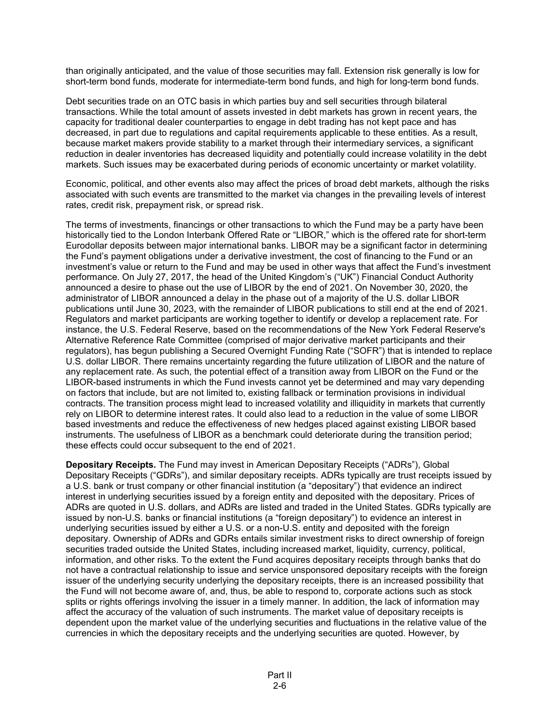than originally anticipated, and the value of those securities may fall. Extension risk generally is low for short-term bond funds, moderate for intermediate-term bond funds, and high for long-term bond funds.

Debt securities trade on an OTC basis in which parties buy and sell securities through bilateral transactions. While the total amount of assets invested in debt markets has grown in recent years, the capacity for traditional dealer counterparties to engage in debt trading has not kept pace and has decreased, in part due to regulations and capital requirements applicable to these entities. As a result, because market makers provide stability to a market through their intermediary services, a significant reduction in dealer inventories has decreased liquidity and potentially could increase volatility in the debt markets. Such issues may be exacerbated during periods of economic uncertainty or market volatility.

Economic, political, and other events also may affect the prices of broad debt markets, although the risks associated with such events are transmitted to the market via changes in the prevailing levels of interest rates, credit risk, prepayment risk, or spread risk.

The terms of investments, financings or other transactions to which the Fund may be a party have been historically tied to the London Interbank Offered Rate or "LIBOR," which is the offered rate for short-term Eurodollar deposits between major international banks. LIBOR may be a significant factor in determining the Fund's payment obligations under a derivative investment, the cost of financing to the Fund or an investment's value or return to the Fund and may be used in other ways that affect the Fund's investment performance. On July 27, 2017, the head of the United Kingdom's ("UK") Financial Conduct Authority announced a desire to phase out the use of LIBOR by the end of 2021. On November 30, 2020, the administrator of LIBOR announced a delay in the phase out of a majority of the U.S. dollar LIBOR publications until June 30, 2023, with the remainder of LIBOR publications to still end at the end of 2021. Regulators and market participants are working together to identify or develop a replacement rate. For instance, the U.S. Federal Reserve, based on the recommendations of the New York Federal Reserve's Alternative Reference Rate Committee (comprised of major derivative market participants and their regulators), has begun publishing a Secured Overnight Funding Rate ("SOFR") that is intended to replace U.S. dollar LIBOR. There remains uncertainty regarding the future utilization of LIBOR and the nature of any replacement rate. As such, the potential effect of a transition away from LIBOR on the Fund or the LIBOR-based instruments in which the Fund invests cannot yet be determined and may vary depending on factors that include, but are not limited to, existing fallback or termination provisions in individual contracts. The transition process might lead to increased volatility and illiquidity in markets that currently rely on LIBOR to determine interest rates. It could also lead to a reduction in the value of some LIBOR based investments and reduce the effectiveness of new hedges placed against existing LIBOR based instruments. The usefulness of LIBOR as a benchmark could deteriorate during the transition period; these effects could occur subsequent to the end of 2021.

**Depositary Receipts.** The Fund may invest in American Depositary Receipts ("ADRs"), Global Depositary Receipts ("GDRs"), and similar depositary receipts. ADRs typically are trust receipts issued by a U.S. bank or trust company or other financial institution (a "depositary") that evidence an indirect interest in underlying securities issued by a foreign entity and deposited with the depositary. Prices of ADRs are quoted in U.S. dollars, and ADRs are listed and traded in the United States. GDRs typically are issued by non-U.S. banks or financial institutions (a "foreign depositary") to evidence an interest in underlying securities issued by either a U.S. or a non-U.S. entity and deposited with the foreign depositary. Ownership of ADRs and GDRs entails similar investment risks to direct ownership of foreign securities traded outside the United States, including increased market, liquidity, currency, political, information, and other risks. To the extent the Fund acquires depositary receipts through banks that do not have a contractual relationship to issue and service unsponsored depositary receipts with the foreign issuer of the underlying security underlying the depositary receipts, there is an increased possibility that the Fund will not become aware of, and, thus, be able to respond to, corporate actions such as stock splits or rights offerings involving the issuer in a timely manner. In addition, the lack of information may affect the accuracy of the valuation of such instruments. The market value of depositary receipts is dependent upon the market value of the underlying securities and fluctuations in the relative value of the currencies in which the depositary receipts and the underlying securities are quoted. However, by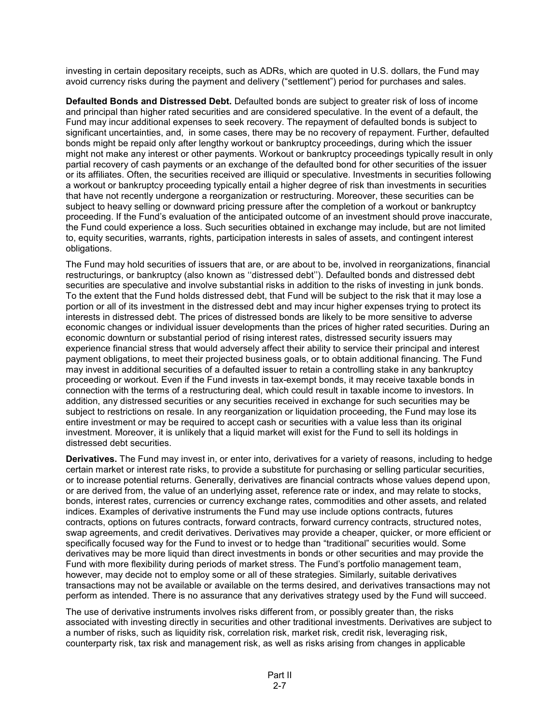investing in certain depositary receipts, such as ADRs, which are quoted in U.S. dollars, the Fund may avoid currency risks during the payment and delivery ("settlement") period for purchases and sales.

**Defaulted Bonds and Distressed Debt.** Defaulted bonds are subject to greater risk of loss of income and principal than higher rated securities and are considered speculative. In the event of a default, the Fund may incur additional expenses to seek recovery. The repayment of defaulted bonds is subject to significant uncertainties, and, in some cases, there may be no recovery of repayment. Further, defaulted bonds might be repaid only after lengthy workout or bankruptcy proceedings, during which the issuer might not make any interest or other payments. Workout or bankruptcy proceedings typically result in only partial recovery of cash payments or an exchange of the defaulted bond for other securities of the issuer or its affiliates. Often, the securities received are illiquid or speculative. Investments in securities following a workout or bankruptcy proceeding typically entail a higher degree of risk than investments in securities that have not recently undergone a reorganization or restructuring. Moreover, these securities can be subject to heavy selling or downward pricing pressure after the completion of a workout or bankruptcy proceeding. If the Fund's evaluation of the anticipated outcome of an investment should prove inaccurate, the Fund could experience a loss. Such securities obtained in exchange may include, but are not limited to, equity securities, warrants, rights, participation interests in sales of assets, and contingent interest obligations.

The Fund may hold securities of issuers that are, or are about to be, involved in reorganizations, financial restructurings, or bankruptcy (also known as ''distressed debt''). Defaulted bonds and distressed debt securities are speculative and involve substantial risks in addition to the risks of investing in junk bonds. To the extent that the Fund holds distressed debt, that Fund will be subject to the risk that it may lose a portion or all of its investment in the distressed debt and may incur higher expenses trying to protect its interests in distressed debt. The prices of distressed bonds are likely to be more sensitive to adverse economic changes or individual issuer developments than the prices of higher rated securities. During an economic downturn or substantial period of rising interest rates, distressed security issuers may experience financial stress that would adversely affect their ability to service their principal and interest payment obligations, to meet their projected business goals, or to obtain additional financing. The Fund may invest in additional securities of a defaulted issuer to retain a controlling stake in any bankruptcy proceeding or workout. Even if the Fund invests in tax-exempt bonds, it may receive taxable bonds in connection with the terms of a restructuring deal, which could result in taxable income to investors. In addition, any distressed securities or any securities received in exchange for such securities may be subject to restrictions on resale. In any reorganization or liquidation proceeding, the Fund may lose its entire investment or may be required to accept cash or securities with a value less than its original investment. Moreover, it is unlikely that a liquid market will exist for the Fund to sell its holdings in distressed debt securities.

**Derivatives.** The Fund may invest in, or enter into, derivatives for a variety of reasons, including to hedge certain market or interest rate risks, to provide a substitute for purchasing or selling particular securities, or to increase potential returns. Generally, derivatives are financial contracts whose values depend upon, or are derived from, the value of an underlying asset, reference rate or index, and may relate to stocks, bonds, interest rates, currencies or currency exchange rates, commodities and other assets, and related indices. Examples of derivative instruments the Fund may use include options contracts, futures contracts, options on futures contracts, forward contracts, forward currency contracts, structured notes, swap agreements, and credit derivatives. Derivatives may provide a cheaper, quicker, or more efficient or specifically focused way for the Fund to invest or to hedge than "traditional" securities would. Some derivatives may be more liquid than direct investments in bonds or other securities and may provide the Fund with more flexibility during periods of market stress. The Fund's portfolio management team, however, may decide not to employ some or all of these strategies. Similarly, suitable derivatives transactions may not be available or available on the terms desired, and derivatives transactions may not perform as intended. There is no assurance that any derivatives strategy used by the Fund will succeed.

The use of derivative instruments involves risks different from, or possibly greater than, the risks associated with investing directly in securities and other traditional investments. Derivatives are subject to a number of risks, such as liquidity risk, correlation risk, market risk, credit risk, leveraging risk, counterparty risk, tax risk and management risk, as well as risks arising from changes in applicable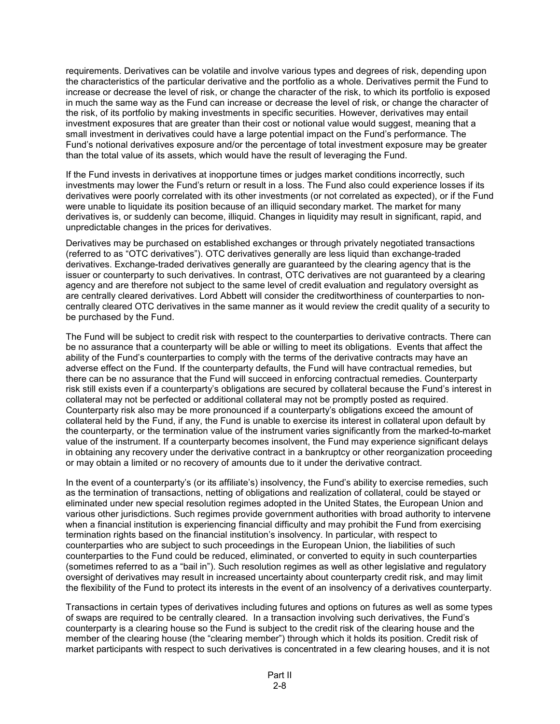requirements. Derivatives can be volatile and involve various types and degrees of risk, depending upon the characteristics of the particular derivative and the portfolio as a whole. Derivatives permit the Fund to increase or decrease the level of risk, or change the character of the risk, to which its portfolio is exposed in much the same way as the Fund can increase or decrease the level of risk, or change the character of the risk, of its portfolio by making investments in specific securities. However, derivatives may entail investment exposures that are greater than their cost or notional value would suggest, meaning that a small investment in derivatives could have a large potential impact on the Fund's performance. The Fund's notional derivatives exposure and/or the percentage of total investment exposure may be greater than the total value of its assets, which would have the result of leveraging the Fund.

If the Fund invests in derivatives at inopportune times or judges market conditions incorrectly, such investments may lower the Fund's return or result in a loss. The Fund also could experience losses if its derivatives were poorly correlated with its other investments (or not correlated as expected), or if the Fund were unable to liquidate its position because of an illiquid secondary market. The market for many derivatives is, or suddenly can become, illiquid. Changes in liquidity may result in significant, rapid, and unpredictable changes in the prices for derivatives.

Derivatives may be purchased on established exchanges or through privately negotiated transactions (referred to as "OTC derivatives"). OTC derivatives generally are less liquid than exchange-traded derivatives. Exchange-traded derivatives generally are guaranteed by the clearing agency that is the issuer or counterparty to such derivatives. In contrast, OTC derivatives are not guaranteed by a clearing agency and are therefore not subject to the same level of credit evaluation and regulatory oversight as are centrally cleared derivatives. Lord Abbett will consider the creditworthiness of counterparties to noncentrally cleared OTC derivatives in the same manner as it would review the credit quality of a security to be purchased by the Fund.

The Fund will be subject to credit risk with respect to the counterparties to derivative contracts. There can be no assurance that a counterparty will be able or willing to meet its obligations. Events that affect the ability of the Fund's counterparties to comply with the terms of the derivative contracts may have an adverse effect on the Fund. If the counterparty defaults, the Fund will have contractual remedies, but there can be no assurance that the Fund will succeed in enforcing contractual remedies. Counterparty risk still exists even if a counterparty's obligations are secured by collateral because the Fund's interest in collateral may not be perfected or additional collateral may not be promptly posted as required. Counterparty risk also may be more pronounced if a counterparty's obligations exceed the amount of collateral held by the Fund, if any, the Fund is unable to exercise its interest in collateral upon default by the counterparty, or the termination value of the instrument varies significantly from the marked-to-market value of the instrument. If a counterparty becomes insolvent, the Fund may experience significant delays in obtaining any recovery under the derivative contract in a bankruptcy or other reorganization proceeding or may obtain a limited or no recovery of amounts due to it under the derivative contract.

In the event of a counterparty's (or its affiliate's) insolvency, the Fund's ability to exercise remedies, such as the termination of transactions, netting of obligations and realization of collateral, could be stayed or eliminated under new special resolution regimes adopted in the United States, the European Union and various other jurisdictions. Such regimes provide government authorities with broad authority to intervene when a financial institution is experiencing financial difficulty and may prohibit the Fund from exercising termination rights based on the financial institution's insolvency. In particular, with respect to counterparties who are subject to such proceedings in the European Union, the liabilities of such counterparties to the Fund could be reduced, eliminated, or converted to equity in such counterparties (sometimes referred to as a "bail in"). Such resolution regimes as well as other legislative and regulatory oversight of derivatives may result in increased uncertainty about counterparty credit risk, and may limit the flexibility of the Fund to protect its interests in the event of an insolvency of a derivatives counterparty.

Transactions in certain types of derivatives including futures and options on futures as well as some types of swaps are required to be centrally cleared. In a transaction involving such derivatives, the Fund's counterparty is a clearing house so the Fund is subject to the credit risk of the clearing house and the member of the clearing house (the "clearing member") through which it holds its position. Credit risk of market participants with respect to such derivatives is concentrated in a few clearing houses, and it is not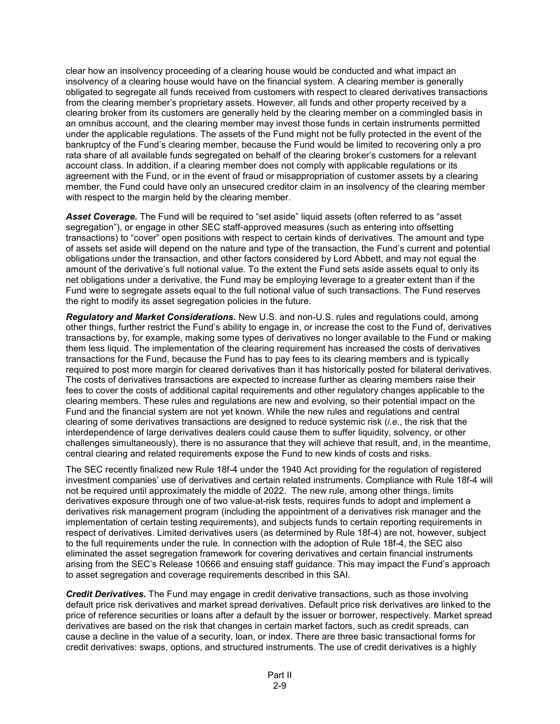clear how an insolvency proceeding of a clearing house would be conducted and what impact an insolvency of a clearing house would have on the financial system. A clearing member is generally obligated to segregate all funds received from customers with respect to cleared derivatives transactions from the clearing member's proprietary assets. However, all funds and other property received by a clearing broker from its customers are generally held by the clearing member on a commingled basis in an omnibus account, and the clearing member may invest those funds in certain instruments permitted under the applicable regulations. The assets of the Fund might not be fully protected in the event of the bankruptcy of the Fund's clearing member, because the Fund would be limited to recovering only a pro rata share of all available funds segregated on behalf of the clearing broker's customers for a relevant account class. In addition, if a clearing member does not comply with applicable regulations or its agreement with the Fund, or in the event of fraud or misappropriation of customer assets by a clearing member, the Fund could have only an unsecured creditor claim in an insolvency of the clearing member with respect to the margin held by the clearing member.

*Asset Coverage.* The Fund will be required to "set aside" liquid assets (often referred to as "asset segregation"), or engage in other SEC staff-approved measures (such as entering into offsetting transactions) to "cover" open positions with respect to certain kinds of derivatives. The amount and type of assets set aside will depend on the nature and type of the transaction, the Fund's current and potential obligations under the transaction, and other factors considered by Lord Abbett, and may not equal the amount of the derivative's full notional value. To the extent the Fund sets aside assets equal to only its net obligations under a derivative, the Fund may be employing leverage to a greater extent than if the Fund were to segregate assets equal to the full notional value of such transactions. The Fund reserves the right to modify its asset segregation policies in the future.

*Regulatory and Market Considerations.* New U.S. and non-U.S. rules and regulations could, among other things, further restrict the Fund's ability to engage in, or increase the cost to the Fund of, derivatives transactions by, for example, making some types of derivatives no longer available to the Fund or making them less liquid. The implementation of the clearing requirement has increased the costs of derivatives transactions for the Fund, because the Fund has to pay fees to its clearing members and is typically required to post more margin for cleared derivatives than it has historically posted for bilateral derivatives. The costs of derivatives transactions are expected to increase further as clearing members raise their fees to cover the costs of additional capital requirements and other regulatory changes applicable to the clearing members. These rules and regulations are new and evolving, so their potential impact on the Fund and the financial system are not yet known. While the new rules and regulations and central clearing of some derivatives transactions are designed to reduce systemic risk (*i.e.*, the risk that the interdependence of large derivatives dealers could cause them to suffer liquidity, solvency, or other challenges simultaneously), there is no assurance that they will achieve that result, and, in the meantime, central clearing and related requirements expose the Fund to new kinds of costs and risks.

The SEC recently finalized new Rule 18f-4 under the 1940 Act providing for the regulation of registered investment companies' use of derivatives and certain related instruments. Compliance with Rule 18f-4 will not be required until approximately the middle of 2022. The new rule, among other things, limits derivatives exposure through one of two value-at-risk tests, requires funds to adopt and implement a derivatives risk management program (including the appointment of a derivatives risk manager and the implementation of certain testing requirements), and subjects funds to certain reporting requirements in respect of derivatives. Limited derivatives users (as determined by Rule 18f-4) are not, however, subject to the full requirements under the rule. In connection with the adoption of Rule 18f-4, the SEC also eliminated the asset segregation framework for covering derivatives and certain financial instruments arising from the SEC's Release 10666 and ensuing staff guidance. This may impact the Fund's approach to asset segregation and coverage requirements described in this SAI.

*Credit Derivatives.* The Fund may engage in credit derivative transactions, such as those involving default price risk derivatives and market spread derivatives. Default price risk derivatives are linked to the price of reference securities or loans after a default by the issuer or borrower, respectively. Market spread derivatives are based on the risk that changes in certain market factors, such as credit spreads, can cause a decline in the value of a security, loan, or index. There are three basic transactional forms for credit derivatives: swaps, options, and structured instruments. The use of credit derivatives is a highly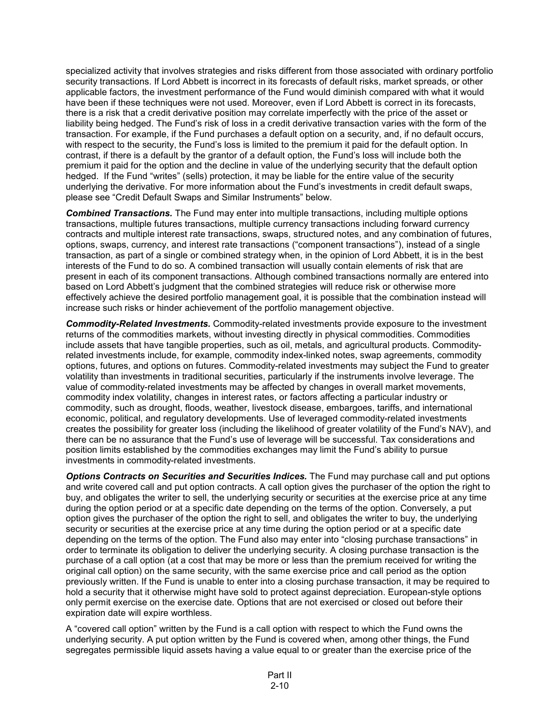specialized activity that involves strategies and risks different from those associated with ordinary portfolio security transactions. If Lord Abbett is incorrect in its forecasts of default risks, market spreads, or other applicable factors, the investment performance of the Fund would diminish compared with what it would have been if these techniques were not used. Moreover, even if Lord Abbett is correct in its forecasts, there is a risk that a credit derivative position may correlate imperfectly with the price of the asset or liability being hedged. The Fund's risk of loss in a credit derivative transaction varies with the form of the transaction. For example, if the Fund purchases a default option on a security, and, if no default occurs, with respect to the security, the Fund's loss is limited to the premium it paid for the default option. In contrast, if there is a default by the grantor of a default option, the Fund's loss will include both the premium it paid for the option and the decline in value of the underlying security that the default option hedged. If the Fund "writes" (sells) protection, it may be liable for the entire value of the security underlying the derivative. For more information about the Fund's investments in credit default swaps, please see "Credit Default Swaps and Similar Instruments" below.

*Combined Transactions.* The Fund may enter into multiple transactions, including multiple options transactions, multiple futures transactions, multiple currency transactions including forward currency contracts and multiple interest rate transactions, swaps, structured notes, and any combination of futures, options, swaps, currency, and interest rate transactions ("component transactions"), instead of a single transaction, as part of a single or combined strategy when, in the opinion of Lord Abbett, it is in the best interests of the Fund to do so. A combined transaction will usually contain elements of risk that are present in each of its component transactions. Although combined transactions normally are entered into based on Lord Abbett's judgment that the combined strategies will reduce risk or otherwise more effectively achieve the desired portfolio management goal, it is possible that the combination instead will increase such risks or hinder achievement of the portfolio management objective.

*Commodity-Related Investments.* Commodity-related investments provide exposure to the investment returns of the commodities markets, without investing directly in physical commodities. Commodities include assets that have tangible properties, such as oil, metals, and agricultural products. Commodityrelated investments include, for example, commodity index-linked notes, swap agreements, commodity options, futures, and options on futures. Commodity-related investments may subject the Fund to greater volatility than investments in traditional securities, particularly if the instruments involve leverage. The value of commodity-related investments may be affected by changes in overall market movements, commodity index volatility, changes in interest rates, or factors affecting a particular industry or commodity, such as drought, floods, weather, livestock disease, embargoes, tariffs, and international economic, political, and regulatory developments. Use of leveraged commodity-related investments creates the possibility for greater loss (including the likelihood of greater volatility of the Fund's NAV), and there can be no assurance that the Fund's use of leverage will be successful. Tax considerations and position limits established by the commodities exchanges may limit the Fund's ability to pursue investments in commodity-related investments.

*Options Contracts on Securities and Securities Indices.* The Fund may purchase call and put options and write covered call and put option contracts. A call option gives the purchaser of the option the right to buy, and obligates the writer to sell, the underlying security or securities at the exercise price at any time during the option period or at a specific date depending on the terms of the option. Conversely, a put option gives the purchaser of the option the right to sell, and obligates the writer to buy, the underlying security or securities at the exercise price at any time during the option period or at a specific date depending on the terms of the option. The Fund also may enter into "closing purchase transactions" in order to terminate its obligation to deliver the underlying security. A closing purchase transaction is the purchase of a call option (at a cost that may be more or less than the premium received for writing the original call option) on the same security, with the same exercise price and call period as the option previously written. If the Fund is unable to enter into a closing purchase transaction, it may be required to hold a security that it otherwise might have sold to protect against depreciation. European-style options only permit exercise on the exercise date. Options that are not exercised or closed out before their expiration date will expire worthless.

A "covered call option" written by the Fund is a call option with respect to which the Fund owns the underlying security. A put option written by the Fund is covered when, among other things, the Fund segregates permissible liquid assets having a value equal to or greater than the exercise price of the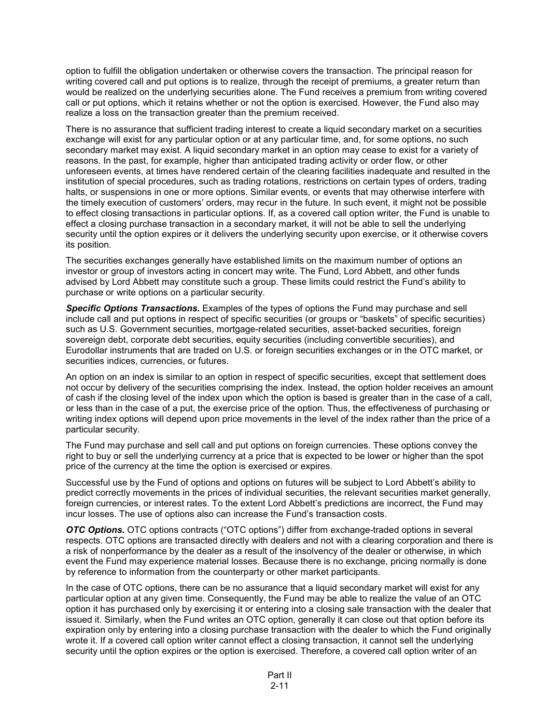option to fulfill the obligation undertaken or otherwise covers the transaction. The principal reason for writing covered call and put options is to realize, through the receipt of premiums, a greater return than would be realized on the underlying securities alone. The Fund receives a premium from writing covered call or put options, which it retains whether or not the option is exercised. However, the Fund also may realize a loss on the transaction greater than the premium received.

There is no assurance that sufficient trading interest to create a liquid secondary market on a securities exchange will exist for any particular option or at any particular time, and, for some options, no such secondary market may exist. A liquid secondary market in an option may cease to exist for a variety of reasons. In the past, for example, higher than anticipated trading activity or order flow, or other unforeseen events, at times have rendered certain of the clearing facilities inadequate and resulted in the institution of special procedures, such as trading rotations, restrictions on certain types of orders, trading halts, or suspensions in one or more options. Similar events, or events that may otherwise interfere with the timely execution of customers' orders, may recur in the future. In such event, it might not be possible to effect closing transactions in particular options. If, as a covered call option writer, the Fund is unable to effect a closing purchase transaction in a secondary market, it will not be able to sell the underlying security until the option expires or it delivers the underlying security upon exercise, or it otherwise covers its position.

The securities exchanges generally have established limits on the maximum number of options an investor or group of investors acting in concert may write. The Fund, Lord Abbett, and other funds advised by Lord Abbett may constitute such a group. These limits could restrict the Fund's ability to purchase or write options on a particular security.

*Specific Options Transactions.* Examples of the types of options the Fund may purchase and sell include call and put options in respect of specific securities (or groups or "baskets" of specific securities) such as U.S. Government securities, mortgage-related securities, asset-backed securities, foreign sovereign debt, corporate debt securities, equity securities (including convertible securities), and Eurodollar instruments that are traded on U.S. or foreign securities exchanges or in the OTC market, or securities indices, currencies, or futures.

An option on an index is similar to an option in respect of specific securities, except that settlement does not occur by delivery of the securities comprising the index. Instead, the option holder receives an amount of cash if the closing level of the index upon which the option is based is greater than in the case of a call, or less than in the case of a put, the exercise price of the option. Thus, the effectiveness of purchasing or writing index options will depend upon price movements in the level of the index rather than the price of a particular security.

The Fund may purchase and sell call and put options on foreign currencies. These options convey the right to buy or sell the underlying currency at a price that is expected to be lower or higher than the spot price of the currency at the time the option is exercised or expires.

Successful use by the Fund of options and options on futures will be subject to Lord Abbett's ability to predict correctly movements in the prices of individual securities, the relevant securities market generally, foreign currencies, or interest rates. To the extent Lord Abbett's predictions are incorrect, the Fund may incur losses. The use of options also can increase the Fund's transaction costs.

*OTC Options.* OTC options contracts ("OTC options") differ from exchange-traded options in several respects. OTC options are transacted directly with dealers and not with a clearing corporation and there is a risk of nonperformance by the dealer as a result of the insolvency of the dealer or otherwise, in which event the Fund may experience material losses. Because there is no exchange, pricing normally is done by reference to information from the counterparty or other market participants.

In the case of OTC options, there can be no assurance that a liquid secondary market will exist for any particular option at any given time. Consequently, the Fund may be able to realize the value of an OTC option it has purchased only by exercising it or entering into a closing sale transaction with the dealer that issued it. Similarly, when the Fund writes an OTC option, generally it can close out that option before its expiration only by entering into a closing purchase transaction with the dealer to which the Fund originally wrote it. If a covered call option writer cannot effect a closing transaction, it cannot sell the underlying security until the option expires or the option is exercised. Therefore, a covered call option writer of an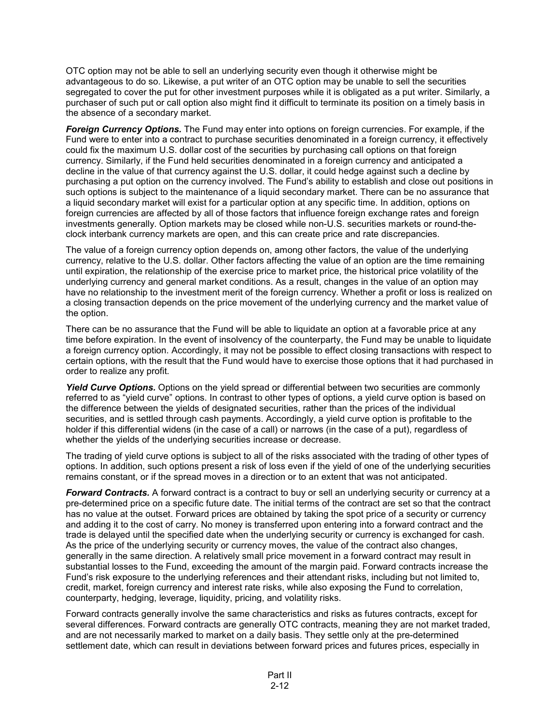OTC option may not be able to sell an underlying security even though it otherwise might be advantageous to do so. Likewise, a put writer of an OTC option may be unable to sell the securities segregated to cover the put for other investment purposes while it is obligated as a put writer. Similarly, a purchaser of such put or call option also might find it difficult to terminate its position on a timely basis in the absence of a secondary market.

*Foreign Currency Options.* The Fund may enter into options on foreign currencies. For example, if the Fund were to enter into a contract to purchase securities denominated in a foreign currency, it effectively could fix the maximum U.S. dollar cost of the securities by purchasing call options on that foreign currency. Similarly, if the Fund held securities denominated in a foreign currency and anticipated a decline in the value of that currency against the U.S. dollar, it could hedge against such a decline by purchasing a put option on the currency involved. The Fund's ability to establish and close out positions in such options is subject to the maintenance of a liquid secondary market. There can be no assurance that a liquid secondary market will exist for a particular option at any specific time. In addition, options on foreign currencies are affected by all of those factors that influence foreign exchange rates and foreign investments generally. Option markets may be closed while non-U.S. securities markets or round-theclock interbank currency markets are open, and this can create price and rate discrepancies.

The value of a foreign currency option depends on, among other factors, the value of the underlying currency, relative to the U.S. dollar. Other factors affecting the value of an option are the time remaining until expiration, the relationship of the exercise price to market price, the historical price volatility of the underlying currency and general market conditions. As a result, changes in the value of an option may have no relationship to the investment merit of the foreign currency. Whether a profit or loss is realized on a closing transaction depends on the price movement of the underlying currency and the market value of the option.

There can be no assurance that the Fund will be able to liquidate an option at a favorable price at any time before expiration. In the event of insolvency of the counterparty, the Fund may be unable to liquidate a foreign currency option. Accordingly, it may not be possible to effect closing transactions with respect to certain options, with the result that the Fund would have to exercise those options that it had purchased in order to realize any profit.

*Yield Curve Options.* Options on the yield spread or differential between two securities are commonly referred to as "yield curve" options. In contrast to other types of options, a yield curve option is based on the difference between the yields of designated securities, rather than the prices of the individual securities, and is settled through cash payments. Accordingly, a yield curve option is profitable to the holder if this differential widens (in the case of a call) or narrows (in the case of a put), regardless of whether the yields of the underlying securities increase or decrease.

The trading of yield curve options is subject to all of the risks associated with the trading of other types of options. In addition, such options present a risk of loss even if the yield of one of the underlying securities remains constant, or if the spread moves in a direction or to an extent that was not anticipated.

*Forward Contracts.* A forward contract is a contract to buy or sell an underlying security or currency at a pre-determined price on a specific future date. The initial terms of the contract are set so that the contract has no value at the outset. Forward prices are obtained by taking the spot price of a security or currency and adding it to the cost of carry. No money is transferred upon entering into a forward contract and the trade is delayed until the specified date when the underlying security or currency is exchanged for cash. As the price of the underlying security or currency moves, the value of the contract also changes, generally in the same direction. A relatively small price movement in a forward contract may result in substantial losses to the Fund, exceeding the amount of the margin paid. Forward contracts increase the Fund's risk exposure to the underlying references and their attendant risks, including but not limited to, credit, market, foreign currency and interest rate risks, while also exposing the Fund to correlation, counterparty, hedging, leverage, liquidity, pricing, and volatility risks.

Forward contracts generally involve the same characteristics and risks as futures contracts, except for several differences. Forward contracts are generally OTC contracts, meaning they are not market traded, and are not necessarily marked to market on a daily basis. They settle only at the pre-determined settlement date, which can result in deviations between forward prices and futures prices, especially in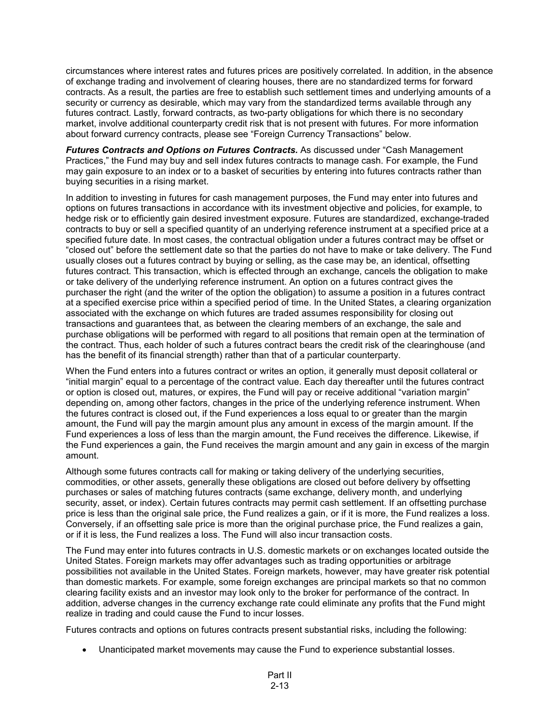circumstances where interest rates and futures prices are positively correlated. In addition, in the absence of exchange trading and involvement of clearing houses, there are no standardized terms for forward contracts. As a result, the parties are free to establish such settlement times and underlying amounts of a security or currency as desirable, which may vary from the standardized terms available through any futures contract. Lastly, forward contracts, as two-party obligations for which there is no secondary market, involve additional counterparty credit risk that is not present with futures. For more information about forward currency contracts, please see "Foreign Currency Transactions" below.

*Futures Contracts and Options on Futures Contracts.* As discussed under "Cash Management Practices," the Fund may buy and sell index futures contracts to manage cash. For example, the Fund may gain exposure to an index or to a basket of securities by entering into futures contracts rather than buying securities in a rising market.

In addition to investing in futures for cash management purposes, the Fund may enter into futures and options on futures transactions in accordance with its investment objective and policies, for example, to hedge risk or to efficiently gain desired investment exposure. Futures are standardized, exchange-traded contracts to buy or sell a specified quantity of an underlying reference instrument at a specified price at a specified future date. In most cases, the contractual obligation under a futures contract may be offset or "closed out" before the settlement date so that the parties do not have to make or take delivery. The Fund usually closes out a futures contract by buying or selling, as the case may be, an identical, offsetting futures contract. This transaction, which is effected through an exchange, cancels the obligation to make or take delivery of the underlying reference instrument. An option on a futures contract gives the purchaser the right (and the writer of the option the obligation) to assume a position in a futures contract at a specified exercise price within a specified period of time. In the United States, a clearing organization associated with the exchange on which futures are traded assumes responsibility for closing out transactions and guarantees that, as between the clearing members of an exchange, the sale and purchase obligations will be performed with regard to all positions that remain open at the termination of the contract. Thus, each holder of such a futures contract bears the credit risk of the clearinghouse (and has the benefit of its financial strength) rather than that of a particular counterparty.

When the Fund enters into a futures contract or writes an option, it generally must deposit collateral or "initial margin" equal to a percentage of the contract value. Each day thereafter until the futures contract or option is closed out, matures, or expires, the Fund will pay or receive additional "variation margin" depending on, among other factors, changes in the price of the underlying reference instrument. When the futures contract is closed out, if the Fund experiences a loss equal to or greater than the margin amount, the Fund will pay the margin amount plus any amount in excess of the margin amount. If the Fund experiences a loss of less than the margin amount, the Fund receives the difference. Likewise, if the Fund experiences a gain, the Fund receives the margin amount and any gain in excess of the margin amount.

Although some futures contracts call for making or taking delivery of the underlying securities, commodities, or other assets, generally these obligations are closed out before delivery by offsetting purchases or sales of matching futures contracts (same exchange, delivery month, and underlying security, asset, or index). Certain futures contracts may permit cash settlement. If an offsetting purchase price is less than the original sale price, the Fund realizes a gain, or if it is more, the Fund realizes a loss. Conversely, if an offsetting sale price is more than the original purchase price, the Fund realizes a gain, or if it is less, the Fund realizes a loss. The Fund will also incur transaction costs.

The Fund may enter into futures contracts in U.S. domestic markets or on exchanges located outside the United States. Foreign markets may offer advantages such as trading opportunities or arbitrage possibilities not available in the United States. Foreign markets, however, may have greater risk potential than domestic markets. For example, some foreign exchanges are principal markets so that no common clearing facility exists and an investor may look only to the broker for performance of the contract. In addition, adverse changes in the currency exchange rate could eliminate any profits that the Fund might realize in trading and could cause the Fund to incur losses.

Futures contracts and options on futures contracts present substantial risks, including the following:

• Unanticipated market movements may cause the Fund to experience substantial losses.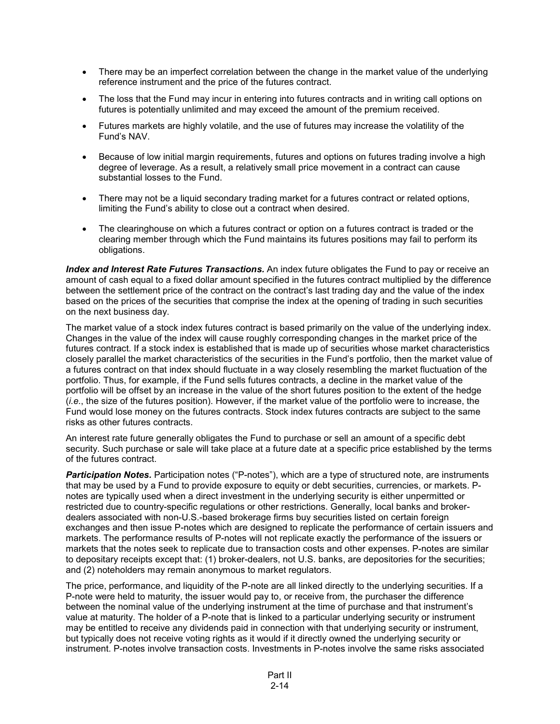- There may be an imperfect correlation between the change in the market value of the underlying reference instrument and the price of the futures contract.
- The loss that the Fund may incur in entering into futures contracts and in writing call options on futures is potentially unlimited and may exceed the amount of the premium received.
- Futures markets are highly volatile, and the use of futures may increase the volatility of the Fund's NAV.
- Because of low initial margin requirements, futures and options on futures trading involve a high degree of leverage. As a result, a relatively small price movement in a contract can cause substantial losses to the Fund.
- There may not be a liquid secondary trading market for a futures contract or related options, limiting the Fund's ability to close out a contract when desired.
- The clearinghouse on which a futures contract or option on a futures contract is traded or the clearing member through which the Fund maintains its futures positions may fail to perform its obligations.

*Index and Interest Rate Futures Transactions.* An index future obligates the Fund to pay or receive an amount of cash equal to a fixed dollar amount specified in the futures contract multiplied by the difference between the settlement price of the contract on the contract's last trading day and the value of the index based on the prices of the securities that comprise the index at the opening of trading in such securities on the next business day.

The market value of a stock index futures contract is based primarily on the value of the underlying index. Changes in the value of the index will cause roughly corresponding changes in the market price of the futures contract. If a stock index is established that is made up of securities whose market characteristics closely parallel the market characteristics of the securities in the Fund's portfolio, then the market value of a futures contract on that index should fluctuate in a way closely resembling the market fluctuation of the portfolio. Thus, for example, if the Fund sells futures contracts, a decline in the market value of the portfolio will be offset by an increase in the value of the short futures position to the extent of the hedge (*i.e.*, the size of the futures position). However, if the market value of the portfolio were to increase, the Fund would lose money on the futures contracts. Stock index futures contracts are subject to the same risks as other futures contracts.

An interest rate future generally obligates the Fund to purchase or sell an amount of a specific debt security. Such purchase or sale will take place at a future date at a specific price established by the terms of the futures contract.

*Participation Notes.* Participation notes ("P-notes"), which are a type of structured note, are instruments that may be used by a Fund to provide exposure to equity or debt securities, currencies, or markets. Pnotes are typically used when a direct investment in the underlying security is either unpermitted or restricted due to country-specific regulations or other restrictions. Generally, local banks and brokerdealers associated with non-U.S.-based brokerage firms buy securities listed on certain foreign exchanges and then issue P-notes which are designed to replicate the performance of certain issuers and markets. The performance results of P-notes will not replicate exactly the performance of the issuers or markets that the notes seek to replicate due to transaction costs and other expenses. P-notes are similar to depositary receipts except that: (1) broker-dealers, not U.S. banks, are depositories for the securities; and (2) noteholders may remain anonymous to market regulators.

The price, performance, and liquidity of the P-note are all linked directly to the underlying securities. If a P-note were held to maturity, the issuer would pay to, or receive from, the purchaser the difference between the nominal value of the underlying instrument at the time of purchase and that instrument's value at maturity. The holder of a P-note that is linked to a particular underlying security or instrument may be entitled to receive any dividends paid in connection with that underlying security or instrument, but typically does not receive voting rights as it would if it directly owned the underlying security or instrument. P-notes involve transaction costs. Investments in P-notes involve the same risks associated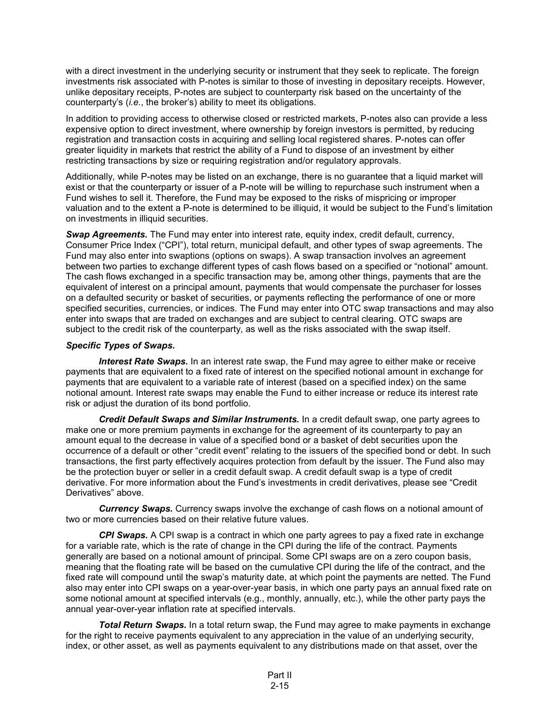with a direct investment in the underlying security or instrument that they seek to replicate. The foreign investments risk associated with P-notes is similar to those of investing in depositary receipts. However, unlike depositary receipts, P-notes are subject to counterparty risk based on the uncertainty of the counterparty's (*i.e.*, the broker's) ability to meet its obligations.

In addition to providing access to otherwise closed or restricted markets, P-notes also can provide a less expensive option to direct investment, where ownership by foreign investors is permitted, by reducing registration and transaction costs in acquiring and selling local registered shares. P-notes can offer greater liquidity in markets that restrict the ability of a Fund to dispose of an investment by either restricting transactions by size or requiring registration and/or regulatory approvals.

Additionally, while P-notes may be listed on an exchange, there is no guarantee that a liquid market will exist or that the counterparty or issuer of a P-note will be willing to repurchase such instrument when a Fund wishes to sell it. Therefore, the Fund may be exposed to the risks of mispricing or improper valuation and to the extent a P-note is determined to be illiquid, it would be subject to the Fund's limitation on investments in illiquid securities.

*Swap Agreements.* The Fund may enter into interest rate, equity index, credit default, currency, Consumer Price Index ("CPI"), total return, municipal default, and other types of swap agreements. The Fund may also enter into swaptions (options on swaps). A swap transaction involves an agreement between two parties to exchange different types of cash flows based on a specified or "notional" amount. The cash flows exchanged in a specific transaction may be, among other things, payments that are the equivalent of interest on a principal amount, payments that would compensate the purchaser for losses on a defaulted security or basket of securities, or payments reflecting the performance of one or more specified securities, currencies, or indices. The Fund may enter into OTC swap transactions and may also enter into swaps that are traded on exchanges and are subject to central clearing. OTC swaps are subject to the credit risk of the counterparty, as well as the risks associated with the swap itself.

## *Specific Types of Swaps.*

**Interest Rate Swaps.** In an interest rate swap, the Fund may agree to either make or receive payments that are equivalent to a fixed rate of interest on the specified notional amount in exchange for payments that are equivalent to a variable rate of interest (based on a specified index) on the same notional amount. Interest rate swaps may enable the Fund to either increase or reduce its interest rate risk or adjust the duration of its bond portfolio.

*Credit Default Swaps and Similar Instruments.* In a credit default swap, one party agrees to make one or more premium payments in exchange for the agreement of its counterparty to pay an amount equal to the decrease in value of a specified bond or a basket of debt securities upon the occurrence of a default or other "credit event" relating to the issuers of the specified bond or debt. In such transactions, the first party effectively acquires protection from default by the issuer. The Fund also may be the protection buyer or seller in a credit default swap. A credit default swap is a type of credit derivative. For more information about the Fund's investments in credit derivatives, please see "Credit Derivatives" above.

*Currency Swaps.* Currency swaps involve the exchange of cash flows on a notional amount of two or more currencies based on their relative future values.

*CPI Swaps.* A CPI swap is a contract in which one party agrees to pay a fixed rate in exchange for a variable rate, which is the rate of change in the CPI during the life of the contract. Payments generally are based on a notional amount of principal. Some CPI swaps are on a zero coupon basis, meaning that the floating rate will be based on the cumulative CPI during the life of the contract, and the fixed rate will compound until the swap's maturity date, at which point the payments are netted. The Fund also may enter into CPI swaps on a year-over-year basis, in which one party pays an annual fixed rate on some notional amount at specified intervals (e.g., monthly, annually, etc.), while the other party pays the annual year-over-year inflation rate at specified intervals.

*Total Return Swaps.* In a total return swap, the Fund may agree to make payments in exchange for the right to receive payments equivalent to any appreciation in the value of an underlying security, index, or other asset, as well as payments equivalent to any distributions made on that asset, over the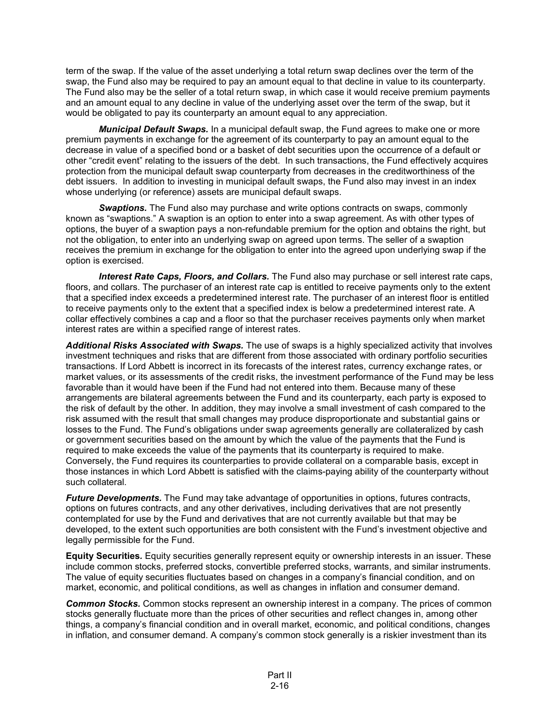term of the swap. If the value of the asset underlying a total return swap declines over the term of the swap, the Fund also may be required to pay an amount equal to that decline in value to its counterparty. The Fund also may be the seller of a total return swap, in which case it would receive premium payments and an amount equal to any decline in value of the underlying asset over the term of the swap, but it would be obligated to pay its counterparty an amount equal to any appreciation.

*Municipal Default Swaps.* In a municipal default swap, the Fund agrees to make one or more premium payments in exchange for the agreement of its counterparty to pay an amount equal to the decrease in value of a specified bond or a basket of debt securities upon the occurrence of a default or other "credit event" relating to the issuers of the debt. In such transactions, the Fund effectively acquires protection from the municipal default swap counterparty from decreases in the creditworthiness of the debt issuers. In addition to investing in municipal default swaps, the Fund also may invest in an index whose underlying (or reference) assets are municipal default swaps.

*Swaptions.* The Fund also may purchase and write options contracts on swaps, commonly known as "swaptions." A swaption is an option to enter into a swap agreement. As with other types of options, the buyer of a swaption pays a non-refundable premium for the option and obtains the right, but not the obligation, to enter into an underlying swap on agreed upon terms. The seller of a swaption receives the premium in exchange for the obligation to enter into the agreed upon underlying swap if the option is exercised.

*Interest Rate Caps, Floors, and Collars.* The Fund also may purchase or sell interest rate caps, floors, and collars. The purchaser of an interest rate cap is entitled to receive payments only to the extent that a specified index exceeds a predetermined interest rate. The purchaser of an interest floor is entitled to receive payments only to the extent that a specified index is below a predetermined interest rate. A collar effectively combines a cap and a floor so that the purchaser receives payments only when market interest rates are within a specified range of interest rates.

*Additional Risks Associated with Swaps.* The use of swaps is a highly specialized activity that involves investment techniques and risks that are different from those associated with ordinary portfolio securities transactions. If Lord Abbett is incorrect in its forecasts of the interest rates, currency exchange rates, or market values, or its assessments of the credit risks, the investment performance of the Fund may be less favorable than it would have been if the Fund had not entered into them. Because many of these arrangements are bilateral agreements between the Fund and its counterparty, each party is exposed to the risk of default by the other. In addition, they may involve a small investment of cash compared to the risk assumed with the result that small changes may produce disproportionate and substantial gains or losses to the Fund. The Fund's obligations under swap agreements generally are collateralized by cash or government securities based on the amount by which the value of the payments that the Fund is required to make exceeds the value of the payments that its counterparty is required to make. Conversely, the Fund requires its counterparties to provide collateral on a comparable basis, except in those instances in which Lord Abbett is satisfied with the claims-paying ability of the counterparty without such collateral.

*Future Developments.* The Fund may take advantage of opportunities in options, futures contracts, options on futures contracts, and any other derivatives, including derivatives that are not presently contemplated for use by the Fund and derivatives that are not currently available but that may be developed, to the extent such opportunities are both consistent with the Fund's investment objective and legally permissible for the Fund.

**Equity Securities***.* Equity securities generally represent equity or ownership interests in an issuer. These include common stocks, preferred stocks, convertible preferred stocks, warrants, and similar instruments. The value of equity securities fluctuates based on changes in a company's financial condition, and on market, economic, and political conditions, as well as changes in inflation and consumer demand.

*Common Stocks.* Common stocks represent an ownership interest in a company. The prices of common stocks generally fluctuate more than the prices of other securities and reflect changes in, among other things, a company's financial condition and in overall market, economic, and political conditions, changes in inflation, and consumer demand. A company's common stock generally is a riskier investment than its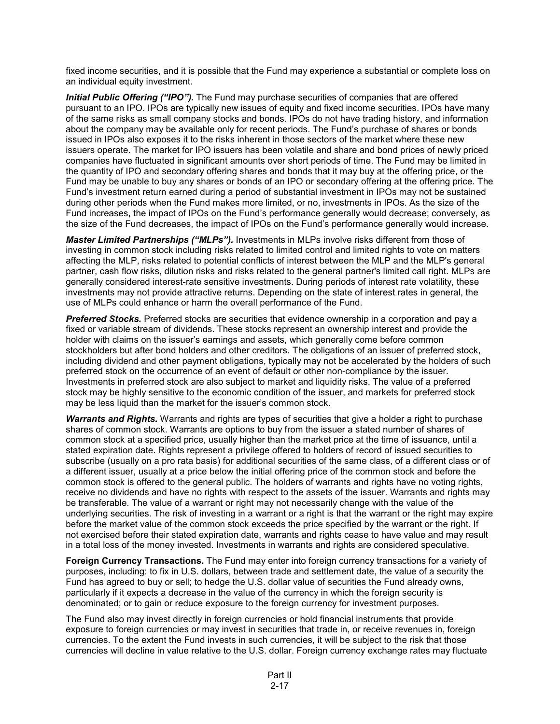fixed income securities, and it is possible that the Fund may experience a substantial or complete loss on an individual equity investment.

*Initial Public Offering ("IPO").* The Fund may purchase securities of companies that are offered pursuant to an IPO. IPOs are typically new issues of equity and fixed income securities. IPOs have many of the same risks as small company stocks and bonds. IPOs do not have trading history, and information about the company may be available only for recent periods. The Fund's purchase of shares or bonds issued in IPOs also exposes it to the risks inherent in those sectors of the market where these new issuers operate. The market for IPO issuers has been volatile and share and bond prices of newly priced companies have fluctuated in significant amounts over short periods of time. The Fund may be limited in the quantity of IPO and secondary offering shares and bonds that it may buy at the offering price, or the Fund may be unable to buy any shares or bonds of an IPO or secondary offering at the offering price. The Fund's investment return earned during a period of substantial investment in IPOs may not be sustained during other periods when the Fund makes more limited, or no, investments in IPOs. As the size of the Fund increases, the impact of IPOs on the Fund's performance generally would decrease; conversely, as the size of the Fund decreases, the impact of IPOs on the Fund's performance generally would increase.

*Master Limited Partnerships ("MLPs").* Investments in MLPs involve risks different from those of investing in common stock including risks related to limited control and limited rights to vote on matters affecting the MLP, risks related to potential conflicts of interest between the MLP and the MLP's general partner, cash flow risks, dilution risks and risks related to the general partner's limited call right. MLPs are generally considered interest-rate sensitive investments. During periods of interest rate volatility, these investments may not provide attractive returns. Depending on the state of interest rates in general, the use of MLPs could enhance or harm the overall performance of the Fund.

*Preferred Stocks.* Preferred stocks are securities that evidence ownership in a corporation and pay a fixed or variable stream of dividends. These stocks represent an ownership interest and provide the holder with claims on the issuer's earnings and assets, which generally come before common stockholders but after bond holders and other creditors. The obligations of an issuer of preferred stock, including dividend and other payment obligations, typically may not be accelerated by the holders of such preferred stock on the occurrence of an event of default or other non-compliance by the issuer. Investments in preferred stock are also subject to market and liquidity risks. The value of a preferred stock may be highly sensitive to the economic condition of the issuer, and markets for preferred stock may be less liquid than the market for the issuer's common stock.

*Warrants and Rights.* Warrants and rights are types of securities that give a holder a right to purchase shares of common stock. Warrants are options to buy from the issuer a stated number of shares of common stock at a specified price, usually higher than the market price at the time of issuance, until a stated expiration date. Rights represent a privilege offered to holders of record of issued securities to subscribe (usually on a pro rata basis) for additional securities of the same class, of a different class or of a different issuer, usually at a price below the initial offering price of the common stock and before the common stock is offered to the general public. The holders of warrants and rights have no voting rights, receive no dividends and have no rights with respect to the assets of the issuer. Warrants and rights may be transferable. The value of a warrant or right may not necessarily change with the value of the underlying securities. The risk of investing in a warrant or a right is that the warrant or the right may expire before the market value of the common stock exceeds the price specified by the warrant or the right. If not exercised before their stated expiration date, warrants and rights cease to have value and may result in a total loss of the money invested. Investments in warrants and rights are considered speculative.

**Foreign Currency Transactions.** The Fund may enter into foreign currency transactions for a variety of purposes, including: to fix in U.S. dollars, between trade and settlement date, the value of a security the Fund has agreed to buy or sell; to hedge the U.S. dollar value of securities the Fund already owns, particularly if it expects a decrease in the value of the currency in which the foreign security is denominated; or to gain or reduce exposure to the foreign currency for investment purposes.

The Fund also may invest directly in foreign currencies or hold financial instruments that provide exposure to foreign currencies or may invest in securities that trade in, or receive revenues in, foreign currencies. To the extent the Fund invests in such currencies, it will be subject to the risk that those currencies will decline in value relative to the U.S. dollar. Foreign currency exchange rates may fluctuate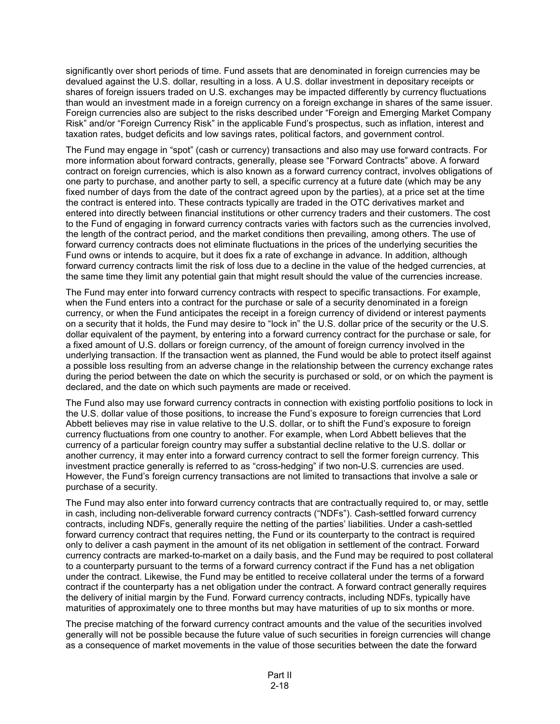significantly over short periods of time. Fund assets that are denominated in foreign currencies may be devalued against the U.S. dollar, resulting in a loss. A U.S. dollar investment in depositary receipts or shares of foreign issuers traded on U.S. exchanges may be impacted differently by currency fluctuations than would an investment made in a foreign currency on a foreign exchange in shares of the same issuer. Foreign currencies also are subject to the risks described under "Foreign and Emerging Market Company Risk" and/or "Foreign Currency Risk" in the applicable Fund's prospectus, such as inflation, interest and taxation rates, budget deficits and low savings rates, political factors, and government control.

The Fund may engage in "spot" (cash or currency) transactions and also may use forward contracts. For more information about forward contracts, generally, please see "Forward Contracts" above. A forward contract on foreign currencies, which is also known as a forward currency contract, involves obligations of one party to purchase, and another party to sell, a specific currency at a future date (which may be any fixed number of days from the date of the contract agreed upon by the parties), at a price set at the time the contract is entered into. These contracts typically are traded in the OTC derivatives market and entered into directly between financial institutions or other currency traders and their customers. The cost to the Fund of engaging in forward currency contracts varies with factors such as the currencies involved, the length of the contract period, and the market conditions then prevailing, among others. The use of forward currency contracts does not eliminate fluctuations in the prices of the underlying securities the Fund owns or intends to acquire, but it does fix a rate of exchange in advance. In addition, although forward currency contracts limit the risk of loss due to a decline in the value of the hedged currencies, at the same time they limit any potential gain that might result should the value of the currencies increase.

The Fund may enter into forward currency contracts with respect to specific transactions. For example, when the Fund enters into a contract for the purchase or sale of a security denominated in a foreign currency, or when the Fund anticipates the receipt in a foreign currency of dividend or interest payments on a security that it holds, the Fund may desire to "lock in" the U.S. dollar price of the security or the U.S. dollar equivalent of the payment, by entering into a forward currency contract for the purchase or sale, for a fixed amount of U.S. dollars or foreign currency, of the amount of foreign currency involved in the underlying transaction. If the transaction went as planned, the Fund would be able to protect itself against a possible loss resulting from an adverse change in the relationship between the currency exchange rates during the period between the date on which the security is purchased or sold, or on which the payment is declared, and the date on which such payments are made or received.

The Fund also may use forward currency contracts in connection with existing portfolio positions to lock in the U.S. dollar value of those positions, to increase the Fund's exposure to foreign currencies that Lord Abbett believes may rise in value relative to the U.S. dollar, or to shift the Fund's exposure to foreign currency fluctuations from one country to another. For example, when Lord Abbett believes that the currency of a particular foreign country may suffer a substantial decline relative to the U.S. dollar or another currency, it may enter into a forward currency contract to sell the former foreign currency. This investment practice generally is referred to as "cross-hedging" if two non-U.S. currencies are used. However, the Fund's foreign currency transactions are not limited to transactions that involve a sale or purchase of a security.

The Fund may also enter into forward currency contracts that are contractually required to, or may, settle in cash, including non-deliverable forward currency contracts ("NDFs"). Cash-settled forward currency contracts, including NDFs, generally require the netting of the parties' liabilities. Under a cash-settled forward currency contract that requires netting, the Fund or its counterparty to the contract is required only to deliver a cash payment in the amount of its net obligation in settlement of the contract. Forward currency contracts are marked-to-market on a daily basis, and the Fund may be required to post collateral to a counterparty pursuant to the terms of a forward currency contract if the Fund has a net obligation under the contract. Likewise, the Fund may be entitled to receive collateral under the terms of a forward contract if the counterparty has a net obligation under the contract. A forward contract generally requires the delivery of initial margin by the Fund. Forward currency contracts, including NDFs, typically have maturities of approximately one to three months but may have maturities of up to six months or more.

The precise matching of the forward currency contract amounts and the value of the securities involved generally will not be possible because the future value of such securities in foreign currencies will change as a consequence of market movements in the value of those securities between the date the forward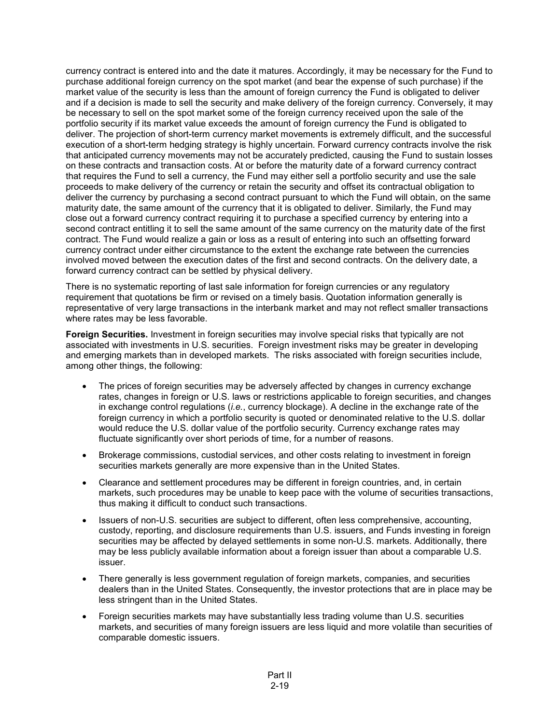currency contract is entered into and the date it matures. Accordingly, it may be necessary for the Fund to purchase additional foreign currency on the spot market (and bear the expense of such purchase) if the market value of the security is less than the amount of foreign currency the Fund is obligated to deliver and if a decision is made to sell the security and make delivery of the foreign currency. Conversely, it may be necessary to sell on the spot market some of the foreign currency received upon the sale of the portfolio security if its market value exceeds the amount of foreign currency the Fund is obligated to deliver. The projection of short-term currency market movements is extremely difficult, and the successful execution of a short-term hedging strategy is highly uncertain. Forward currency contracts involve the risk that anticipated currency movements may not be accurately predicted, causing the Fund to sustain losses on these contracts and transaction costs. At or before the maturity date of a forward currency contract that requires the Fund to sell a currency, the Fund may either sell a portfolio security and use the sale proceeds to make delivery of the currency or retain the security and offset its contractual obligation to deliver the currency by purchasing a second contract pursuant to which the Fund will obtain, on the same maturity date, the same amount of the currency that it is obligated to deliver. Similarly, the Fund may close out a forward currency contract requiring it to purchase a specified currency by entering into a second contract entitling it to sell the same amount of the same currency on the maturity date of the first contract. The Fund would realize a gain or loss as a result of entering into such an offsetting forward currency contract under either circumstance to the extent the exchange rate between the currencies involved moved between the execution dates of the first and second contracts. On the delivery date, a forward currency contract can be settled by physical delivery.

There is no systematic reporting of last sale information for foreign currencies or any regulatory requirement that quotations be firm or revised on a timely basis. Quotation information generally is representative of very large transactions in the interbank market and may not reflect smaller transactions where rates may be less favorable.

**Foreign Securities.** Investment in foreign securities may involve special risks that typically are not associated with investments in U.S. securities. Foreign investment risks may be greater in developing and emerging markets than in developed markets. The risks associated with foreign securities include, among other things, the following:

- The prices of foreign securities may be adversely affected by changes in currency exchange rates, changes in foreign or U.S. laws or restrictions applicable to foreign securities, and changes in exchange control regulations (*i.e.*, currency blockage). A decline in the exchange rate of the foreign currency in which a portfolio security is quoted or denominated relative to the U.S. dollar would reduce the U.S. dollar value of the portfolio security. Currency exchange rates may fluctuate significantly over short periods of time, for a number of reasons.
- Brokerage commissions, custodial services, and other costs relating to investment in foreign securities markets generally are more expensive than in the United States.
- Clearance and settlement procedures may be different in foreign countries, and, in certain markets, such procedures may be unable to keep pace with the volume of securities transactions, thus making it difficult to conduct such transactions.
- Issuers of non-U.S. securities are subject to different, often less comprehensive, accounting, custody, reporting, and disclosure requirements than U.S. issuers, and Funds investing in foreign securities may be affected by delayed settlements in some non-U.S. markets. Additionally, there may be less publicly available information about a foreign issuer than about a comparable U.S. issuer.
- There generally is less government regulation of foreign markets, companies, and securities dealers than in the United States. Consequently, the investor protections that are in place may be less stringent than in the United States.
- Foreign securities markets may have substantially less trading volume than U.S. securities markets, and securities of many foreign issuers are less liquid and more volatile than securities of comparable domestic issuers.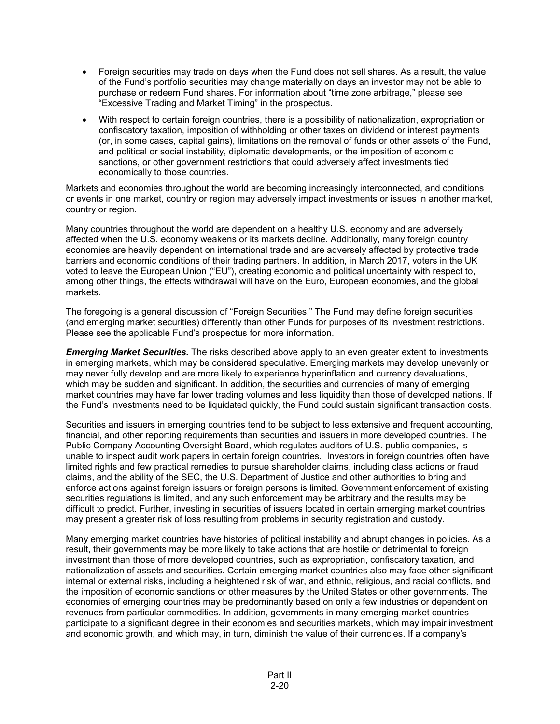- Foreign securities may trade on days when the Fund does not sell shares. As a result, the value of the Fund's portfolio securities may change materially on days an investor may not be able to purchase or redeem Fund shares. For information about "time zone arbitrage," please see "Excessive Trading and Market Timing" in the prospectus.
- With respect to certain foreign countries, there is a possibility of nationalization, expropriation or confiscatory taxation, imposition of withholding or other taxes on dividend or interest payments (or, in some cases, capital gains), limitations on the removal of funds or other assets of the Fund, and political or social instability, diplomatic developments, or the imposition of economic sanctions, or other government restrictions that could adversely affect investments tied economically to those countries.

Markets and economies throughout the world are becoming increasingly interconnected, and conditions or events in one market, country or region may adversely impact investments or issues in another market, country or region.

Many countries throughout the world are dependent on a healthy U.S. economy and are adversely affected when the U.S. economy weakens or its markets decline. Additionally, many foreign country economies are heavily dependent on international trade and are adversely affected by protective trade barriers and economic conditions of their trading partners. In addition, in March 2017, voters in the UK voted to leave the European Union ("EU"), creating economic and political uncertainty with respect to, among other things, the effects withdrawal will have on the Euro, European economies, and the global markets.

The foregoing is a general discussion of "Foreign Securities." The Fund may define foreign securities (and emerging market securities) differently than other Funds for purposes of its investment restrictions. Please see the applicable Fund's prospectus for more information.

*Emerging Market Securities.* The risks described above apply to an even greater extent to investments in emerging markets, which may be considered speculative. Emerging markets may develop unevenly or may never fully develop and are more likely to experience hyperinflation and currency devaluations, which may be sudden and significant. In addition, the securities and currencies of many of emerging market countries may have far lower trading volumes and less liquidity than those of developed nations. If the Fund's investments need to be liquidated quickly, the Fund could sustain significant transaction costs.

Securities and issuers in emerging countries tend to be subject to less extensive and frequent accounting, financial, and other reporting requirements than securities and issuers in more developed countries. The Public Company Accounting Oversight Board, which regulates auditors of U.S. public companies, is unable to inspect audit work papers in certain foreign countries. Investors in foreign countries often have limited rights and few practical remedies to pursue shareholder claims, including class actions or fraud claims, and the ability of the SEC, the U.S. Department of Justice and other authorities to bring and enforce actions against foreign issuers or foreign persons is limited. Government enforcement of existing securities regulations is limited, and any such enforcement may be arbitrary and the results may be difficult to predict. Further, investing in securities of issuers located in certain emerging market countries may present a greater risk of loss resulting from problems in security registration and custody.

Many emerging market countries have histories of political instability and abrupt changes in policies. As a result, their governments may be more likely to take actions that are hostile or detrimental to foreign investment than those of more developed countries, such as expropriation, confiscatory taxation, and nationalization of assets and securities. Certain emerging market countries also may face other significant internal or external risks, including a heightened risk of war, and ethnic, religious, and racial conflicts, and the imposition of economic sanctions or other measures by the United States or other governments. The economies of emerging countries may be predominantly based on only a few industries or dependent on revenues from particular commodities. In addition, governments in many emerging market countries participate to a significant degree in their economies and securities markets, which may impair investment and economic growth, and which may, in turn, diminish the value of their currencies. If a company's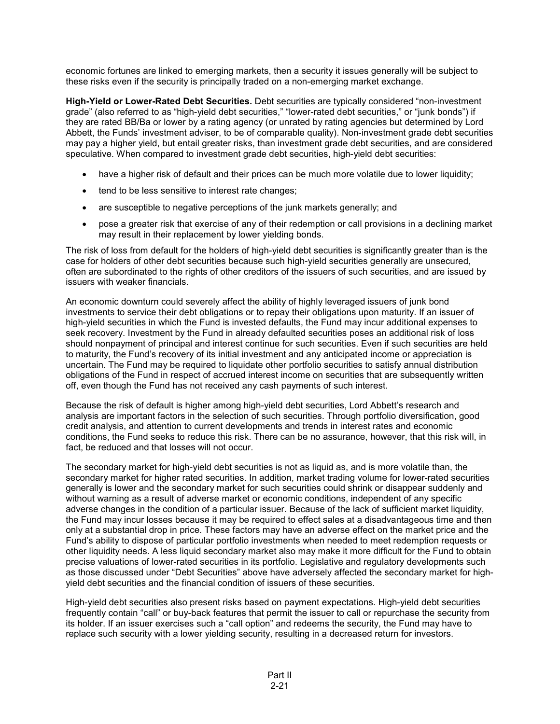economic fortunes are linked to emerging markets, then a security it issues generally will be subject to these risks even if the security is principally traded on a non-emerging market exchange.

**High-Yield or Lower-Rated Debt Securities.** Debt securities are typically considered "non-investment grade" (also referred to as "high-yield debt securities," "lower-rated debt securities," or "junk bonds") if they are rated BB/Ba or lower by a rating agency (or unrated by rating agencies but determined by Lord Abbett, the Funds' investment adviser, to be of comparable quality). Non-investment grade debt securities may pay a higher yield, but entail greater risks, than investment grade debt securities, and are considered speculative. When compared to investment grade debt securities, high-yield debt securities:

- have a higher risk of default and their prices can be much more volatile due to lower liquidity;
- tend to be less sensitive to interest rate changes;
- are susceptible to negative perceptions of the junk markets generally; and
- pose a greater risk that exercise of any of their redemption or call provisions in a declining market may result in their replacement by lower yielding bonds.

The risk of loss from default for the holders of high-yield debt securities is significantly greater than is the case for holders of other debt securities because such high-yield securities generally are unsecured, often are subordinated to the rights of other creditors of the issuers of such securities, and are issued by issuers with weaker financials.

An economic downturn could severely affect the ability of highly leveraged issuers of junk bond investments to service their debt obligations or to repay their obligations upon maturity. If an issuer of high-yield securities in which the Fund is invested defaults, the Fund may incur additional expenses to seek recovery. Investment by the Fund in already defaulted securities poses an additional risk of loss should nonpayment of principal and interest continue for such securities. Even if such securities are held to maturity, the Fund's recovery of its initial investment and any anticipated income or appreciation is uncertain. The Fund may be required to liquidate other portfolio securities to satisfy annual distribution obligations of the Fund in respect of accrued interest income on securities that are subsequently written off, even though the Fund has not received any cash payments of such interest.

Because the risk of default is higher among high-yield debt securities. Lord Abbett's research and analysis are important factors in the selection of such securities. Through portfolio diversification, good credit analysis, and attention to current developments and trends in interest rates and economic conditions, the Fund seeks to reduce this risk. There can be no assurance, however, that this risk will, in fact, be reduced and that losses will not occur.

The secondary market for high-yield debt securities is not as liquid as, and is more volatile than, the secondary market for higher rated securities. In addition, market trading volume for lower-rated securities generally is lower and the secondary market for such securities could shrink or disappear suddenly and without warning as a result of adverse market or economic conditions, independent of any specific adverse changes in the condition of a particular issuer. Because of the lack of sufficient market liquidity, the Fund may incur losses because it may be required to effect sales at a disadvantageous time and then only at a substantial drop in price. These factors may have an adverse effect on the market price and the Fund's ability to dispose of particular portfolio investments when needed to meet redemption requests or other liquidity needs. A less liquid secondary market also may make it more difficult for the Fund to obtain precise valuations of lower-rated securities in its portfolio. Legislative and regulatory developments such as those discussed under "Debt Securities" above have adversely affected the secondary market for highyield debt securities and the financial condition of issuers of these securities.

High-yield debt securities also present risks based on payment expectations. High-yield debt securities frequently contain "call" or buy-back features that permit the issuer to call or repurchase the security from its holder. If an issuer exercises such a "call option" and redeems the security, the Fund may have to replace such security with a lower yielding security, resulting in a decreased return for investors.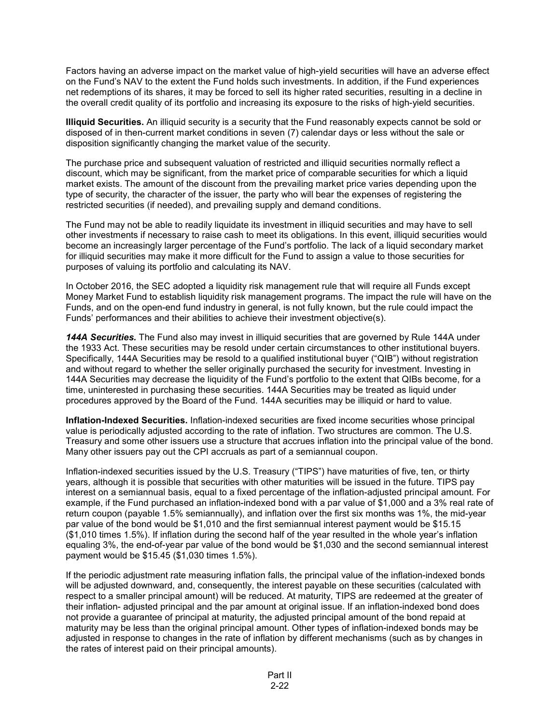Factors having an adverse impact on the market value of high-yield securities will have an adverse effect on the Fund's NAV to the extent the Fund holds such investments. In addition, if the Fund experiences net redemptions of its shares, it may be forced to sell its higher rated securities, resulting in a decline in the overall credit quality of its portfolio and increasing its exposure to the risks of high-yield securities.

**Illiquid Securities.** An illiquid security is a security that the Fund reasonably expects cannot be sold or disposed of in then-current market conditions in seven (7) calendar days or less without the sale or disposition significantly changing the market value of the security.

The purchase price and subsequent valuation of restricted and illiquid securities normally reflect a discount, which may be significant, from the market price of comparable securities for which a liquid market exists. The amount of the discount from the prevailing market price varies depending upon the type of security, the character of the issuer, the party who will bear the expenses of registering the restricted securities (if needed), and prevailing supply and demand conditions.

The Fund may not be able to readily liquidate its investment in illiquid securities and may have to sell other investments if necessary to raise cash to meet its obligations. In this event, illiquid securities would become an increasingly larger percentage of the Fund's portfolio. The lack of a liquid secondary market for illiquid securities may make it more difficult for the Fund to assign a value to those securities for purposes of valuing its portfolio and calculating its NAV.

In October 2016, the SEC adopted a liquidity risk management rule that will require all Funds except Money Market Fund to establish liquidity risk management programs. The impact the rule will have on the Funds, and on the open-end fund industry in general, is not fully known, but the rule could impact the Funds' performances and their abilities to achieve their investment objective(s).

*144A Securities.* The Fund also may invest in illiquid securities that are governed by Rule 144A under the 1933 Act. These securities may be resold under certain circumstances to other institutional buyers. Specifically, 144A Securities may be resold to a qualified institutional buyer ("QIB") without registration and without regard to whether the seller originally purchased the security for investment. Investing in 144A Securities may decrease the liquidity of the Fund's portfolio to the extent that QIBs become, for a time, uninterested in purchasing these securities. 144A Securities may be treated as liquid under procedures approved by the Board of the Fund. 144A securities may be illiquid or hard to value.

**Inflation-Indexed Securities.** Inflation-indexed securities are fixed income securities whose principal value is periodically adjusted according to the rate of inflation. Two structures are common. The U.S. Treasury and some other issuers use a structure that accrues inflation into the principal value of the bond. Many other issuers pay out the CPI accruals as part of a semiannual coupon.

Inflation-indexed securities issued by the U.S. Treasury ("TIPS") have maturities of five, ten, or thirty years, although it is possible that securities with other maturities will be issued in the future. TIPS pay interest on a semiannual basis, equal to a fixed percentage of the inflation-adjusted principal amount. For example, if the Fund purchased an inflation-indexed bond with a par value of \$1,000 and a 3% real rate of return coupon (payable 1.5% semiannually), and inflation over the first six months was 1%, the mid-year par value of the bond would be \$1,010 and the first semiannual interest payment would be \$15.15 (\$1,010 times 1.5%). If inflation during the second half of the year resulted in the whole year's inflation equaling 3%, the end-of-year par value of the bond would be \$1,030 and the second semiannual interest payment would be \$15.45 (\$1,030 times 1.5%).

If the periodic adjustment rate measuring inflation falls, the principal value of the inflation-indexed bonds will be adjusted downward, and, consequently, the interest payable on these securities (calculated with respect to a smaller principal amount) will be reduced. At maturity, TIPS are redeemed at the greater of their inflation- adjusted principal and the par amount at original issue. If an inflation-indexed bond does not provide a guarantee of principal at maturity, the adjusted principal amount of the bond repaid at maturity may be less than the original principal amount. Other types of inflation-indexed bonds may be adjusted in response to changes in the rate of inflation by different mechanisms (such as by changes in the rates of interest paid on their principal amounts).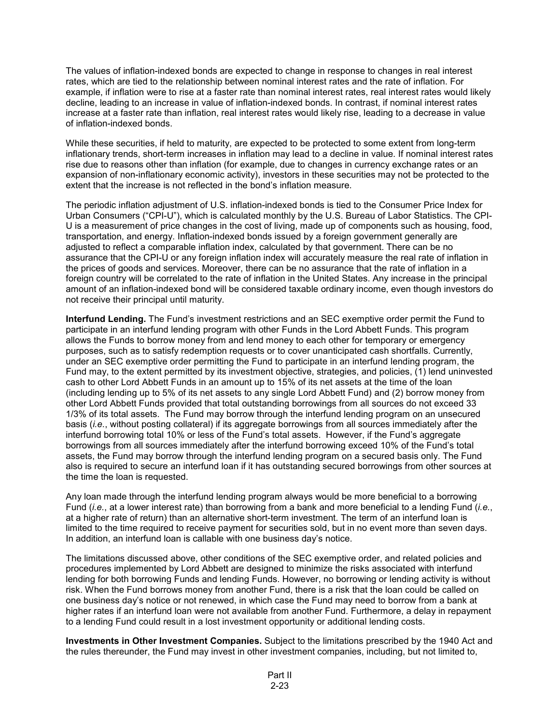The values of inflation-indexed bonds are expected to change in response to changes in real interest rates, which are tied to the relationship between nominal interest rates and the rate of inflation. For example, if inflation were to rise at a faster rate than nominal interest rates, real interest rates would likely decline, leading to an increase in value of inflation-indexed bonds. In contrast, if nominal interest rates increase at a faster rate than inflation, real interest rates would likely rise, leading to a decrease in value of inflation-indexed bonds.

While these securities, if held to maturity, are expected to be protected to some extent from long-term inflationary trends, short-term increases in inflation may lead to a decline in value. If nominal interest rates rise due to reasons other than inflation (for example, due to changes in currency exchange rates or an expansion of non-inflationary economic activity), investors in these securities may not be protected to the extent that the increase is not reflected in the bond's inflation measure.

The periodic inflation adjustment of U.S. inflation-indexed bonds is tied to the Consumer Price Index for Urban Consumers ("CPI-U"), which is calculated monthly by the U.S. Bureau of Labor Statistics. The CPI-U is a measurement of price changes in the cost of living, made up of components such as housing, food, transportation, and energy. Inflation-indexed bonds issued by a foreign government generally are adjusted to reflect a comparable inflation index, calculated by that government. There can be no assurance that the CPI-U or any foreign inflation index will accurately measure the real rate of inflation in the prices of goods and services. Moreover, there can be no assurance that the rate of inflation in a foreign country will be correlated to the rate of inflation in the United States. Any increase in the principal amount of an inflation-indexed bond will be considered taxable ordinary income, even though investors do not receive their principal until maturity.

**Interfund Lending.** The Fund's investment restrictions and an SEC exemptive order permit the Fund to participate in an interfund lending program with other Funds in the Lord Abbett Funds. This program allows the Funds to borrow money from and lend money to each other for temporary or emergency purposes, such as to satisfy redemption requests or to cover unanticipated cash shortfalls. Currently, under an SEC exemptive order permitting the Fund to participate in an interfund lending program, the Fund may, to the extent permitted by its investment objective, strategies, and policies, (1) lend uninvested cash to other Lord Abbett Funds in an amount up to 15% of its net assets at the time of the loan (including lending up to 5% of its net assets to any single Lord Abbett Fund) and (2) borrow money from other Lord Abbett Funds provided that total outstanding borrowings from all sources do not exceed 33 1/3% of its total assets. The Fund may borrow through the interfund lending program on an unsecured basis (*i.e.*, without posting collateral) if its aggregate borrowings from all sources immediately after the interfund borrowing total 10% or less of the Fund's total assets. However, if the Fund's aggregate borrowings from all sources immediately after the interfund borrowing exceed 10% of the Fund's total assets, the Fund may borrow through the interfund lending program on a secured basis only. The Fund also is required to secure an interfund loan if it has outstanding secured borrowings from other sources at the time the loan is requested.

Any loan made through the interfund lending program always would be more beneficial to a borrowing Fund (*i.e.*, at a lower interest rate) than borrowing from a bank and more beneficial to a lending Fund (*i.e.*, at a higher rate of return) than an alternative short-term investment. The term of an interfund loan is limited to the time required to receive payment for securities sold, but in no event more than seven days. In addition, an interfund loan is callable with one business day's notice.

The limitations discussed above, other conditions of the SEC exemptive order, and related policies and procedures implemented by Lord Abbett are designed to minimize the risks associated with interfund lending for both borrowing Funds and lending Funds. However, no borrowing or lending activity is without risk. When the Fund borrows money from another Fund, there is a risk that the loan could be called on one business day's notice or not renewed, in which case the Fund may need to borrow from a bank at higher rates if an interfund loan were not available from another Fund. Furthermore, a delay in repayment to a lending Fund could result in a lost investment opportunity or additional lending costs.

**Investments in Other Investment Companies.** Subject to the limitations prescribed by the 1940 Act and the rules thereunder, the Fund may invest in other investment companies, including, but not limited to,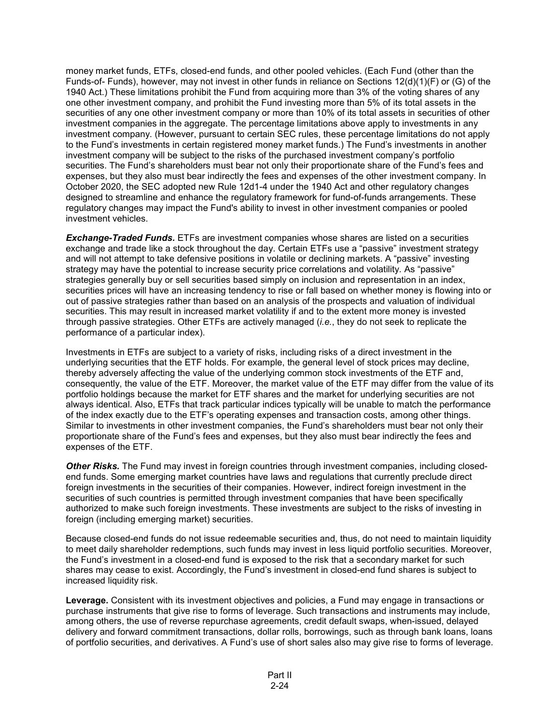money market funds, ETFs, closed-end funds, and other pooled vehicles. (Each Fund (other than the Funds-of- Funds), however, may not invest in other funds in reliance on Sections 12(d)(1)(F) or (G) of the 1940 Act.) These limitations prohibit the Fund from acquiring more than 3% of the voting shares of any one other investment company, and prohibit the Fund investing more than 5% of its total assets in the securities of any one other investment company or more than 10% of its total assets in securities of other investment companies in the aggregate. The percentage limitations above apply to investments in any investment company. (However, pursuant to certain SEC rules, these percentage limitations do not apply to the Fund's investments in certain registered money market funds.) The Fund's investments in another investment company will be subject to the risks of the purchased investment company's portfolio securities. The Fund's shareholders must bear not only their proportionate share of the Fund's fees and expenses, but they also must bear indirectly the fees and expenses of the other investment company. In October 2020, the SEC adopted new Rule 12d1-4 under the 1940 Act and other regulatory changes designed to streamline and enhance the regulatory framework for fund-of-funds arrangements. These regulatory changes may impact the Fund's ability to invest in other investment companies or pooled investment vehicles.

*Exchange-Traded Funds.* ETFs are investment companies whose shares are listed on a securities exchange and trade like a stock throughout the day. Certain ETFs use a "passive" investment strategy and will not attempt to take defensive positions in volatile or declining markets. A "passive" investing strategy may have the potential to increase security price correlations and volatility. As "passive" strategies generally buy or sell securities based simply on inclusion and representation in an index, securities prices will have an increasing tendency to rise or fall based on whether money is flowing into or out of passive strategies rather than based on an analysis of the prospects and valuation of individual securities. This may result in increased market volatility if and to the extent more money is invested through passive strategies. Other ETFs are actively managed (*i.e.*, they do not seek to replicate the performance of a particular index).

Investments in ETFs are subject to a variety of risks, including risks of a direct investment in the underlying securities that the ETF holds. For example, the general level of stock prices may decline, thereby adversely affecting the value of the underlying common stock investments of the ETF and, consequently, the value of the ETF. Moreover, the market value of the ETF may differ from the value of its portfolio holdings because the market for ETF shares and the market for underlying securities are not always identical. Also, ETFs that track particular indices typically will be unable to match the performance of the index exactly due to the ETF's operating expenses and transaction costs, among other things. Similar to investments in other investment companies, the Fund's shareholders must bear not only their proportionate share of the Fund's fees and expenses, but they also must bear indirectly the fees and expenses of the ETF.

*Other Risks.* The Fund may invest in foreign countries through investment companies, including closedend funds. Some emerging market countries have laws and regulations that currently preclude direct foreign investments in the securities of their companies. However, indirect foreign investment in the securities of such countries is permitted through investment companies that have been specifically authorized to make such foreign investments. These investments are subject to the risks of investing in foreign (including emerging market) securities.

Because closed-end funds do not issue redeemable securities and, thus, do not need to maintain liquidity to meet daily shareholder redemptions, such funds may invest in less liquid portfolio securities. Moreover, the Fund's investment in a closed-end fund is exposed to the risk that a secondary market for such shares may cease to exist. Accordingly, the Fund's investment in closed-end fund shares is subject to increased liquidity risk.

**Leverage.** Consistent with its investment objectives and policies, a Fund may engage in transactions or purchase instruments that give rise to forms of leverage. Such transactions and instruments may include, among others, the use of reverse repurchase agreements, credit default swaps, when-issued, delayed delivery and forward commitment transactions, dollar rolls, borrowings, such as through bank loans, loans of portfolio securities, and derivatives. A Fund's use of short sales also may give rise to forms of leverage.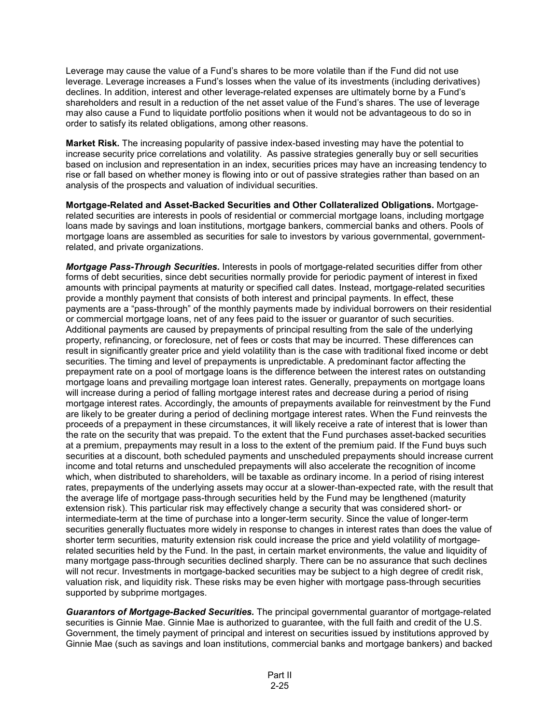Leverage may cause the value of a Fund's shares to be more volatile than if the Fund did not use leverage. Leverage increases a Fund's losses when the value of its investments (including derivatives) declines. In addition, interest and other leverage-related expenses are ultimately borne by a Fund's shareholders and result in a reduction of the net asset value of the Fund's shares. The use of leverage may also cause a Fund to liquidate portfolio positions when it would not be advantageous to do so in order to satisfy its related obligations, among other reasons.

**Market Risk.** The increasing popularity of passive index-based investing may have the potential to increase security price correlations and volatility. As passive strategies generally buy or sell securities based on inclusion and representation in an index, securities prices may have an increasing tendency to rise or fall based on whether money is flowing into or out of passive strategies rather than based on an analysis of the prospects and valuation of individual securities.

**Mortgage-Related and Asset-Backed Securities and Other Collateralized Obligations.** Mortgagerelated securities are interests in pools of residential or commercial mortgage loans, including mortgage loans made by savings and loan institutions, mortgage bankers, commercial banks and others. Pools of mortgage loans are assembled as securities for sale to investors by various governmental, governmentrelated, and private organizations.

*Mortgage Pass-Through Securities.* Interests in pools of mortgage-related securities differ from other forms of debt securities, since debt securities normally provide for periodic payment of interest in fixed amounts with principal payments at maturity or specified call dates. Instead, mortgage-related securities provide a monthly payment that consists of both interest and principal payments. In effect, these payments are a "pass-through" of the monthly payments made by individual borrowers on their residential or commercial mortgage loans, net of any fees paid to the issuer or guarantor of such securities. Additional payments are caused by prepayments of principal resulting from the sale of the underlying property, refinancing, or foreclosure, net of fees or costs that may be incurred. These differences can result in significantly greater price and yield volatility than is the case with traditional fixed income or debt securities. The timing and level of prepayments is unpredictable. A predominant factor affecting the prepayment rate on a pool of mortgage loans is the difference between the interest rates on outstanding mortgage loans and prevailing mortgage loan interest rates. Generally, prepayments on mortgage loans will increase during a period of falling mortgage interest rates and decrease during a period of rising mortgage interest rates. Accordingly, the amounts of prepayments available for reinvestment by the Fund are likely to be greater during a period of declining mortgage interest rates. When the Fund reinvests the proceeds of a prepayment in these circumstances, it will likely receive a rate of interest that is lower than the rate on the security that was prepaid. To the extent that the Fund purchases asset-backed securities at a premium, prepayments may result in a loss to the extent of the premium paid. If the Fund buys such securities at a discount, both scheduled payments and unscheduled prepayments should increase current income and total returns and unscheduled prepayments will also accelerate the recognition of income which, when distributed to shareholders, will be taxable as ordinary income. In a period of rising interest rates, prepayments of the underlying assets may occur at a slower-than-expected rate, with the result that the average life of mortgage pass-through securities held by the Fund may be lengthened (maturity extension risk). This particular risk may effectively change a security that was considered short- or intermediate-term at the time of purchase into a longer-term security. Since the value of longer-term securities generally fluctuates more widely in response to changes in interest rates than does the value of shorter term securities, maturity extension risk could increase the price and yield volatility of mortgagerelated securities held by the Fund. In the past, in certain market environments, the value and liquidity of many mortgage pass-through securities declined sharply. There can be no assurance that such declines will not recur. Investments in mortgage-backed securities may be subject to a high degree of credit risk, valuation risk, and liquidity risk. These risks may be even higher with mortgage pass-through securities supported by subprime mortgages.

*Guarantors of Mortgage-Backed Securities.* The principal governmental guarantor of mortgage-related securities is Ginnie Mae. Ginnie Mae is authorized to guarantee, with the full faith and credit of the U.S. Government, the timely payment of principal and interest on securities issued by institutions approved by Ginnie Mae (such as savings and loan institutions, commercial banks and mortgage bankers) and backed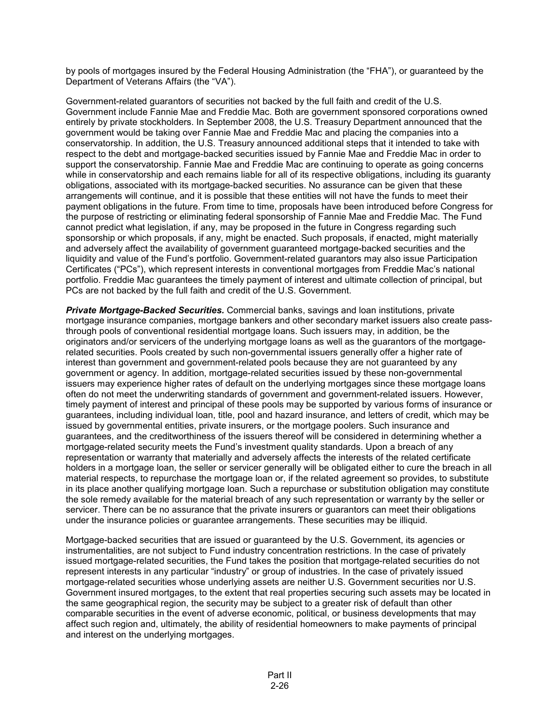by pools of mortgages insured by the Federal Housing Administration (the "FHA"), or guaranteed by the Department of Veterans Affairs (the "VA").

Government-related guarantors of securities not backed by the full faith and credit of the U.S. Government include Fannie Mae and Freddie Mac. Both are government sponsored corporations owned entirely by private stockholders. In September 2008, the U.S. Treasury Department announced that the government would be taking over Fannie Mae and Freddie Mac and placing the companies into a conservatorship. In addition, the U.S. Treasury announced additional steps that it intended to take with respect to the debt and mortgage-backed securities issued by Fannie Mae and Freddie Mac in order to support the conservatorship. Fannie Mae and Freddie Mac are continuing to operate as going concerns while in conservatorship and each remains liable for all of its respective obligations, including its guaranty obligations, associated with its mortgage-backed securities. No assurance can be given that these arrangements will continue, and it is possible that these entities will not have the funds to meet their payment obligations in the future. From time to time, proposals have been introduced before Congress for the purpose of restricting or eliminating federal sponsorship of Fannie Mae and Freddie Mac. The Fund cannot predict what legislation, if any, may be proposed in the future in Congress regarding such sponsorship or which proposals, if any, might be enacted. Such proposals, if enacted, might materially and adversely affect the availability of government guaranteed mortgage-backed securities and the liquidity and value of the Fund's portfolio. Government-related guarantors may also issue Participation Certificates ("PCs"), which represent interests in conventional mortgages from Freddie Mac's national portfolio. Freddie Mac guarantees the timely payment of interest and ultimate collection of principal, but PCs are not backed by the full faith and credit of the U.S. Government.

*Private Mortgage-Backed Securities.* Commercial banks, savings and loan institutions, private mortgage insurance companies, mortgage bankers and other secondary market issuers also create passthrough pools of conventional residential mortgage loans. Such issuers may, in addition, be the originators and/or servicers of the underlying mortgage loans as well as the guarantors of the mortgagerelated securities. Pools created by such non-governmental issuers generally offer a higher rate of interest than government and government-related pools because they are not guaranteed by any government or agency. In addition, mortgage-related securities issued by these non-governmental issuers may experience higher rates of default on the underlying mortgages since these mortgage loans often do not meet the underwriting standards of government and government-related issuers. However, timely payment of interest and principal of these pools may be supported by various forms of insurance or guarantees, including individual loan, title, pool and hazard insurance, and letters of credit, which may be issued by governmental entities, private insurers, or the mortgage poolers. Such insurance and guarantees, and the creditworthiness of the issuers thereof will be considered in determining whether a mortgage-related security meets the Fund's investment quality standards. Upon a breach of any representation or warranty that materially and adversely affects the interests of the related certificate holders in a mortgage loan, the seller or servicer generally will be obligated either to cure the breach in all material respects, to repurchase the mortgage loan or, if the related agreement so provides, to substitute in its place another qualifying mortgage loan. Such a repurchase or substitution obligation may constitute the sole remedy available for the material breach of any such representation or warranty by the seller or servicer. There can be no assurance that the private insurers or guarantors can meet their obligations under the insurance policies or guarantee arrangements. These securities may be illiquid.

Mortgage-backed securities that are issued or guaranteed by the U.S. Government, its agencies or instrumentalities, are not subject to Fund industry concentration restrictions. In the case of privately issued mortgage-related securities, the Fund takes the position that mortgage-related securities do not represent interests in any particular "industry" or group of industries. In the case of privately issued mortgage-related securities whose underlying assets are neither U.S. Government securities nor U.S. Government insured mortgages, to the extent that real properties securing such assets may be located in the same geographical region, the security may be subject to a greater risk of default than other comparable securities in the event of adverse economic, political, or business developments that may affect such region and, ultimately, the ability of residential homeowners to make payments of principal and interest on the underlying mortgages.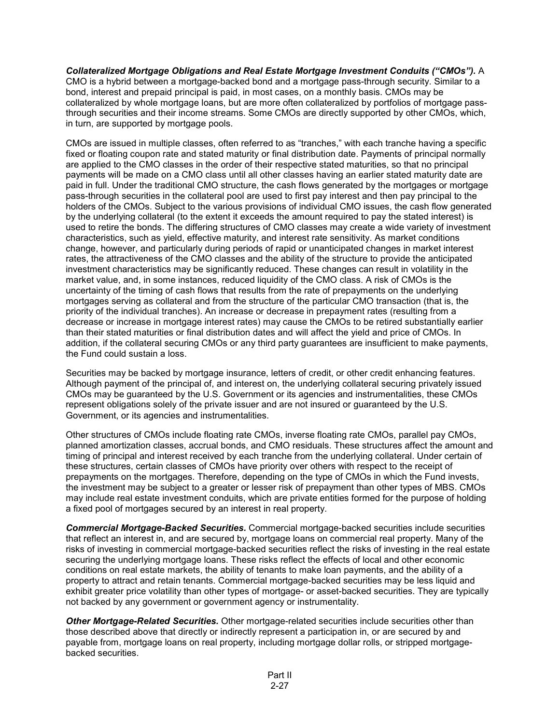*Collateralized Mortgage Obligations and Real Estate Mortgage Investment Conduits ("CMOs").* A CMO is a hybrid between a mortgage-backed bond and a mortgage pass-through security. Similar to a bond, interest and prepaid principal is paid, in most cases, on a monthly basis. CMOs may be collateralized by whole mortgage loans, but are more often collateralized by portfolios of mortgage passthrough securities and their income streams. Some CMOs are directly supported by other CMOs, which, in turn, are supported by mortgage pools.

CMOs are issued in multiple classes, often referred to as "tranches," with each tranche having a specific fixed or floating coupon rate and stated maturity or final distribution date. Payments of principal normally are applied to the CMO classes in the order of their respective stated maturities, so that no principal payments will be made on a CMO class until all other classes having an earlier stated maturity date are paid in full. Under the traditional CMO structure, the cash flows generated by the mortgages or mortgage pass-through securities in the collateral pool are used to first pay interest and then pay principal to the holders of the CMOs. Subject to the various provisions of individual CMO issues, the cash flow generated by the underlying collateral (to the extent it exceeds the amount required to pay the stated interest) is used to retire the bonds. The differing structures of CMO classes may create a wide variety of investment characteristics, such as yield, effective maturity, and interest rate sensitivity. As market conditions change, however, and particularly during periods of rapid or unanticipated changes in market interest rates, the attractiveness of the CMO classes and the ability of the structure to provide the anticipated investment characteristics may be significantly reduced. These changes can result in volatility in the market value, and, in some instances, reduced liquidity of the CMO class. A risk of CMOs is the uncertainty of the timing of cash flows that results from the rate of prepayments on the underlying mortgages serving as collateral and from the structure of the particular CMO transaction (that is, the priority of the individual tranches). An increase or decrease in prepayment rates (resulting from a decrease or increase in mortgage interest rates) may cause the CMOs to be retired substantially earlier than their stated maturities or final distribution dates and will affect the yield and price of CMOs. In addition, if the collateral securing CMOs or any third party guarantees are insufficient to make payments, the Fund could sustain a loss.

Securities may be backed by mortgage insurance, letters of credit, or other credit enhancing features. Although payment of the principal of, and interest on, the underlying collateral securing privately issued CMOs may be guaranteed by the U.S. Government or its agencies and instrumentalities, these CMOs represent obligations solely of the private issuer and are not insured or guaranteed by the U.S. Government, or its agencies and instrumentalities.

Other structures of CMOs include floating rate CMOs, inverse floating rate CMOs, parallel pay CMOs, planned amortization classes, accrual bonds, and CMO residuals. These structures affect the amount and timing of principal and interest received by each tranche from the underlying collateral. Under certain of these structures, certain classes of CMOs have priority over others with respect to the receipt of prepayments on the mortgages. Therefore, depending on the type of CMOs in which the Fund invests, the investment may be subject to a greater or lesser risk of prepayment than other types of MBS. CMOs may include real estate investment conduits, which are private entities formed for the purpose of holding a fixed pool of mortgages secured by an interest in real property.

*Commercial Mortgage-Backed Securities.* Commercial mortgage-backed securities include securities that reflect an interest in, and are secured by, mortgage loans on commercial real property. Many of the risks of investing in commercial mortgage-backed securities reflect the risks of investing in the real estate securing the underlying mortgage loans. These risks reflect the effects of local and other economic conditions on real estate markets, the ability of tenants to make loan payments, and the ability of a property to attract and retain tenants. Commercial mortgage-backed securities may be less liquid and exhibit greater price volatility than other types of mortgage- or asset-backed securities. They are typically not backed by any government or government agency or instrumentality.

*Other Mortgage-Related Securities.* Other mortgage-related securities include securities other than those described above that directly or indirectly represent a participation in, or are secured by and payable from, mortgage loans on real property, including mortgage dollar rolls, or stripped mortgagebacked securities.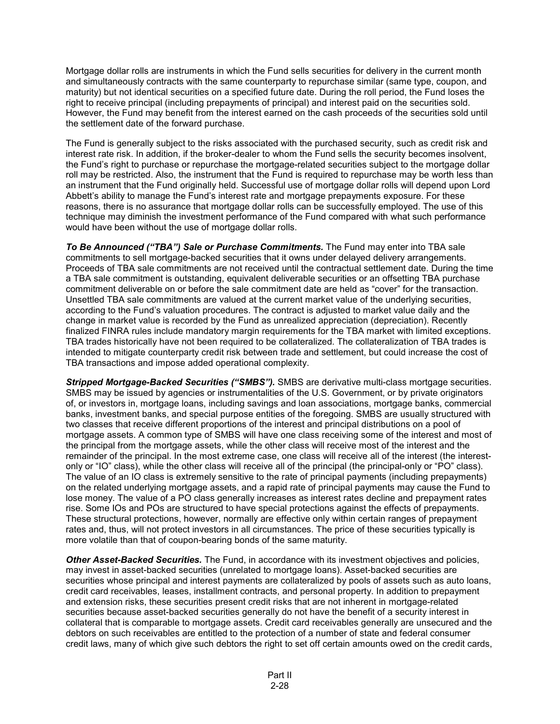Mortgage dollar rolls are instruments in which the Fund sells securities for delivery in the current month and simultaneously contracts with the same counterparty to repurchase similar (same type, coupon, and maturity) but not identical securities on a specified future date. During the roll period, the Fund loses the right to receive principal (including prepayments of principal) and interest paid on the securities sold. However, the Fund may benefit from the interest earned on the cash proceeds of the securities sold until the settlement date of the forward purchase.

The Fund is generally subject to the risks associated with the purchased security, such as credit risk and interest rate risk. In addition, if the broker-dealer to whom the Fund sells the security becomes insolvent, the Fund's right to purchase or repurchase the mortgage-related securities subject to the mortgage dollar roll may be restricted. Also, the instrument that the Fund is required to repurchase may be worth less than an instrument that the Fund originally held. Successful use of mortgage dollar rolls will depend upon Lord Abbett's ability to manage the Fund's interest rate and mortgage prepayments exposure. For these reasons, there is no assurance that mortgage dollar rolls can be successfully employed. The use of this technique may diminish the investment performance of the Fund compared with what such performance would have been without the use of mortgage dollar rolls.

*To Be Announced ("TBA") Sale or Purchase Commitments.* The Fund may enter into TBA sale commitments to sell mortgage-backed securities that it owns under delayed delivery arrangements. Proceeds of TBA sale commitments are not received until the contractual settlement date. During the time a TBA sale commitment is outstanding, equivalent deliverable securities or an offsetting TBA purchase commitment deliverable on or before the sale commitment date are held as "cover" for the transaction. Unsettled TBA sale commitments are valued at the current market value of the underlying securities, according to the Fund's valuation procedures. The contract is adjusted to market value daily and the change in market value is recorded by the Fund as unrealized appreciation (depreciation). Recently finalized FINRA rules include mandatory margin requirements for the TBA market with limited exceptions. TBA trades historically have not been required to be collateralized. The collateralization of TBA trades is intended to mitigate counterparty credit risk between trade and settlement, but could increase the cost of TBA transactions and impose added operational complexity.

*Stripped Mortgage-Backed Securities ("SMBS").* SMBS are derivative multi-class mortgage securities. SMBS may be issued by agencies or instrumentalities of the U.S. Government, or by private originators of, or investors in, mortgage loans, including savings and loan associations, mortgage banks, commercial banks, investment banks, and special purpose entities of the foregoing. SMBS are usually structured with two classes that receive different proportions of the interest and principal distributions on a pool of mortgage assets. A common type of SMBS will have one class receiving some of the interest and most of the principal from the mortgage assets, while the other class will receive most of the interest and the remainder of the principal. In the most extreme case, one class will receive all of the interest (the interestonly or "IO" class), while the other class will receive all of the principal (the principal-only or "PO" class). The value of an IO class is extremely sensitive to the rate of principal payments (including prepayments) on the related underlying mortgage assets, and a rapid rate of principal payments may cause the Fund to lose money. The value of a PO class generally increases as interest rates decline and prepayment rates rise. Some IOs and POs are structured to have special protections against the effects of prepayments. These structural protections, however, normally are effective only within certain ranges of prepayment rates and, thus, will not protect investors in all circumstances. The price of these securities typically is more volatile than that of coupon-bearing bonds of the same maturity.

*Other Asset-Backed Securities.* The Fund, in accordance with its investment objectives and policies, may invest in asset-backed securities (unrelated to mortgage loans). Asset-backed securities are securities whose principal and interest payments are collateralized by pools of assets such as auto loans, credit card receivables, leases, installment contracts, and personal property. In addition to prepayment and extension risks, these securities present credit risks that are not inherent in mortgage-related securities because asset-backed securities generally do not have the benefit of a security interest in collateral that is comparable to mortgage assets. Credit card receivables generally are unsecured and the debtors on such receivables are entitled to the protection of a number of state and federal consumer credit laws, many of which give such debtors the right to set off certain amounts owed on the credit cards,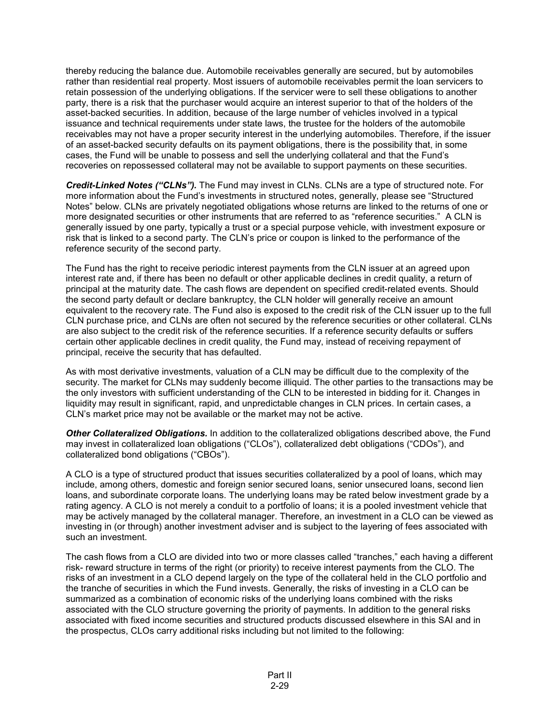thereby reducing the balance due. Automobile receivables generally are secured, but by automobiles rather than residential real property. Most issuers of automobile receivables permit the loan servicers to retain possession of the underlying obligations. If the servicer were to sell these obligations to another party, there is a risk that the purchaser would acquire an interest superior to that of the holders of the asset-backed securities. In addition, because of the large number of vehicles involved in a typical issuance and technical requirements under state laws, the trustee for the holders of the automobile receivables may not have a proper security interest in the underlying automobiles. Therefore, if the issuer of an asset-backed security defaults on its payment obligations, there is the possibility that, in some cases, the Fund will be unable to possess and sell the underlying collateral and that the Fund's recoveries on repossessed collateral may not be available to support payments on these securities.

*Credit-Linked Notes ("CLNs").* The Fund may invest in CLNs. CLNs are a type of structured note. For more information about the Fund's investments in structured notes, generally, please see "Structured Notes" below. CLNs are privately negotiated obligations whose returns are linked to the returns of one or more designated securities or other instruments that are referred to as "reference securities." A CLN is generally issued by one party, typically a trust or a special purpose vehicle, with investment exposure or risk that is linked to a second party. The CLN's price or coupon is linked to the performance of the reference security of the second party.

The Fund has the right to receive periodic interest payments from the CLN issuer at an agreed upon interest rate and, if there has been no default or other applicable declines in credit quality, a return of principal at the maturity date. The cash flows are dependent on specified credit-related events. Should the second party default or declare bankruptcy, the CLN holder will generally receive an amount equivalent to the recovery rate. The Fund also is exposed to the credit risk of the CLN issuer up to the full CLN purchase price, and CLNs are often not secured by the reference securities or other collateral. CLNs are also subject to the credit risk of the reference securities. If a reference security defaults or suffers certain other applicable declines in credit quality, the Fund may, instead of receiving repayment of principal, receive the security that has defaulted.

As with most derivative investments, valuation of a CLN may be difficult due to the complexity of the security. The market for CLNs may suddenly become illiquid. The other parties to the transactions may be the only investors with sufficient understanding of the CLN to be interested in bidding for it. Changes in liquidity may result in significant, rapid, and unpredictable changes in CLN prices. In certain cases, a CLN's market price may not be available or the market may not be active.

*Other Collateralized Obligations.* In addition to the collateralized obligations described above, the Fund may invest in collateralized loan obligations ("CLOs"), collateralized debt obligations ("CDOs"), and collateralized bond obligations ("CBOs").

A CLO is a type of structured product that issues securities collateralized by a pool of loans, which may include, among others, domestic and foreign senior secured loans, senior unsecured loans, second lien loans, and subordinate corporate loans. The underlying loans may be rated below investment grade by a rating agency. A CLO is not merely a conduit to a portfolio of loans; it is a pooled investment vehicle that may be actively managed by the collateral manager. Therefore, an investment in a CLO can be viewed as investing in (or through) another investment adviser and is subject to the layering of fees associated with such an investment.

The cash flows from a CLO are divided into two or more classes called "tranches," each having a different risk- reward structure in terms of the right (or priority) to receive interest payments from the CLO. The risks of an investment in a CLO depend largely on the type of the collateral held in the CLO portfolio and the tranche of securities in which the Fund invests. Generally, the risks of investing in a CLO can be summarized as a combination of economic risks of the underlying loans combined with the risks associated with the CLO structure governing the priority of payments. In addition to the general risks associated with fixed income securities and structured products discussed elsewhere in this SAI and in the prospectus, CLOs carry additional risks including but not limited to the following: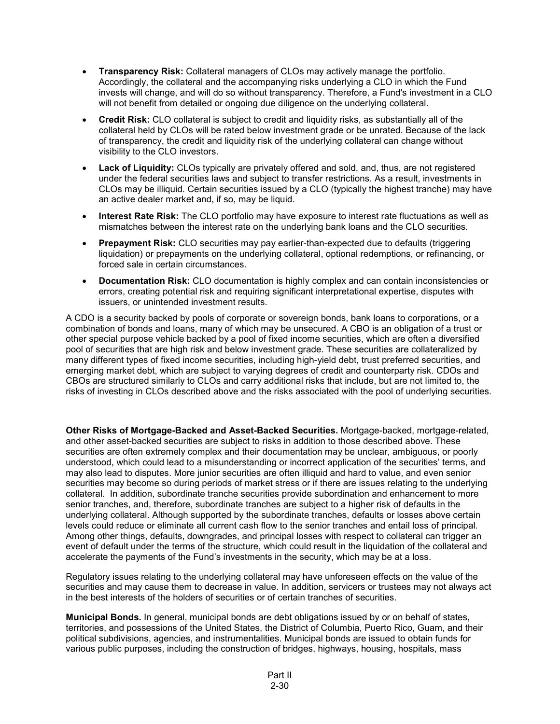- **Transparency Risk:** Collateral managers of CLOs may actively manage the portfolio. Accordingly, the collateral and the accompanying risks underlying a CLO in which the Fund invests will change, and will do so without transparency. Therefore, a Fund's investment in a CLO will not benefit from detailed or ongoing due diligence on the underlying collateral.
- **Credit Risk:** CLO collateral is subject to credit and liquidity risks, as substantially all of the collateral held by CLOs will be rated below investment grade or be unrated. Because of the lack of transparency, the credit and liquidity risk of the underlying collateral can change without visibility to the CLO investors.
- Lack of Liquidity: CLOs typically are privately offered and sold, and, thus, are not registered under the federal securities laws and subject to transfer restrictions. As a result, investments in CLOs may be illiquid. Certain securities issued by a CLO (typically the highest tranche) may have an active dealer market and, if so, may be liquid.
- **Interest Rate Risk:** The CLO portfolio may have exposure to interest rate fluctuations as well as mismatches between the interest rate on the underlying bank loans and the CLO securities.
- **Prepayment Risk:** CLO securities may pay earlier-than-expected due to defaults (triggering liquidation) or prepayments on the underlying collateral, optional redemptions, or refinancing, or forced sale in certain circumstances.
- **Documentation Risk:** CLO documentation is highly complex and can contain inconsistencies or errors, creating potential risk and requiring significant interpretational expertise, disputes with issuers, or unintended investment results.

A CDO is a security backed by pools of corporate or sovereign bonds, bank loans to corporations, or a combination of bonds and loans, many of which may be unsecured. A CBO is an obligation of a trust or other special purpose vehicle backed by a pool of fixed income securities, which are often a diversified pool of securities that are high risk and below investment grade. These securities are collateralized by many different types of fixed income securities, including high-yield debt, trust preferred securities, and emerging market debt, which are subject to varying degrees of credit and counterparty risk. CDOs and CBOs are structured similarly to CLOs and carry additional risks that include, but are not limited to, the risks of investing in CLOs described above and the risks associated with the pool of underlying securities.

**Other Risks of Mortgage-Backed and Asset-Backed Securities.** Mortgage-backed, mortgage-related, and other asset-backed securities are subject to risks in addition to those described above. These securities are often extremely complex and their documentation may be unclear, ambiguous, or poorly understood, which could lead to a misunderstanding or incorrect application of the securities' terms, and may also lead to disputes. More junior securities are often illiquid and hard to value, and even senior securities may become so during periods of market stress or if there are issues relating to the underlying collateral. In addition, subordinate tranche securities provide subordination and enhancement to more senior tranches, and, therefore, subordinate tranches are subject to a higher risk of defaults in the underlying collateral. Although supported by the subordinate tranches, defaults or losses above certain levels could reduce or eliminate all current cash flow to the senior tranches and entail loss of principal. Among other things, defaults, downgrades, and principal losses with respect to collateral can trigger an event of default under the terms of the structure, which could result in the liquidation of the collateral and accelerate the payments of the Fund's investments in the security, which may be at a loss.

Regulatory issues relating to the underlying collateral may have unforeseen effects on the value of the securities and may cause them to decrease in value. In addition, servicers or trustees may not always act in the best interests of the holders of securities or of certain tranches of securities.

**Municipal Bonds.** In general, municipal bonds are debt obligations issued by or on behalf of states, territories, and possessions of the United States, the District of Columbia, Puerto Rico, Guam, and their political subdivisions, agencies, and instrumentalities. Municipal bonds are issued to obtain funds for various public purposes, including the construction of bridges, highways, housing, hospitals, mass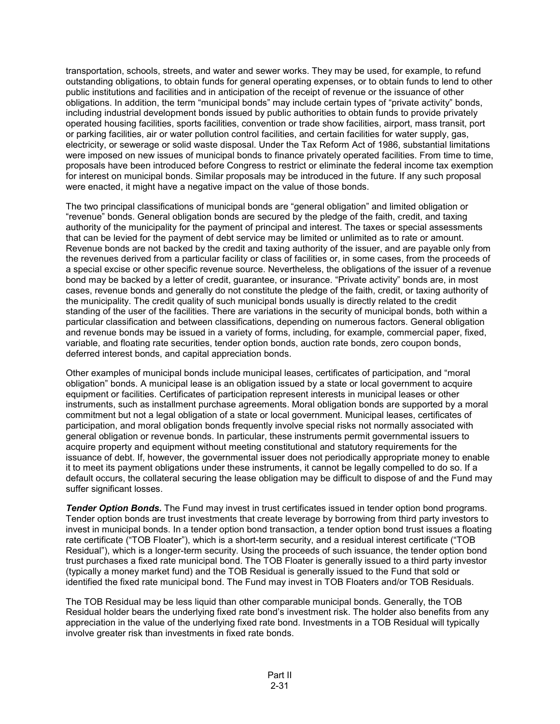transportation, schools, streets, and water and sewer works. They may be used, for example, to refund outstanding obligations, to obtain funds for general operating expenses, or to obtain funds to lend to other public institutions and facilities and in anticipation of the receipt of revenue or the issuance of other obligations. In addition, the term "municipal bonds" may include certain types of "private activity" bonds, including industrial development bonds issued by public authorities to obtain funds to provide privately operated housing facilities, sports facilities, convention or trade show facilities, airport, mass transit, port or parking facilities, air or water pollution control facilities, and certain facilities for water supply, gas, electricity, or sewerage or solid waste disposal. Under the Tax Reform Act of 1986, substantial limitations were imposed on new issues of municipal bonds to finance privately operated facilities. From time to time, proposals have been introduced before Congress to restrict or eliminate the federal income tax exemption for interest on municipal bonds. Similar proposals may be introduced in the future. If any such proposal were enacted, it might have a negative impact on the value of those bonds.

The two principal classifications of municipal bonds are "general obligation" and limited obligation or "revenue" bonds. General obligation bonds are secured by the pledge of the faith, credit, and taxing authority of the municipality for the payment of principal and interest. The taxes or special assessments that can be levied for the payment of debt service may be limited or unlimited as to rate or amount. Revenue bonds are not backed by the credit and taxing authority of the issuer, and are payable only from the revenues derived from a particular facility or class of facilities or, in some cases, from the proceeds of a special excise or other specific revenue source. Nevertheless, the obligations of the issuer of a revenue bond may be backed by a letter of credit, guarantee, or insurance. "Private activity" bonds are, in most cases, revenue bonds and generally do not constitute the pledge of the faith, credit, or taxing authority of the municipality. The credit quality of such municipal bonds usually is directly related to the credit standing of the user of the facilities. There are variations in the security of municipal bonds, both within a particular classification and between classifications, depending on numerous factors. General obligation and revenue bonds may be issued in a variety of forms, including, for example, commercial paper, fixed, variable, and floating rate securities, tender option bonds, auction rate bonds, zero coupon bonds, deferred interest bonds, and capital appreciation bonds.

Other examples of municipal bonds include municipal leases, certificates of participation, and "moral obligation" bonds. A municipal lease is an obligation issued by a state or local government to acquire equipment or facilities. Certificates of participation represent interests in municipal leases or other instruments, such as installment purchase agreements. Moral obligation bonds are supported by a moral commitment but not a legal obligation of a state or local government. Municipal leases, certificates of participation, and moral obligation bonds frequently involve special risks not normally associated with general obligation or revenue bonds. In particular, these instruments permit governmental issuers to acquire property and equipment without meeting constitutional and statutory requirements for the issuance of debt. If, however, the governmental issuer does not periodically appropriate money to enable it to meet its payment obligations under these instruments, it cannot be legally compelled to do so. If a default occurs, the collateral securing the lease obligation may be difficult to dispose of and the Fund may suffer significant losses.

*Tender Option Bonds.* The Fund may invest in trust certificates issued in tender option bond programs. Tender option bonds are trust investments that create leverage by borrowing from third party investors to invest in municipal bonds. In a tender option bond transaction, a tender option bond trust issues a floating rate certificate ("TOB Floater"), which is a short-term security, and a residual interest certificate ("TOB Residual"), which is a longer-term security. Using the proceeds of such issuance, the tender option bond trust purchases a fixed rate municipal bond. The TOB Floater is generally issued to a third party investor (typically a money market fund) and the TOB Residual is generally issued to the Fund that sold or identified the fixed rate municipal bond. The Fund may invest in TOB Floaters and/or TOB Residuals.

The TOB Residual may be less liquid than other comparable municipal bonds. Generally, the TOB Residual holder bears the underlying fixed rate bond's investment risk. The holder also benefits from any appreciation in the value of the underlying fixed rate bond. Investments in a TOB Residual will typically involve greater risk than investments in fixed rate bonds.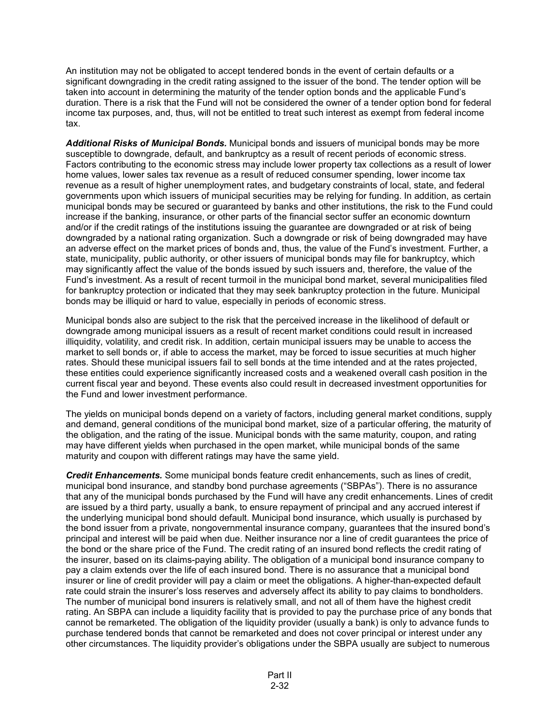An institution may not be obligated to accept tendered bonds in the event of certain defaults or a significant downgrading in the credit rating assigned to the issuer of the bond. The tender option will be taken into account in determining the maturity of the tender option bonds and the applicable Fund's duration. There is a risk that the Fund will not be considered the owner of a tender option bond for federal income tax purposes, and, thus, will not be entitled to treat such interest as exempt from federal income tax.

*Additional Risks of Municipal Bonds.* Municipal bonds and issuers of municipal bonds may be more susceptible to downgrade, default, and bankruptcy as a result of recent periods of economic stress. Factors contributing to the economic stress may include lower property tax collections as a result of lower home values, lower sales tax revenue as a result of reduced consumer spending, lower income tax revenue as a result of higher unemployment rates, and budgetary constraints of local, state, and federal governments upon which issuers of municipal securities may be relying for funding. In addition, as certain municipal bonds may be secured or guaranteed by banks and other institutions, the risk to the Fund could increase if the banking, insurance, or other parts of the financial sector suffer an economic downturn and/or if the credit ratings of the institutions issuing the guarantee are downgraded or at risk of being downgraded by a national rating organization. Such a downgrade or risk of being downgraded may have an adverse effect on the market prices of bonds and, thus, the value of the Fund's investment. Further, a state, municipality, public authority, or other issuers of municipal bonds may file for bankruptcy, which may significantly affect the value of the bonds issued by such issuers and, therefore, the value of the Fund's investment. As a result of recent turmoil in the municipal bond market, several municipalities filed for bankruptcy protection or indicated that they may seek bankruptcy protection in the future. Municipal bonds may be illiquid or hard to value, especially in periods of economic stress.

Municipal bonds also are subject to the risk that the perceived increase in the likelihood of default or downgrade among municipal issuers as a result of recent market conditions could result in increased illiquidity, volatility, and credit risk. In addition, certain municipal issuers may be unable to access the market to sell bonds or, if able to access the market, may be forced to issue securities at much higher rates. Should these municipal issuers fail to sell bonds at the time intended and at the rates projected, these entities could experience significantly increased costs and a weakened overall cash position in the current fiscal year and beyond. These events also could result in decreased investment opportunities for the Fund and lower investment performance.

The yields on municipal bonds depend on a variety of factors, including general market conditions, supply and demand, general conditions of the municipal bond market, size of a particular offering, the maturity of the obligation, and the rating of the issue. Municipal bonds with the same maturity, coupon, and rating may have different yields when purchased in the open market, while municipal bonds of the same maturity and coupon with different ratings may have the same yield.

*Credit Enhancements.* Some municipal bonds feature credit enhancements, such as lines of credit, municipal bond insurance, and standby bond purchase agreements ("SBPAs"). There is no assurance that any of the municipal bonds purchased by the Fund will have any credit enhancements. Lines of credit are issued by a third party, usually a bank, to ensure repayment of principal and any accrued interest if the underlying municipal bond should default. Municipal bond insurance, which usually is purchased by the bond issuer from a private, nongovernmental insurance company, guarantees that the insured bond's principal and interest will be paid when due. Neither insurance nor a line of credit guarantees the price of the bond or the share price of the Fund. The credit rating of an insured bond reflects the credit rating of the insurer, based on its claims-paying ability. The obligation of a municipal bond insurance company to pay a claim extends over the life of each insured bond. There is no assurance that a municipal bond insurer or line of credit provider will pay a claim or meet the obligations. A higher-than-expected default rate could strain the insurer's loss reserves and adversely affect its ability to pay claims to bondholders. The number of municipal bond insurers is relatively small, and not all of them have the highest credit rating. An SBPA can include a liquidity facility that is provided to pay the purchase price of any bonds that cannot be remarketed. The obligation of the liquidity provider (usually a bank) is only to advance funds to purchase tendered bonds that cannot be remarketed and does not cover principal or interest under any other circumstances. The liquidity provider's obligations under the SBPA usually are subject to numerous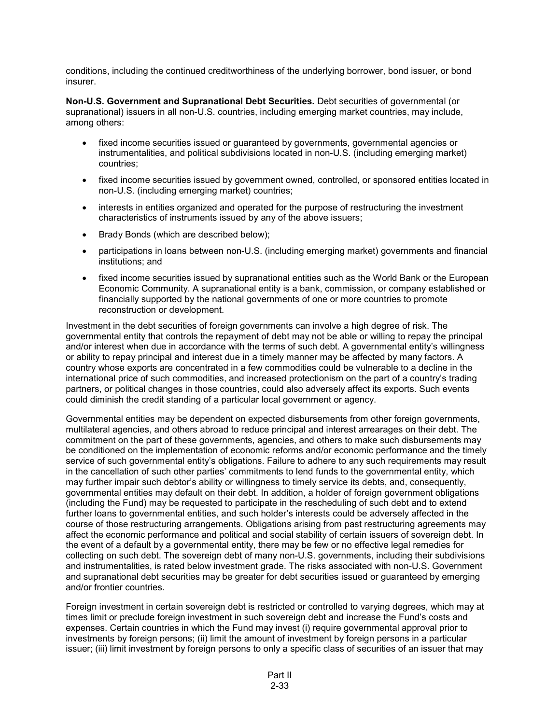conditions, including the continued creditworthiness of the underlying borrower, bond issuer, or bond insurer.

**Non-U.S. Government and Supranational Debt Securities.** Debt securities of governmental (or supranational) issuers in all non-U.S. countries, including emerging market countries, may include, among others:

- fixed income securities issued or guaranteed by governments, governmental agencies or instrumentalities, and political subdivisions located in non-U.S. (including emerging market) countries;
- fixed income securities issued by government owned, controlled, or sponsored entities located in non-U.S. (including emerging market) countries;
- interests in entities organized and operated for the purpose of restructuring the investment characteristics of instruments issued by any of the above issuers;
- Brady Bonds (which are described below);
- participations in loans between non-U.S. (including emerging market) governments and financial institutions; and
- fixed income securities issued by supranational entities such as the World Bank or the European Economic Community. A supranational entity is a bank, commission, or company established or financially supported by the national governments of one or more countries to promote reconstruction or development.

Investment in the debt securities of foreign governments can involve a high degree of risk. The governmental entity that controls the repayment of debt may not be able or willing to repay the principal and/or interest when due in accordance with the terms of such debt. A governmental entity's willingness or ability to repay principal and interest due in a timely manner may be affected by many factors. A country whose exports are concentrated in a few commodities could be vulnerable to a decline in the international price of such commodities, and increased protectionism on the part of a country's trading partners, or political changes in those countries, could also adversely affect its exports. Such events could diminish the credit standing of a particular local government or agency.

Governmental entities may be dependent on expected disbursements from other foreign governments, multilateral agencies, and others abroad to reduce principal and interest arrearages on their debt. The commitment on the part of these governments, agencies, and others to make such disbursements may be conditioned on the implementation of economic reforms and/or economic performance and the timely service of such governmental entity's obligations. Failure to adhere to any such requirements may result in the cancellation of such other parties' commitments to lend funds to the governmental entity, which may further impair such debtor's ability or willingness to timely service its debts, and, consequently, governmental entities may default on their debt. In addition, a holder of foreign government obligations (including the Fund) may be requested to participate in the rescheduling of such debt and to extend further loans to governmental entities, and such holder's interests could be adversely affected in the course of those restructuring arrangements. Obligations arising from past restructuring agreements may affect the economic performance and political and social stability of certain issuers of sovereign debt. In the event of a default by a governmental entity, there may be few or no effective legal remedies for collecting on such debt. The sovereign debt of many non-U.S. governments, including their subdivisions and instrumentalities, is rated below investment grade. The risks associated with non-U.S. Government and supranational debt securities may be greater for debt securities issued or guaranteed by emerging and/or frontier countries.

Foreign investment in certain sovereign debt is restricted or controlled to varying degrees, which may at times limit or preclude foreign investment in such sovereign debt and increase the Fund's costs and expenses. Certain countries in which the Fund may invest (i) require governmental approval prior to investments by foreign persons; (ii) limit the amount of investment by foreign persons in a particular issuer; (iii) limit investment by foreign persons to only a specific class of securities of an issuer that may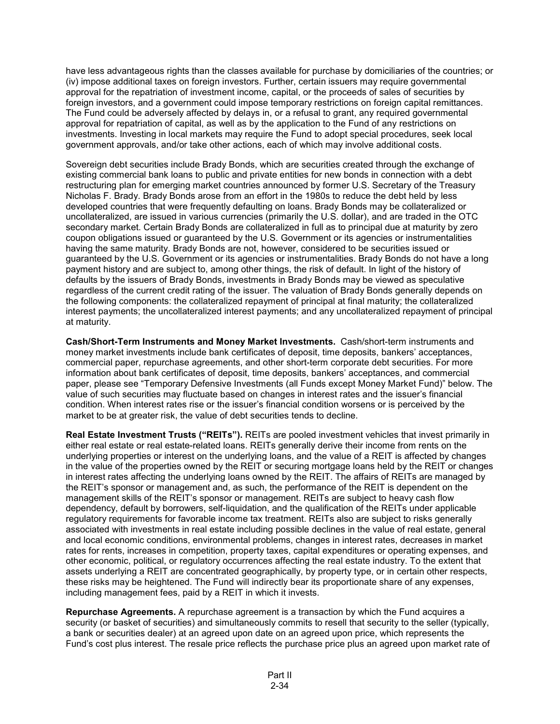have less advantageous rights than the classes available for purchase by domiciliaries of the countries; or (iv) impose additional taxes on foreign investors. Further, certain issuers may require governmental approval for the repatriation of investment income, capital, or the proceeds of sales of securities by foreign investors, and a government could impose temporary restrictions on foreign capital remittances. The Fund could be adversely affected by delays in, or a refusal to grant, any required governmental approval for repatriation of capital, as well as by the application to the Fund of any restrictions on investments. Investing in local markets may require the Fund to adopt special procedures, seek local government approvals, and/or take other actions, each of which may involve additional costs.

Sovereign debt securities include Brady Bonds, which are securities created through the exchange of existing commercial bank loans to public and private entities for new bonds in connection with a debt restructuring plan for emerging market countries announced by former U.S. Secretary of the Treasury Nicholas F. Brady. Brady Bonds arose from an effort in the 1980s to reduce the debt held by less developed countries that were frequently defaulting on loans. Brady Bonds may be collateralized or uncollateralized, are issued in various currencies (primarily the U.S. dollar), and are traded in the OTC secondary market. Certain Brady Bonds are collateralized in full as to principal due at maturity by zero coupon obligations issued or guaranteed by the U.S. Government or its agencies or instrumentalities having the same maturity. Brady Bonds are not, however, considered to be securities issued or guaranteed by the U.S. Government or its agencies or instrumentalities. Brady Bonds do not have a long payment history and are subject to, among other things, the risk of default. In light of the history of defaults by the issuers of Brady Bonds, investments in Brady Bonds may be viewed as speculative regardless of the current credit rating of the issuer. The valuation of Brady Bonds generally depends on the following components: the collateralized repayment of principal at final maturity; the collateralized interest payments; the uncollateralized interest payments; and any uncollateralized repayment of principal at maturity.

**Cash/Short-Term Instruments and Money Market Investments.** Cash/short-term instruments and money market investments include bank certificates of deposit, time deposits, bankers' acceptances, commercial paper, repurchase agreements, and other short-term corporate debt securities. For more information about bank certificates of deposit, time deposits, bankers' acceptances, and commercial paper, please see "Temporary Defensive Investments (all Funds except Money Market Fund)" below. The value of such securities may fluctuate based on changes in interest rates and the issuer's financial condition. When interest rates rise or the issuer's financial condition worsens or is perceived by the market to be at greater risk, the value of debt securities tends to decline.

**Real Estate Investment Trusts ("REITs").** REITs are pooled investment vehicles that invest primarily in either real estate or real estate-related loans. REITs generally derive their income from rents on the underlying properties or interest on the underlying loans, and the value of a REIT is affected by changes in the value of the properties owned by the REIT or securing mortgage loans held by the REIT or changes in interest rates affecting the underlying loans owned by the REIT. The affairs of REITs are managed by the REIT's sponsor or management and, as such, the performance of the REIT is dependent on the management skills of the REIT's sponsor or management. REITs are subject to heavy cash flow dependency, default by borrowers, self-liquidation, and the qualification of the REITs under applicable regulatory requirements for favorable income tax treatment. REITs also are subject to risks generally associated with investments in real estate including possible declines in the value of real estate, general and local economic conditions, environmental problems, changes in interest rates, decreases in market rates for rents, increases in competition, property taxes, capital expenditures or operating expenses, and other economic, political, or regulatory occurrences affecting the real estate industry. To the extent that assets underlying a REIT are concentrated geographically, by property type, or in certain other respects, these risks may be heightened. The Fund will indirectly bear its proportionate share of any expenses, including management fees, paid by a REIT in which it invests.

**Repurchase Agreements.** A repurchase agreement is a transaction by which the Fund acquires a security (or basket of securities) and simultaneously commits to resell that security to the seller (typically, a bank or securities dealer) at an agreed upon date on an agreed upon price, which represents the Fund's cost plus interest. The resale price reflects the purchase price plus an agreed upon market rate of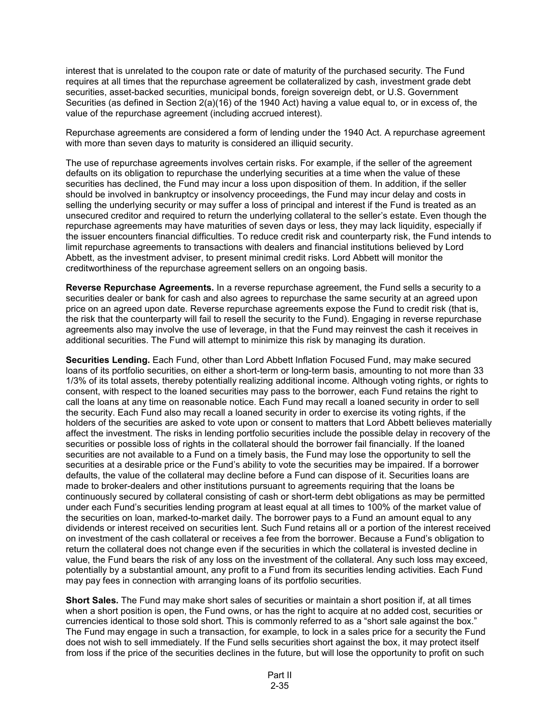interest that is unrelated to the coupon rate or date of maturity of the purchased security. The Fund requires at all times that the repurchase agreement be collateralized by cash, investment grade debt securities, asset-backed securities, municipal bonds, foreign sovereign debt, or U.S. Government Securities (as defined in Section 2(a)(16) of the 1940 Act) having a value equal to, or in excess of, the value of the repurchase agreement (including accrued interest).

Repurchase agreements are considered a form of lending under the 1940 Act. A repurchase agreement with more than seven days to maturity is considered an illiquid security.

The use of repurchase agreements involves certain risks. For example, if the seller of the agreement defaults on its obligation to repurchase the underlying securities at a time when the value of these securities has declined, the Fund may incur a loss upon disposition of them. In addition, if the seller should be involved in bankruptcy or insolvency proceedings, the Fund may incur delay and costs in selling the underlying security or may suffer a loss of principal and interest if the Fund is treated as an unsecured creditor and required to return the underlying collateral to the seller's estate. Even though the repurchase agreements may have maturities of seven days or less, they may lack liquidity, especially if the issuer encounters financial difficulties. To reduce credit risk and counterparty risk, the Fund intends to limit repurchase agreements to transactions with dealers and financial institutions believed by Lord Abbett, as the investment adviser, to present minimal credit risks. Lord Abbett will monitor the creditworthiness of the repurchase agreement sellers on an ongoing basis.

**Reverse Repurchase Agreements.** In a reverse repurchase agreement, the Fund sells a security to a securities dealer or bank for cash and also agrees to repurchase the same security at an agreed upon price on an agreed upon date. Reverse repurchase agreements expose the Fund to credit risk (that is, the risk that the counterparty will fail to resell the security to the Fund). Engaging in reverse repurchase agreements also may involve the use of leverage, in that the Fund may reinvest the cash it receives in additional securities. The Fund will attempt to minimize this risk by managing its duration.

**Securities Lending.** Each Fund, other than Lord Abbett Inflation Focused Fund, may make secured loans of its portfolio securities, on either a short-term or long-term basis, amounting to not more than 33 1/3% of its total assets, thereby potentially realizing additional income. Although voting rights, or rights to consent, with respect to the loaned securities may pass to the borrower, each Fund retains the right to call the loans at any time on reasonable notice. Each Fund may recall a loaned security in order to sell the security. Each Fund also may recall a loaned security in order to exercise its voting rights, if the holders of the securities are asked to vote upon or consent to matters that Lord Abbett believes materially affect the investment. The risks in lending portfolio securities include the possible delay in recovery of the securities or possible loss of rights in the collateral should the borrower fail financially. If the loaned securities are not available to a Fund on a timely basis, the Fund may lose the opportunity to sell the securities at a desirable price or the Fund's ability to vote the securities may be impaired. If a borrower defaults, the value of the collateral may decline before a Fund can dispose of it. Securities loans are made to broker-dealers and other institutions pursuant to agreements requiring that the loans be continuously secured by collateral consisting of cash or short-term debt obligations as may be permitted under each Fund's securities lending program at least equal at all times to 100% of the market value of the securities on loan, marked-to-market daily. The borrower pays to a Fund an amount equal to any dividends or interest received on securities lent. Such Fund retains all or a portion of the interest received on investment of the cash collateral or receives a fee from the borrower. Because a Fund's obligation to return the collateral does not change even if the securities in which the collateral is invested decline in value, the Fund bears the risk of any loss on the investment of the collateral. Any such loss may exceed, potentially by a substantial amount, any profit to a Fund from its securities lending activities. Each Fund may pay fees in connection with arranging loans of its portfolio securities.

**Short Sales.** The Fund may make short sales of securities or maintain a short position if, at all times when a short position is open, the Fund owns, or has the right to acquire at no added cost, securities or currencies identical to those sold short. This is commonly referred to as a "short sale against the box." The Fund may engage in such a transaction, for example, to lock in a sales price for a security the Fund does not wish to sell immediately. If the Fund sells securities short against the box, it may protect itself from loss if the price of the securities declines in the future, but will lose the opportunity to profit on such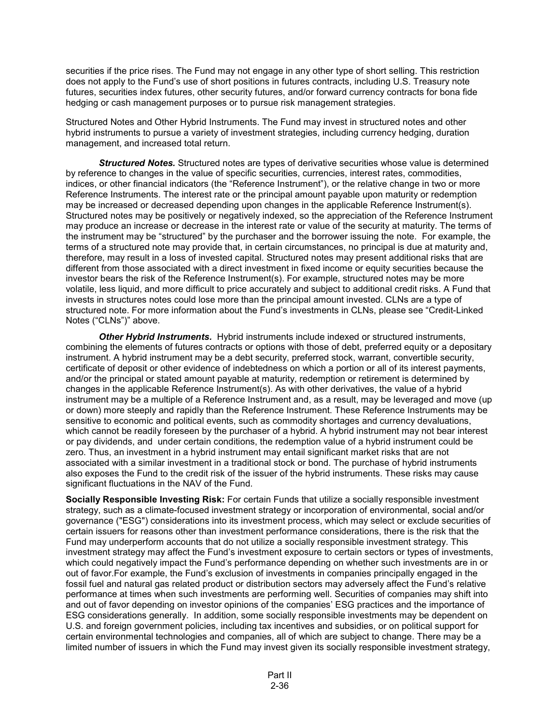securities if the price rises. The Fund may not engage in any other type of short selling. This restriction does not apply to the Fund's use of short positions in futures contracts, including U.S. Treasury note futures, securities index futures, other security futures, and/or forward currency contracts for bona fide hedging or cash management purposes or to pursue risk management strategies.

Structured Notes and Other Hybrid Instruments. The Fund may invest in structured notes and other hybrid instruments to pursue a variety of investment strategies, including currency hedging, duration management, and increased total return.

*Structured Notes.* Structured notes are types of derivative securities whose value is determined by reference to changes in the value of specific securities, currencies, interest rates, commodities, indices, or other financial indicators (the "Reference Instrument"), or the relative change in two or more Reference Instruments. The interest rate or the principal amount payable upon maturity or redemption may be increased or decreased depending upon changes in the applicable Reference Instrument(s). Structured notes may be positively or negatively indexed, so the appreciation of the Reference Instrument may produce an increase or decrease in the interest rate or value of the security at maturity. The terms of the instrument may be "structured" by the purchaser and the borrower issuing the note. For example, the terms of a structured note may provide that, in certain circumstances, no principal is due at maturity and, therefore, may result in a loss of invested capital. Structured notes may present additional risks that are different from those associated with a direct investment in fixed income or equity securities because the investor bears the risk of the Reference Instrument(s). For example, structured notes may be more volatile, less liquid, and more difficult to price accurately and subject to additional credit risks. A Fund that invests in structures notes could lose more than the principal amount invested. CLNs are a type of structured note. For more information about the Fund's investments in CLNs, please see "Credit-Linked Notes ("CLNs")" above.

*Other Hybrid Instruments.* Hybrid instruments include indexed or structured instruments, combining the elements of futures contracts or options with those of debt, preferred equity or a depositary instrument. A hybrid instrument may be a debt security, preferred stock, warrant, convertible security, certificate of deposit or other evidence of indebtedness on which a portion or all of its interest payments, and/or the principal or stated amount payable at maturity, redemption or retirement is determined by changes in the applicable Reference Instrument(s). As with other derivatives, the value of a hybrid instrument may be a multiple of a Reference Instrument and, as a result, may be leveraged and move (up or down) more steeply and rapidly than the Reference Instrument. These Reference Instruments may be sensitive to economic and political events, such as commodity shortages and currency devaluations, which cannot be readily foreseen by the purchaser of a hybrid. A hybrid instrument may not bear interest or pay dividends, and under certain conditions, the redemption value of a hybrid instrument could be zero. Thus, an investment in a hybrid instrument may entail significant market risks that are not associated with a similar investment in a traditional stock or bond. The purchase of hybrid instruments also exposes the Fund to the credit risk of the issuer of the hybrid instruments. These risks may cause significant fluctuations in the NAV of the Fund.

**Socially Responsible Investing Risk:** For certain Funds that utilize a socially responsible investment strategy, such as a climate-focused investment strategy or incorporation of environmental, social and/or governance ("ESG") considerations into its investment process, which may select or exclude securities of certain issuers for reasons other than investment performance considerations, there is the risk that the Fund may underperform accounts that do not utilize a socially responsible investment strategy. This investment strategy may affect the Fund's investment exposure to certain sectors or types of investments, which could negatively impact the Fund's performance depending on whether such investments are in or out of favor.For example, the Fund's exclusion of investments in companies principally engaged in the fossil fuel and natural gas related product or distribution sectors may adversely affect the Fund's relative performance at times when such investments are performing well. Securities of companies may shift into and out of favor depending on investor opinions of the companies' ESG practices and the importance of ESG considerations generally. In addition, some socially responsible investments may be dependent on U.S. and foreign government policies, including tax incentives and subsidies, or on political support for certain environmental technologies and companies, all of which are subject to change. There may be a limited number of issuers in which the Fund may invest given its socially responsible investment strategy,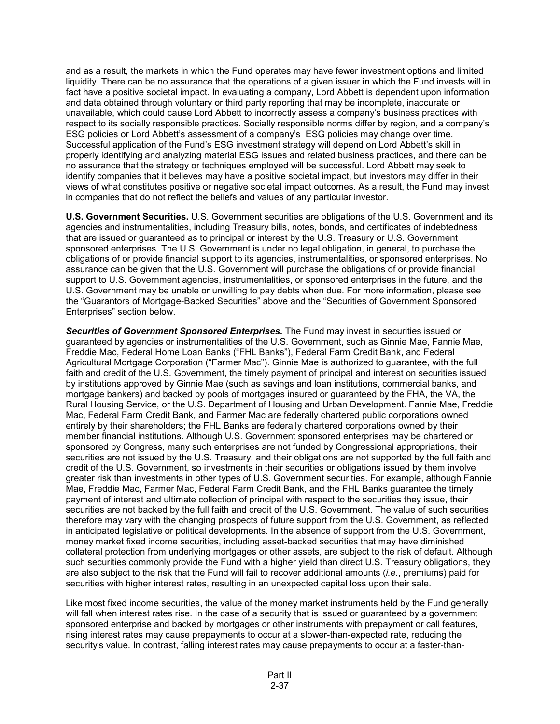and as a result, the markets in which the Fund operates may have fewer investment options and limited liquidity. There can be no assurance that the operations of a given issuer in which the Fund invests will in fact have a positive societal impact. In evaluating a company, Lord Abbett is dependent upon information and data obtained through voluntary or third party reporting that may be incomplete, inaccurate or unavailable, which could cause Lord Abbett to incorrectly assess a company's business practices with respect to its socially responsible practices. Socially responsible norms differ by region, and a company's ESG policies or Lord Abbett's assessment of a company's ESG policies may change over time. Successful application of the Fund's ESG investment strategy will depend on Lord Abbett's skill in properly identifying and analyzing material ESG issues and related business practices, and there can be no assurance that the strategy or techniques employed will be successful. Lord Abbett may seek to identify companies that it believes may have a positive societal impact, but investors may differ in their views of what constitutes positive or negative societal impact outcomes. As a result, the Fund may invest in companies that do not reflect the beliefs and values of any particular investor.

**U.S. Government Securities.** U.S. Government securities are obligations of the U.S. Government and its agencies and instrumentalities, including Treasury bills, notes, bonds, and certificates of indebtedness that are issued or guaranteed as to principal or interest by the U.S. Treasury or U.S. Government sponsored enterprises. The U.S. Government is under no legal obligation, in general, to purchase the obligations of or provide financial support to its agencies, instrumentalities, or sponsored enterprises. No assurance can be given that the U.S. Government will purchase the obligations of or provide financial support to U.S. Government agencies, instrumentalities, or sponsored enterprises in the future, and the U.S. Government may be unable or unwilling to pay debts when due. For more information, please see the "Guarantors of Mortgage-Backed Securities" above and the "Securities of Government Sponsored Enterprises" section below.

*Securities of Government Sponsored Enterprises.* The Fund may invest in securities issued or guaranteed by agencies or instrumentalities of the U.S. Government, such as Ginnie Mae, Fannie Mae, Freddie Mac, Federal Home Loan Banks ("FHL Banks"), Federal Farm Credit Bank, and Federal Agricultural Mortgage Corporation ("Farmer Mac"). Ginnie Mae is authorized to guarantee, with the full faith and credit of the U.S. Government, the timely payment of principal and interest on securities issued by institutions approved by Ginnie Mae (such as savings and loan institutions, commercial banks, and mortgage bankers) and backed by pools of mortgages insured or guaranteed by the FHA, the VA, the Rural Housing Service, or the U.S. Department of Housing and Urban Development. Fannie Mae, Freddie Mac, Federal Farm Credit Bank, and Farmer Mac are federally chartered public corporations owned entirely by their shareholders; the FHL Banks are federally chartered corporations owned by their member financial institutions. Although U.S. Government sponsored enterprises may be chartered or sponsored by Congress, many such enterprises are not funded by Congressional appropriations, their securities are not issued by the U.S. Treasury, and their obligations are not supported by the full faith and credit of the U.S. Government, so investments in their securities or obligations issued by them involve greater risk than investments in other types of U.S. Government securities. For example, although Fannie Mae, Freddie Mac, Farmer Mac, Federal Farm Credit Bank, and the FHL Banks guarantee the timely payment of interest and ultimate collection of principal with respect to the securities they issue, their securities are not backed by the full faith and credit of the U.S. Government. The value of such securities therefore may vary with the changing prospects of future support from the U.S. Government, as reflected in anticipated legislative or political developments. In the absence of support from the U.S. Government, money market fixed income securities, including asset-backed securities that may have diminished collateral protection from underlying mortgages or other assets, are subject to the risk of default. Although such securities commonly provide the Fund with a higher yield than direct U.S. Treasury obligations, they are also subject to the risk that the Fund will fail to recover additional amounts (*i.e.*, premiums) paid for securities with higher interest rates, resulting in an unexpected capital loss upon their sale.

Like most fixed income securities, the value of the money market instruments held by the Fund generally will fall when interest rates rise. In the case of a security that is issued or guaranteed by a government sponsored enterprise and backed by mortgages or other instruments with prepayment or call features, rising interest rates may cause prepayments to occur at a slower-than-expected rate, reducing the security's value. In contrast, falling interest rates may cause prepayments to occur at a faster-than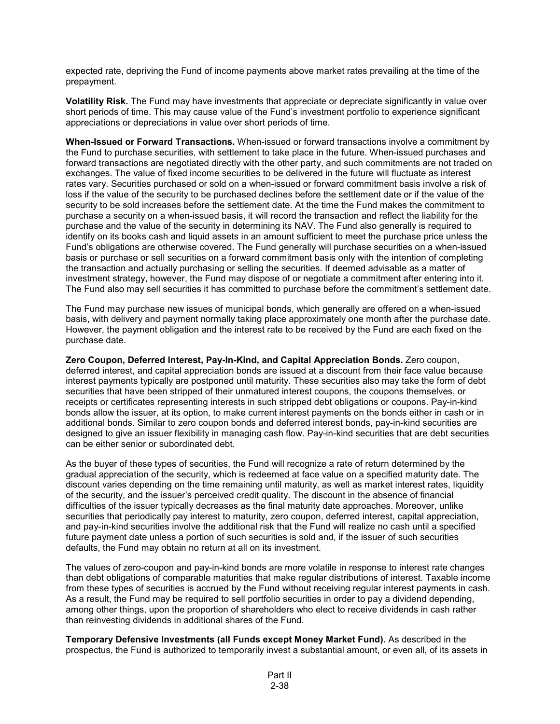expected rate, depriving the Fund of income payments above market rates prevailing at the time of the prepayment.

**Volatility Risk.** The Fund may have investments that appreciate or depreciate significantly in value over short periods of time. This may cause value of the Fund's investment portfolio to experience significant appreciations or depreciations in value over short periods of time.

**When-Issued or Forward Transactions.** When-issued or forward transactions involve a commitment by the Fund to purchase securities, with settlement to take place in the future. When-issued purchases and forward transactions are negotiated directly with the other party, and such commitments are not traded on exchanges. The value of fixed income securities to be delivered in the future will fluctuate as interest rates vary. Securities purchased or sold on a when-issued or forward commitment basis involve a risk of loss if the value of the security to be purchased declines before the settlement date or if the value of the security to be sold increases before the settlement date. At the time the Fund makes the commitment to purchase a security on a when-issued basis, it will record the transaction and reflect the liability for the purchase and the value of the security in determining its NAV. The Fund also generally is required to identify on its books cash and liquid assets in an amount sufficient to meet the purchase price unless the Fund's obligations are otherwise covered. The Fund generally will purchase securities on a when-issued basis or purchase or sell securities on a forward commitment basis only with the intention of completing the transaction and actually purchasing or selling the securities. If deemed advisable as a matter of investment strategy, however, the Fund may dispose of or negotiate a commitment after entering into it. The Fund also may sell securities it has committed to purchase before the commitment's settlement date.

The Fund may purchase new issues of municipal bonds, which generally are offered on a when-issued basis, with delivery and payment normally taking place approximately one month after the purchase date. However, the payment obligation and the interest rate to be received by the Fund are each fixed on the purchase date.

**Zero Coupon, Deferred Interest, Pay-In-Kind, and Capital Appreciation Bonds.** Zero coupon, deferred interest, and capital appreciation bonds are issued at a discount from their face value because interest payments typically are postponed until maturity. These securities also may take the form of debt securities that have been stripped of their unmatured interest coupons, the coupons themselves, or receipts or certificates representing interests in such stripped debt obligations or coupons. Pay-in-kind bonds allow the issuer, at its option, to make current interest payments on the bonds either in cash or in additional bonds. Similar to zero coupon bonds and deferred interest bonds, pay-in-kind securities are designed to give an issuer flexibility in managing cash flow. Pay-in-kind securities that are debt securities can be either senior or subordinated debt.

As the buyer of these types of securities, the Fund will recognize a rate of return determined by the gradual appreciation of the security, which is redeemed at face value on a specified maturity date. The discount varies depending on the time remaining until maturity, as well as market interest rates, liquidity of the security, and the issuer's perceived credit quality. The discount in the absence of financial difficulties of the issuer typically decreases as the final maturity date approaches. Moreover, unlike securities that periodically pay interest to maturity, zero coupon, deferred interest, capital appreciation, and pay-in-kind securities involve the additional risk that the Fund will realize no cash until a specified future payment date unless a portion of such securities is sold and, if the issuer of such securities defaults, the Fund may obtain no return at all on its investment.

The values of zero-coupon and pay-in-kind bonds are more volatile in response to interest rate changes than debt obligations of comparable maturities that make regular distributions of interest. Taxable income from these types of securities is accrued by the Fund without receiving regular interest payments in cash. As a result, the Fund may be required to sell portfolio securities in order to pay a dividend depending, among other things, upon the proportion of shareholders who elect to receive dividends in cash rather than reinvesting dividends in additional shares of the Fund.

**Temporary Defensive Investments (all Funds except Money Market Fund).** As described in the prospectus, the Fund is authorized to temporarily invest a substantial amount, or even all, of its assets in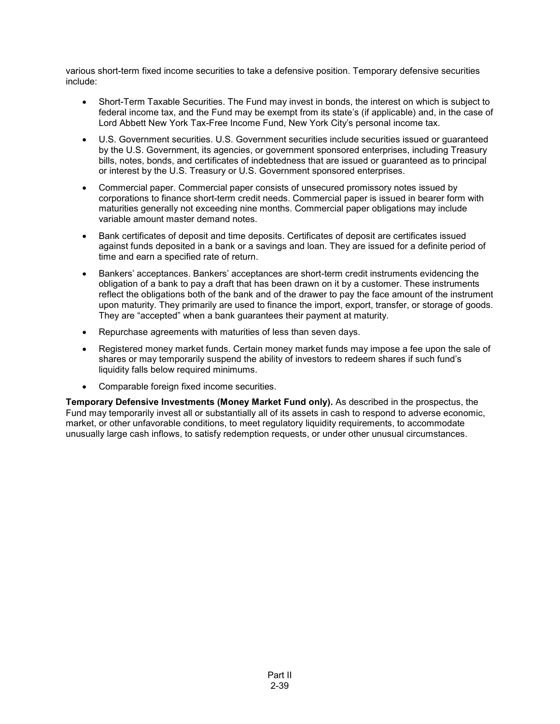various short-term fixed income securities to take a defensive position. Temporary defensive securities include:

- Short-Term Taxable Securities. The Fund may invest in bonds, the interest on which is subject to federal income tax, and the Fund may be exempt from its state's (if applicable) and, in the case of Lord Abbett New York Tax-Free Income Fund, New York City's personal income tax.
- U.S. Government securities. U.S. Government securities include securities issued or guaranteed by the U.S. Government, its agencies, or government sponsored enterprises, including Treasury bills, notes, bonds, and certificates of indebtedness that are issued or guaranteed as to principal or interest by the U.S. Treasury or U.S. Government sponsored enterprises.
- Commercial paper. Commercial paper consists of unsecured promissory notes issued by corporations to finance short-term credit needs. Commercial paper is issued in bearer form with maturities generally not exceeding nine months. Commercial paper obligations may include variable amount master demand notes.
- Bank certificates of deposit and time deposits. Certificates of deposit are certificates issued against funds deposited in a bank or a savings and loan. They are issued for a definite period of time and earn a specified rate of return.
- Bankers' acceptances. Bankers' acceptances are short-term credit instruments evidencing the obligation of a bank to pay a draft that has been drawn on it by a customer. These instruments reflect the obligations both of the bank and of the drawer to pay the face amount of the instrument upon maturity. They primarily are used to finance the import, export, transfer, or storage of goods. They are "accepted" when a bank guarantees their payment at maturity.
- Repurchase agreements with maturities of less than seven days.
- Registered money market funds. Certain money market funds may impose a fee upon the sale of shares or may temporarily suspend the ability of investors to redeem shares if such fund's liquidity falls below required minimums.
- Comparable foreign fixed income securities.

**Temporary Defensive Investments (Money Market Fund only).** As described in the prospectus, the Fund may temporarily invest all or substantially all of its assets in cash to respond to adverse economic, market, or other unfavorable conditions, to meet regulatory liquidity requirements, to accommodate unusually large cash inflows, to satisfy redemption requests, or under other unusual circumstances.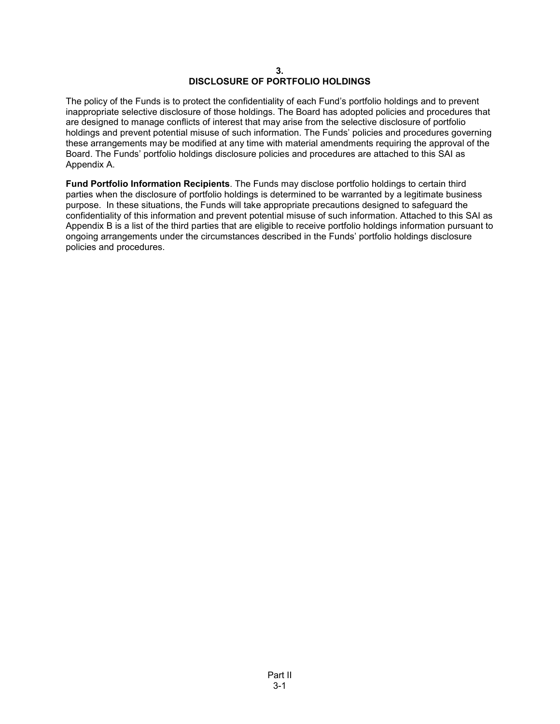#### **3. DISCLOSURE OF PORTFOLIO HOLDINGS**

The policy of the Funds is to protect the confidentiality of each Fund's portfolio holdings and to prevent inappropriate selective disclosure of those holdings. The Board has adopted policies and procedures that are designed to manage conflicts of interest that may arise from the selective disclosure of portfolio holdings and prevent potential misuse of such information. The Funds' policies and procedures governing these arrangements may be modified at any time with material amendments requiring the approval of the Board. The Funds' portfolio holdings disclosure policies and procedures are attached to this SAI as Appendix A.

**Fund Portfolio Information Recipients**. The Funds may disclose portfolio holdings to certain third parties when the disclosure of portfolio holdings is determined to be warranted by a legitimate business purpose. In these situations, the Funds will take appropriate precautions designed to safeguard the confidentiality of this information and prevent potential misuse of such information. Attached to this SAI as Appendix B is a list of the third parties that are eligible to receive portfolio holdings information pursuant to ongoing arrangements under the circumstances described in the Funds' portfolio holdings disclosure policies and procedures.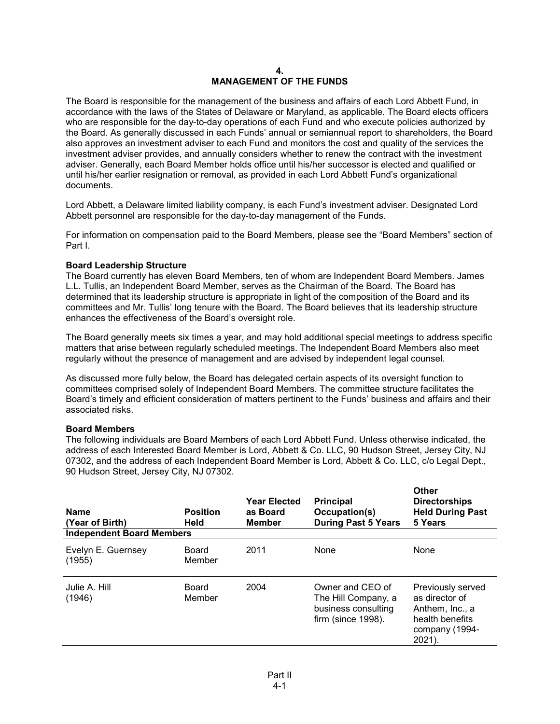#### **4. MANAGEMENT OF THE FUNDS**

The Board is responsible for the management of the business and affairs of each Lord Abbett Fund, in accordance with the laws of the States of Delaware or Maryland, as applicable. The Board elects officers who are responsible for the day-to-day operations of each Fund and who execute policies authorized by the Board. As generally discussed in each Funds' annual or semiannual report to shareholders, the Board also approves an investment adviser to each Fund and monitors the cost and quality of the services the investment adviser provides, and annually considers whether to renew the contract with the investment adviser. Generally, each Board Member holds office until his/her successor is elected and qualified or until his/her earlier resignation or removal, as provided in each Lord Abbett Fund's organizational documents.

Lord Abbett, a Delaware limited liability company, is each Fund's investment adviser. Designated Lord Abbett personnel are responsible for the day-to-day management of the Funds.

For information on compensation paid to the Board Members, please see the "Board Members" section of Part I.

### **Board Leadership Structure**

The Board currently has eleven Board Members, ten of whom are Independent Board Members. James L.L. Tullis, an Independent Board Member, serves as the Chairman of the Board. The Board has determined that its leadership structure is appropriate in light of the composition of the Board and its committees and Mr. Tullis' long tenure with the Board. The Board believes that its leadership structure enhances the effectiveness of the Board's oversight role.

The Board generally meets six times a year, and may hold additional special meetings to address specific matters that arise between regularly scheduled meetings. The Independent Board Members also meet regularly without the presence of management and are advised by independent legal counsel.

As discussed more fully below, the Board has delegated certain aspects of its oversight function to committees comprised solely of Independent Board Members. The committee structure facilitates the Board's timely and efficient consideration of matters pertinent to the Funds' business and affairs and their associated risks.

# **Board Members**

The following individuals are Board Members of each Lord Abbett Fund. Unless otherwise indicated, the address of each Interested Board Member is Lord, Abbett & Co. LLC, 90 Hudson Street, Jersey City, NJ 07302, and the address of each Independent Board Member is Lord, Abbett & Co. LLC, c/o Legal Dept., 90 Hudson Street, Jersey City, NJ 07302.

| <b>Name</b><br>(Year of Birth)<br><b>Independent Board Members</b> | <b>Position</b><br><b>Held</b> | <b>Year Elected</b><br>as Board<br><b>Member</b> | <b>Principal</b><br>Occupation(s)<br><b>During Past 5 Years</b>                      | <b>Other</b><br><b>Directorships</b><br><b>Held During Past</b><br>5 Years                            |
|--------------------------------------------------------------------|--------------------------------|--------------------------------------------------|--------------------------------------------------------------------------------------|-------------------------------------------------------------------------------------------------------|
| Evelyn E. Guernsey<br>(1955)                                       | Board<br>Member                | 2011                                             | None                                                                                 | None                                                                                                  |
| Julie A. Hill<br>(1946)                                            | Board<br>Member                | 2004                                             | Owner and CEO of<br>The Hill Company, a<br>business consulting<br>firm (since 1998). | Previously served<br>as director of<br>Anthem, Inc., a<br>health benefits<br>company (1994-<br>2021). |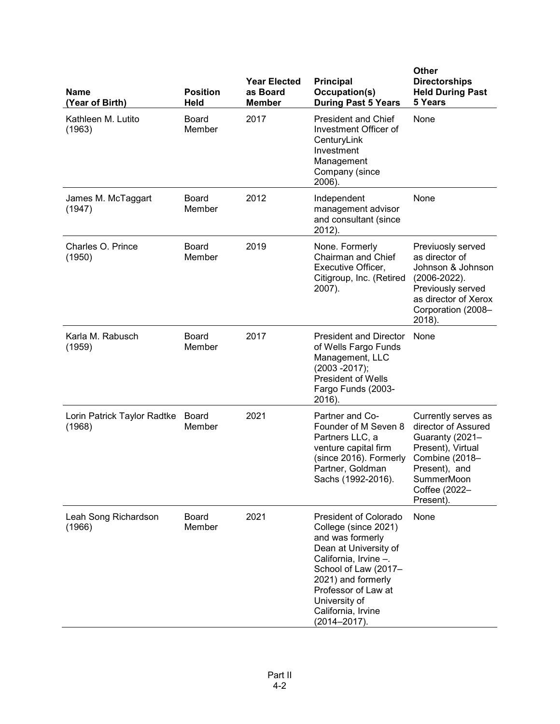| <b>Name</b><br>(Year of Birth)        | <b>Position</b><br>Held | <b>Year Elected</b><br>as Board<br><b>Member</b> | <b>Principal</b><br>Occupation(s)<br><b>During Past 5 Years</b>                                                                                                                                                                                 | <b>Other</b><br><b>Directorships</b><br><b>Held During Past</b><br>5 Years                                                                                        |
|---------------------------------------|-------------------------|--------------------------------------------------|-------------------------------------------------------------------------------------------------------------------------------------------------------------------------------------------------------------------------------------------------|-------------------------------------------------------------------------------------------------------------------------------------------------------------------|
| Kathleen M. Lutito<br>(1963)          | <b>Board</b><br>Member  | 2017                                             | <b>President and Chief</b><br>Investment Officer of<br>CenturyLink<br>Investment<br>Management<br>Company (since<br>2006).                                                                                                                      | None                                                                                                                                                              |
| James M. McTaggart<br>(1947)          | <b>Board</b><br>Member  | 2012                                             | Independent<br>management advisor<br>and consultant (since<br>2012).                                                                                                                                                                            | None                                                                                                                                                              |
| Charles O. Prince<br>(1950)           | <b>Board</b><br>Member  | 2019                                             | None. Formerly<br>Chairman and Chief<br>Executive Officer,<br>Citigroup, Inc. (Retired<br>2007).                                                                                                                                                | Previuosly served<br>as director of<br>Johnson & Johnson<br>$(2006 - 2022)$ .<br>Previously served<br>as director of Xerox<br>Corporation (2008-<br>2018).        |
| Karla M. Rabusch<br>(1959)            | <b>Board</b><br>Member  | 2017                                             | <b>President and Director</b><br>of Wells Fargo Funds<br>Management, LLC<br>$(2003 - 2017);$<br><b>President of Wells</b><br>Fargo Funds (2003-<br>2016).                                                                                       | None                                                                                                                                                              |
| Lorin Patrick Taylor Radtke<br>(1968) | <b>Board</b><br>Member  | 2021                                             | Partner and Co-<br>Founder of M Seven 8<br>Partners LLC, a<br>venture capital firm<br>(since 2016). Formerly<br>Partner, Goldman<br>Sachs (1992-2016).                                                                                          | Currently serves as<br>director of Assured<br>Guaranty (2021-<br>Present), Virtual<br>Combine (2018-<br>Present), and<br>SummerMoon<br>Coffee (2022-<br>Present). |
| Leah Song Richardson<br>(1966)        | <b>Board</b><br>Member  | 2021                                             | President of Colorado<br>College (since 2021)<br>and was formerly<br>Dean at University of<br>California, Irvine -.<br>School of Law (2017-<br>2021) and formerly<br>Professor of Law at<br>University of<br>California, Irvine<br>(2014-2017). | None                                                                                                                                                              |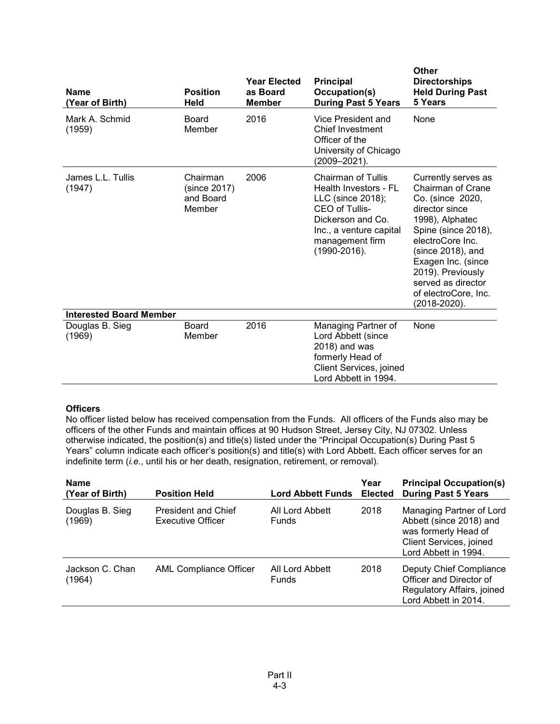| <b>Name</b><br>(Year of Birth)                                | <b>Position</b><br>Held                         | <b>Year Elected</b><br>as Board<br><b>Member</b> | <b>Principal</b><br>Occupation(s)<br><b>During Past 5 Years</b>                                                                                                                     | Other<br><b>Directorships</b><br><b>Held During Past</b><br>5 Years                                                                                                                                                                                                        |
|---------------------------------------------------------------|-------------------------------------------------|--------------------------------------------------|-------------------------------------------------------------------------------------------------------------------------------------------------------------------------------------|----------------------------------------------------------------------------------------------------------------------------------------------------------------------------------------------------------------------------------------------------------------------------|
| Mark A. Schmid<br>(1959)                                      | Board<br>Member                                 | 2016                                             | Vice President and<br><b>Chief Investment</b><br>Officer of the<br>University of Chicago<br>(2009–2021).                                                                            | None                                                                                                                                                                                                                                                                       |
| James L.L. Tullis<br>(1947)<br><b>Interested Board Member</b> | Chairman<br>(since 2017)<br>and Board<br>Member | 2006                                             | <b>Chairman of Tullis</b><br>Health Investors - FL<br>$LLC$ (since 2018);<br>CEO of Tullis-<br>Dickerson and Co.<br>Inc., a venture capital<br>management firm<br>$(1990 - 2016)$ . | Currently serves as<br>Chairman of Crane<br>Co. (since 2020,<br>director since<br>1998), Alphatec<br>Spine (since 2018),<br>electroCore Inc.<br>(since 2018), and<br>Exagen Inc. (since<br>2019). Previously<br>served as director<br>of electroCore, Inc.<br>(2018-2020). |
| Douglas B. Sieg                                               | Board                                           | 2016                                             | Managing Partner of                                                                                                                                                                 | None                                                                                                                                                                                                                                                                       |
| (1969)                                                        | Member                                          |                                                  | Lord Abbett (since<br>$2018$ ) and was<br>formerly Head of<br>Client Services, joined<br>Lord Abbett in 1994.                                                                       |                                                                                                                                                                                                                                                                            |

## **Officers**

No officer listed below has received compensation from the Funds. All officers of the Funds also may be officers of the other Funds and maintain offices at 90 Hudson Street, Jersey City, NJ 07302. Unless otherwise indicated, the position(s) and title(s) listed under the "Principal Occupation(s) During Past 5 Years" column indicate each officer's position(s) and title(s) with Lord Abbett. Each officer serves for an indefinite term (*i.e.*, until his or her death, resignation, retirement, or removal).

| <b>Name</b><br>(Year of Birth) | <b>Position Held</b>                     | <b>Lord Abbett Funds Elected</b> | Year | <b>Principal Occupation(s)</b><br><b>During Past 5 Years</b>                                                                   |
|--------------------------------|------------------------------------------|----------------------------------|------|--------------------------------------------------------------------------------------------------------------------------------|
| Douglas B. Sieg<br>(1969)      | President and Chief<br>Executive Officer | All Lord Abbett<br><b>Funds</b>  | 2018 | Managing Partner of Lord<br>Abbett (since 2018) and<br>was formerly Head of<br>Client Services, joined<br>Lord Abbett in 1994. |
| Jackson C. Chan<br>(1964)      | <b>AML Compliance Officer</b>            | All Lord Abbett<br><b>Funds</b>  | 2018 | Deputy Chief Compliance<br>Officer and Director of<br>Regulatory Affairs, joined<br>Lord Abbett in 2014.                       |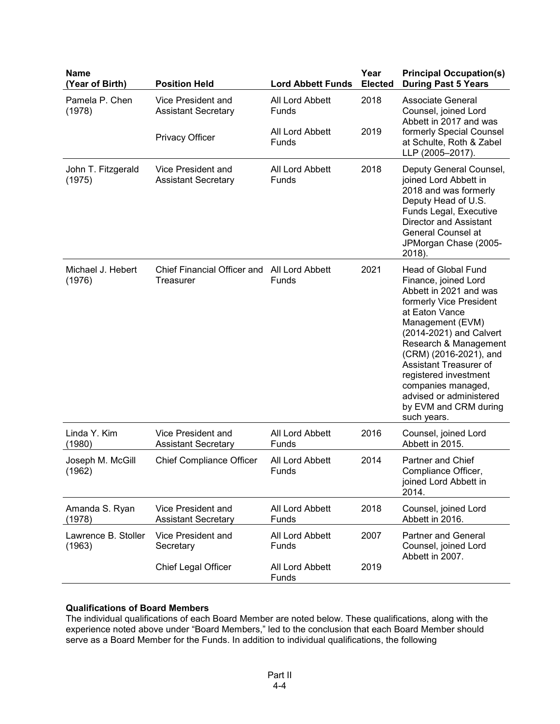| <b>Name</b><br>(Year of Birth) | <b>Position Held</b>                             | <b>Lord Abbett Funds</b>        | Year<br><b>Elected</b> | <b>Principal Occupation(s)</b><br><b>During Past 5 Years</b>                                                                                                                                                                                                                                                                                                     |
|--------------------------------|--------------------------------------------------|---------------------------------|------------------------|------------------------------------------------------------------------------------------------------------------------------------------------------------------------------------------------------------------------------------------------------------------------------------------------------------------------------------------------------------------|
| Pamela P. Chen<br>(1978)       | Vice President and<br><b>Assistant Secretary</b> | All Lord Abbett<br>Funds        | 2018                   | <b>Associate General</b><br>Counsel, joined Lord<br>Abbett in 2017 and was                                                                                                                                                                                                                                                                                       |
|                                | <b>Privacy Officer</b>                           | All Lord Abbett<br><b>Funds</b> | 2019                   | formerly Special Counsel<br>at Schulte, Roth & Zabel<br>LLP (2005-2017).                                                                                                                                                                                                                                                                                         |
| John T. Fitzgerald<br>(1975)   | Vice President and<br><b>Assistant Secretary</b> | All Lord Abbett<br><b>Funds</b> | 2018                   | Deputy General Counsel,<br>joined Lord Abbett in<br>2018 and was formerly<br>Deputy Head of U.S.<br>Funds Legal, Executive<br>Director and Assistant<br><b>General Counsel at</b><br>JPMorgan Chase (2005-<br>2018).                                                                                                                                             |
| Michael J. Hebert<br>(1976)    | Chief Financial Officer and<br>Treasurer         | All Lord Abbett<br>Funds        | 2021                   | Head of Global Fund<br>Finance, joined Lord<br>Abbett in 2021 and was<br>formerly Vice President<br>at Eaton Vance<br>Management (EVM)<br>(2014-2021) and Calvert<br>Research & Management<br>(CRM) (2016-2021), and<br>Assistant Treasurer of<br>registered investment<br>companies managed,<br>advised or administered<br>by EVM and CRM during<br>such years. |
| Linda Y. Kim<br>(1980)         | Vice President and<br><b>Assistant Secretary</b> | All Lord Abbett<br>Funds        | 2016                   | Counsel, joined Lord<br>Abbett in 2015.                                                                                                                                                                                                                                                                                                                          |
| Joseph M. McGill<br>(1962)     | <b>Chief Compliance Officer</b>                  | All Lord Abbett<br><b>Funds</b> | 2014                   | Partner and Chief<br>Compliance Officer,<br>joined Lord Abbett in<br>2014.                                                                                                                                                                                                                                                                                       |
| Amanda S. Ryan<br>(1978)       | Vice President and<br><b>Assistant Secretary</b> | All Lord Abbett<br>Funds        | 2018                   | Counsel, joined Lord<br>Abbett in 2016.                                                                                                                                                                                                                                                                                                                          |
| Lawrence B. Stoller<br>(1963)  | Vice President and<br>Secretary                  | All Lord Abbett<br><b>Funds</b> | 2007                   | <b>Partner and General</b><br>Counsel, joined Lord<br>Abbett in 2007.                                                                                                                                                                                                                                                                                            |
|                                | <b>Chief Legal Officer</b>                       | All Lord Abbett<br>Funds        | 2019                   |                                                                                                                                                                                                                                                                                                                                                                  |

# **Qualifications of Board Members**

The individual qualifications of each Board Member are noted below. These qualifications, along with the experience noted above under "Board Members," led to the conclusion that each Board Member should serve as a Board Member for the Funds. In addition to individual qualifications, the following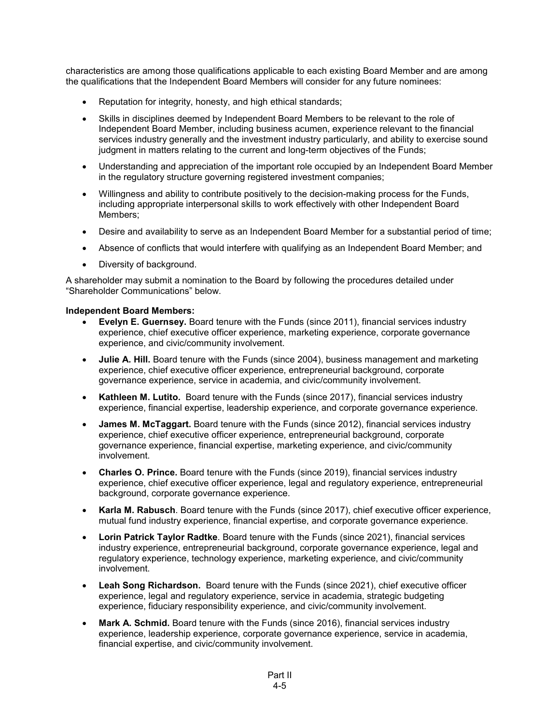characteristics are among those qualifications applicable to each existing Board Member and are among the qualifications that the Independent Board Members will consider for any future nominees:

- Reputation for integrity, honesty, and high ethical standards;
- Skills in disciplines deemed by Independent Board Members to be relevant to the role of Independent Board Member, including business acumen, experience relevant to the financial services industry generally and the investment industry particularly, and ability to exercise sound judgment in matters relating to the current and long-term objectives of the Funds;
- Understanding and appreciation of the important role occupied by an Independent Board Member in the regulatory structure governing registered investment companies;
- Willingness and ability to contribute positively to the decision-making process for the Funds, including appropriate interpersonal skills to work effectively with other Independent Board Members;
- Desire and availability to serve as an Independent Board Member for a substantial period of time;
- Absence of conflicts that would interfere with qualifying as an Independent Board Member; and
- Diversity of background.

A shareholder may submit a nomination to the Board by following the procedures detailed under "Shareholder Communications" below.

### **Independent Board Members:**

- **Evelyn E. Guernsey.** Board tenure with the Funds (since 2011), financial services industry experience, chief executive officer experience, marketing experience, corporate governance experience, and civic/community involvement.
- **Julie A. Hill.** Board tenure with the Funds (since 2004), business management and marketing experience, chief executive officer experience, entrepreneurial background, corporate governance experience, service in academia, and civic/community involvement.
- **Kathleen M. Lutito.** Board tenure with the Funds (since 2017), financial services industry experience, financial expertise, leadership experience, and corporate governance experience.
- **James M. McTaggart.** Board tenure with the Funds (since 2012), financial services industry experience, chief executive officer experience, entrepreneurial background, corporate governance experience, financial expertise, marketing experience, and civic/community involvement.
- **Charles O. Prince.** Board tenure with the Funds (since 2019), financial services industry experience, chief executive officer experience, legal and regulatory experience, entrepreneurial background, corporate governance experience.
- **Karla M. Rabusch**. Board tenure with the Funds (since 2017), chief executive officer experience, mutual fund industry experience, financial expertise, and corporate governance experience.
- **Lorin Patrick Taylor Radtke**. Board tenure with the Funds (since 2021), financial services industry experience, entrepreneurial background, corporate governance experience, legal and regulatory experience, technology experience, marketing experience, and civic/community involvement.
- **Leah Song Richardson.** Board tenure with the Funds (since 2021), chief executive officer experience, legal and regulatory experience, service in academia, strategic budgeting experience, fiduciary responsibility experience, and civic/community involvement.
- **Mark A. Schmid.** Board tenure with the Funds (since 2016), financial services industry experience, leadership experience, corporate governance experience, service in academia, financial expertise, and civic/community involvement.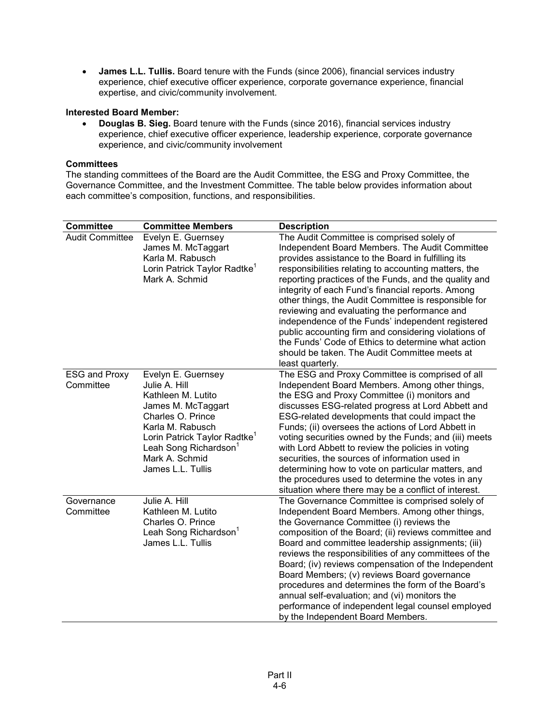• **James L.L. Tullis.** Board tenure with the Funds (since 2006), financial services industry experience, chief executive officer experience, corporate governance experience, financial expertise, and civic/community involvement.

# **Interested Board Member:**

• **Douglas B. Sieg.** Board tenure with the Funds (since 2016), financial services industry experience, chief executive officer experience, leadership experience, corporate governance experience, and civic/community involvement

# **Committees**

The standing committees of the Board are the Audit Committee, the ESG and Proxy Committee, the Governance Committee, and the Investment Committee. The table below provides information about each committee's composition, functions, and responsibilities.

| <b>Committee</b>                  | <b>Committee Members</b>                                                                                                                                                                                                                         | <b>Description</b>                                                                                                                                                                                                                                                                                                                                                                                                                                                                                                                                                                                                                                                       |
|-----------------------------------|--------------------------------------------------------------------------------------------------------------------------------------------------------------------------------------------------------------------------------------------------|--------------------------------------------------------------------------------------------------------------------------------------------------------------------------------------------------------------------------------------------------------------------------------------------------------------------------------------------------------------------------------------------------------------------------------------------------------------------------------------------------------------------------------------------------------------------------------------------------------------------------------------------------------------------------|
| <b>Audit Committee</b>            | Evelyn E. Guernsey<br>James M. McTaggart<br>Karla M. Rabusch<br>Lorin Patrick Taylor Radtke <sup>1</sup><br>Mark A. Schmid                                                                                                                       | The Audit Committee is comprised solely of<br>Independent Board Members. The Audit Committee<br>provides assistance to the Board in fulfilling its<br>responsibilities relating to accounting matters, the<br>reporting practices of the Funds, and the quality and<br>integrity of each Fund's financial reports. Among<br>other things, the Audit Committee is responsible for<br>reviewing and evaluating the performance and<br>independence of the Funds' independent registered<br>public accounting firm and considering violations of<br>the Funds' Code of Ethics to determine what action<br>should be taken. The Audit Committee meets at<br>least quarterly. |
| <b>ESG and Proxy</b><br>Committee | Evelyn E. Guernsey<br>Julie A. Hill<br>Kathleen M. Lutito<br>James M. McTaggart<br>Charles O. Prince<br>Karla M. Rabusch<br>Lorin Patrick Taylor Radtke <sup>1</sup><br>Leah Song Richardson <sup>1</sup><br>Mark A. Schmid<br>James L.L. Tullis | The ESG and Proxy Committee is comprised of all<br>Independent Board Members. Among other things,<br>the ESG and Proxy Committee (i) monitors and<br>discusses ESG-related progress at Lord Abbett and<br>ESG-related developments that could impact the<br>Funds; (ii) oversees the actions of Lord Abbett in<br>voting securities owned by the Funds; and (iii) meets<br>with Lord Abbett to review the policies in voting<br>securities, the sources of information used in<br>determining how to vote on particular matters, and<br>the procedures used to determine the votes in any<br>situation where there may be a conflict of interest.                        |
| Governance<br>Committee           | Julie A. Hill<br>Kathleen M. Lutito<br>Charles O. Prince<br>Leah Song Richardson <sup>1</sup><br>James L.L. Tullis                                                                                                                               | The Governance Committee is comprised solely of<br>Independent Board Members. Among other things,<br>the Governance Committee (i) reviews the<br>composition of the Board; (ii) reviews committee and<br>Board and committee leadership assignments; (iii)<br>reviews the responsibilities of any committees of the<br>Board; (iv) reviews compensation of the Independent<br>Board Members; (v) reviews Board governance<br>procedures and determines the form of the Board's<br>annual self-evaluation; and (vi) monitors the<br>performance of independent legal counsel employed<br>by the Independent Board Members.                                                |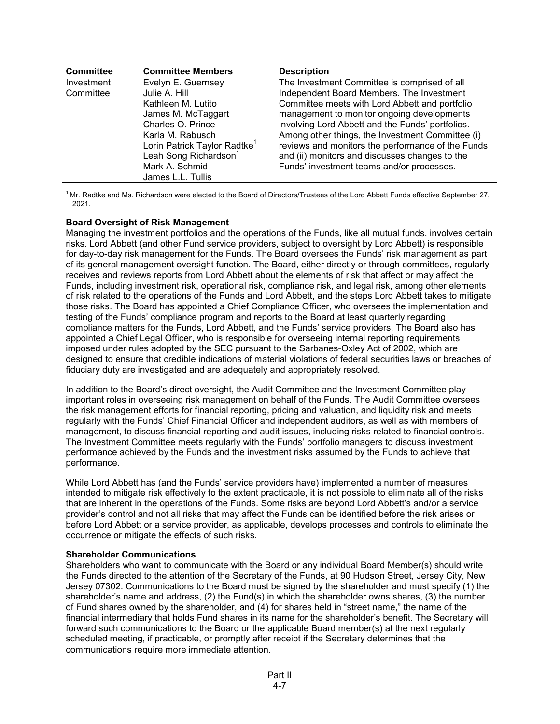| <b>Committee</b> | <b>Committee Members</b>          | <b>Description</b>                                |
|------------------|-----------------------------------|---------------------------------------------------|
| Investment       | Evelyn E. Guernsey                | The Investment Committee is comprised of all      |
| Committee        | Julie A. Hill                     | Independent Board Members. The Investment         |
|                  | Kathleen M. Lutito                | Committee meets with Lord Abbett and portfolio    |
|                  | James M. McTaggart                | management to monitor ongoing developments        |
|                  | Charles O. Prince                 | involving Lord Abbett and the Funds' portfolios.  |
|                  | Karla M. Rabusch                  | Among other things, the Investment Committee (i)  |
|                  | Lorin Patrick Taylor Radtke       | reviews and monitors the performance of the Funds |
|                  | Leah Song Richardson <sup>1</sup> | and (ii) monitors and discusses changes to the    |
|                  | Mark A. Schmid                    | Funds' investment teams and/or processes.         |
|                  | James L.L. Tullis                 |                                                   |

<sup>1</sup> Mr. Radtke and Ms. Richardson were elected to the Board of Directors/Trustees of the Lord Abbett Funds effective September 27, 2021.

## **Board Oversight of Risk Management**

Managing the investment portfolios and the operations of the Funds, like all mutual funds, involves certain risks. Lord Abbett (and other Fund service providers, subject to oversight by Lord Abbett) is responsible for day-to-day risk management for the Funds. The Board oversees the Funds' risk management as part of its general management oversight function. The Board, either directly or through committees, regularly receives and reviews reports from Lord Abbett about the elements of risk that affect or may affect the Funds, including investment risk, operational risk, compliance risk, and legal risk, among other elements of risk related to the operations of the Funds and Lord Abbett, and the steps Lord Abbett takes to mitigate those risks. The Board has appointed a Chief Compliance Officer, who oversees the implementation and testing of the Funds' compliance program and reports to the Board at least quarterly regarding compliance matters for the Funds, Lord Abbett, and the Funds' service providers. The Board also has appointed a Chief Legal Officer, who is responsible for overseeing internal reporting requirements imposed under rules adopted by the SEC pursuant to the Sarbanes-Oxley Act of 2002, which are designed to ensure that credible indications of material violations of federal securities laws or breaches of fiduciary duty are investigated and are adequately and appropriately resolved.

In addition to the Board's direct oversight, the Audit Committee and the Investment Committee play important roles in overseeing risk management on behalf of the Funds. The Audit Committee oversees the risk management efforts for financial reporting, pricing and valuation, and liquidity risk and meets regularly with the Funds' Chief Financial Officer and independent auditors, as well as with members of management, to discuss financial reporting and audit issues, including risks related to financial controls. The Investment Committee meets regularly with the Funds' portfolio managers to discuss investment performance achieved by the Funds and the investment risks assumed by the Funds to achieve that performance.

While Lord Abbett has (and the Funds' service providers have) implemented a number of measures intended to mitigate risk effectively to the extent practicable, it is not possible to eliminate all of the risks that are inherent in the operations of the Funds. Some risks are beyond Lord Abbett's and/or a service provider's control and not all risks that may affect the Funds can be identified before the risk arises or before Lord Abbett or a service provider, as applicable, develops processes and controls to eliminate the occurrence or mitigate the effects of such risks.

### **Shareholder Communications**

Shareholders who want to communicate with the Board or any individual Board Member(s) should write the Funds directed to the attention of the Secretary of the Funds, at 90 Hudson Street, Jersey City, New Jersey 07302. Communications to the Board must be signed by the shareholder and must specify (1) the shareholder's name and address, (2) the Fund(s) in which the shareholder owns shares, (3) the number of Fund shares owned by the shareholder, and (4) for shares held in "street name," the name of the financial intermediary that holds Fund shares in its name for the shareholder's benefit. The Secretary will forward such communications to the Board or the applicable Board member(s) at the next regularly scheduled meeting, if practicable, or promptly after receipt if the Secretary determines that the communications require more immediate attention.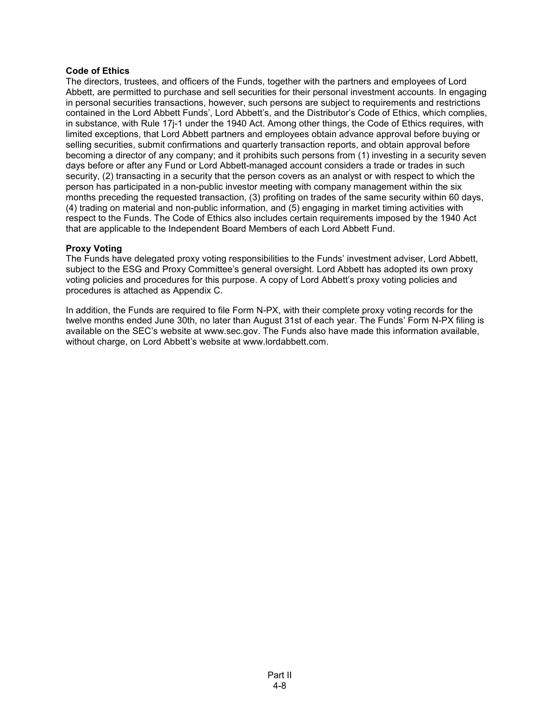# **Code of Ethics**

The directors, trustees, and officers of the Funds, together with the partners and employees of Lord Abbett, are permitted to purchase and sell securities for their personal investment accounts. In engaging in personal securities transactions, however, such persons are subject to requirements and restrictions contained in the Lord Abbett Funds', Lord Abbett's, and the Distributor's Code of Ethics, which complies, in substance, with Rule 17j-1 under the 1940 Act. Among other things, the Code of Ethics requires, with limited exceptions, that Lord Abbett partners and employees obtain advance approval before buying or selling securities, submit confirmations and quarterly transaction reports, and obtain approval before becoming a director of any company; and it prohibits such persons from (1) investing in a security seven days before or after any Fund or Lord Abbett-managed account considers a trade or trades in such security, (2) transacting in a security that the person covers as an analyst or with respect to which the person has participated in a non-public investor meeting with company management within the six months preceding the requested transaction, (3) profiting on trades of the same security within 60 days, (4) trading on material and non-public information, and (5) engaging in market timing activities with respect to the Funds. The Code of Ethics also includes certain requirements imposed by the 1940 Act that are applicable to the Independent Board Members of each Lord Abbett Fund.

# **Proxy Voting**

The Funds have delegated proxy voting responsibilities to the Funds' investment adviser, Lord Abbett, subject to the ESG and Proxy Committee's general oversight. Lord Abbett has adopted its own proxy voting policies and procedures for this purpose. A copy of Lord Abbett's proxy voting policies and procedures is attached as Appendix C.

In addition, the Funds are required to file Form N-PX, with their complete proxy voting records for the twelve months ended June 30th, no later than August 31st of each year. The Funds' Form N-PX filing is available on the SEC's website at www.sec.gov. The Funds also have made this information available, without charge, on Lord Abbett's website at www.lordabbett.com.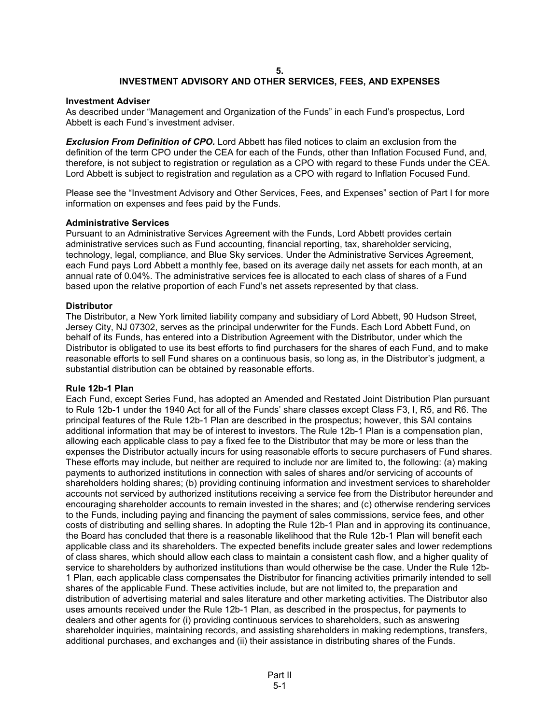### **5.**

# **INVESTMENT ADVISORY AND OTHER SERVICES, FEES, AND EXPENSES**

#### **Investment Adviser**

As described under "Management and Organization of the Funds" in each Fund's prospectus, Lord Abbett is each Fund's investment adviser.

**Exclusion From Definition of CPO.** Lord Abbett has filed notices to claim an exclusion from the definition of the term CPO under the CEA for each of the Funds, other than Inflation Focused Fund, and, therefore, is not subject to registration or regulation as a CPO with regard to these Funds under the CEA. Lord Abbett is subject to registration and regulation as a CPO with regard to Inflation Focused Fund.

Please see the "Investment Advisory and Other Services, Fees, and Expenses" section of Part I for more information on expenses and fees paid by the Funds.

#### **Administrative Services**

Pursuant to an Administrative Services Agreement with the Funds, Lord Abbett provides certain administrative services such as Fund accounting, financial reporting, tax, shareholder servicing, technology, legal, compliance, and Blue Sky services. Under the Administrative Services Agreement, each Fund pays Lord Abbett a monthly fee, based on its average daily net assets for each month, at an annual rate of 0.04%. The administrative services fee is allocated to each class of shares of a Fund based upon the relative proportion of each Fund's net assets represented by that class.

#### **Distributor**

The Distributor, a New York limited liability company and subsidiary of Lord Abbett, 90 Hudson Street, Jersey City, NJ 07302, serves as the principal underwriter for the Funds. Each Lord Abbett Fund, on behalf of its Funds, has entered into a Distribution Agreement with the Distributor, under which the Distributor is obligated to use its best efforts to find purchasers for the shares of each Fund, and to make reasonable efforts to sell Fund shares on a continuous basis, so long as, in the Distributor's judgment, a substantial distribution can be obtained by reasonable efforts.

#### **Rule 12b-1 Plan**

Each Fund, except Series Fund, has adopted an Amended and Restated Joint Distribution Plan pursuant to Rule 12b-1 under the 1940 Act for all of the Funds' share classes except Class F3, I, R5, and R6. The principal features of the Rule 12b-1 Plan are described in the prospectus; however, this SAI contains additional information that may be of interest to investors. The Rule 12b-1 Plan is a compensation plan, allowing each applicable class to pay a fixed fee to the Distributor that may be more or less than the expenses the Distributor actually incurs for using reasonable efforts to secure purchasers of Fund shares. These efforts may include, but neither are required to include nor are limited to, the following: (a) making payments to authorized institutions in connection with sales of shares and/or servicing of accounts of shareholders holding shares; (b) providing continuing information and investment services to shareholder accounts not serviced by authorized institutions receiving a service fee from the Distributor hereunder and encouraging shareholder accounts to remain invested in the shares; and (c) otherwise rendering services to the Funds, including paying and financing the payment of sales commissions, service fees, and other costs of distributing and selling shares. In adopting the Rule 12b-1 Plan and in approving its continuance, the Board has concluded that there is a reasonable likelihood that the Rule 12b-1 Plan will benefit each applicable class and its shareholders. The expected benefits include greater sales and lower redemptions of class shares, which should allow each class to maintain a consistent cash flow, and a higher quality of service to shareholders by authorized institutions than would otherwise be the case. Under the Rule 12b-1 Plan, each applicable class compensates the Distributor for financing activities primarily intended to sell shares of the applicable Fund. These activities include, but are not limited to, the preparation and distribution of advertising material and sales literature and other marketing activities. The Distributor also uses amounts received under the Rule 12b-1 Plan, as described in the prospectus, for payments to dealers and other agents for (i) providing continuous services to shareholders, such as answering shareholder inquiries, maintaining records, and assisting shareholders in making redemptions, transfers, additional purchases, and exchanges and (ii) their assistance in distributing shares of the Funds.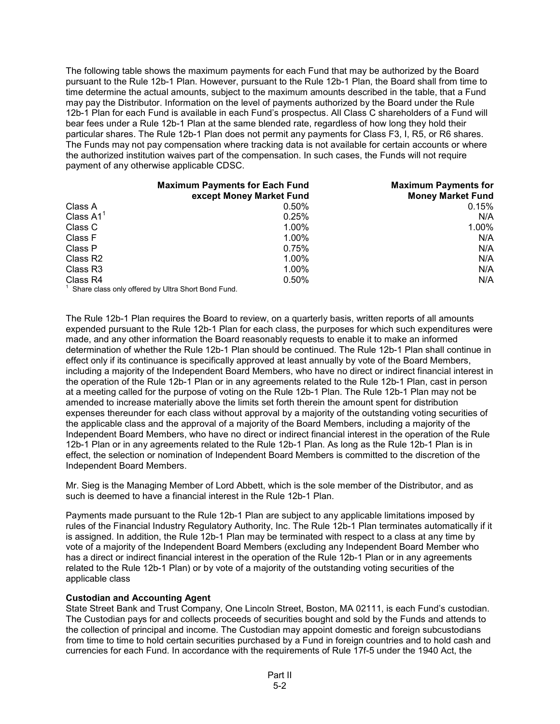The following table shows the maximum payments for each Fund that may be authorized by the Board pursuant to the Rule 12b-1 Plan. However, pursuant to the Rule 12b-1 Plan, the Board shall from time to time determine the actual amounts, subject to the maximum amounts described in the table, that a Fund may pay the Distributor. Information on the level of payments authorized by the Board under the Rule 12b-1 Plan for each Fund is available in each Fund's prospectus. All Class C shareholders of a Fund will bear fees under a Rule 12b-1 Plan at the same blended rate, regardless of how long they hold their particular shares. The Rule 12b-1 Plan does not permit any payments for Class F3, I, R5, or R6 shares. The Funds may not pay compensation where tracking data is not available for certain accounts or where the authorized institution waives part of the compensation. In such cases, the Funds will not require payment of any otherwise applicable CDSC.

|                      | <b>Maximum Payments for Each Fund</b>                           | <b>Maximum Payments for</b> |  |
|----------------------|-----------------------------------------------------------------|-----------------------------|--|
|                      | except Money Market Fund                                        | <b>Money Market Fund</b>    |  |
| Class A              | $0.50\%$                                                        | 0.15%                       |  |
| Class $A11$          | 0.25%                                                           | N/A                         |  |
| Class C              | 1.00%                                                           | 1.00%                       |  |
| Class F              | 1.00%                                                           | N/A                         |  |
| Class P              | 0.75%                                                           | N/A                         |  |
| Class R <sub>2</sub> | 1.00%                                                           | N/A                         |  |
| Class R <sub>3</sub> | 1.00%                                                           | N/A                         |  |
| Class R4             | 0.50%                                                           | N/A                         |  |
|                      | <sup>1</sup> Share class only offered by Liltra Short Bond Fund |                             |  |

Share class only offered by Ultra Short Bond Fund.

The Rule 12b-1 Plan requires the Board to review, on a quarterly basis, written reports of all amounts expended pursuant to the Rule 12b-1 Plan for each class, the purposes for which such expenditures were made, and any other information the Board reasonably requests to enable it to make an informed determination of whether the Rule 12b-1 Plan should be continued. The Rule 12b-1 Plan shall continue in effect only if its continuance is specifically approved at least annually by vote of the Board Members, including a majority of the Independent Board Members, who have no direct or indirect financial interest in the operation of the Rule 12b-1 Plan or in any agreements related to the Rule 12b-1 Plan, cast in person at a meeting called for the purpose of voting on the Rule 12b-1 Plan. The Rule 12b-1 Plan may not be amended to increase materially above the limits set forth therein the amount spent for distribution expenses thereunder for each class without approval by a majority of the outstanding voting securities of the applicable class and the approval of a majority of the Board Members, including a majority of the Independent Board Members, who have no direct or indirect financial interest in the operation of the Rule 12b-1 Plan or in any agreements related to the Rule 12b-1 Plan. As long as the Rule 12b-1 Plan is in effect, the selection or nomination of Independent Board Members is committed to the discretion of the Independent Board Members.

Mr. Sieg is the Managing Member of Lord Abbett, which is the sole member of the Distributor, and as such is deemed to have a financial interest in the Rule 12b-1 Plan.

Payments made pursuant to the Rule 12b-1 Plan are subject to any applicable limitations imposed by rules of the Financial Industry Regulatory Authority, Inc. The Rule 12b-1 Plan terminates automatically if it is assigned. In addition, the Rule 12b-1 Plan may be terminated with respect to a class at any time by vote of a majority of the Independent Board Members (excluding any Independent Board Member who has a direct or indirect financial interest in the operation of the Rule 12b-1 Plan or in any agreements related to the Rule 12b-1 Plan) or by vote of a majority of the outstanding voting securities of the applicable class

### **Custodian and Accounting Agent**

State Street Bank and Trust Company, One Lincoln Street, Boston, MA 02111, is each Fund's custodian. The Custodian pays for and collects proceeds of securities bought and sold by the Funds and attends to the collection of principal and income. The Custodian may appoint domestic and foreign subcustodians from time to time to hold certain securities purchased by a Fund in foreign countries and to hold cash and currencies for each Fund. In accordance with the requirements of Rule 17f-5 under the 1940 Act, the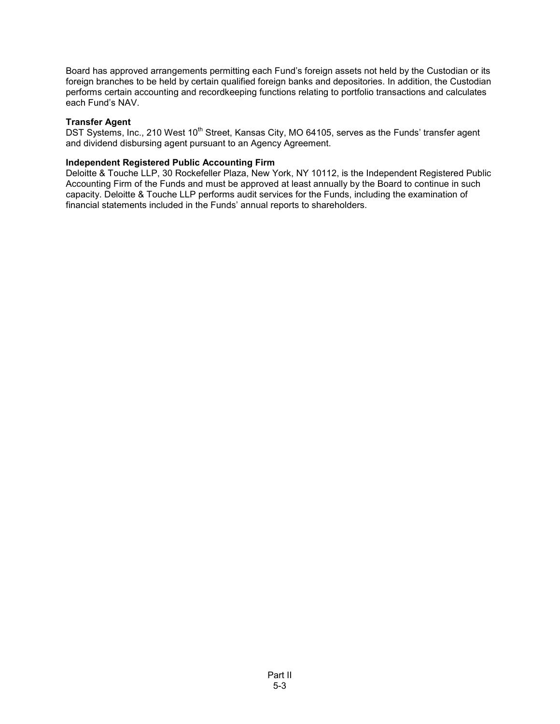Board has approved arrangements permitting each Fund's foreign assets not held by the Custodian or its foreign branches to be held by certain qualified foreign banks and depositories. In addition, the Custodian performs certain accounting and recordkeeping functions relating to portfolio transactions and calculates each Fund's NAV.

### **Transfer Agent**

DST Systems, Inc., 210 West 10<sup>th</sup> Street, Kansas City, MO 64105, serves as the Funds' transfer agent and dividend disbursing agent pursuant to an Agency Agreement.

## **Independent Registered Public Accounting Firm**

Deloitte & Touche LLP, 30 Rockefeller Plaza, New York, NY 10112, is the Independent Registered Public Accounting Firm of the Funds and must be approved at least annually by the Board to continue in such capacity. Deloitte & Touche LLP performs audit services for the Funds, including the examination of financial statements included in the Funds' annual reports to shareholders.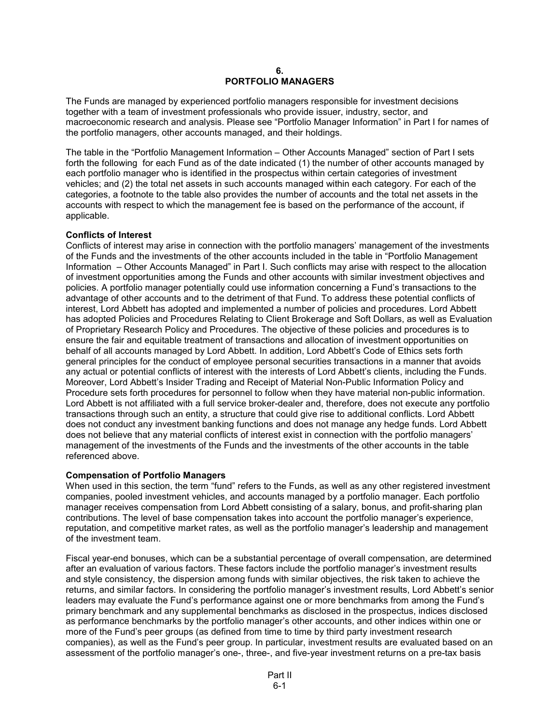#### **6. PORTFOLIO MANAGERS**

The Funds are managed by experienced portfolio managers responsible for investment decisions together with a team of investment professionals who provide issuer, industry, sector, and macroeconomic research and analysis. Please see "Portfolio Manager Information" in Part I for names of the portfolio managers, other accounts managed, and their holdings.

The table in the "Portfolio Management Information – Other Accounts Managed" section of Part I sets forth the following for each Fund as of the date indicated (1) the number of other accounts managed by each portfolio manager who is identified in the prospectus within certain categories of investment vehicles; and (2) the total net assets in such accounts managed within each category. For each of the categories, a footnote to the table also provides the number of accounts and the total net assets in the accounts with respect to which the management fee is based on the performance of the account, if applicable.

## **Conflicts of Interest**

Conflicts of interest may arise in connection with the portfolio managers' management of the investments of the Funds and the investments of the other accounts included in the table in "Portfolio Management Information – Other Accounts Managed" in Part I. Such conflicts may arise with respect to the allocation of investment opportunities among the Funds and other accounts with similar investment objectives and policies. A portfolio manager potentially could use information concerning a Fund's transactions to the advantage of other accounts and to the detriment of that Fund. To address these potential conflicts of interest, Lord Abbett has adopted and implemented a number of policies and procedures. Lord Abbett has adopted Policies and Procedures Relating to Client Brokerage and Soft Dollars, as well as Evaluation of Proprietary Research Policy and Procedures. The objective of these policies and procedures is to ensure the fair and equitable treatment of transactions and allocation of investment opportunities on behalf of all accounts managed by Lord Abbett. In addition, Lord Abbett's Code of Ethics sets forth general principles for the conduct of employee personal securities transactions in a manner that avoids any actual or potential conflicts of interest with the interests of Lord Abbett's clients, including the Funds. Moreover, Lord Abbett's Insider Trading and Receipt of Material Non-Public Information Policy and Procedure sets forth procedures for personnel to follow when they have material non-public information. Lord Abbett is not affiliated with a full service broker-dealer and, therefore, does not execute any portfolio transactions through such an entity, a structure that could give rise to additional conflicts. Lord Abbett does not conduct any investment banking functions and does not manage any hedge funds. Lord Abbett does not believe that any material conflicts of interest exist in connection with the portfolio managers' management of the investments of the Funds and the investments of the other accounts in the table referenced above.

### **Compensation of Portfolio Managers**

When used in this section, the term "fund" refers to the Funds, as well as any other registered investment companies, pooled investment vehicles, and accounts managed by a portfolio manager. Each portfolio manager receives compensation from Lord Abbett consisting of a salary, bonus, and profit-sharing plan contributions. The level of base compensation takes into account the portfolio manager's experience, reputation, and competitive market rates, as well as the portfolio manager's leadership and management of the investment team.

Fiscal year-end bonuses, which can be a substantial percentage of overall compensation, are determined after an evaluation of various factors. These factors include the portfolio manager's investment results and style consistency, the dispersion among funds with similar objectives, the risk taken to achieve the returns, and similar factors. In considering the portfolio manager's investment results, Lord Abbett's senior leaders may evaluate the Fund's performance against one or more benchmarks from among the Fund's primary benchmark and any supplemental benchmarks as disclosed in the prospectus, indices disclosed as performance benchmarks by the portfolio manager's other accounts, and other indices within one or more of the Fund's peer groups (as defined from time to time by third party investment research companies), as well as the Fund's peer group. In particular, investment results are evaluated based on an assessment of the portfolio manager's one-, three-, and five-year investment returns on a pre-tax basis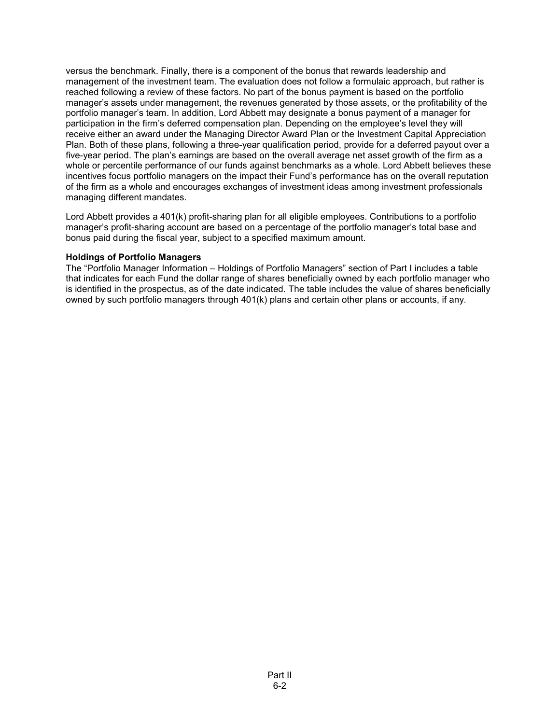versus the benchmark. Finally, there is a component of the bonus that rewards leadership and management of the investment team. The evaluation does not follow a formulaic approach, but rather is reached following a review of these factors. No part of the bonus payment is based on the portfolio manager's assets under management, the revenues generated by those assets, or the profitability of the portfolio manager's team. In addition, Lord Abbett may designate a bonus payment of a manager for participation in the firm's deferred compensation plan. Depending on the employee's level they will receive either an award under the Managing Director Award Plan or the Investment Capital Appreciation Plan. Both of these plans, following a three-year qualification period, provide for a deferred payout over a five-year period. The plan's earnings are based on the overall average net asset growth of the firm as a whole or percentile performance of our funds against benchmarks as a whole. Lord Abbett believes these incentives focus portfolio managers on the impact their Fund's performance has on the overall reputation of the firm as a whole and encourages exchanges of investment ideas among investment professionals managing different mandates.

Lord Abbett provides a 401(k) profit-sharing plan for all eligible employees. Contributions to a portfolio manager's profit-sharing account are based on a percentage of the portfolio manager's total base and bonus paid during the fiscal year, subject to a specified maximum amount.

### **Holdings of Portfolio Managers**

The "Portfolio Manager Information – Holdings of Portfolio Managers" section of Part I includes a table that indicates for each Fund the dollar range of shares beneficially owned by each portfolio manager who is identified in the prospectus, as of the date indicated. The table includes the value of shares beneficially owned by such portfolio managers through 401(k) plans and certain other plans or accounts, if any.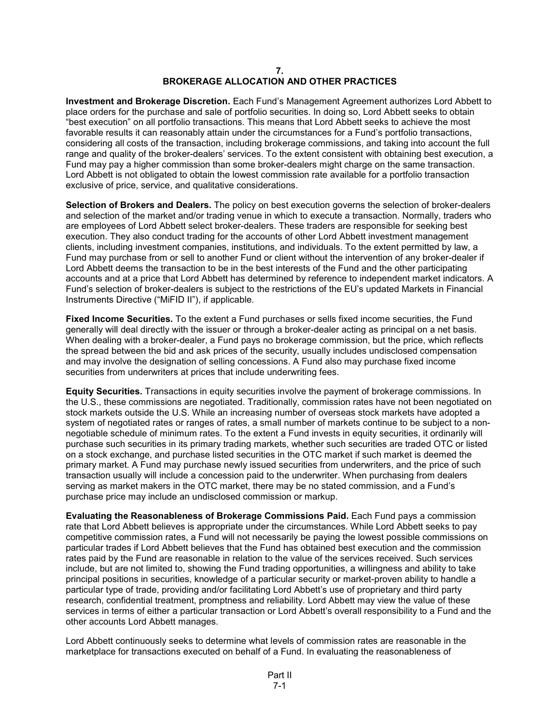### **7. BROKERAGE ALLOCATION AND OTHER PRACTICES**

**Investment and Brokerage Discretion.** Each Fund's Management Agreement authorizes Lord Abbett to place orders for the purchase and sale of portfolio securities. In doing so, Lord Abbett seeks to obtain "best execution" on all portfolio transactions. This means that Lord Abbett seeks to achieve the most favorable results it can reasonably attain under the circumstances for a Fund's portfolio transactions, considering all costs of the transaction, including brokerage commissions, and taking into account the full range and quality of the broker-dealers' services. To the extent consistent with obtaining best execution, a Fund may pay a higher commission than some broker-dealers might charge on the same transaction. Lord Abbett is not obligated to obtain the lowest commission rate available for a portfolio transaction exclusive of price, service, and qualitative considerations.

**Selection of Brokers and Dealers.** The policy on best execution governs the selection of broker-dealers and selection of the market and/or trading venue in which to execute a transaction. Normally, traders who are employees of Lord Abbett select broker-dealers. These traders are responsible for seeking best execution. They also conduct trading for the accounts of other Lord Abbett investment management clients, including investment companies, institutions, and individuals. To the extent permitted by law, a Fund may purchase from or sell to another Fund or client without the intervention of any broker-dealer if Lord Abbett deems the transaction to be in the best interests of the Fund and the other participating accounts and at a price that Lord Abbett has determined by reference to independent market indicators. A Fund's selection of broker-dealers is subject to the restrictions of the EU's updated Markets in Financial Instruments Directive ("MiFID II"), if applicable.

**Fixed Income Securities.** To the extent a Fund purchases or sells fixed income securities, the Fund generally will deal directly with the issuer or through a broker-dealer acting as principal on a net basis. When dealing with a broker-dealer, a Fund pays no brokerage commission, but the price, which reflects the spread between the bid and ask prices of the security, usually includes undisclosed compensation and may involve the designation of selling concessions. A Fund also may purchase fixed income securities from underwriters at prices that include underwriting fees.

**Equity Securities.** Transactions in equity securities involve the payment of brokerage commissions. In the U.S., these commissions are negotiated. Traditionally, commission rates have not been negotiated on stock markets outside the U.S. While an increasing number of overseas stock markets have adopted a system of negotiated rates or ranges of rates, a small number of markets continue to be subject to a nonnegotiable schedule of minimum rates. To the extent a Fund invests in equity securities, it ordinarily will purchase such securities in its primary trading markets, whether such securities are traded OTC or listed on a stock exchange, and purchase listed securities in the OTC market if such market is deemed the primary market. A Fund may purchase newly issued securities from underwriters, and the price of such transaction usually will include a concession paid to the underwriter. When purchasing from dealers serving as market makers in the OTC market, there may be no stated commission, and a Fund's purchase price may include an undisclosed commission or markup.

**Evaluating the Reasonableness of Brokerage Commissions Paid.** Each Fund pays a commission rate that Lord Abbett believes is appropriate under the circumstances. While Lord Abbett seeks to pay competitive commission rates, a Fund will not necessarily be paying the lowest possible commissions on particular trades if Lord Abbett believes that the Fund has obtained best execution and the commission rates paid by the Fund are reasonable in relation to the value of the services received. Such services include, but are not limited to, showing the Fund trading opportunities, a willingness and ability to take principal positions in securities, knowledge of a particular security or market-proven ability to handle a particular type of trade, providing and/or facilitating Lord Abbett's use of proprietary and third party research, confidential treatment, promptness and reliability. Lord Abbett may view the value of these services in terms of either a particular transaction or Lord Abbett's overall responsibility to a Fund and the other accounts Lord Abbett manages.

Lord Abbett continuously seeks to determine what levels of commission rates are reasonable in the marketplace for transactions executed on behalf of a Fund. In evaluating the reasonableness of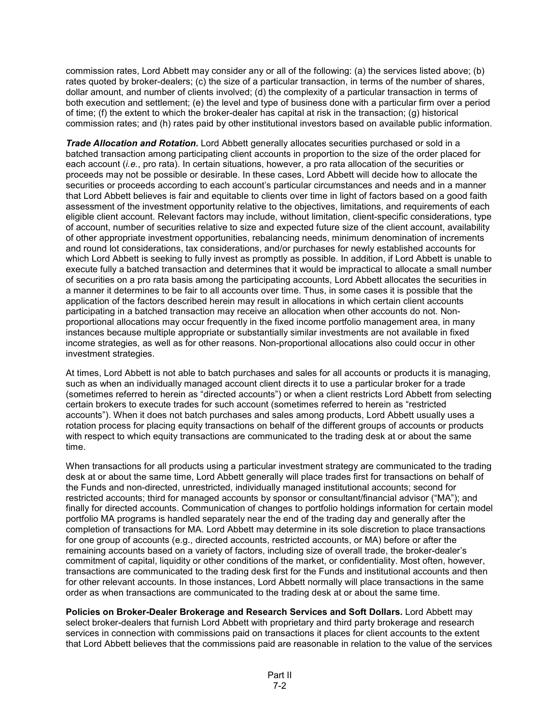commission rates, Lord Abbett may consider any or all of the following: (a) the services listed above; (b) rates quoted by broker-dealers; (c) the size of a particular transaction, in terms of the number of shares, dollar amount, and number of clients involved; (d) the complexity of a particular transaction in terms of both execution and settlement; (e) the level and type of business done with a particular firm over a period of time; (f) the extent to which the broker-dealer has capital at risk in the transaction; (g) historical commission rates; and (h) rates paid by other institutional investors based on available public information.

*Trade Allocation and Rotation.* Lord Abbett generally allocates securities purchased or sold in a batched transaction among participating client accounts in proportion to the size of the order placed for each account (*i.e.*, pro rata). In certain situations, however, a pro rata allocation of the securities or proceeds may not be possible or desirable. In these cases, Lord Abbett will decide how to allocate the securities or proceeds according to each account's particular circumstances and needs and in a manner that Lord Abbett believes is fair and equitable to clients over time in light of factors based on a good faith assessment of the investment opportunity relative to the objectives, limitations, and requirements of each eligible client account. Relevant factors may include, without limitation, client-specific considerations, type of account, number of securities relative to size and expected future size of the client account, availability of other appropriate investment opportunities, rebalancing needs, minimum denomination of increments and round lot considerations, tax considerations, and/or purchases for newly established accounts for which Lord Abbett is seeking to fully invest as promptly as possible. In addition, if Lord Abbett is unable to execute fully a batched transaction and determines that it would be impractical to allocate a small number of securities on a pro rata basis among the participating accounts, Lord Abbett allocates the securities in a manner it determines to be fair to all accounts over time. Thus, in some cases it is possible that the application of the factors described herein may result in allocations in which certain client accounts participating in a batched transaction may receive an allocation when other accounts do not. Nonproportional allocations may occur frequently in the fixed income portfolio management area, in many instances because multiple appropriate or substantially similar investments are not available in fixed income strategies, as well as for other reasons. Non-proportional allocations also could occur in other investment strategies.

At times, Lord Abbett is not able to batch purchases and sales for all accounts or products it is managing, such as when an individually managed account client directs it to use a particular broker for a trade (sometimes referred to herein as "directed accounts") or when a client restricts Lord Abbett from selecting certain brokers to execute trades for such account (sometimes referred to herein as "restricted accounts"). When it does not batch purchases and sales among products, Lord Abbett usually uses a rotation process for placing equity transactions on behalf of the different groups of accounts or products with respect to which equity transactions are communicated to the trading desk at or about the same time.

When transactions for all products using a particular investment strategy are communicated to the trading desk at or about the same time, Lord Abbett generally will place trades first for transactions on behalf of the Funds and non-directed, unrestricted, individually managed institutional accounts; second for restricted accounts; third for managed accounts by sponsor or consultant/financial advisor ("MA"); and finally for directed accounts. Communication of changes to portfolio holdings information for certain model portfolio MA programs is handled separately near the end of the trading day and generally after the completion of transactions for MA. Lord Abbett may determine in its sole discretion to place transactions for one group of accounts (e.g., directed accounts, restricted accounts, or MA) before or after the remaining accounts based on a variety of factors, including size of overall trade, the broker-dealer's commitment of capital, liquidity or other conditions of the market, or confidentiality. Most often, however, transactions are communicated to the trading desk first for the Funds and institutional accounts and then for other relevant accounts. In those instances, Lord Abbett normally will place transactions in the same order as when transactions are communicated to the trading desk at or about the same time.

**Policies on Broker-Dealer Brokerage and Research Services and Soft Dollars.** Lord Abbett may select broker-dealers that furnish Lord Abbett with proprietary and third party brokerage and research services in connection with commissions paid on transactions it places for client accounts to the extent that Lord Abbett believes that the commissions paid are reasonable in relation to the value of the services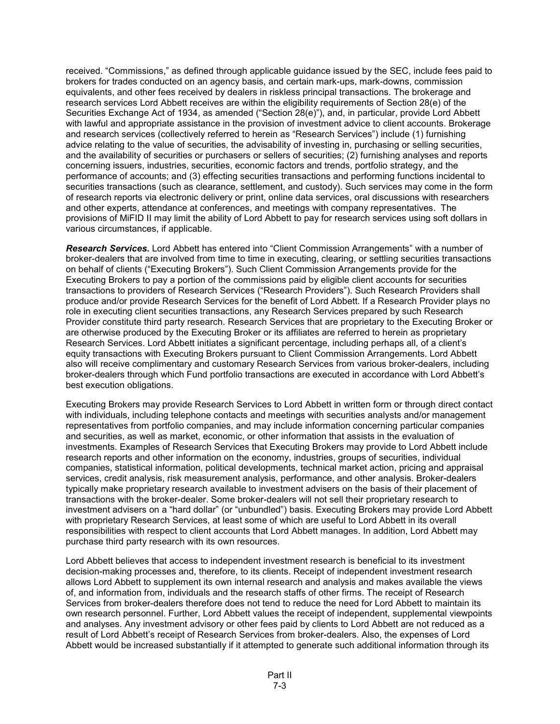received. "Commissions," as defined through applicable guidance issued by the SEC, include fees paid to brokers for trades conducted on an agency basis, and certain mark-ups, mark-downs, commission equivalents, and other fees received by dealers in riskless principal transactions. The brokerage and research services Lord Abbett receives are within the eligibility requirements of Section 28(e) of the Securities Exchange Act of 1934, as amended ("Section 28(e)"), and, in particular, provide Lord Abbett with lawful and appropriate assistance in the provision of investment advice to client accounts. Brokerage and research services (collectively referred to herein as "Research Services") include (1) furnishing advice relating to the value of securities, the advisability of investing in, purchasing or selling securities, and the availability of securities or purchasers or sellers of securities; (2) furnishing analyses and reports concerning issuers, industries, securities, economic factors and trends, portfolio strategy, and the performance of accounts; and (3) effecting securities transactions and performing functions incidental to securities transactions (such as clearance, settlement, and custody). Such services may come in the form of research reports via electronic delivery or print, online data services, oral discussions with researchers and other experts, attendance at conferences, and meetings with company representatives. The provisions of MiFID II may limit the ability of Lord Abbett to pay for research services using soft dollars in various circumstances, if applicable.

*Research Services.* Lord Abbett has entered into "Client Commission Arrangements" with a number of broker-dealers that are involved from time to time in executing, clearing, or settling securities transactions on behalf of clients ("Executing Brokers"). Such Client Commission Arrangements provide for the Executing Brokers to pay a portion of the commissions paid by eligible client accounts for securities transactions to providers of Research Services ("Research Providers"). Such Research Providers shall produce and/or provide Research Services for the benefit of Lord Abbett. If a Research Provider plays no role in executing client securities transactions, any Research Services prepared by such Research Provider constitute third party research. Research Services that are proprietary to the Executing Broker or are otherwise produced by the Executing Broker or its affiliates are referred to herein as proprietary Research Services. Lord Abbett initiates a significant percentage, including perhaps all, of a client's equity transactions with Executing Brokers pursuant to Client Commission Arrangements. Lord Abbett also will receive complimentary and customary Research Services from various broker-dealers, including broker-dealers through which Fund portfolio transactions are executed in accordance with Lord Abbett's best execution obligations.

Executing Brokers may provide Research Services to Lord Abbett in written form or through direct contact with individuals, including telephone contacts and meetings with securities analysts and/or management representatives from portfolio companies, and may include information concerning particular companies and securities, as well as market, economic, or other information that assists in the evaluation of investments. Examples of Research Services that Executing Brokers may provide to Lord Abbett include research reports and other information on the economy, industries, groups of securities, individual companies, statistical information, political developments, technical market action, pricing and appraisal services, credit analysis, risk measurement analysis, performance, and other analysis. Broker-dealers typically make proprietary research available to investment advisers on the basis of their placement of transactions with the broker-dealer. Some broker-dealers will not sell their proprietary research to investment advisers on a "hard dollar" (or "unbundled") basis. Executing Brokers may provide Lord Abbett with proprietary Research Services, at least some of which are useful to Lord Abbett in its overall responsibilities with respect to client accounts that Lord Abbett manages. In addition, Lord Abbett may purchase third party research with its own resources.

Lord Abbett believes that access to independent investment research is beneficial to its investment decision-making processes and, therefore, to its clients. Receipt of independent investment research allows Lord Abbett to supplement its own internal research and analysis and makes available the views of, and information from, individuals and the research staffs of other firms. The receipt of Research Services from broker-dealers therefore does not tend to reduce the need for Lord Abbett to maintain its own research personnel. Further, Lord Abbett values the receipt of independent, supplemental viewpoints and analyses. Any investment advisory or other fees paid by clients to Lord Abbett are not reduced as a result of Lord Abbett's receipt of Research Services from broker-dealers. Also, the expenses of Lord Abbett would be increased substantially if it attempted to generate such additional information through its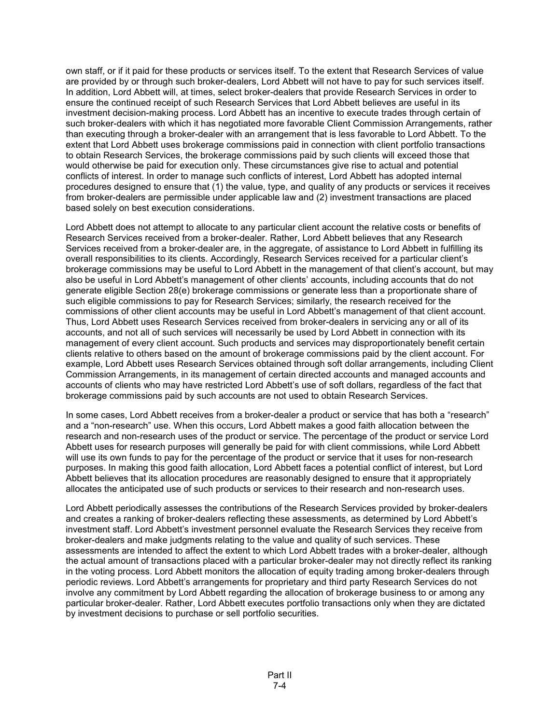own staff, or if it paid for these products or services itself. To the extent that Research Services of value are provided by or through such broker-dealers, Lord Abbett will not have to pay for such services itself. In addition, Lord Abbett will, at times, select broker-dealers that provide Research Services in order to ensure the continued receipt of such Research Services that Lord Abbett believes are useful in its investment decision-making process. Lord Abbett has an incentive to execute trades through certain of such broker-dealers with which it has negotiated more favorable Client Commission Arrangements, rather than executing through a broker-dealer with an arrangement that is less favorable to Lord Abbett. To the extent that Lord Abbett uses brokerage commissions paid in connection with client portfolio transactions to obtain Research Services, the brokerage commissions paid by such clients will exceed those that would otherwise be paid for execution only. These circumstances give rise to actual and potential conflicts of interest. In order to manage such conflicts of interest, Lord Abbett has adopted internal procedures designed to ensure that (1) the value, type, and quality of any products or services it receives from broker-dealers are permissible under applicable law and (2) investment transactions are placed based solely on best execution considerations.

Lord Abbett does not attempt to allocate to any particular client account the relative costs or benefits of Research Services received from a broker-dealer. Rather, Lord Abbett believes that any Research Services received from a broker-dealer are, in the aggregate, of assistance to Lord Abbett in fulfilling its overall responsibilities to its clients. Accordingly, Research Services received for a particular client's brokerage commissions may be useful to Lord Abbett in the management of that client's account, but may also be useful in Lord Abbett's management of other clients' accounts, including accounts that do not generate eligible Section 28(e) brokerage commissions or generate less than a proportionate share of such eligible commissions to pay for Research Services; similarly, the research received for the commissions of other client accounts may be useful in Lord Abbett's management of that client account. Thus, Lord Abbett uses Research Services received from broker-dealers in servicing any or all of its accounts, and not all of such services will necessarily be used by Lord Abbett in connection with its management of every client account. Such products and services may disproportionately benefit certain clients relative to others based on the amount of brokerage commissions paid by the client account. For example, Lord Abbett uses Research Services obtained through soft dollar arrangements, including Client Commission Arrangements, in its management of certain directed accounts and managed accounts and accounts of clients who may have restricted Lord Abbett's use of soft dollars, regardless of the fact that brokerage commissions paid by such accounts are not used to obtain Research Services.

In some cases, Lord Abbett receives from a broker-dealer a product or service that has both a "research" and a "non-research" use. When this occurs, Lord Abbett makes a good faith allocation between the research and non-research uses of the product or service. The percentage of the product or service Lord Abbett uses for research purposes will generally be paid for with client commissions, while Lord Abbett will use its own funds to pay for the percentage of the product or service that it uses for non-research purposes. In making this good faith allocation, Lord Abbett faces a potential conflict of interest, but Lord Abbett believes that its allocation procedures are reasonably designed to ensure that it appropriately allocates the anticipated use of such products or services to their research and non-research uses.

Lord Abbett periodically assesses the contributions of the Research Services provided by broker-dealers and creates a ranking of broker-dealers reflecting these assessments, as determined by Lord Abbett's investment staff. Lord Abbett's investment personnel evaluate the Research Services they receive from broker-dealers and make judgments relating to the value and quality of such services. These assessments are intended to affect the extent to which Lord Abbett trades with a broker-dealer, although the actual amount of transactions placed with a particular broker-dealer may not directly reflect its ranking in the voting process. Lord Abbett monitors the allocation of equity trading among broker-dealers through periodic reviews. Lord Abbett's arrangements for proprietary and third party Research Services do not involve any commitment by Lord Abbett regarding the allocation of brokerage business to or among any particular broker-dealer. Rather, Lord Abbett executes portfolio transactions only when they are dictated by investment decisions to purchase or sell portfolio securities.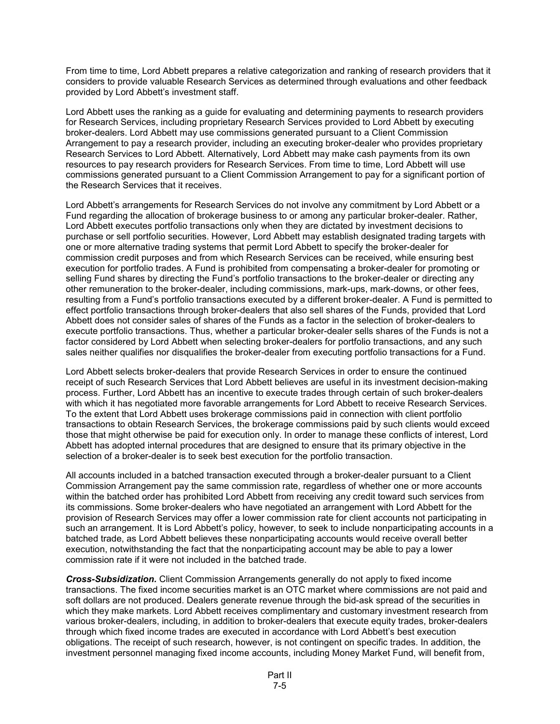From time to time, Lord Abbett prepares a relative categorization and ranking of research providers that it considers to provide valuable Research Services as determined through evaluations and other feedback provided by Lord Abbett's investment staff.

Lord Abbett uses the ranking as a guide for evaluating and determining payments to research providers for Research Services, including proprietary Research Services provided to Lord Abbett by executing broker-dealers. Lord Abbett may use commissions generated pursuant to a Client Commission Arrangement to pay a research provider, including an executing broker-dealer who provides proprietary Research Services to Lord Abbett. Alternatively, Lord Abbett may make cash payments from its own resources to pay research providers for Research Services. From time to time, Lord Abbett will use commissions generated pursuant to a Client Commission Arrangement to pay for a significant portion of the Research Services that it receives.

Lord Abbett's arrangements for Research Services do not involve any commitment by Lord Abbett or a Fund regarding the allocation of brokerage business to or among any particular broker-dealer. Rather, Lord Abbett executes portfolio transactions only when they are dictated by investment decisions to purchase or sell portfolio securities. However, Lord Abbett may establish designated trading targets with one or more alternative trading systems that permit Lord Abbett to specify the broker-dealer for commission credit purposes and from which Research Services can be received, while ensuring best execution for portfolio trades. A Fund is prohibited from compensating a broker-dealer for promoting or selling Fund shares by directing the Fund's portfolio transactions to the broker-dealer or directing any other remuneration to the broker-dealer, including commissions, mark-ups, mark-downs, or other fees, resulting from a Fund's portfolio transactions executed by a different broker-dealer. A Fund is permitted to effect portfolio transactions through broker-dealers that also sell shares of the Funds, provided that Lord Abbett does not consider sales of shares of the Funds as a factor in the selection of broker-dealers to execute portfolio transactions. Thus, whether a particular broker-dealer sells shares of the Funds is not a factor considered by Lord Abbett when selecting broker-dealers for portfolio transactions, and any such sales neither qualifies nor disqualifies the broker-dealer from executing portfolio transactions for a Fund.

Lord Abbett selects broker-dealers that provide Research Services in order to ensure the continued receipt of such Research Services that Lord Abbett believes are useful in its investment decision-making process. Further, Lord Abbett has an incentive to execute trades through certain of such broker-dealers with which it has negotiated more favorable arrangements for Lord Abbett to receive Research Services. To the extent that Lord Abbett uses brokerage commissions paid in connection with client portfolio transactions to obtain Research Services, the brokerage commissions paid by such clients would exceed those that might otherwise be paid for execution only. In order to manage these conflicts of interest, Lord Abbett has adopted internal procedures that are designed to ensure that its primary objective in the selection of a broker-dealer is to seek best execution for the portfolio transaction.

All accounts included in a batched transaction executed through a broker-dealer pursuant to a Client Commission Arrangement pay the same commission rate, regardless of whether one or more accounts within the batched order has prohibited Lord Abbett from receiving any credit toward such services from its commissions. Some broker-dealers who have negotiated an arrangement with Lord Abbett for the provision of Research Services may offer a lower commission rate for client accounts not participating in such an arrangement. It is Lord Abbett's policy, however, to seek to include nonparticipating accounts in a batched trade, as Lord Abbett believes these nonparticipating accounts would receive overall better execution, notwithstanding the fact that the nonparticipating account may be able to pay a lower commission rate if it were not included in the batched trade.

*Cross-Subsidization.* Client Commission Arrangements generally do not apply to fixed income transactions. The fixed income securities market is an OTC market where commissions are not paid and soft dollars are not produced. Dealers generate revenue through the bid-ask spread of the securities in which they make markets. Lord Abbett receives complimentary and customary investment research from various broker-dealers, including, in addition to broker-dealers that execute equity trades, broker-dealers through which fixed income trades are executed in accordance with Lord Abbett's best execution obligations. The receipt of such research, however, is not contingent on specific trades. In addition, the investment personnel managing fixed income accounts, including Money Market Fund, will benefit from,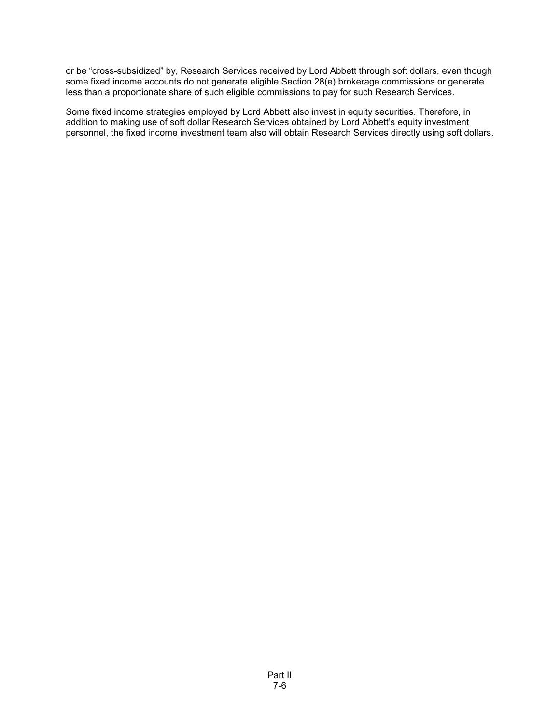or be "cross-subsidized" by, Research Services received by Lord Abbett through soft dollars, even though some fixed income accounts do not generate eligible Section 28(e) brokerage commissions or generate less than a proportionate share of such eligible commissions to pay for such Research Services.

Some fixed income strategies employed by Lord Abbett also invest in equity securities. Therefore, in addition to making use of soft dollar Research Services obtained by Lord Abbett's equity investment personnel, the fixed income investment team also will obtain Research Services directly using soft dollars.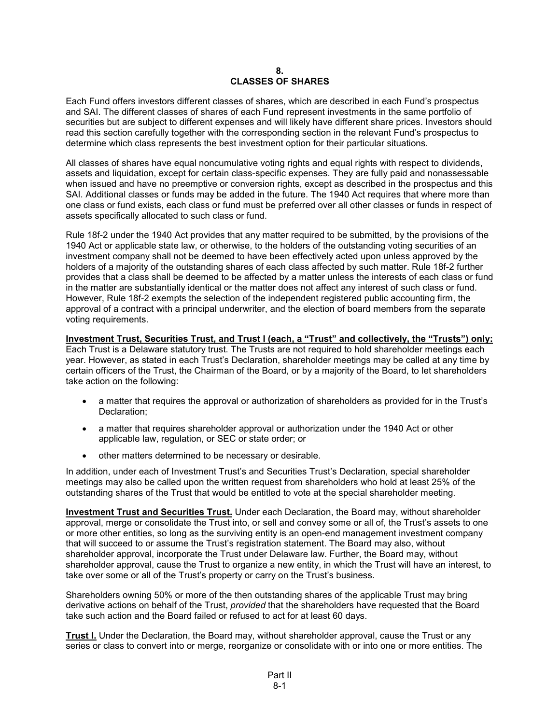#### **8. CLASSES OF SHARES**

Each Fund offers investors different classes of shares, which are described in each Fund's prospectus and SAI. The different classes of shares of each Fund represent investments in the same portfolio of securities but are subject to different expenses and will likely have different share prices. Investors should read this section carefully together with the corresponding section in the relevant Fund's prospectus to determine which class represents the best investment option for their particular situations.

All classes of shares have equal noncumulative voting rights and equal rights with respect to dividends, assets and liquidation, except for certain class-specific expenses. They are fully paid and nonassessable when issued and have no preemptive or conversion rights, except as described in the prospectus and this SAI. Additional classes or funds may be added in the future. The 1940 Act requires that where more than one class or fund exists, each class or fund must be preferred over all other classes or funds in respect of assets specifically allocated to such class or fund.

Rule 18f-2 under the 1940 Act provides that any matter required to be submitted, by the provisions of the 1940 Act or applicable state law, or otherwise, to the holders of the outstanding voting securities of an investment company shall not be deemed to have been effectively acted upon unless approved by the holders of a majority of the outstanding shares of each class affected by such matter. Rule 18f-2 further provides that a class shall be deemed to be affected by a matter unless the interests of each class or fund in the matter are substantially identical or the matter does not affect any interest of such class or fund. However, Rule 18f-2 exempts the selection of the independent registered public accounting firm, the approval of a contract with a principal underwriter, and the election of board members from the separate voting requirements.

**Investment Trust, Securities Trust, and Trust I (each, a "Trust" and collectively, the "Trusts") only:** Each Trust is a Delaware statutory trust. The Trusts are not required to hold shareholder meetings each year. However, as stated in each Trust's Declaration, shareholder meetings may be called at any time by certain officers of the Trust, the Chairman of the Board, or by a majority of the Board, to let shareholders take action on the following:

- a matter that requires the approval or authorization of shareholders as provided for in the Trust's Declaration;
- a matter that requires shareholder approval or authorization under the 1940 Act or other applicable law, regulation, or SEC or state order; or
- other matters determined to be necessary or desirable.

In addition, under each of Investment Trust's and Securities Trust's Declaration, special shareholder meetings may also be called upon the written request from shareholders who hold at least 25% of the outstanding shares of the Trust that would be entitled to vote at the special shareholder meeting.

**Investment Trust and Securities Trust.** Under each Declaration, the Board may, without shareholder approval, merge or consolidate the Trust into, or sell and convey some or all of, the Trust's assets to one or more other entities, so long as the surviving entity is an open-end management investment company that will succeed to or assume the Trust's registration statement. The Board may also, without shareholder approval, incorporate the Trust under Delaware law. Further, the Board may, without shareholder approval, cause the Trust to organize a new entity, in which the Trust will have an interest, to take over some or all of the Trust's property or carry on the Trust's business.

Shareholders owning 50% or more of the then outstanding shares of the applicable Trust may bring derivative actions on behalf of the Trust, *provided* that the shareholders have requested that the Board take such action and the Board failed or refused to act for at least 60 days.

**Trust I.** Under the Declaration, the Board may, without shareholder approval, cause the Trust or any series or class to convert into or merge, reorganize or consolidate with or into one or more entities. The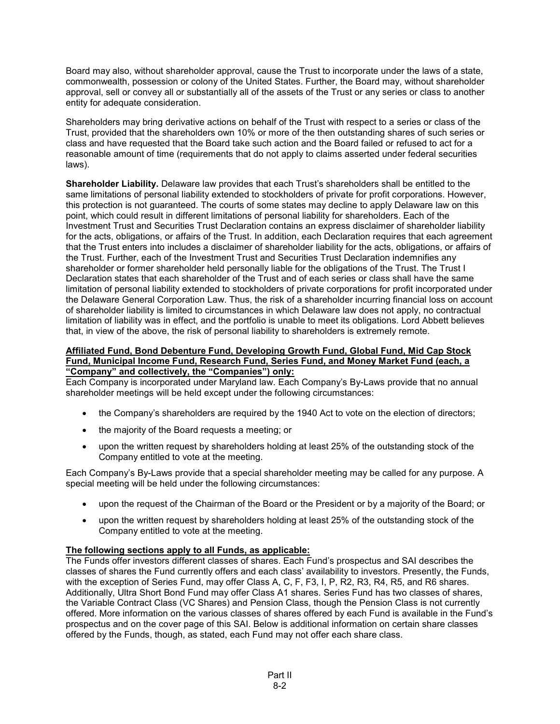Board may also, without shareholder approval, cause the Trust to incorporate under the laws of a state, commonwealth, possession or colony of the United States. Further, the Board may, without shareholder approval, sell or convey all or substantially all of the assets of the Trust or any series or class to another entity for adequate consideration.

Shareholders may bring derivative actions on behalf of the Trust with respect to a series or class of the Trust, provided that the shareholders own 10% or more of the then outstanding shares of such series or class and have requested that the Board take such action and the Board failed or refused to act for a reasonable amount of time (requirements that do not apply to claims asserted under federal securities laws).

**Shareholder Liability.** Delaware law provides that each Trust's shareholders shall be entitled to the same limitations of personal liability extended to stockholders of private for profit corporations. However, this protection is not guaranteed. The courts of some states may decline to apply Delaware law on this point, which could result in different limitations of personal liability for shareholders. Each of the Investment Trust and Securities Trust Declaration contains an express disclaimer of shareholder liability for the acts, obligations, or affairs of the Trust. In addition, each Declaration requires that each agreement that the Trust enters into includes a disclaimer of shareholder liability for the acts, obligations, or affairs of the Trust. Further, each of the Investment Trust and Securities Trust Declaration indemnifies any shareholder or former shareholder held personally liable for the obligations of the Trust. The Trust I Declaration states that each shareholder of the Trust and of each series or class shall have the same limitation of personal liability extended to stockholders of private corporations for profit incorporated under the Delaware General Corporation Law. Thus, the risk of a shareholder incurring financial loss on account of shareholder liability is limited to circumstances in which Delaware law does not apply, no contractual limitation of liability was in effect, and the portfolio is unable to meet its obligations. Lord Abbett believes that, in view of the above, the risk of personal liability to shareholders is extremely remote.

## **Affiliated Fund, Bond Debenture Fund, Developing Growth Fund, Global Fund, Mid Cap Stock Fund, Municipal Income Fund, Research Fund, Series Fund, and Money Market Fund (each, a "Company" and collectively, the "Companies") only:**

Each Company is incorporated under Maryland law. Each Company's By-Laws provide that no annual shareholder meetings will be held except under the following circumstances:

- the Company's shareholders are required by the 1940 Act to vote on the election of directors;
- the majority of the Board requests a meeting; or
- upon the written request by shareholders holding at least 25% of the outstanding stock of the Company entitled to vote at the meeting.

Each Company's By-Laws provide that a special shareholder meeting may be called for any purpose. A special meeting will be held under the following circumstances:

- upon the request of the Chairman of the Board or the President or by a majority of the Board; or
- upon the written request by shareholders holding at least 25% of the outstanding stock of the Company entitled to vote at the meeting.

# **The following sections apply to all Funds, as applicable:**

The Funds offer investors different classes of shares. Each Fund's prospectus and SAI describes the classes of shares the Fund currently offers and each class' availability to investors. Presently, the Funds, with the exception of Series Fund, may offer Class A, C, F, F3, I, P, R2, R3, R4, R5, and R6 shares. Additionally, Ultra Short Bond Fund may offer Class A1 shares. Series Fund has two classes of shares, the Variable Contract Class (VC Shares) and Pension Class, though the Pension Class is not currently offered. More information on the various classes of shares offered by each Fund is available in the Fund's prospectus and on the cover page of this SAI. Below is additional information on certain share classes offered by the Funds, though, as stated, each Fund may not offer each share class.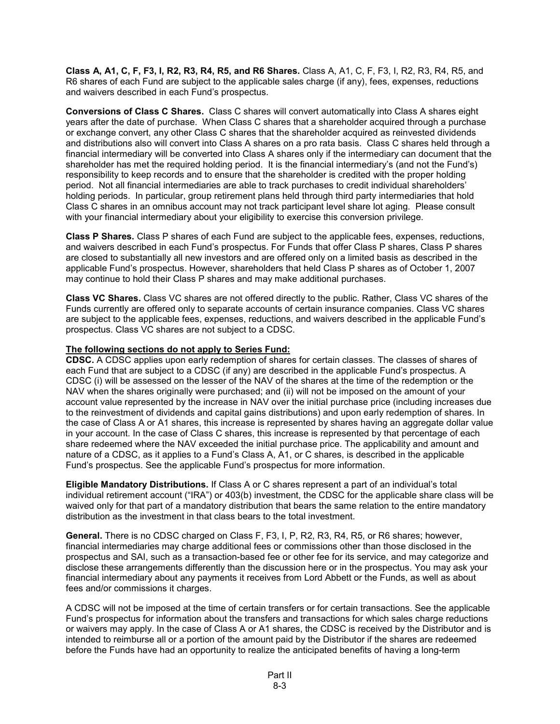**Class A, A1, C, F, F3, I, R2, R3, R4, R5, and R6 Shares.** Class A, A1, C, F, F3, I, R2, R3, R4, R5, and R6 shares of each Fund are subject to the applicable sales charge (if any), fees, expenses, reductions and waivers described in each Fund's prospectus.

**Conversions of Class C Shares.** Class C shares will convert automatically into Class A shares eight years after the date of purchase. When Class C shares that a shareholder acquired through a purchase or exchange convert, any other Class C shares that the shareholder acquired as reinvested dividends and distributions also will convert into Class A shares on a pro rata basis. Class C shares held through a financial intermediary will be converted into Class A shares only if the intermediary can document that the shareholder has met the required holding period. It is the financial intermediary's (and not the Fund's) responsibility to keep records and to ensure that the shareholder is credited with the proper holding period. Not all financial intermediaries are able to track purchases to credit individual shareholders' holding periods. In particular, group retirement plans held through third party intermediaries that hold Class C shares in an omnibus account may not track participant level share lot aging. Please consult with your financial intermediary about your eligibility to exercise this conversion privilege.

**Class P Shares.** Class P shares of each Fund are subject to the applicable fees, expenses, reductions, and waivers described in each Fund's prospectus. For Funds that offer Class P shares, Class P shares are closed to substantially all new investors and are offered only on a limited basis as described in the applicable Fund's prospectus. However, shareholders that held Class P shares as of October 1, 2007 may continue to hold their Class P shares and may make additional purchases.

**Class VC Shares.** Class VC shares are not offered directly to the public. Rather, Class VC shares of the Funds currently are offered only to separate accounts of certain insurance companies. Class VC shares are subject to the applicable fees, expenses, reductions, and waivers described in the applicable Fund's prospectus. Class VC shares are not subject to a CDSC.

## **The following sections do not apply to Series Fund:**

**CDSC.** A CDSC applies upon early redemption of shares for certain classes. The classes of shares of each Fund that are subject to a CDSC (if any) are described in the applicable Fund's prospectus. A CDSC (i) will be assessed on the lesser of the NAV of the shares at the time of the redemption or the NAV when the shares originally were purchased; and (ii) will not be imposed on the amount of your account value represented by the increase in NAV over the initial purchase price (including increases due to the reinvestment of dividends and capital gains distributions) and upon early redemption of shares. In the case of Class A or A1 shares, this increase is represented by shares having an aggregate dollar value in your account. In the case of Class C shares, this increase is represented by that percentage of each share redeemed where the NAV exceeded the initial purchase price. The applicability and amount and nature of a CDSC, as it applies to a Fund's Class A, A1, or C shares, is described in the applicable Fund's prospectus. See the applicable Fund's prospectus for more information.

**Eligible Mandatory Distributions.** If Class A or C shares represent a part of an individual's total individual retirement account ("IRA") or 403(b) investment, the CDSC for the applicable share class will be waived only for that part of a mandatory distribution that bears the same relation to the entire mandatory distribution as the investment in that class bears to the total investment.

**General.** There is no CDSC charged on Class F, F3, I, P, R2, R3, R4, R5, or R6 shares; however, financial intermediaries may charge additional fees or commissions other than those disclosed in the prospectus and SAI, such as a transaction-based fee or other fee for its service, and may categorize and disclose these arrangements differently than the discussion here or in the prospectus. You may ask your financial intermediary about any payments it receives from Lord Abbett or the Funds, as well as about fees and/or commissions it charges.

A CDSC will not be imposed at the time of certain transfers or for certain transactions. See the applicable Fund's prospectus for information about the transfers and transactions for which sales charge reductions or waivers may apply. In the case of Class A or A1 shares, the CDSC is received by the Distributor and is intended to reimburse all or a portion of the amount paid by the Distributor if the shares are redeemed before the Funds have had an opportunity to realize the anticipated benefits of having a long-term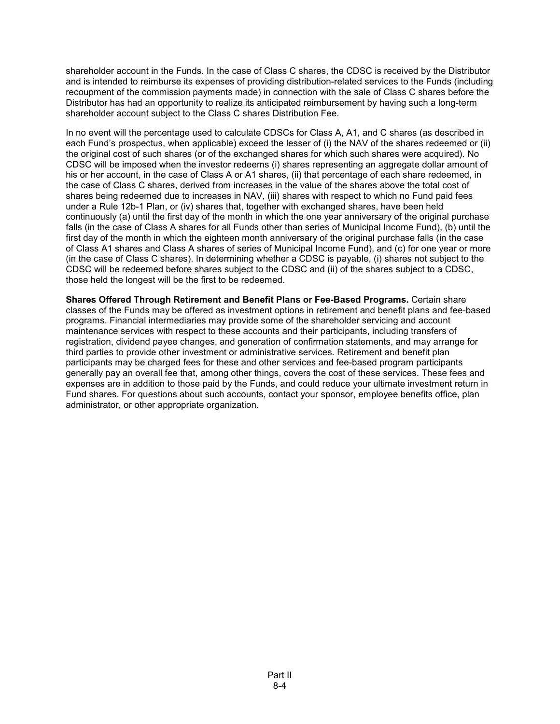shareholder account in the Funds. In the case of Class C shares, the CDSC is received by the Distributor and is intended to reimburse its expenses of providing distribution-related services to the Funds (including recoupment of the commission payments made) in connection with the sale of Class C shares before the Distributor has had an opportunity to realize its anticipated reimbursement by having such a long-term shareholder account subject to the Class C shares Distribution Fee.

In no event will the percentage used to calculate CDSCs for Class A, A1, and C shares (as described in each Fund's prospectus, when applicable) exceed the lesser of (i) the NAV of the shares redeemed or (ii) the original cost of such shares (or of the exchanged shares for which such shares were acquired). No CDSC will be imposed when the investor redeems (i) shares representing an aggregate dollar amount of his or her account, in the case of Class A or A1 shares, (ii) that percentage of each share redeemed, in the case of Class C shares, derived from increases in the value of the shares above the total cost of shares being redeemed due to increases in NAV, (iii) shares with respect to which no Fund paid fees under a Rule 12b-1 Plan, or (iv) shares that, together with exchanged shares, have been held continuously (a) until the first day of the month in which the one year anniversary of the original purchase falls (in the case of Class A shares for all Funds other than series of Municipal Income Fund), (b) until the first day of the month in which the eighteen month anniversary of the original purchase falls (in the case of Class A1 shares and Class A shares of series of Municipal Income Fund), and (c) for one year or more (in the case of Class C shares). In determining whether a CDSC is payable, (i) shares not subject to the CDSC will be redeemed before shares subject to the CDSC and (ii) of the shares subject to a CDSC, those held the longest will be the first to be redeemed.

**Shares Offered Through Retirement and Benefit Plans or Fee-Based Programs.** Certain share classes of the Funds may be offered as investment options in retirement and benefit plans and fee-based programs. Financial intermediaries may provide some of the shareholder servicing and account maintenance services with respect to these accounts and their participants, including transfers of registration, dividend payee changes, and generation of confirmation statements, and may arrange for third parties to provide other investment or administrative services. Retirement and benefit plan participants may be charged fees for these and other services and fee-based program participants generally pay an overall fee that, among other things, covers the cost of these services. These fees and expenses are in addition to those paid by the Funds, and could reduce your ultimate investment return in Fund shares. For questions about such accounts, contact your sponsor, employee benefits office, plan administrator, or other appropriate organization.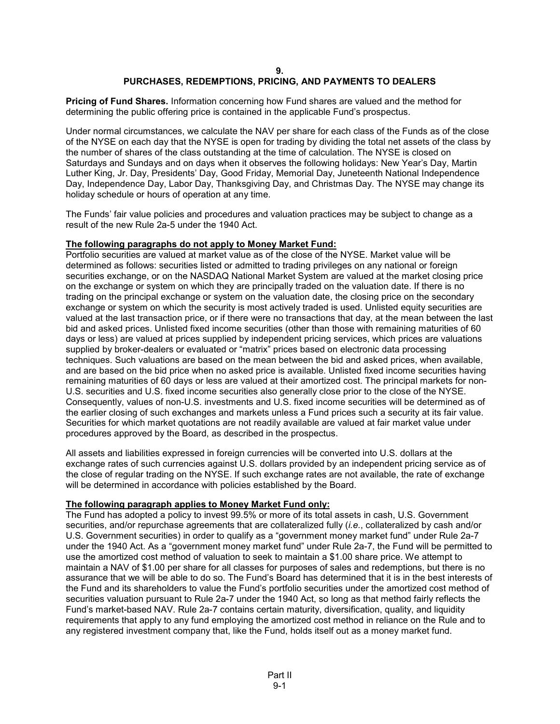## **9. PURCHASES, REDEMPTIONS, PRICING, AND PAYMENTS TO DEALERS**

**Pricing of Fund Shares.** Information concerning how Fund shares are valued and the method for determining the public offering price is contained in the applicable Fund's prospectus.

Under normal circumstances, we calculate the NAV per share for each class of the Funds as of the close of the NYSE on each day that the NYSE is open for trading by dividing the total net assets of the class by the number of shares of the class outstanding at the time of calculation. The NYSE is closed on Saturdays and Sundays and on days when it observes the following holidays: New Year's Day, Martin Luther King, Jr. Day, Presidents' Day, Good Friday, Memorial Day, Juneteenth National Independence Day, Independence Day, Labor Day, Thanksgiving Day, and Christmas Day. The NYSE may change its holiday schedule or hours of operation at any time.

The Funds' fair value policies and procedures and valuation practices may be subject to change as a result of the new Rule 2a-5 under the 1940 Act.

# **The following paragraphs do not apply to Money Market Fund:**

Portfolio securities are valued at market value as of the close of the NYSE. Market value will be determined as follows: securities listed or admitted to trading privileges on any national or foreign securities exchange, or on the NASDAQ National Market System are valued at the market closing price on the exchange or system on which they are principally traded on the valuation date. If there is no trading on the principal exchange or system on the valuation date, the closing price on the secondary exchange or system on which the security is most actively traded is used. Unlisted equity securities are valued at the last transaction price, or if there were no transactions that day, at the mean between the last bid and asked prices. Unlisted fixed income securities (other than those with remaining maturities of 60 days or less) are valued at prices supplied by independent pricing services, which prices are valuations supplied by broker-dealers or evaluated or "matrix" prices based on electronic data processing techniques. Such valuations are based on the mean between the bid and asked prices, when available, and are based on the bid price when no asked price is available. Unlisted fixed income securities having remaining maturities of 60 days or less are valued at their amortized cost. The principal markets for non-U.S. securities and U.S. fixed income securities also generally close prior to the close of the NYSE. Consequently, values of non-U.S. investments and U.S. fixed income securities will be determined as of the earlier closing of such exchanges and markets unless a Fund prices such a security at its fair value. Securities for which market quotations are not readily available are valued at fair market value under procedures approved by the Board, as described in the prospectus.

All assets and liabilities expressed in foreign currencies will be converted into U.S. dollars at the exchange rates of such currencies against U.S. dollars provided by an independent pricing service as of the close of regular trading on the NYSE. If such exchange rates are not available, the rate of exchange will be determined in accordance with policies established by the Board.

### **The following paragraph applies to Money Market Fund only:**

The Fund has adopted a policy to invest 99.5% or more of its total assets in cash, U.S. Government securities, and/or repurchase agreements that are collateralized fully (*i.e.*, collateralized by cash and/or U.S. Government securities) in order to qualify as a "government money market fund" under Rule 2a-7 under the 1940 Act. As a "government money market fund" under Rule 2a-7, the Fund will be permitted to use the amortized cost method of valuation to seek to maintain a \$1.00 share price. We attempt to maintain a NAV of \$1.00 per share for all classes for purposes of sales and redemptions, but there is no assurance that we will be able to do so. The Fund's Board has determined that it is in the best interests of the Fund and its shareholders to value the Fund's portfolio securities under the amortized cost method of securities valuation pursuant to Rule 2a-7 under the 1940 Act, so long as that method fairly reflects the Fund's market-based NAV. Rule 2a-7 contains certain maturity, diversification, quality, and liquidity requirements that apply to any fund employing the amortized cost method in reliance on the Rule and to any registered investment company that, like the Fund, holds itself out as a money market fund.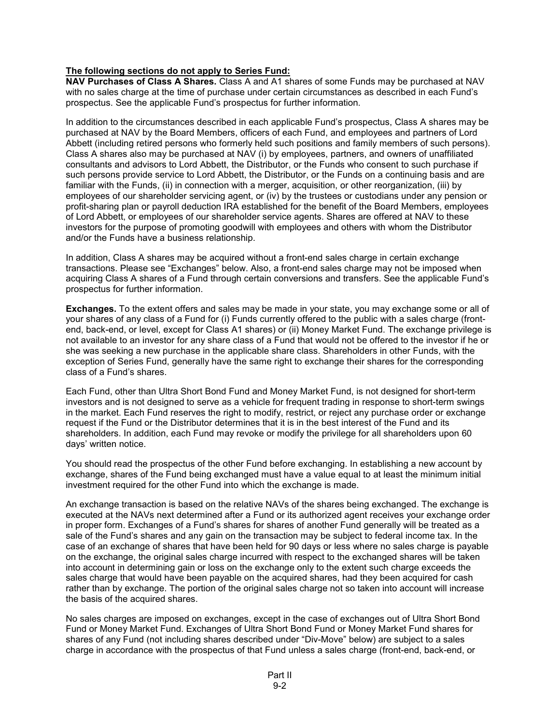# **The following sections do not apply to Series Fund:**

**NAV Purchases of Class A Shares.** Class A and A1 shares of some Funds may be purchased at NAV with no sales charge at the time of purchase under certain circumstances as described in each Fund's prospectus. See the applicable Fund's prospectus for further information.

In addition to the circumstances described in each applicable Fund's prospectus, Class A shares may be purchased at NAV by the Board Members, officers of each Fund, and employees and partners of Lord Abbett (including retired persons who formerly held such positions and family members of such persons). Class A shares also may be purchased at NAV (i) by employees, partners, and owners of unaffiliated consultants and advisors to Lord Abbett, the Distributor, or the Funds who consent to such purchase if such persons provide service to Lord Abbett, the Distributor, or the Funds on a continuing basis and are familiar with the Funds, (ii) in connection with a merger, acquisition, or other reorganization, (iii) by employees of our shareholder servicing agent, or (iv) by the trustees or custodians under any pension or profit-sharing plan or payroll deduction IRA established for the benefit of the Board Members, employees of Lord Abbett, or employees of our shareholder service agents. Shares are offered at NAV to these investors for the purpose of promoting goodwill with employees and others with whom the Distributor and/or the Funds have a business relationship.

In addition, Class A shares may be acquired without a front-end sales charge in certain exchange transactions. Please see "Exchanges" below. Also, a front-end sales charge may not be imposed when acquiring Class A shares of a Fund through certain conversions and transfers. See the applicable Fund's prospectus for further information.

**Exchanges.** To the extent offers and sales may be made in your state, you may exchange some or all of your shares of any class of a Fund for (i) Funds currently offered to the public with a sales charge (frontend, back-end, or level, except for Class A1 shares) or (ii) Money Market Fund. The exchange privilege is not available to an investor for any share class of a Fund that would not be offered to the investor if he or she was seeking a new purchase in the applicable share class. Shareholders in other Funds, with the exception of Series Fund, generally have the same right to exchange their shares for the corresponding class of a Fund's shares.

Each Fund, other than Ultra Short Bond Fund and Money Market Fund, is not designed for short-term investors and is not designed to serve as a vehicle for frequent trading in response to short-term swings in the market. Each Fund reserves the right to modify, restrict, or reject any purchase order or exchange request if the Fund or the Distributor determines that it is in the best interest of the Fund and its shareholders. In addition, each Fund may revoke or modify the privilege for all shareholders upon 60 days' written notice.

You should read the prospectus of the other Fund before exchanging. In establishing a new account by exchange, shares of the Fund being exchanged must have a value equal to at least the minimum initial investment required for the other Fund into which the exchange is made.

An exchange transaction is based on the relative NAVs of the shares being exchanged. The exchange is executed at the NAVs next determined after a Fund or its authorized agent receives your exchange order in proper form. Exchanges of a Fund's shares for shares of another Fund generally will be treated as a sale of the Fund's shares and any gain on the transaction may be subject to federal income tax. In the case of an exchange of shares that have been held for 90 days or less where no sales charge is payable on the exchange, the original sales charge incurred with respect to the exchanged shares will be taken into account in determining gain or loss on the exchange only to the extent such charge exceeds the sales charge that would have been payable on the acquired shares, had they been acquired for cash rather than by exchange. The portion of the original sales charge not so taken into account will increase the basis of the acquired shares.

No sales charges are imposed on exchanges, except in the case of exchanges out of Ultra Short Bond Fund or Money Market Fund. Exchanges of Ultra Short Bond Fund or Money Market Fund shares for shares of any Fund (not including shares described under "Div-Move" below) are subject to a sales charge in accordance with the prospectus of that Fund unless a sales charge (front-end, back-end, or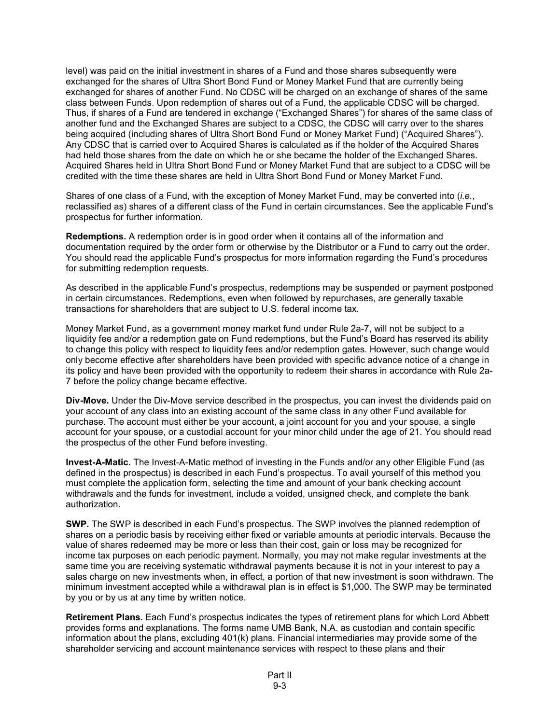level) was paid on the initial investment in shares of a Fund and those shares subsequently were exchanged for the shares of Ultra Short Bond Fund or Money Market Fund that are currently being exchanged for shares of another Fund. No CDSC will be charged on an exchange of shares of the same class between Funds. Upon redemption of shares out of a Fund, the applicable CDSC will be charged. Thus, if shares of a Fund are tendered in exchange ("Exchanged Shares") for shares of the same class of another fund and the Exchanged Shares are subject to a CDSC, the CDSC will carry over to the shares being acquired (including shares of Ultra Short Bond Fund or Money Market Fund) ("Acquired Shares"). Any CDSC that is carried over to Acquired Shares is calculated as if the holder of the Acquired Shares had held those shares from the date on which he or she became the holder of the Exchanged Shares. Acquired Shares held in Ultra Short Bond Fund or Money Market Fund that are subject to a CDSC will be credited with the time these shares are held in Ultra Short Bond Fund or Money Market Fund.

Shares of one class of a Fund, with the exception of Money Market Fund, may be converted into (*i.e.*, reclassified as) shares of a different class of the Fund in certain circumstances. See the applicable Fund's prospectus for further information.

**Redemptions.** A redemption order is in good order when it contains all of the information and documentation required by the order form or otherwise by the Distributor or a Fund to carry out the order. You should read the applicable Fund's prospectus for more information regarding the Fund's procedures for submitting redemption requests.

As described in the applicable Fund's prospectus, redemptions may be suspended or payment postponed in certain circumstances. Redemptions, even when followed by repurchases, are generally taxable transactions for shareholders that are subject to U.S. federal income tax.

Money Market Fund, as a government money market fund under Rule 2a-7, will not be subject to a liquidity fee and/or a redemption gate on Fund redemptions, but the Fund's Board has reserved its ability to change this policy with respect to liquidity fees and/or redemption gates. However, such change would only become effective after shareholders have been provided with specific advance notice of a change in its policy and have been provided with the opportunity to redeem their shares in accordance with Rule 2a-7 before the policy change became effective.

**Div-Move.** Under the Div-Move service described in the prospectus, you can invest the dividends paid on your account of any class into an existing account of the same class in any other Fund available for purchase. The account must either be your account, a joint account for you and your spouse, a single account for your spouse, or a custodial account for your minor child under the age of 21. You should read the prospectus of the other Fund before investing.

**Invest-A-Matic.** The Invest-A-Matic method of investing in the Funds and/or any other Eligible Fund (as defined in the prospectus) is described in each Fund's prospectus. To avail yourself of this method you must complete the application form, selecting the time and amount of your bank checking account withdrawals and the funds for investment, include a voided, unsigned check, and complete the bank authorization.

**SWP.** The SWP is described in each Fund's prospectus. The SWP involves the planned redemption of shares on a periodic basis by receiving either fixed or variable amounts at periodic intervals. Because the value of shares redeemed may be more or less than their cost, gain or loss may be recognized for income tax purposes on each periodic payment. Normally, you may not make regular investments at the same time you are receiving systematic withdrawal payments because it is not in your interest to pay a sales charge on new investments when, in effect, a portion of that new investment is soon withdrawn. The minimum investment accepted while a withdrawal plan is in effect is \$1,000. The SWP may be terminated by you or by us at any time by written notice.

**Retirement Plans.** Each Fund's prospectus indicates the types of retirement plans for which Lord Abbett provides forms and explanations. The forms name UMB Bank, N.A. as custodian and contain specific information about the plans, excluding 401(k) plans. Financial intermediaries may provide some of the shareholder servicing and account maintenance services with respect to these plans and their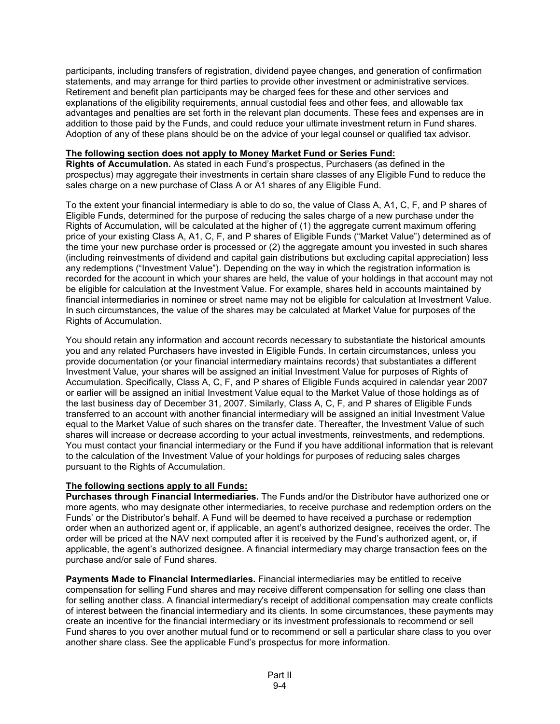participants, including transfers of registration, dividend payee changes, and generation of confirmation statements, and may arrange for third parties to provide other investment or administrative services. Retirement and benefit plan participants may be charged fees for these and other services and explanations of the eligibility requirements, annual custodial fees and other fees, and allowable tax advantages and penalties are set forth in the relevant plan documents. These fees and expenses are in addition to those paid by the Funds, and could reduce your ultimate investment return in Fund shares. Adoption of any of these plans should be on the advice of your legal counsel or qualified tax advisor.

## **The following section does not apply to Money Market Fund or Series Fund:**

**Rights of Accumulation.** As stated in each Fund's prospectus, Purchasers (as defined in the prospectus) may aggregate their investments in certain share classes of any Eligible Fund to reduce the sales charge on a new purchase of Class A or A1 shares of any Eligible Fund.

To the extent your financial intermediary is able to do so, the value of Class A, A1, C, F, and P shares of Eligible Funds, determined for the purpose of reducing the sales charge of a new purchase under the Rights of Accumulation, will be calculated at the higher of (1) the aggregate current maximum offering price of your existing Class A, A1, C, F, and P shares of Eligible Funds ("Market Value") determined as of the time your new purchase order is processed or (2) the aggregate amount you invested in such shares (including reinvestments of dividend and capital gain distributions but excluding capital appreciation) less any redemptions ("Investment Value"). Depending on the way in which the registration information is recorded for the account in which your shares are held, the value of your holdings in that account may not be eligible for calculation at the Investment Value. For example, shares held in accounts maintained by financial intermediaries in nominee or street name may not be eligible for calculation at Investment Value. In such circumstances, the value of the shares may be calculated at Market Value for purposes of the Rights of Accumulation.

You should retain any information and account records necessary to substantiate the historical amounts you and any related Purchasers have invested in Eligible Funds. In certain circumstances, unless you provide documentation (or your financial intermediary maintains records) that substantiates a different Investment Value, your shares will be assigned an initial Investment Value for purposes of Rights of Accumulation. Specifically, Class A, C, F, and P shares of Eligible Funds acquired in calendar year 2007 or earlier will be assigned an initial Investment Value equal to the Market Value of those holdings as of the last business day of December 31, 2007. Similarly, Class A, C, F, and P shares of Eligible Funds transferred to an account with another financial intermediary will be assigned an initial Investment Value equal to the Market Value of such shares on the transfer date. Thereafter, the Investment Value of such shares will increase or decrease according to your actual investments, reinvestments, and redemptions. You must contact your financial intermediary or the Fund if you have additional information that is relevant to the calculation of the Investment Value of your holdings for purposes of reducing sales charges pursuant to the Rights of Accumulation.

# **The following sections apply to all Funds:**

**Purchases through Financial Intermediaries.** The Funds and/or the Distributor have authorized one or more agents, who may designate other intermediaries, to receive purchase and redemption orders on the Funds' or the Distributor's behalf. A Fund will be deemed to have received a purchase or redemption order when an authorized agent or, if applicable, an agent's authorized designee, receives the order. The order will be priced at the NAV next computed after it is received by the Fund's authorized agent, or, if applicable, the agent's authorized designee. A financial intermediary may charge transaction fees on the purchase and/or sale of Fund shares.

**Payments Made to Financial Intermediaries.** Financial intermediaries may be entitled to receive compensation for selling Fund shares and may receive different compensation for selling one class than for selling another class. A financial intermediary's receipt of additional compensation may create conflicts of interest between the financial intermediary and its clients. In some circumstances, these payments may create an incentive for the financial intermediary or its investment professionals to recommend or sell Fund shares to you over another mutual fund or to recommend or sell a particular share class to you over another share class. See the applicable Fund's prospectus for more information.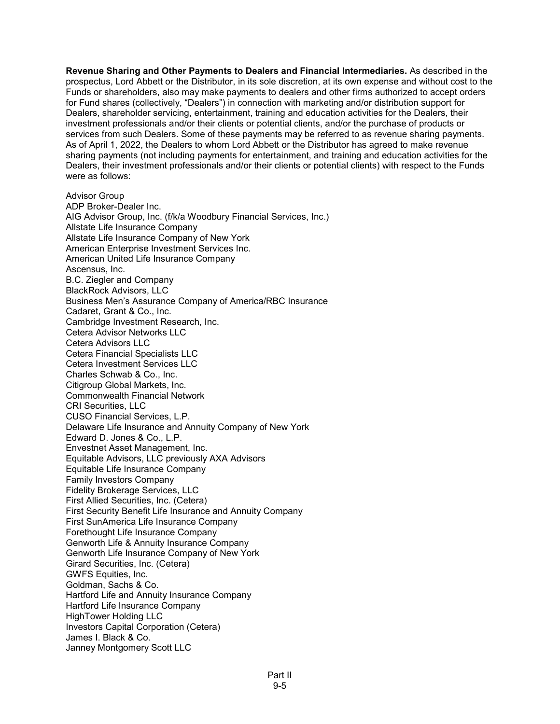**Revenue Sharing and Other Payments to Dealers and Financial Intermediaries.** As described in the prospectus, Lord Abbett or the Distributor, in its sole discretion, at its own expense and without cost to the Funds or shareholders, also may make payments to dealers and other firms authorized to accept orders for Fund shares (collectively, "Dealers") in connection with marketing and/or distribution support for Dealers, shareholder servicing, entertainment, training and education activities for the Dealers, their investment professionals and/or their clients or potential clients, and/or the purchase of products or services from such Dealers. Some of these payments may be referred to as revenue sharing payments. As of April 1, 2022, the Dealers to whom Lord Abbett or the Distributor has agreed to make revenue sharing payments (not including payments for entertainment, and training and education activities for the Dealers, their investment professionals and/or their clients or potential clients) with respect to the Funds were as follows:

Advisor Group ADP Broker-Dealer Inc. AIG Advisor Group, Inc. (f/k/a Woodbury Financial Services, Inc.) Allstate Life Insurance Company Allstate Life Insurance Company of New York American Enterprise Investment Services Inc. American United Life Insurance Company Ascensus, Inc. B.C. Ziegler and Company BlackRock Advisors, LLC Business Men's Assurance Company of America/RBC Insurance Cadaret, Grant & Co., Inc. Cambridge Investment Research, Inc. Cetera Advisor Networks LLC Cetera Advisors LLC Cetera Financial Specialists LLC Cetera Investment Services LLC Charles Schwab & Co., Inc. Citigroup Global Markets, Inc. Commonwealth Financial Network CRI Securities, LLC CUSO Financial Services, L.P. Delaware Life Insurance and Annuity Company of New York Edward D. Jones & Co., L.P. Envestnet Asset Management, Inc. Equitable Advisors, LLC previously AXA Advisors Equitable Life Insurance Company Family Investors Company Fidelity Brokerage Services, LLC First Allied Securities, Inc. (Cetera) First Security Benefit Life Insurance and Annuity Company First SunAmerica Life Insurance Company Forethought Life Insurance Company Genworth Life & Annuity Insurance Company Genworth Life Insurance Company of New York Girard Securities, Inc. (Cetera) GWFS Equities, Inc. Goldman, Sachs & Co. Hartford Life and Annuity Insurance Company Hartford Life Insurance Company HighTower Holding LLC Investors Capital Corporation (Cetera) James I. Black & Co. Janney Montgomery Scott LLC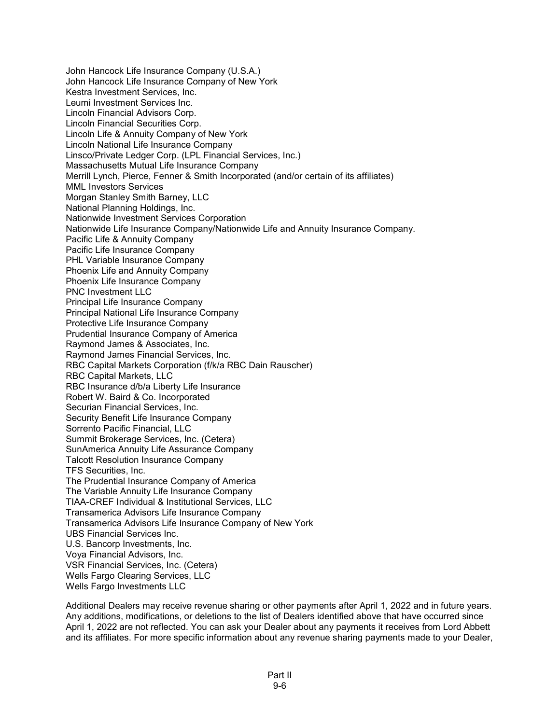John Hancock Life Insurance Company (U.S.A.) John Hancock Life Insurance Company of New York Kestra Investment Services, Inc. Leumi Investment Services Inc. Lincoln Financial Advisors Corp. Lincoln Financial Securities Corp. Lincoln Life & Annuity Company of New York Lincoln National Life Insurance Company Linsco/Private Ledger Corp. (LPL Financial Services, Inc.) Massachusetts Mutual Life Insurance Company Merrill Lynch, Pierce, Fenner & Smith Incorporated (and/or certain of its affiliates) MML Investors Services Morgan Stanley Smith Barney, LLC National Planning Holdings, Inc. Nationwide Investment Services Corporation Nationwide Life Insurance Company/Nationwide Life and Annuity Insurance Company. Pacific Life & Annuity Company Pacific Life Insurance Company PHL Variable Insurance Company Phoenix Life and Annuity Company Phoenix Life Insurance Company PNC Investment LLC Principal Life Insurance Company Principal National Life Insurance Company Protective Life Insurance Company Prudential Insurance Company of America Raymond James & Associates, Inc. Raymond James Financial Services, Inc. RBC Capital Markets Corporation (f/k/a RBC Dain Rauscher) RBC Capital Markets, LLC RBC Insurance d/b/a Liberty Life Insurance Robert W. Baird & Co. Incorporated Securian Financial Services, Inc. Security Benefit Life Insurance Company Sorrento Pacific Financial, LLC Summit Brokerage Services, Inc. (Cetera) SunAmerica Annuity Life Assurance Company Talcott Resolution Insurance Company TFS Securities, Inc. The Prudential Insurance Company of America The Variable Annuity Life Insurance Company TIAA-CREF Individual & Institutional Services, LLC Transamerica Advisors Life Insurance Company Transamerica Advisors Life Insurance Company of New York UBS Financial Services Inc. U.S. Bancorp Investments, Inc. Voya Financial Advisors, Inc. VSR Financial Services, Inc. (Cetera) Wells Fargo Clearing Services, LLC Wells Fargo Investments LLC

Additional Dealers may receive revenue sharing or other payments after April 1, 2022 and in future years. Any additions, modifications, or deletions to the list of Dealers identified above that have occurred since April 1, 2022 are not reflected. You can ask your Dealer about any payments it receives from Lord Abbett and its affiliates. For more specific information about any revenue sharing payments made to your Dealer,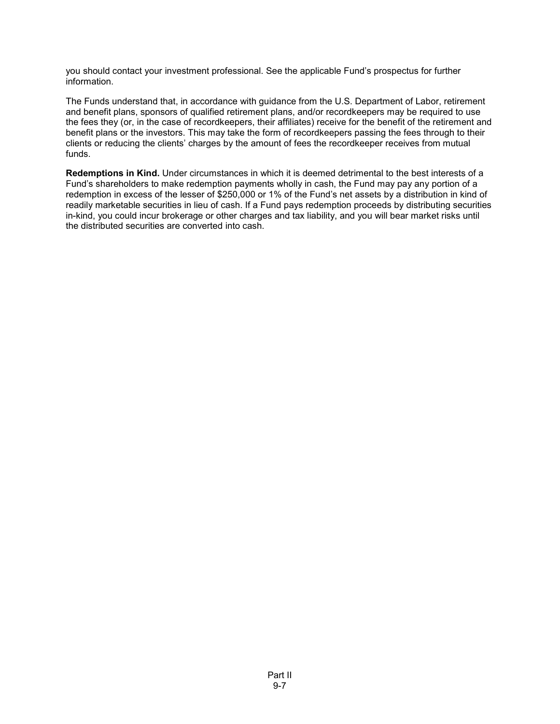you should contact your investment professional. See the applicable Fund's prospectus for further information.

The Funds understand that, in accordance with guidance from the U.S. Department of Labor, retirement and benefit plans, sponsors of qualified retirement plans, and/or recordkeepers may be required to use the fees they (or, in the case of recordkeepers, their affiliates) receive for the benefit of the retirement and benefit plans or the investors. This may take the form of recordkeepers passing the fees through to their clients or reducing the clients' charges by the amount of fees the recordkeeper receives from mutual funds.

**Redemptions in Kind.** Under circumstances in which it is deemed detrimental to the best interests of a Fund's shareholders to make redemption payments wholly in cash, the Fund may pay any portion of a redemption in excess of the lesser of \$250,000 or 1% of the Fund's net assets by a distribution in kind of readily marketable securities in lieu of cash. If a Fund pays redemption proceeds by distributing securities in-kind, you could incur brokerage or other charges and tax liability, and you will bear market risks until the distributed securities are converted into cash.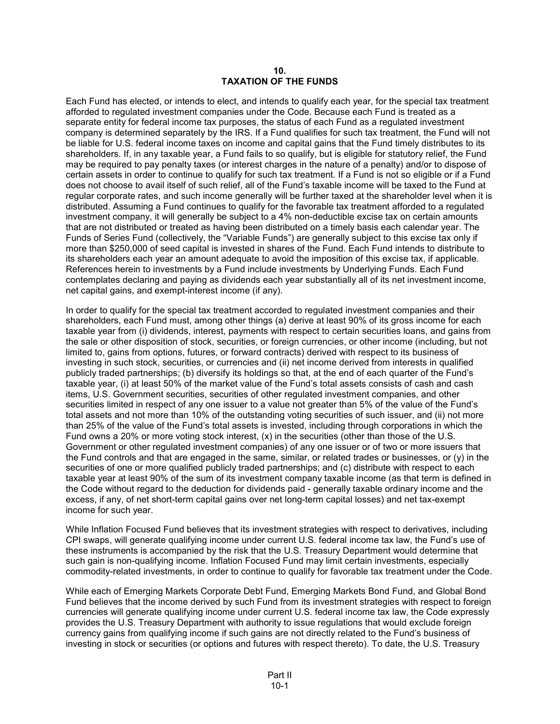#### **10. TAXATION OF THE FUNDS**

Each Fund has elected, or intends to elect, and intends to qualify each year, for the special tax treatment afforded to regulated investment companies under the Code. Because each Fund is treated as a separate entity for federal income tax purposes, the status of each Fund as a regulated investment company is determined separately by the IRS. If a Fund qualifies for such tax treatment, the Fund will not be liable for U.S. federal income taxes on income and capital gains that the Fund timely distributes to its shareholders. If, in any taxable year, a Fund fails to so qualify, but is eligible for statutory relief, the Fund may be required to pay penalty taxes (or interest charges in the nature of a penalty) and/or to dispose of certain assets in order to continue to qualify for such tax treatment. If a Fund is not so eligible or if a Fund does not choose to avail itself of such relief, all of the Fund's taxable income will be taxed to the Fund at regular corporate rates, and such income generally will be further taxed at the shareholder level when it is distributed. Assuming a Fund continues to qualify for the favorable tax treatment afforded to a regulated investment company, it will generally be subject to a 4% non-deductible excise tax on certain amounts that are not distributed or treated as having been distributed on a timely basis each calendar year. The Funds of Series Fund (collectively, the "Variable Funds") are generally subject to this excise tax only if more than \$250,000 of seed capital is invested in shares of the Fund. Each Fund intends to distribute to its shareholders each year an amount adequate to avoid the imposition of this excise tax, if applicable. References herein to investments by a Fund include investments by Underlying Funds. Each Fund contemplates declaring and paying as dividends each year substantially all of its net investment income, net capital gains, and exempt-interest income (if any).

In order to qualify for the special tax treatment accorded to regulated investment companies and their shareholders, each Fund must, among other things (a) derive at least 90% of its gross income for each taxable year from (i) dividends, interest, payments with respect to certain securities loans, and gains from the sale or other disposition of stock, securities, or foreign currencies, or other income (including, but not limited to, gains from options, futures, or forward contracts) derived with respect to its business of investing in such stock, securities, or currencies and (ii) net income derived from interests in qualified publicly traded partnerships; (b) diversify its holdings so that, at the end of each quarter of the Fund's taxable year, (i) at least 50% of the market value of the Fund's total assets consists of cash and cash items, U.S. Government securities, securities of other regulated investment companies, and other securities limited in respect of any one issuer to a value not greater than 5% of the value of the Fund's total assets and not more than 10% of the outstanding voting securities of such issuer, and (ii) not more than 25% of the value of the Fund's total assets is invested, including through corporations in which the Fund owns a 20% or more voting stock interest, (x) in the securities (other than those of the U.S. Government or other regulated investment companies) of any one issuer or of two or more issuers that the Fund controls and that are engaged in the same, similar, or related trades or businesses, or (y) in the securities of one or more qualified publicly traded partnerships; and (c) distribute with respect to each taxable year at least 90% of the sum of its investment company taxable income (as that term is defined in the Code without regard to the deduction for dividends paid - generally taxable ordinary income and the excess, if any, of net short-term capital gains over net long-term capital losses) and net tax-exempt income for such year.

While Inflation Focused Fund believes that its investment strategies with respect to derivatives, including CPI swaps, will generate qualifying income under current U.S. federal income tax law, the Fund's use of these instruments is accompanied by the risk that the U.S. Treasury Department would determine that such gain is non-qualifying income. Inflation Focused Fund may limit certain investments, especially commodity-related investments, in order to continue to qualify for favorable tax treatment under the Code.

While each of Emerging Markets Corporate Debt Fund, Emerging Markets Bond Fund, and Global Bond Fund believes that the income derived by such Fund from its investment strategies with respect to foreign currencies will generate qualifying income under current U.S. federal income tax law, the Code expressly provides the U.S. Treasury Department with authority to issue regulations that would exclude foreign currency gains from qualifying income if such gains are not directly related to the Fund's business of investing in stock or securities (or options and futures with respect thereto). To date, the U.S. Treasury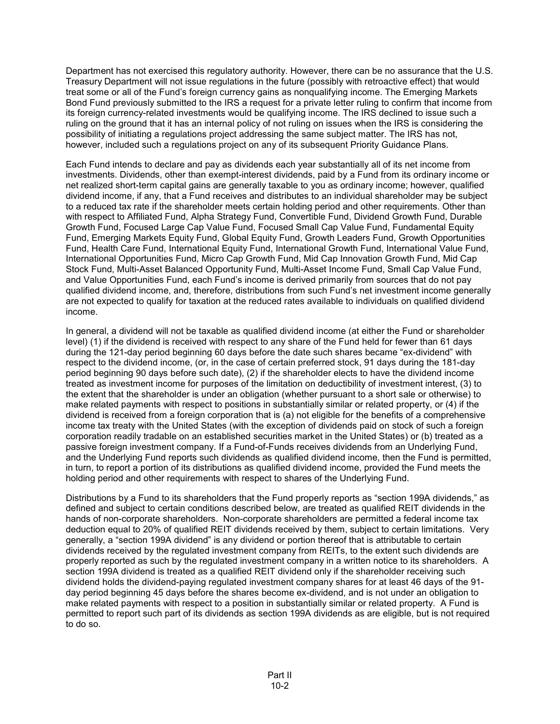Department has not exercised this regulatory authority. However, there can be no assurance that the U.S. Treasury Department will not issue regulations in the future (possibly with retroactive effect) that would treat some or all of the Fund's foreign currency gains as nonqualifying income. The Emerging Markets Bond Fund previously submitted to the IRS a request for a private letter ruling to confirm that income from its foreign currency-related investments would be qualifying income. The IRS declined to issue such a ruling on the ground that it has an internal policy of not ruling on issues when the IRS is considering the possibility of initiating a regulations project addressing the same subject matter. The IRS has not, however, included such a regulations project on any of its subsequent Priority Guidance Plans.

Each Fund intends to declare and pay as dividends each year substantially all of its net income from investments. Dividends, other than exempt-interest dividends, paid by a Fund from its ordinary income or net realized short-term capital gains are generally taxable to you as ordinary income; however, qualified dividend income, if any, that a Fund receives and distributes to an individual shareholder may be subject to a reduced tax rate if the shareholder meets certain holding period and other requirements. Other than with respect to Affiliated Fund, Alpha Strategy Fund, Convertible Fund, Dividend Growth Fund, Durable Growth Fund, Focused Large Cap Value Fund, Focused Small Cap Value Fund, Fundamental Equity Fund, Emerging Markets Equity Fund, Global Equity Fund, Growth Leaders Fund, Growth Opportunities Fund, Health Care Fund, International Equity Fund, International Growth Fund, International Value Fund, International Opportunities Fund, Micro Cap Growth Fund, Mid Cap Innovation Growth Fund, Mid Cap Stock Fund, Multi-Asset Balanced Opportunity Fund, Multi-Asset Income Fund, Small Cap Value Fund, and Value Opportunities Fund, each Fund's income is derived primarily from sources that do not pay qualified dividend income, and, therefore, distributions from such Fund's net investment income generally are not expected to qualify for taxation at the reduced rates available to individuals on qualified dividend income.

In general, a dividend will not be taxable as qualified dividend income (at either the Fund or shareholder level) (1) if the dividend is received with respect to any share of the Fund held for fewer than 61 days during the 121-day period beginning 60 days before the date such shares became "ex-dividend" with respect to the dividend income, (or, in the case of certain preferred stock, 91 days during the 181-day period beginning 90 days before such date), (2) if the shareholder elects to have the dividend income treated as investment income for purposes of the limitation on deductibility of investment interest, (3) to the extent that the shareholder is under an obligation (whether pursuant to a short sale or otherwise) to make related payments with respect to positions in substantially similar or related property, or (4) if the dividend is received from a foreign corporation that is (a) not eligible for the benefits of a comprehensive income tax treaty with the United States (with the exception of dividends paid on stock of such a foreign corporation readily tradable on an established securities market in the United States) or (b) treated as a passive foreign investment company. If a Fund-of-Funds receives dividends from an Underlying Fund, and the Underlying Fund reports such dividends as qualified dividend income, then the Fund is permitted, in turn, to report a portion of its distributions as qualified dividend income, provided the Fund meets the holding period and other requirements with respect to shares of the Underlying Fund.

Distributions by a Fund to its shareholders that the Fund properly reports as "section 199A dividends," as defined and subject to certain conditions described below, are treated as qualified REIT dividends in the hands of non-corporate shareholders. Non-corporate shareholders are permitted a federal income tax deduction equal to 20% of qualified REIT dividends received by them, subject to certain limitations. Very generally, a "section 199A dividend" is any dividend or portion thereof that is attributable to certain dividends received by the regulated investment company from REITs, to the extent such dividends are properly reported as such by the regulated investment company in a written notice to its shareholders. A section 199A dividend is treated as a qualified REIT dividend only if the shareholder receiving such dividend holds the dividend-paying regulated investment company shares for at least 46 days of the 91 day period beginning 45 days before the shares become ex-dividend, and is not under an obligation to make related payments with respect to a position in substantially similar or related property. A Fund is permitted to report such part of its dividends as section 199A dividends as are eligible, but is not required to do so.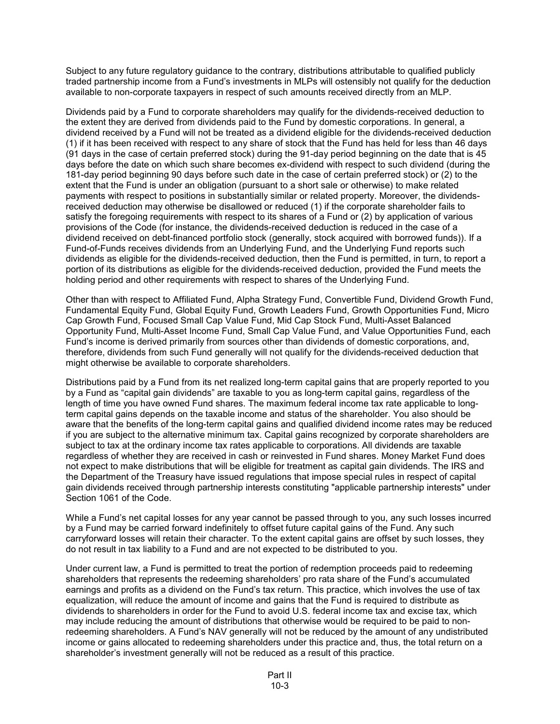Subject to any future regulatory guidance to the contrary, distributions attributable to qualified publicly traded partnership income from a Fund's investments in MLPs will ostensibly not qualify for the deduction available to non-corporate taxpayers in respect of such amounts received directly from an MLP.

Dividends paid by a Fund to corporate shareholders may qualify for the dividends-received deduction to the extent they are derived from dividends paid to the Fund by domestic corporations. In general, a dividend received by a Fund will not be treated as a dividend eligible for the dividends-received deduction (1) if it has been received with respect to any share of stock that the Fund has held for less than 46 days (91 days in the case of certain preferred stock) during the 91-day period beginning on the date that is 45 days before the date on which such share becomes ex-dividend with respect to such dividend (during the 181-day period beginning 90 days before such date in the case of certain preferred stock) or (2) to the extent that the Fund is under an obligation (pursuant to a short sale or otherwise) to make related payments with respect to positions in substantially similar or related property. Moreover, the dividendsreceived deduction may otherwise be disallowed or reduced (1) if the corporate shareholder fails to satisfy the foregoing requirements with respect to its shares of a Fund or (2) by application of various provisions of the Code (for instance, the dividends-received deduction is reduced in the case of a dividend received on debt-financed portfolio stock (generally, stock acquired with borrowed funds)). If a Fund-of-Funds receives dividends from an Underlying Fund, and the Underlying Fund reports such dividends as eligible for the dividends-received deduction, then the Fund is permitted, in turn, to report a portion of its distributions as eligible for the dividends-received deduction, provided the Fund meets the holding period and other requirements with respect to shares of the Underlying Fund.

Other than with respect to Affiliated Fund, Alpha Strategy Fund, Convertible Fund, Dividend Growth Fund, Fundamental Equity Fund, Global Equity Fund, Growth Leaders Fund, Growth Opportunities Fund, Micro Cap Growth Fund, Focused Small Cap Value Fund, Mid Cap Stock Fund, Multi-Asset Balanced Opportunity Fund, Multi-Asset Income Fund, Small Cap Value Fund, and Value Opportunities Fund, each Fund's income is derived primarily from sources other than dividends of domestic corporations, and, therefore, dividends from such Fund generally will not qualify for the dividends-received deduction that might otherwise be available to corporate shareholders.

Distributions paid by a Fund from its net realized long-term capital gains that are properly reported to you by a Fund as "capital gain dividends" are taxable to you as long-term capital gains, regardless of the length of time you have owned Fund shares. The maximum federal income tax rate applicable to longterm capital gains depends on the taxable income and status of the shareholder. You also should be aware that the benefits of the long-term capital gains and qualified dividend income rates may be reduced if you are subject to the alternative minimum tax. Capital gains recognized by corporate shareholders are subject to tax at the ordinary income tax rates applicable to corporations. All dividends are taxable regardless of whether they are received in cash or reinvested in Fund shares. Money Market Fund does not expect to make distributions that will be eligible for treatment as capital gain dividends. The IRS and the Department of the Treasury have issued regulations that impose special rules in respect of capital gain dividends received through partnership interests constituting "applicable partnership interests" under Section 1061 of the Code.

While a Fund's net capital losses for any year cannot be passed through to you, any such losses incurred by a Fund may be carried forward indefinitely to offset future capital gains of the Fund. Any such carryforward losses will retain their character. To the extent capital gains are offset by such losses, they do not result in tax liability to a Fund and are not expected to be distributed to you.

Under current law, a Fund is permitted to treat the portion of redemption proceeds paid to redeeming shareholders that represents the redeeming shareholders' pro rata share of the Fund's accumulated earnings and profits as a dividend on the Fund's tax return. This practice, which involves the use of tax equalization, will reduce the amount of income and gains that the Fund is required to distribute as dividends to shareholders in order for the Fund to avoid U.S. federal income tax and excise tax, which may include reducing the amount of distributions that otherwise would be required to be paid to nonredeeming shareholders. A Fund's NAV generally will not be reduced by the amount of any undistributed income or gains allocated to redeeming shareholders under this practice and, thus, the total return on a shareholder's investment generally will not be reduced as a result of this practice.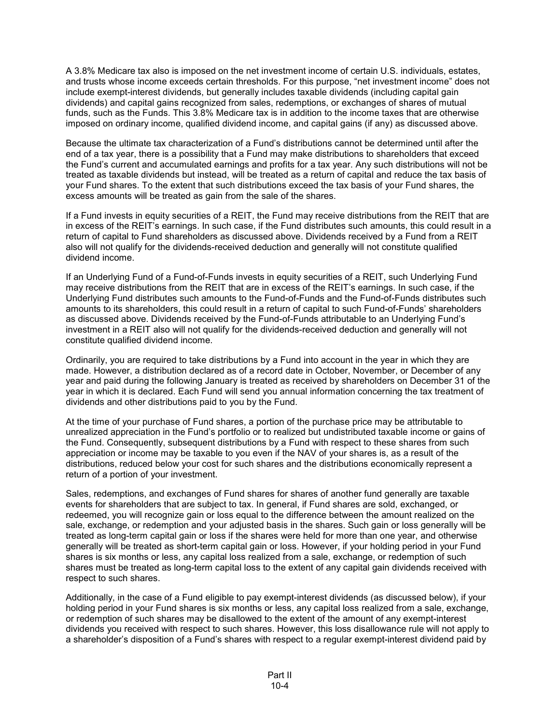A 3.8% Medicare tax also is imposed on the net investment income of certain U.S. individuals, estates, and trusts whose income exceeds certain thresholds. For this purpose, "net investment income" does not include exempt-interest dividends, but generally includes taxable dividends (including capital gain dividends) and capital gains recognized from sales, redemptions, or exchanges of shares of mutual funds, such as the Funds. This 3.8% Medicare tax is in addition to the income taxes that are otherwise imposed on ordinary income, qualified dividend income, and capital gains (if any) as discussed above.

Because the ultimate tax characterization of a Fund's distributions cannot be determined until after the end of a tax year, there is a possibility that a Fund may make distributions to shareholders that exceed the Fund's current and accumulated earnings and profits for a tax year. Any such distributions will not be treated as taxable dividends but instead, will be treated as a return of capital and reduce the tax basis of your Fund shares. To the extent that such distributions exceed the tax basis of your Fund shares, the excess amounts will be treated as gain from the sale of the shares.

If a Fund invests in equity securities of a REIT, the Fund may receive distributions from the REIT that are in excess of the REIT's earnings. In such case, if the Fund distributes such amounts, this could result in a return of capital to Fund shareholders as discussed above. Dividends received by a Fund from a REIT also will not qualify for the dividends-received deduction and generally will not constitute qualified dividend income.

If an Underlying Fund of a Fund-of-Funds invests in equity securities of a REIT, such Underlying Fund may receive distributions from the REIT that are in excess of the REIT's earnings. In such case, if the Underlying Fund distributes such amounts to the Fund-of-Funds and the Fund-of-Funds distributes such amounts to its shareholders, this could result in a return of capital to such Fund-of-Funds' shareholders as discussed above. Dividends received by the Fund-of-Funds attributable to an Underlying Fund's investment in a REIT also will not qualify for the dividends-received deduction and generally will not constitute qualified dividend income.

Ordinarily, you are required to take distributions by a Fund into account in the year in which they are made. However, a distribution declared as of a record date in October, November, or December of any year and paid during the following January is treated as received by shareholders on December 31 of the year in which it is declared. Each Fund will send you annual information concerning the tax treatment of dividends and other distributions paid to you by the Fund.

At the time of your purchase of Fund shares, a portion of the purchase price may be attributable to unrealized appreciation in the Fund's portfolio or to realized but undistributed taxable income or gains of the Fund. Consequently, subsequent distributions by a Fund with respect to these shares from such appreciation or income may be taxable to you even if the NAV of your shares is, as a result of the distributions, reduced below your cost for such shares and the distributions economically represent a return of a portion of your investment.

Sales, redemptions, and exchanges of Fund shares for shares of another fund generally are taxable events for shareholders that are subject to tax. In general, if Fund shares are sold, exchanged, or redeemed, you will recognize gain or loss equal to the difference between the amount realized on the sale, exchange, or redemption and your adjusted basis in the shares. Such gain or loss generally will be treated as long-term capital gain or loss if the shares were held for more than one year, and otherwise generally will be treated as short-term capital gain or loss. However, if your holding period in your Fund shares is six months or less, any capital loss realized from a sale, exchange, or redemption of such shares must be treated as long-term capital loss to the extent of any capital gain dividends received with respect to such shares.

Additionally, in the case of a Fund eligible to pay exempt-interest dividends (as discussed below), if your holding period in your Fund shares is six months or less, any capital loss realized from a sale, exchange, or redemption of such shares may be disallowed to the extent of the amount of any exempt-interest dividends you received with respect to such shares. However, this loss disallowance rule will not apply to a shareholder's disposition of a Fund's shares with respect to a regular exempt-interest dividend paid by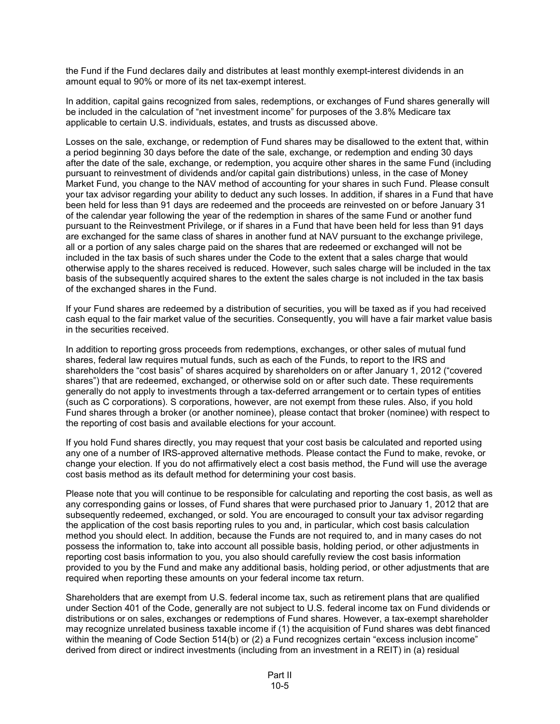the Fund if the Fund declares daily and distributes at least monthly exempt-interest dividends in an amount equal to 90% or more of its net tax-exempt interest.

In addition, capital gains recognized from sales, redemptions, or exchanges of Fund shares generally will be included in the calculation of "net investment income" for purposes of the 3.8% Medicare tax applicable to certain U.S. individuals, estates, and trusts as discussed above.

Losses on the sale, exchange, or redemption of Fund shares may be disallowed to the extent that, within a period beginning 30 days before the date of the sale, exchange, or redemption and ending 30 days after the date of the sale, exchange, or redemption, you acquire other shares in the same Fund (including pursuant to reinvestment of dividends and/or capital gain distributions) unless, in the case of Money Market Fund, you change to the NAV method of accounting for your shares in such Fund. Please consult your tax advisor regarding your ability to deduct any such losses. In addition, if shares in a Fund that have been held for less than 91 days are redeemed and the proceeds are reinvested on or before January 31 of the calendar year following the year of the redemption in shares of the same Fund or another fund pursuant to the Reinvestment Privilege, or if shares in a Fund that have been held for less than 91 days are exchanged for the same class of shares in another fund at NAV pursuant to the exchange privilege, all or a portion of any sales charge paid on the shares that are redeemed or exchanged will not be included in the tax basis of such shares under the Code to the extent that a sales charge that would otherwise apply to the shares received is reduced. However, such sales charge will be included in the tax basis of the subsequently acquired shares to the extent the sales charge is not included in the tax basis of the exchanged shares in the Fund.

If your Fund shares are redeemed by a distribution of securities, you will be taxed as if you had received cash equal to the fair market value of the securities. Consequently, you will have a fair market value basis in the securities received.

In addition to reporting gross proceeds from redemptions, exchanges, or other sales of mutual fund shares, federal law requires mutual funds, such as each of the Funds, to report to the IRS and shareholders the "cost basis" of shares acquired by shareholders on or after January 1, 2012 ("covered shares") that are redeemed, exchanged, or otherwise sold on or after such date. These requirements generally do not apply to investments through a tax-deferred arrangement or to certain types of entities (such as C corporations). S corporations, however, are not exempt from these rules. Also, if you hold Fund shares through a broker (or another nominee), please contact that broker (nominee) with respect to the reporting of cost basis and available elections for your account.

If you hold Fund shares directly, you may request that your cost basis be calculated and reported using any one of a number of IRS-approved alternative methods. Please contact the Fund to make, revoke, or change your election. If you do not affirmatively elect a cost basis method, the Fund will use the average cost basis method as its default method for determining your cost basis.

Please note that you will continue to be responsible for calculating and reporting the cost basis, as well as any corresponding gains or losses, of Fund shares that were purchased prior to January 1, 2012 that are subsequently redeemed, exchanged, or sold. You are encouraged to consult your tax advisor regarding the application of the cost basis reporting rules to you and, in particular, which cost basis calculation method you should elect. In addition, because the Funds are not required to, and in many cases do not possess the information to, take into account all possible basis, holding period, or other adjustments in reporting cost basis information to you, you also should carefully review the cost basis information provided to you by the Fund and make any additional basis, holding period, or other adjustments that are required when reporting these amounts on your federal income tax return.

Shareholders that are exempt from U.S. federal income tax, such as retirement plans that are qualified under Section 401 of the Code, generally are not subject to U.S. federal income tax on Fund dividends or distributions or on sales, exchanges or redemptions of Fund shares. However, a tax-exempt shareholder may recognize unrelated business taxable income if (1) the acquisition of Fund shares was debt financed within the meaning of Code Section 514(b) or (2) a Fund recognizes certain "excess inclusion income" derived from direct or indirect investments (including from an investment in a REIT) in (a) residual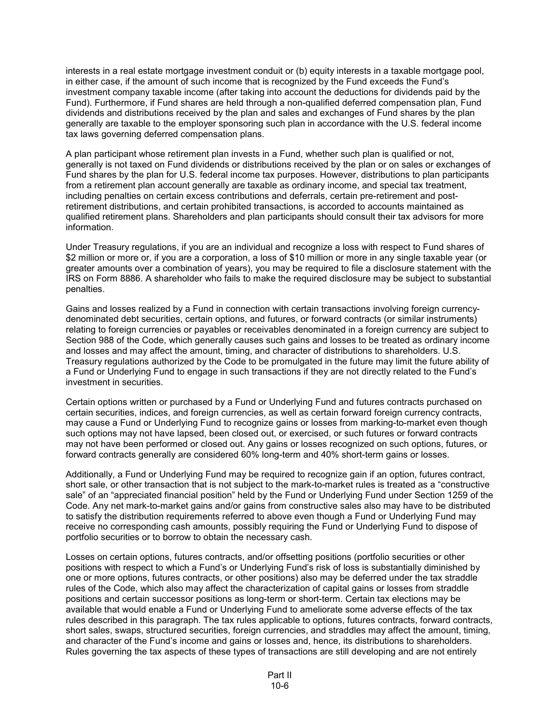interests in a real estate mortgage investment conduit or (b) equity interests in a taxable mortgage pool, in either case, if the amount of such income that is recognized by the Fund exceeds the Fund's investment company taxable income (after taking into account the deductions for dividends paid by the Fund). Furthermore, if Fund shares are held through a non-qualified deferred compensation plan, Fund dividends and distributions received by the plan and sales and exchanges of Fund shares by the plan generally are taxable to the employer sponsoring such plan in accordance with the U.S. federal income tax laws governing deferred compensation plans.

A plan participant whose retirement plan invests in a Fund, whether such plan is qualified or not, generally is not taxed on Fund dividends or distributions received by the plan or on sales or exchanges of Fund shares by the plan for U.S. federal income tax purposes. However, distributions to plan participants from a retirement plan account generally are taxable as ordinary income, and special tax treatment, including penalties on certain excess contributions and deferrals, certain pre-retirement and postretirement distributions, and certain prohibited transactions, is accorded to accounts maintained as qualified retirement plans. Shareholders and plan participants should consult their tax advisors for more information.

Under Treasury regulations, if you are an individual and recognize a loss with respect to Fund shares of \$2 million or more or, if you are a corporation, a loss of \$10 million or more in any single taxable year (or greater amounts over a combination of years), you may be required to file a disclosure statement with the IRS on Form 8886. A shareholder who fails to make the required disclosure may be subject to substantial penalties.

Gains and losses realized by a Fund in connection with certain transactions involving foreign currencydenominated debt securities, certain options, and futures, or forward contracts (or similar instruments) relating to foreign currencies or payables or receivables denominated in a foreign currency are subject to Section 988 of the Code, which generally causes such gains and losses to be treated as ordinary income and losses and may affect the amount, timing, and character of distributions to shareholders. U.S. Treasury regulations authorized by the Code to be promulgated in the future may limit the future ability of a Fund or Underlying Fund to engage in such transactions if they are not directly related to the Fund's investment in securities.

Certain options written or purchased by a Fund or Underlying Fund and futures contracts purchased on certain securities, indices, and foreign currencies, as well as certain forward foreign currency contracts, may cause a Fund or Underlying Fund to recognize gains or losses from marking-to-market even though such options may not have lapsed, been closed out, or exercised, or such futures or forward contracts may not have been performed or closed out. Any gains or losses recognized on such options, futures, or forward contracts generally are considered 60% long-term and 40% short-term gains or losses.

Additionally, a Fund or Underlying Fund may be required to recognize gain if an option, futures contract, short sale, or other transaction that is not subject to the mark-to-market rules is treated as a "constructive sale" of an "appreciated financial position" held by the Fund or Underlying Fund under Section 1259 of the Code. Any net mark-to-market gains and/or gains from constructive sales also may have to be distributed to satisfy the distribution requirements referred to above even though a Fund or Underlying Fund may receive no corresponding cash amounts, possibly requiring the Fund or Underlying Fund to dispose of portfolio securities or to borrow to obtain the necessary cash.

Losses on certain options, futures contracts, and/or offsetting positions (portfolio securities or other positions with respect to which a Fund's or Underlying Fund's risk of loss is substantially diminished by one or more options, futures contracts, or other positions) also may be deferred under the tax straddle rules of the Code, which also may affect the characterization of capital gains or losses from straddle positions and certain successor positions as long-term or short-term. Certain tax elections may be available that would enable a Fund or Underlying Fund to ameliorate some adverse effects of the tax rules described in this paragraph. The tax rules applicable to options, futures contracts, forward contracts, short sales, swaps, structured securities, foreign currencies, and straddles may affect the amount, timing, and character of the Fund's income and gains or losses and, hence, its distributions to shareholders. Rules governing the tax aspects of these types of transactions are still developing and are not entirely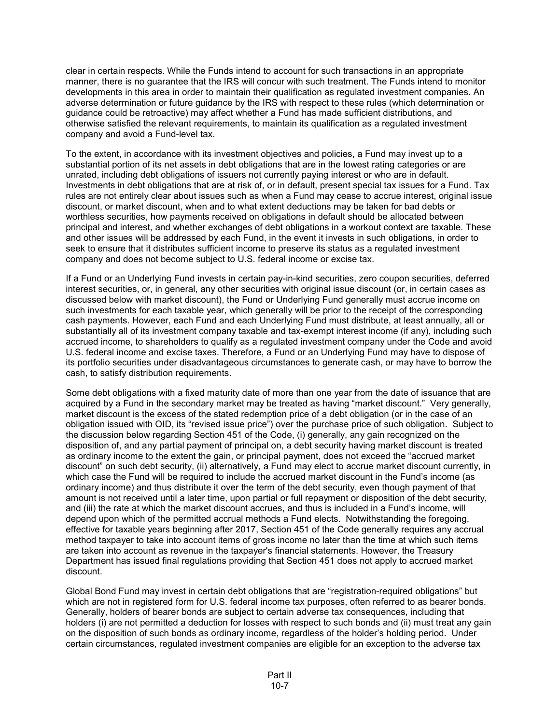clear in certain respects. While the Funds intend to account for such transactions in an appropriate manner, there is no guarantee that the IRS will concur with such treatment. The Funds intend to monitor developments in this area in order to maintain their qualification as regulated investment companies. An adverse determination or future guidance by the IRS with respect to these rules (which determination or guidance could be retroactive) may affect whether a Fund has made sufficient distributions, and otherwise satisfied the relevant requirements, to maintain its qualification as a regulated investment company and avoid a Fund-level tax.

To the extent, in accordance with its investment objectives and policies, a Fund may invest up to a substantial portion of its net assets in debt obligations that are in the lowest rating categories or are unrated, including debt obligations of issuers not currently paying interest or who are in default. Investments in debt obligations that are at risk of, or in default, present special tax issues for a Fund. Tax rules are not entirely clear about issues such as when a Fund may cease to accrue interest, original issue discount, or market discount, when and to what extent deductions may be taken for bad debts or worthless securities, how payments received on obligations in default should be allocated between principal and interest, and whether exchanges of debt obligations in a workout context are taxable. These and other issues will be addressed by each Fund, in the event it invests in such obligations, in order to seek to ensure that it distributes sufficient income to preserve its status as a regulated investment company and does not become subject to U.S. federal income or excise tax.

If a Fund or an Underlying Fund invests in certain pay-in-kind securities, zero coupon securities, deferred interest securities, or, in general, any other securities with original issue discount (or, in certain cases as discussed below with market discount), the Fund or Underlying Fund generally must accrue income on such investments for each taxable year, which generally will be prior to the receipt of the corresponding cash payments. However, each Fund and each Underlying Fund must distribute, at least annually, all or substantially all of its investment company taxable and tax-exempt interest income (if any), including such accrued income, to shareholders to qualify as a regulated investment company under the Code and avoid U.S. federal income and excise taxes. Therefore, a Fund or an Underlying Fund may have to dispose of its portfolio securities under disadvantageous circumstances to generate cash, or may have to borrow the cash, to satisfy distribution requirements.

Some debt obligations with a fixed maturity date of more than one year from the date of issuance that are acquired by a Fund in the secondary market may be treated as having "market discount." Very generally, market discount is the excess of the stated redemption price of a debt obligation (or in the case of an obligation issued with OID, its "revised issue price") over the purchase price of such obligation. Subject to the discussion below regarding Section 451 of the Code, (i) generally, any gain recognized on the disposition of, and any partial payment of principal on, a debt security having market discount is treated as ordinary income to the extent the gain, or principal payment, does not exceed the "accrued market discount" on such debt security, (ii) alternatively, a Fund may elect to accrue market discount currently, in which case the Fund will be required to include the accrued market discount in the Fund's income (as ordinary income) and thus distribute it over the term of the debt security, even though payment of that amount is not received until a later time, upon partial or full repayment or disposition of the debt security, and (iii) the rate at which the market discount accrues, and thus is included in a Fund's income, will depend upon which of the permitted accrual methods a Fund elects. Notwithstanding the foregoing, effective for taxable years beginning after 2017, Section 451 of the Code generally requires any accrual method taxpayer to take into account items of gross income no later than the time at which such items are taken into account as revenue in the taxpayer's financial statements. However, the Treasury Department has issued final regulations providing that Section 451 does not apply to accrued market discount.

Global Bond Fund may invest in certain debt obligations that are "registration-required obligations" but which are not in registered form for U.S. federal income tax purposes, often referred to as bearer bonds. Generally, holders of bearer bonds are subject to certain adverse tax consequences, including that holders (i) are not permitted a deduction for losses with respect to such bonds and (ii) must treat any gain on the disposition of such bonds as ordinary income, regardless of the holder's holding period. Under certain circumstances, regulated investment companies are eligible for an exception to the adverse tax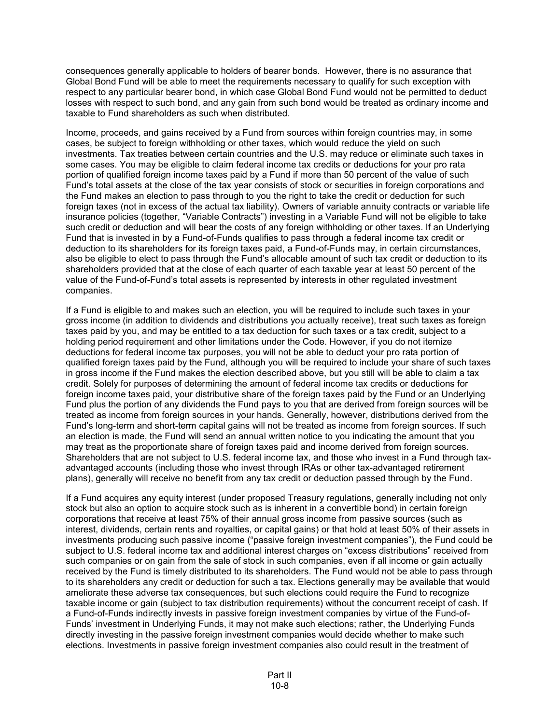consequences generally applicable to holders of bearer bonds. However, there is no assurance that Global Bond Fund will be able to meet the requirements necessary to qualify for such exception with respect to any particular bearer bond, in which case Global Bond Fund would not be permitted to deduct losses with respect to such bond, and any gain from such bond would be treated as ordinary income and taxable to Fund shareholders as such when distributed.

Income, proceeds, and gains received by a Fund from sources within foreign countries may, in some cases, be subject to foreign withholding or other taxes, which would reduce the yield on such investments. Tax treaties between certain countries and the U.S. may reduce or eliminate such taxes in some cases. You may be eligible to claim federal income tax credits or deductions for your pro rata portion of qualified foreign income taxes paid by a Fund if more than 50 percent of the value of such Fund's total assets at the close of the tax year consists of stock or securities in foreign corporations and the Fund makes an election to pass through to you the right to take the credit or deduction for such foreign taxes (not in excess of the actual tax liability). Owners of variable annuity contracts or variable life insurance policies (together, "Variable Contracts") investing in a Variable Fund will not be eligible to take such credit or deduction and will bear the costs of any foreign withholding or other taxes. If an Underlying Fund that is invested in by a Fund-of-Funds qualifies to pass through a federal income tax credit or deduction to its shareholders for its foreign taxes paid, a Fund-of-Funds may, in certain circumstances, also be eligible to elect to pass through the Fund's allocable amount of such tax credit or deduction to its shareholders provided that at the close of each quarter of each taxable year at least 50 percent of the value of the Fund-of-Fund's total assets is represented by interests in other regulated investment companies.

If a Fund is eligible to and makes such an election, you will be required to include such taxes in your gross income (in addition to dividends and distributions you actually receive), treat such taxes as foreign taxes paid by you, and may be entitled to a tax deduction for such taxes or a tax credit, subject to a holding period requirement and other limitations under the Code. However, if you do not itemize deductions for federal income tax purposes, you will not be able to deduct your pro rata portion of qualified foreign taxes paid by the Fund, although you will be required to include your share of such taxes in gross income if the Fund makes the election described above, but you still will be able to claim a tax credit. Solely for purposes of determining the amount of federal income tax credits or deductions for foreign income taxes paid, your distributive share of the foreign taxes paid by the Fund or an Underlying Fund plus the portion of any dividends the Fund pays to you that are derived from foreign sources will be treated as income from foreign sources in your hands. Generally, however, distributions derived from the Fund's long-term and short-term capital gains will not be treated as income from foreign sources. If such an election is made, the Fund will send an annual written notice to you indicating the amount that you may treat as the proportionate share of foreign taxes paid and income derived from foreign sources. Shareholders that are not subject to U.S. federal income tax, and those who invest in a Fund through taxadvantaged accounts (including those who invest through IRAs or other tax-advantaged retirement plans), generally will receive no benefit from any tax credit or deduction passed through by the Fund.

If a Fund acquires any equity interest (under proposed Treasury regulations, generally including not only stock but also an option to acquire stock such as is inherent in a convertible bond) in certain foreign corporations that receive at least 75% of their annual gross income from passive sources (such as interest, dividends, certain rents and royalties, or capital gains) or that hold at least 50% of their assets in investments producing such passive income ("passive foreign investment companies"), the Fund could be subject to U.S. federal income tax and additional interest charges on "excess distributions" received from such companies or on gain from the sale of stock in such companies, even if all income or gain actually received by the Fund is timely distributed to its shareholders. The Fund would not be able to pass through to its shareholders any credit or deduction for such a tax. Elections generally may be available that would ameliorate these adverse tax consequences, but such elections could require the Fund to recognize taxable income or gain (subject to tax distribution requirements) without the concurrent receipt of cash. If a Fund-of-Funds indirectly invests in passive foreign investment companies by virtue of the Fund-of-Funds' investment in Underlying Funds, it may not make such elections; rather, the Underlying Funds directly investing in the passive foreign investment companies would decide whether to make such elections. Investments in passive foreign investment companies also could result in the treatment of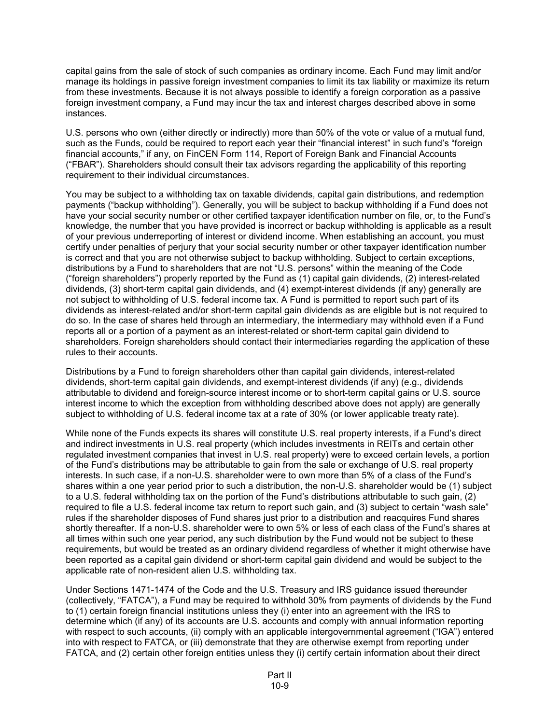capital gains from the sale of stock of such companies as ordinary income. Each Fund may limit and/or manage its holdings in passive foreign investment companies to limit its tax liability or maximize its return from these investments. Because it is not always possible to identify a foreign corporation as a passive foreign investment company, a Fund may incur the tax and interest charges described above in some instances.

U.S. persons who own (either directly or indirectly) more than 50% of the vote or value of a mutual fund, such as the Funds, could be required to report each year their "financial interest" in such fund's "foreign financial accounts," if any, on FinCEN Form 114, Report of Foreign Bank and Financial Accounts ("FBAR"). Shareholders should consult their tax advisors regarding the applicability of this reporting requirement to their individual circumstances.

You may be subject to a withholding tax on taxable dividends, capital gain distributions, and redemption payments ("backup withholding"). Generally, you will be subject to backup withholding if a Fund does not have your social security number or other certified taxpayer identification number on file, or, to the Fund's knowledge, the number that you have provided is incorrect or backup withholding is applicable as a result of your previous underreporting of interest or dividend income. When establishing an account, you must certify under penalties of perjury that your social security number or other taxpayer identification number is correct and that you are not otherwise subject to backup withholding. Subject to certain exceptions, distributions by a Fund to shareholders that are not "U.S. persons" within the meaning of the Code ("foreign shareholders") properly reported by the Fund as (1) capital gain dividends, (2) interest-related dividends, (3) short-term capital gain dividends, and (4) exempt-interest dividends (if any) generally are not subject to withholding of U.S. federal income tax. A Fund is permitted to report such part of its dividends as interest-related and/or short-term capital gain dividends as are eligible but is not required to do so. In the case of shares held through an intermediary, the intermediary may withhold even if a Fund reports all or a portion of a payment as an interest-related or short-term capital gain dividend to shareholders. Foreign shareholders should contact their intermediaries regarding the application of these rules to their accounts.

Distributions by a Fund to foreign shareholders other than capital gain dividends, interest-related dividends, short-term capital gain dividends, and exempt-interest dividends (if any) (e.g., dividends attributable to dividend and foreign-source interest income or to short-term capital gains or U.S. source interest income to which the exception from withholding described above does not apply) are generally subject to withholding of U.S. federal income tax at a rate of 30% (or lower applicable treaty rate).

While none of the Funds expects its shares will constitute U.S. real property interests, if a Fund's direct and indirect investments in U.S. real property (which includes investments in REITs and certain other regulated investment companies that invest in U.S. real property) were to exceed certain levels, a portion of the Fund's distributions may be attributable to gain from the sale or exchange of U.S. real property interests. In such case, if a non-U.S. shareholder were to own more than 5% of a class of the Fund's shares within a one year period prior to such a distribution, the non-U.S. shareholder would be (1) subject to a U.S. federal withholding tax on the portion of the Fund's distributions attributable to such gain, (2) required to file a U.S. federal income tax return to report such gain, and (3) subject to certain "wash sale" rules if the shareholder disposes of Fund shares just prior to a distribution and reacquires Fund shares shortly thereafter. If a non-U.S. shareholder were to own 5% or less of each class of the Fund's shares at all times within such one year period, any such distribution by the Fund would not be subject to these requirements, but would be treated as an ordinary dividend regardless of whether it might otherwise have been reported as a capital gain dividend or short-term capital gain dividend and would be subject to the applicable rate of non-resident alien U.S. withholding tax.

Under Sections 1471-1474 of the Code and the U.S. Treasury and IRS guidance issued thereunder (collectively, "FATCA"), a Fund may be required to withhold 30% from payments of dividends by the Fund to (1) certain foreign financial institutions unless they (i) enter into an agreement with the IRS to determine which (if any) of its accounts are U.S. accounts and comply with annual information reporting with respect to such accounts, (ii) comply with an applicable intergovernmental agreement ("IGA") entered into with respect to FATCA, or (iii) demonstrate that they are otherwise exempt from reporting under FATCA, and (2) certain other foreign entities unless they (i) certify certain information about their direct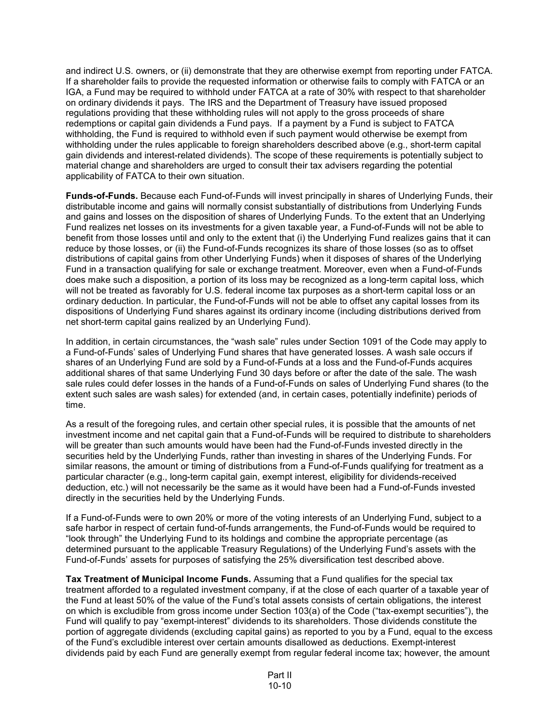and indirect U.S. owners, or (ii) demonstrate that they are otherwise exempt from reporting under FATCA. If a shareholder fails to provide the requested information or otherwise fails to comply with FATCA or an IGA, a Fund may be required to withhold under FATCA at a rate of 30% with respect to that shareholder on ordinary dividends it pays. The IRS and the Department of Treasury have issued proposed regulations providing that these withholding rules will not apply to the gross proceeds of share redemptions or capital gain dividends a Fund pays. If a payment by a Fund is subject to FATCA withholding, the Fund is required to withhold even if such payment would otherwise be exempt from withholding under the rules applicable to foreign shareholders described above (e.g., short-term capital gain dividends and interest-related dividends). The scope of these requirements is potentially subject to material change and shareholders are urged to consult their tax advisers regarding the potential applicability of FATCA to their own situation.

**Funds-of-Funds.** Because each Fund-of-Funds will invest principally in shares of Underlying Funds, their distributable income and gains will normally consist substantially of distributions from Underlying Funds and gains and losses on the disposition of shares of Underlying Funds. To the extent that an Underlying Fund realizes net losses on its investments for a given taxable year, a Fund-of-Funds will not be able to benefit from those losses until and only to the extent that (i) the Underlying Fund realizes gains that it can reduce by those losses, or (ii) the Fund-of-Funds recognizes its share of those losses (so as to offset distributions of capital gains from other Underlying Funds) when it disposes of shares of the Underlying Fund in a transaction qualifying for sale or exchange treatment. Moreover, even when a Fund-of-Funds does make such a disposition, a portion of its loss may be recognized as a long-term capital loss, which will not be treated as favorably for U.S. federal income tax purposes as a short-term capital loss or an ordinary deduction. In particular, the Fund-of-Funds will not be able to offset any capital losses from its dispositions of Underlying Fund shares against its ordinary income (including distributions derived from net short-term capital gains realized by an Underlying Fund).

In addition, in certain circumstances, the "wash sale" rules under Section 1091 of the Code may apply to a Fund-of-Funds' sales of Underlying Fund shares that have generated losses. A wash sale occurs if shares of an Underlying Fund are sold by a Fund-of-Funds at a loss and the Fund-of-Funds acquires additional shares of that same Underlying Fund 30 days before or after the date of the sale. The wash sale rules could defer losses in the hands of a Fund-of-Funds on sales of Underlying Fund shares (to the extent such sales are wash sales) for extended (and, in certain cases, potentially indefinite) periods of time.

As a result of the foregoing rules, and certain other special rules, it is possible that the amounts of net investment income and net capital gain that a Fund-of-Funds will be required to distribute to shareholders will be greater than such amounts would have been had the Fund-of-Funds invested directly in the securities held by the Underlying Funds, rather than investing in shares of the Underlying Funds. For similar reasons, the amount or timing of distributions from a Fund-of-Funds qualifying for treatment as a particular character (e.g., long-term capital gain, exempt interest, eligibility for dividends-received deduction, etc.) will not necessarily be the same as it would have been had a Fund-of-Funds invested directly in the securities held by the Underlying Funds.

If a Fund-of-Funds were to own 20% or more of the voting interests of an Underlying Fund, subject to a safe harbor in respect of certain fund-of-funds arrangements, the Fund-of-Funds would be required to "look through" the Underlying Fund to its holdings and combine the appropriate percentage (as determined pursuant to the applicable Treasury Regulations) of the Underlying Fund's assets with the Fund-of-Funds' assets for purposes of satisfying the 25% diversification test described above.

**Tax Treatment of Municipal Income Funds.** Assuming that a Fund qualifies for the special tax treatment afforded to a regulated investment company, if at the close of each quarter of a taxable year of the Fund at least 50% of the value of the Fund's total assets consists of certain obligations, the interest on which is excludible from gross income under Section 103(a) of the Code ("tax-exempt securities"), the Fund will qualify to pay "exempt-interest" dividends to its shareholders. Those dividends constitute the portion of aggregate dividends (excluding capital gains) as reported to you by a Fund, equal to the excess of the Fund's excludible interest over certain amounts disallowed as deductions. Exempt-interest dividends paid by each Fund are generally exempt from regular federal income tax; however, the amount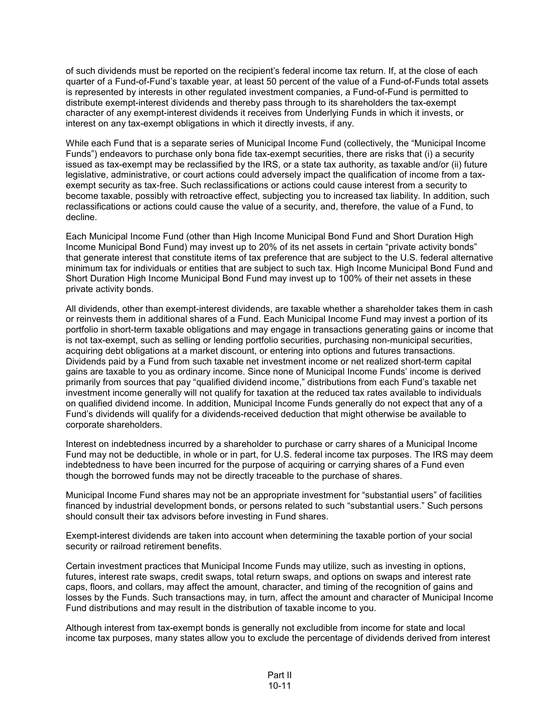of such dividends must be reported on the recipient's federal income tax return. If, at the close of each quarter of a Fund-of-Fund's taxable year, at least 50 percent of the value of a Fund-of-Funds total assets is represented by interests in other regulated investment companies, a Fund-of-Fund is permitted to distribute exempt-interest dividends and thereby pass through to its shareholders the tax-exempt character of any exempt-interest dividends it receives from Underlying Funds in which it invests, or interest on any tax-exempt obligations in which it directly invests, if any.

While each Fund that is a separate series of Municipal Income Fund (collectively, the "Municipal Income Funds") endeavors to purchase only bona fide tax-exempt securities, there are risks that (i) a security issued as tax-exempt may be reclassified by the IRS, or a state tax authority, as taxable and/or (ii) future legislative, administrative, or court actions could adversely impact the qualification of income from a taxexempt security as tax-free. Such reclassifications or actions could cause interest from a security to become taxable, possibly with retroactive effect, subjecting you to increased tax liability. In addition, such reclassifications or actions could cause the value of a security, and, therefore, the value of a Fund, to decline.

Each Municipal Income Fund (other than High Income Municipal Bond Fund and Short Duration High Income Municipal Bond Fund) may invest up to 20% of its net assets in certain "private activity bonds" that generate interest that constitute items of tax preference that are subject to the U.S. federal alternative minimum tax for individuals or entities that are subject to such tax. High Income Municipal Bond Fund and Short Duration High Income Municipal Bond Fund may invest up to 100% of their net assets in these private activity bonds.

All dividends, other than exempt-interest dividends, are taxable whether a shareholder takes them in cash or reinvests them in additional shares of a Fund. Each Municipal Income Fund may invest a portion of its portfolio in short-term taxable obligations and may engage in transactions generating gains or income that is not tax-exempt, such as selling or lending portfolio securities, purchasing non-municipal securities, acquiring debt obligations at a market discount, or entering into options and futures transactions. Dividends paid by a Fund from such taxable net investment income or net realized short-term capital gains are taxable to you as ordinary income. Since none of Municipal Income Funds' income is derived primarily from sources that pay "qualified dividend income," distributions from each Fund's taxable net investment income generally will not qualify for taxation at the reduced tax rates available to individuals on qualified dividend income. In addition, Municipal Income Funds generally do not expect that any of a Fund's dividends will qualify for a dividends-received deduction that might otherwise be available to corporate shareholders.

Interest on indebtedness incurred by a shareholder to purchase or carry shares of a Municipal Income Fund may not be deductible, in whole or in part, for U.S. federal income tax purposes. The IRS may deem indebtedness to have been incurred for the purpose of acquiring or carrying shares of a Fund even though the borrowed funds may not be directly traceable to the purchase of shares.

Municipal Income Fund shares may not be an appropriate investment for "substantial users" of facilities financed by industrial development bonds, or persons related to such "substantial users." Such persons should consult their tax advisors before investing in Fund shares.

Exempt-interest dividends are taken into account when determining the taxable portion of your social security or railroad retirement benefits.

Certain investment practices that Municipal Income Funds may utilize, such as investing in options, futures, interest rate swaps, credit swaps, total return swaps, and options on swaps and interest rate caps, floors, and collars, may affect the amount, character, and timing of the recognition of gains and losses by the Funds. Such transactions may, in turn, affect the amount and character of Municipal Income Fund distributions and may result in the distribution of taxable income to you.

Although interest from tax-exempt bonds is generally not excludible from income for state and local income tax purposes, many states allow you to exclude the percentage of dividends derived from interest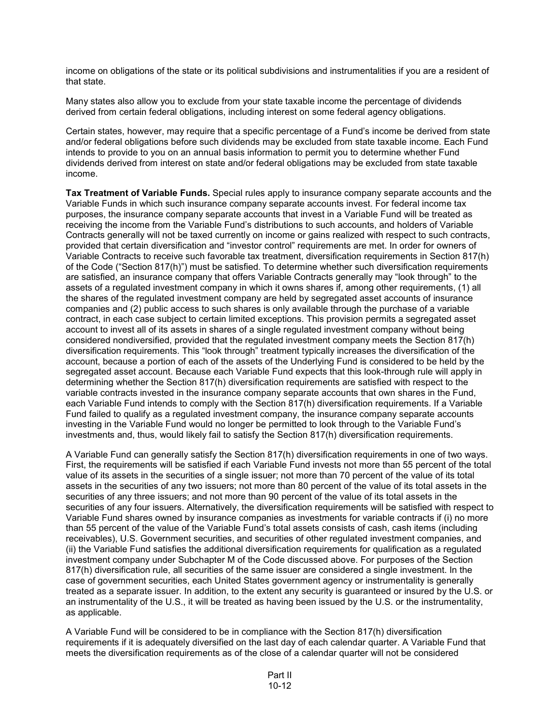income on obligations of the state or its political subdivisions and instrumentalities if you are a resident of that state.

Many states also allow you to exclude from your state taxable income the percentage of dividends derived from certain federal obligations, including interest on some federal agency obligations.

Certain states, however, may require that a specific percentage of a Fund's income be derived from state and/or federal obligations before such dividends may be excluded from state taxable income. Each Fund intends to provide to you on an annual basis information to permit you to determine whether Fund dividends derived from interest on state and/or federal obligations may be excluded from state taxable income.

**Tax Treatment of Variable Funds.** Special rules apply to insurance company separate accounts and the Variable Funds in which such insurance company separate accounts invest. For federal income tax purposes, the insurance company separate accounts that invest in a Variable Fund will be treated as receiving the income from the Variable Fund's distributions to such accounts, and holders of Variable Contracts generally will not be taxed currently on income or gains realized with respect to such contracts, provided that certain diversification and "investor control" requirements are met. In order for owners of Variable Contracts to receive such favorable tax treatment, diversification requirements in Section 817(h) of the Code ("Section 817(h)") must be satisfied. To determine whether such diversification requirements are satisfied, an insurance company that offers Variable Contracts generally may "look through" to the assets of a regulated investment company in which it owns shares if, among other requirements, (1) all the shares of the regulated investment company are held by segregated asset accounts of insurance companies and (2) public access to such shares is only available through the purchase of a variable contract, in each case subject to certain limited exceptions. This provision permits a segregated asset account to invest all of its assets in shares of a single regulated investment company without being considered nondiversified, provided that the regulated investment company meets the Section 817(h) diversification requirements. This "look through" treatment typically increases the diversification of the account, because a portion of each of the assets of the Underlying Fund is considered to be held by the segregated asset account. Because each Variable Fund expects that this look-through rule will apply in determining whether the Section 817(h) diversification requirements are satisfied with respect to the variable contracts invested in the insurance company separate accounts that own shares in the Fund, each Variable Fund intends to comply with the Section 817(h) diversification requirements. If a Variable Fund failed to qualify as a regulated investment company, the insurance company separate accounts investing in the Variable Fund would no longer be permitted to look through to the Variable Fund's investments and, thus, would likely fail to satisfy the Section 817(h) diversification requirements.

A Variable Fund can generally satisfy the Section 817(h) diversification requirements in one of two ways. First, the requirements will be satisfied if each Variable Fund invests not more than 55 percent of the total value of its assets in the securities of a single issuer; not more than 70 percent of the value of its total assets in the securities of any two issuers; not more than 80 percent of the value of its total assets in the securities of any three issuers; and not more than 90 percent of the value of its total assets in the securities of any four issuers. Alternatively, the diversification requirements will be satisfied with respect to Variable Fund shares owned by insurance companies as investments for variable contracts if (i) no more than 55 percent of the value of the Variable Fund's total assets consists of cash, cash items (including receivables), U.S. Government securities, and securities of other regulated investment companies, and (ii) the Variable Fund satisfies the additional diversification requirements for qualification as a regulated investment company under Subchapter M of the Code discussed above. For purposes of the Section 817(h) diversification rule, all securities of the same issuer are considered a single investment. In the case of government securities, each United States government agency or instrumentality is generally treated as a separate issuer. In addition, to the extent any security is guaranteed or insured by the U.S. or an instrumentality of the U.S., it will be treated as having been issued by the U.S. or the instrumentality, as applicable.

A Variable Fund will be considered to be in compliance with the Section 817(h) diversification requirements if it is adequately diversified on the last day of each calendar quarter. A Variable Fund that meets the diversification requirements as of the close of a calendar quarter will not be considered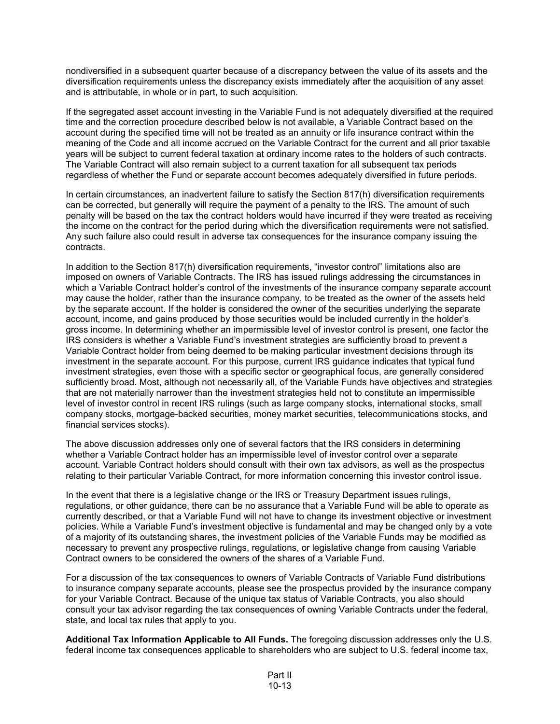nondiversified in a subsequent quarter because of a discrepancy between the value of its assets and the diversification requirements unless the discrepancy exists immediately after the acquisition of any asset and is attributable, in whole or in part, to such acquisition.

If the segregated asset account investing in the Variable Fund is not adequately diversified at the required time and the correction procedure described below is not available, a Variable Contract based on the account during the specified time will not be treated as an annuity or life insurance contract within the meaning of the Code and all income accrued on the Variable Contract for the current and all prior taxable years will be subject to current federal taxation at ordinary income rates to the holders of such contracts. The Variable Contract will also remain subject to a current taxation for all subsequent tax periods regardless of whether the Fund or separate account becomes adequately diversified in future periods.

In certain circumstances, an inadvertent failure to satisfy the Section 817(h) diversification requirements can be corrected, but generally will require the payment of a penalty to the IRS. The amount of such penalty will be based on the tax the contract holders would have incurred if they were treated as receiving the income on the contract for the period during which the diversification requirements were not satisfied. Any such failure also could result in adverse tax consequences for the insurance company issuing the contracts.

In addition to the Section 817(h) diversification requirements, "investor control" limitations also are imposed on owners of Variable Contracts. The IRS has issued rulings addressing the circumstances in which a Variable Contract holder's control of the investments of the insurance company separate account may cause the holder, rather than the insurance company, to be treated as the owner of the assets held by the separate account. If the holder is considered the owner of the securities underlying the separate account, income, and gains produced by those securities would be included currently in the holder's gross income. In determining whether an impermissible level of investor control is present, one factor the IRS considers is whether a Variable Fund's investment strategies are sufficiently broad to prevent a Variable Contract holder from being deemed to be making particular investment decisions through its investment in the separate account. For this purpose, current IRS guidance indicates that typical fund investment strategies, even those with a specific sector or geographical focus, are generally considered sufficiently broad. Most, although not necessarily all, of the Variable Funds have objectives and strategies that are not materially narrower than the investment strategies held not to constitute an impermissible level of investor control in recent IRS rulings (such as large company stocks, international stocks, small company stocks, mortgage-backed securities, money market securities, telecommunications stocks, and financial services stocks).

The above discussion addresses only one of several factors that the IRS considers in determining whether a Variable Contract holder has an impermissible level of investor control over a separate account. Variable Contract holders should consult with their own tax advisors, as well as the prospectus relating to their particular Variable Contract, for more information concerning this investor control issue.

In the event that there is a legislative change or the IRS or Treasury Department issues rulings, regulations, or other guidance, there can be no assurance that a Variable Fund will be able to operate as currently described, or that a Variable Fund will not have to change its investment objective or investment policies. While a Variable Fund's investment objective is fundamental and may be changed only by a vote of a majority of its outstanding shares, the investment policies of the Variable Funds may be modified as necessary to prevent any prospective rulings, regulations, or legislative change from causing Variable Contract owners to be considered the owners of the shares of a Variable Fund.

For a discussion of the tax consequences to owners of Variable Contracts of Variable Fund distributions to insurance company separate accounts, please see the prospectus provided by the insurance company for your Variable Contract. Because of the unique tax status of Variable Contracts, you also should consult your tax advisor regarding the tax consequences of owning Variable Contracts under the federal, state, and local tax rules that apply to you.

**Additional Tax Information Applicable to All Funds.** The foregoing discussion addresses only the U.S. federal income tax consequences applicable to shareholders who are subject to U.S. federal income tax,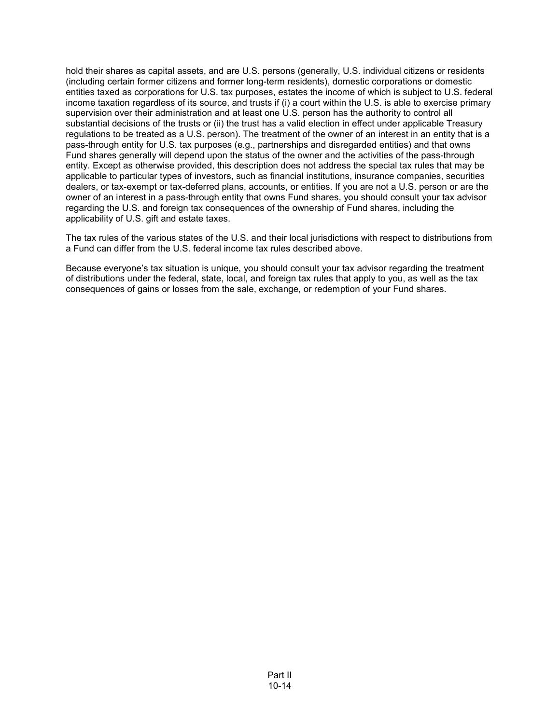hold their shares as capital assets, and are U.S. persons (generally, U.S. individual citizens or residents (including certain former citizens and former long-term residents), domestic corporations or domestic entities taxed as corporations for U.S. tax purposes, estates the income of which is subject to U.S. federal income taxation regardless of its source, and trusts if (i) a court within the U.S. is able to exercise primary supervision over their administration and at least one U.S. person has the authority to control all substantial decisions of the trusts or (ii) the trust has a valid election in effect under applicable Treasury regulations to be treated as a U.S. person). The treatment of the owner of an interest in an entity that is a pass-through entity for U.S. tax purposes (e.g., partnerships and disregarded entities) and that owns Fund shares generally will depend upon the status of the owner and the activities of the pass-through entity. Except as otherwise provided, this description does not address the special tax rules that may be applicable to particular types of investors, such as financial institutions, insurance companies, securities dealers, or tax-exempt or tax-deferred plans, accounts, or entities. If you are not a U.S. person or are the owner of an interest in a pass-through entity that owns Fund shares, you should consult your tax advisor regarding the U.S. and foreign tax consequences of the ownership of Fund shares, including the applicability of U.S. gift and estate taxes.

The tax rules of the various states of the U.S. and their local jurisdictions with respect to distributions from a Fund can differ from the U.S. federal income tax rules described above.

Because everyone's tax situation is unique, you should consult your tax advisor regarding the treatment of distributions under the federal, state, local, and foreign tax rules that apply to you, as well as the tax consequences of gains or losses from the sale, exchange, or redemption of your Fund shares.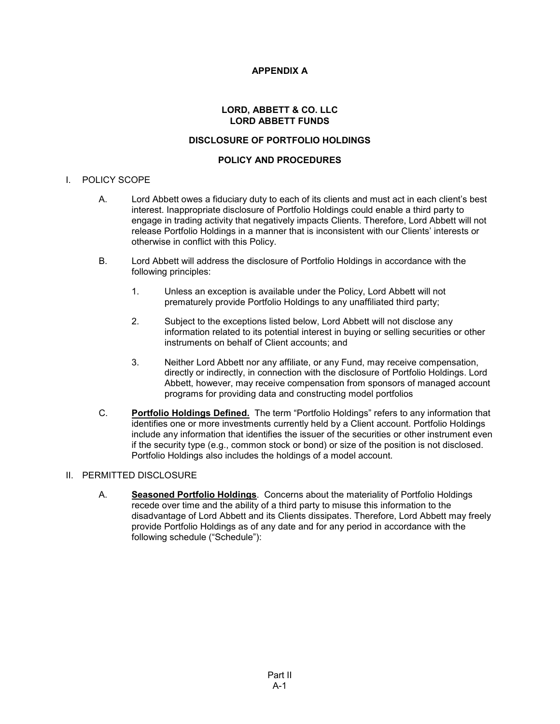### **APPENDIX A**

#### **LORD, ABBETT & CO. LLC LORD ABBETT FUNDS**

### **DISCLOSURE OF PORTFOLIO HOLDINGS**

#### **POLICY AND PROCEDURES**

#### I. POLICY SCOPE

- A. Lord Abbett owes a fiduciary duty to each of its clients and must act in each client's best interest. Inappropriate disclosure of Portfolio Holdings could enable a third party to engage in trading activity that negatively impacts Clients. Therefore, Lord Abbett will not release Portfolio Holdings in a manner that is inconsistent with our Clients' interests or otherwise in conflict with this Policy.
- B. Lord Abbett will address the disclosure of Portfolio Holdings in accordance with the following principles:
	- 1. Unless an exception is available under the Policy, Lord Abbett will not prematurely provide Portfolio Holdings to any unaffiliated third party;
	- 2. Subject to the exceptions listed below, Lord Abbett will not disclose any information related to its potential interest in buying or selling securities or other instruments on behalf of Client accounts; and
	- 3. Neither Lord Abbett nor any affiliate, or any Fund, may receive compensation, directly or indirectly, in connection with the disclosure of Portfolio Holdings. Lord Abbett, however, may receive compensation from sponsors of managed account programs for providing data and constructing model portfolios
- C. **Portfolio Holdings Defined.** The term "Portfolio Holdings" refers to any information that identifies one or more investments currently held by a Client account. Portfolio Holdings include any information that identifies the issuer of the securities or other instrument even if the security type (e.g., common stock or bond) or size of the position is not disclosed. Portfolio Holdings also includes the holdings of a model account.

### II. PERMITTED DISCLOSURE

A. **Seasoned Portfolio Holdings**. Concerns about the materiality of Portfolio Holdings recede over time and the ability of a third party to misuse this information to the disadvantage of Lord Abbett and its Clients dissipates. Therefore, Lord Abbett may freely provide Portfolio Holdings as of any date and for any period in accordance with the following schedule ("Schedule"):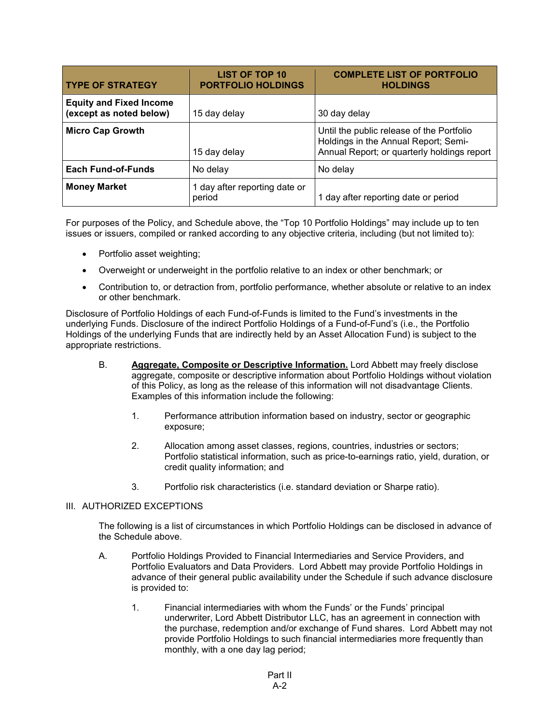| <b>TYPE OF STRATEGY</b>                                   | <b>LIST OF TOP 10</b><br><b>PORTFOLIO HOLDINGS</b> | <b>COMPLETE LIST OF PORTFOLIO</b><br><b>HOLDINGS</b>                                                                             |
|-----------------------------------------------------------|----------------------------------------------------|----------------------------------------------------------------------------------------------------------------------------------|
| <b>Equity and Fixed Income</b><br>(except as noted below) | 15 day delay                                       | 30 day delay                                                                                                                     |
| <b>Micro Cap Growth</b>                                   | 15 day delay                                       | Until the public release of the Portfolio<br>Holdings in the Annual Report; Semi-<br>Annual Report; or quarterly holdings report |
| <b>Each Fund-of-Funds</b>                                 | No delay                                           | No delay                                                                                                                         |
| <b>Money Market</b>                                       | 1 day after reporting date or<br>period            | 1 day after reporting date or period                                                                                             |

For purposes of the Policy, and Schedule above, the "Top 10 Portfolio Holdings" may include up to ten issues or issuers, compiled or ranked according to any objective criteria, including (but not limited to):

- Portfolio asset weighting;
- Overweight or underweight in the portfolio relative to an index or other benchmark; or
- Contribution to, or detraction from, portfolio performance, whether absolute or relative to an index or other benchmark.

Disclosure of Portfolio Holdings of each Fund-of-Funds is limited to the Fund's investments in the underlying Funds. Disclosure of the indirect Portfolio Holdings of a Fund-of-Fund's (i.e., the Portfolio Holdings of the underlying Funds that are indirectly held by an Asset Allocation Fund) is subject to the appropriate restrictions.

- B. **Aggregate, Composite or Descriptive Information.** Lord Abbett may freely disclose aggregate, composite or descriptive information about Portfolio Holdings without violation of this Policy, as long as the release of this information will not disadvantage Clients. Examples of this information include the following:
	- 1. Performance attribution information based on industry, sector or geographic exposure;
	- 2. Allocation among asset classes, regions, countries, industries or sectors; Portfolio statistical information, such as price-to-earnings ratio, yield, duration, or credit quality information; and
	- 3. Portfolio risk characteristics (i.e. standard deviation or Sharpe ratio).

#### III. AUTHORIZED EXCEPTIONS

The following is a list of circumstances in which Portfolio Holdings can be disclosed in advance of the Schedule above.

- A. Portfolio Holdings Provided to Financial Intermediaries and Service Providers, and Portfolio Evaluators and Data Providers. Lord Abbett may provide Portfolio Holdings in advance of their general public availability under the Schedule if such advance disclosure is provided to:
	- 1. Financial intermediaries with whom the Funds' or the Funds' principal underwriter, Lord Abbett Distributor LLC, has an agreement in connection with the purchase, redemption and/or exchange of Fund shares. Lord Abbett may not provide Portfolio Holdings to such financial intermediaries more frequently than monthly, with a one day lag period;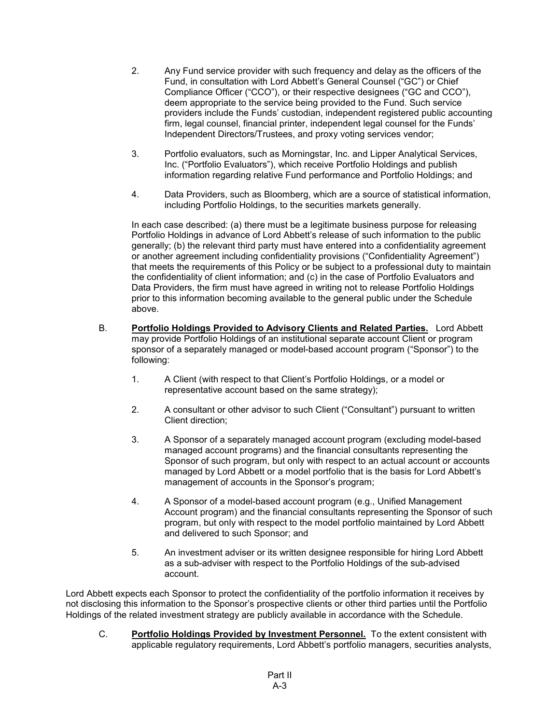- 2. Any Fund service provider with such frequency and delay as the officers of the Fund, in consultation with Lord Abbett's General Counsel ("GC") or Chief Compliance Officer ("CCO"), or their respective designees ("GC and CCO"), deem appropriate to the service being provided to the Fund. Such service providers include the Funds' custodian, independent registered public accounting firm, legal counsel, financial printer, independent legal counsel for the Funds' Independent Directors/Trustees, and proxy voting services vendor;
- 3. Portfolio evaluators, such as Morningstar, Inc. and Lipper Analytical Services, Inc. ("Portfolio Evaluators"), which receive Portfolio Holdings and publish information regarding relative Fund performance and Portfolio Holdings; and
- 4. Data Providers, such as Bloomberg, which are a source of statistical information, including Portfolio Holdings, to the securities markets generally.

In each case described: (a) there must be a legitimate business purpose for releasing Portfolio Holdings in advance of Lord Abbett's release of such information to the public generally; (b) the relevant third party must have entered into a confidentiality agreement or another agreement including confidentiality provisions ("Confidentiality Agreement") that meets the requirements of this Policy or be subject to a professional duty to maintain the confidentiality of client information; and (c) in the case of Portfolio Evaluators and Data Providers, the firm must have agreed in writing not to release Portfolio Holdings prior to this information becoming available to the general public under the Schedule above.

- B. **Portfolio Holdings Provided to Advisory Clients and Related Parties.** Lord Abbett may provide Portfolio Holdings of an institutional separate account Client or program sponsor of a separately managed or model-based account program ("Sponsor") to the following:
	- 1. A Client (with respect to that Client's Portfolio Holdings, or a model or representative account based on the same strategy);
	- 2. A consultant or other advisor to such Client ("Consultant") pursuant to written Client direction;
	- 3. A Sponsor of a separately managed account program (excluding model-based managed account programs) and the financial consultants representing the Sponsor of such program, but only with respect to an actual account or accounts managed by Lord Abbett or a model portfolio that is the basis for Lord Abbett's management of accounts in the Sponsor's program;
	- 4. A Sponsor of a model-based account program (e.g., Unified Management Account program) and the financial consultants representing the Sponsor of such program, but only with respect to the model portfolio maintained by Lord Abbett and delivered to such Sponsor; and
	- 5. An investment adviser or its written designee responsible for hiring Lord Abbett as a sub-adviser with respect to the Portfolio Holdings of the sub-advised account.

Lord Abbett expects each Sponsor to protect the confidentiality of the portfolio information it receives by not disclosing this information to the Sponsor's prospective clients or other third parties until the Portfolio Holdings of the related investment strategy are publicly available in accordance with the Schedule.

C. **Portfolio Holdings Provided by Investment Personnel.** To the extent consistent with applicable regulatory requirements, Lord Abbett's portfolio managers, securities analysts,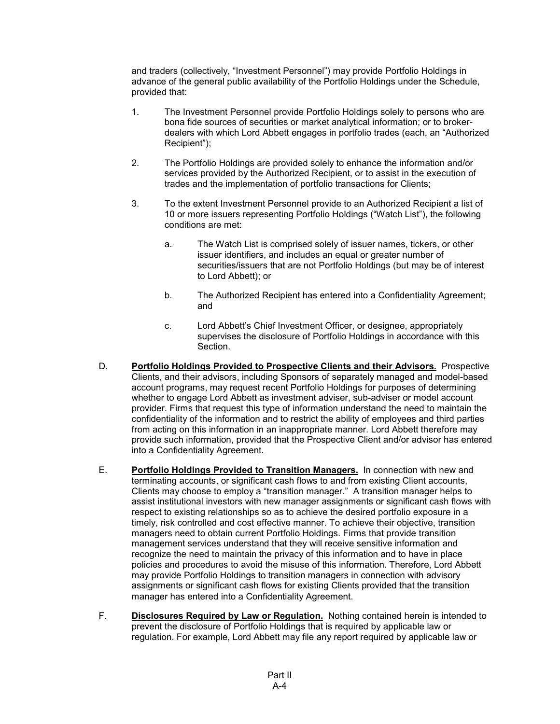and traders (collectively, "Investment Personnel") may provide Portfolio Holdings in advance of the general public availability of the Portfolio Holdings under the Schedule, provided that:

- 1. The Investment Personnel provide Portfolio Holdings solely to persons who are bona fide sources of securities or market analytical information; or to brokerdealers with which Lord Abbett engages in portfolio trades (each, an "Authorized Recipient");
- 2. The Portfolio Holdings are provided solely to enhance the information and/or services provided by the Authorized Recipient, or to assist in the execution of trades and the implementation of portfolio transactions for Clients;
- 3. To the extent Investment Personnel provide to an Authorized Recipient a list of 10 or more issuers representing Portfolio Holdings ("Watch List"), the following conditions are met:
	- a. The Watch List is comprised solely of issuer names, tickers, or other issuer identifiers, and includes an equal or greater number of securities/issuers that are not Portfolio Holdings (but may be of interest to Lord Abbett); or
	- b. The Authorized Recipient has entered into a Confidentiality Agreement; and
	- c. Lord Abbett's Chief Investment Officer, or designee, appropriately supervises the disclosure of Portfolio Holdings in accordance with this Section.
- D. **Portfolio Holdings Provided to Prospective Clients and their Advisors.** Prospective Clients, and their advisors, including Sponsors of separately managed and model-based account programs, may request recent Portfolio Holdings for purposes of determining whether to engage Lord Abbett as investment adviser, sub-adviser or model account provider. Firms that request this type of information understand the need to maintain the confidentiality of the information and to restrict the ability of employees and third parties from acting on this information in an inappropriate manner. Lord Abbett therefore may provide such information, provided that the Prospective Client and/or advisor has entered into a Confidentiality Agreement.
- E. **Portfolio Holdings Provided to Transition Managers.** In connection with new and terminating accounts, or significant cash flows to and from existing Client accounts, Clients may choose to employ a "transition manager." A transition manager helps to assist institutional investors with new manager assignments or significant cash flows with respect to existing relationships so as to achieve the desired portfolio exposure in a timely, risk controlled and cost effective manner. To achieve their objective, transition managers need to obtain current Portfolio Holdings. Firms that provide transition management services understand that they will receive sensitive information and recognize the need to maintain the privacy of this information and to have in place policies and procedures to avoid the misuse of this information. Therefore, Lord Abbett may provide Portfolio Holdings to transition managers in connection with advisory assignments or significant cash flows for existing Clients provided that the transition manager has entered into a Confidentiality Agreement.
- F. **Disclosures Required by Law or Regulation.** Nothing contained herein is intended to prevent the disclosure of Portfolio Holdings that is required by applicable law or regulation. For example, Lord Abbett may file any report required by applicable law or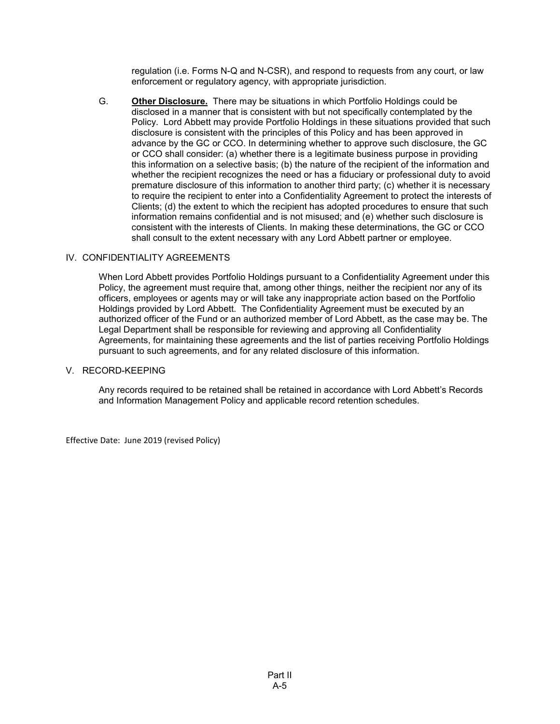regulation (i.e. Forms N-Q and N-CSR), and respond to requests from any court, or law enforcement or regulatory agency, with appropriate jurisdiction.

G. **Other Disclosure.** There may be situations in which Portfolio Holdings could be disclosed in a manner that is consistent with but not specifically contemplated by the Policy. Lord Abbett may provide Portfolio Holdings in these situations provided that such disclosure is consistent with the principles of this Policy and has been approved in advance by the GC or CCO. In determining whether to approve such disclosure, the GC or CCO shall consider: (a) whether there is a legitimate business purpose in providing this information on a selective basis; (b) the nature of the recipient of the information and whether the recipient recognizes the need or has a fiduciary or professional duty to avoid premature disclosure of this information to another third party; (c) whether it is necessary to require the recipient to enter into a Confidentiality Agreement to protect the interests of Clients; (d) the extent to which the recipient has adopted procedures to ensure that such information remains confidential and is not misused; and (e) whether such disclosure is consistent with the interests of Clients. In making these determinations, the GC or CCO shall consult to the extent necessary with any Lord Abbett partner or employee.

#### IV. CONFIDENTIALITY AGREEMENTS

When Lord Abbett provides Portfolio Holdings pursuant to a Confidentiality Agreement under this Policy, the agreement must require that, among other things, neither the recipient nor any of its officers, employees or agents may or will take any inappropriate action based on the Portfolio Holdings provided by Lord Abbett. The Confidentiality Agreement must be executed by an authorized officer of the Fund or an authorized member of Lord Abbett, as the case may be. The Legal Department shall be responsible for reviewing and approving all Confidentiality Agreements, for maintaining these agreements and the list of parties receiving Portfolio Holdings pursuant to such agreements, and for any related disclosure of this information.

#### V. RECORD-KEEPING

Any records required to be retained shall be retained in accordance with Lord Abbett's Records and Information Management Policy and applicable record retention schedules.

Effective Date: June 2019 (revised Policy)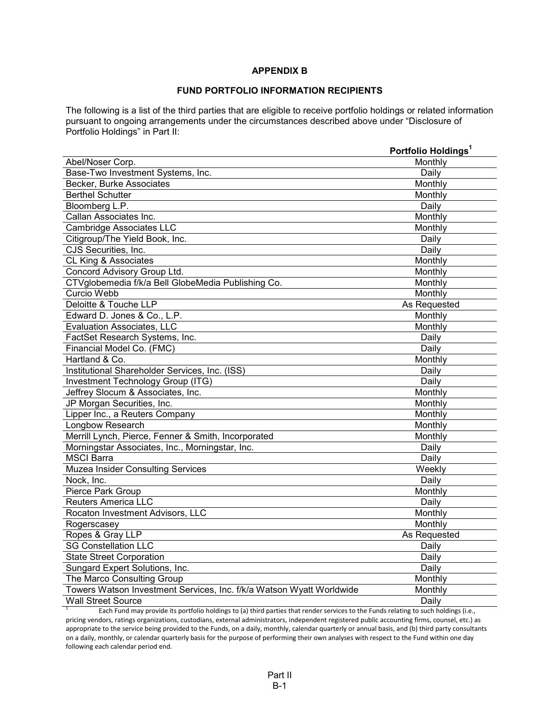#### **APPENDIX B**

### **FUND PORTFOLIO INFORMATION RECIPIENTS**

The following is a list of the third parties that are eligible to receive portfolio holdings or related information pursuant to ongoing arrangements under the circumstances described above under "Disclosure of Portfolio Holdings" in Part II:

|                                                                      | Portfolio Holdings <sup>1</sup> |
|----------------------------------------------------------------------|---------------------------------|
| Abel/Noser Corp.                                                     | Monthly                         |
| Base-Two Investment Systems, Inc.                                    | Daily                           |
| Becker, Burke Associates                                             | Monthly                         |
| <b>Berthel Schutter</b>                                              | Monthly                         |
| Bloomberg L.P.                                                       | Daily                           |
| Callan Associates Inc.                                               | Monthly                         |
| <b>Cambridge Associates LLC</b>                                      | Monthly                         |
| Citigroup/The Yield Book, Inc.                                       | Daily                           |
| CJS Securities, Inc.                                                 | Daily                           |
| CL King & Associates                                                 | Monthly                         |
| Concord Advisory Group Ltd.                                          | Monthly                         |
| CTVglobemedia f/k/a Bell GlobeMedia Publishing Co.                   | Monthly                         |
| Curcio Webb                                                          | Monthly                         |
| Deloitte & Touche LLP                                                | As Requested                    |
| Edward D. Jones & Co., L.P.                                          | Monthly                         |
| Evaluation Associates, LLC                                           | Monthly                         |
| FactSet Research Systems, Inc.                                       | Daily                           |
| Financial Model Co. (FMC)                                            | Daily                           |
| Hartland & Co.                                                       | Monthly                         |
| Institutional Shareholder Services, Inc. (ISS)                       | Daily                           |
| Investment Technology Group (ITG)                                    | Daily                           |
| Jeffrey Slocum & Associates, Inc.                                    | Monthly                         |
| JP Morgan Securities, Inc.                                           | Monthly                         |
| Lipper Inc., a Reuters Company                                       | Monthly                         |
| Longbow Research                                                     | Monthly                         |
| Merrill Lynch, Pierce, Fenner & Smith, Incorporated                  | Monthly                         |
| Morningstar Associates, Inc., Morningstar, Inc.                      | Daily                           |
| <b>MSCI Barra</b>                                                    | Daily                           |
| <b>Muzea Insider Consulting Services</b>                             | Weekly                          |
| Nock, Inc.                                                           | Daily                           |
| Pierce Park Group                                                    | Monthly                         |
| <b>Reuters America LLC</b>                                           | Daily                           |
| Rocaton Investment Advisors, LLC                                     | Monthly                         |
| Rogerscasey                                                          | Monthly                         |
| Ropes & Gray LLP                                                     | As Requested                    |
| <b>SG Constellation LLC</b>                                          | Daily                           |
| <b>State Street Corporation</b>                                      | Daily                           |
| Sungard Expert Solutions, Inc.                                       | Daily                           |
| The Marco Consulting Group                                           | Monthly                         |
| Towers Watson Investment Services, Inc. f/k/a Watson Wyatt Worldwide | Monthly                         |
| <b>Wall Street Source</b>                                            | Daily                           |

1 Each Fund may provide its portfolio holdings to (a) third parties that render services to the Funds relating to such holdings (i.e., pricing vendors, ratings organizations, custodians, external administrators, independent registered public accounting firms, counsel, etc.) as appropriate to the service being provided to the Funds, on a daily, monthly, calendar quarterly or annual basis, and (b) third party consultants on a daily, monthly, or calendar quarterly basis for the purpose of performing their own analyses with respect to the Fund within one day following each calendar period end.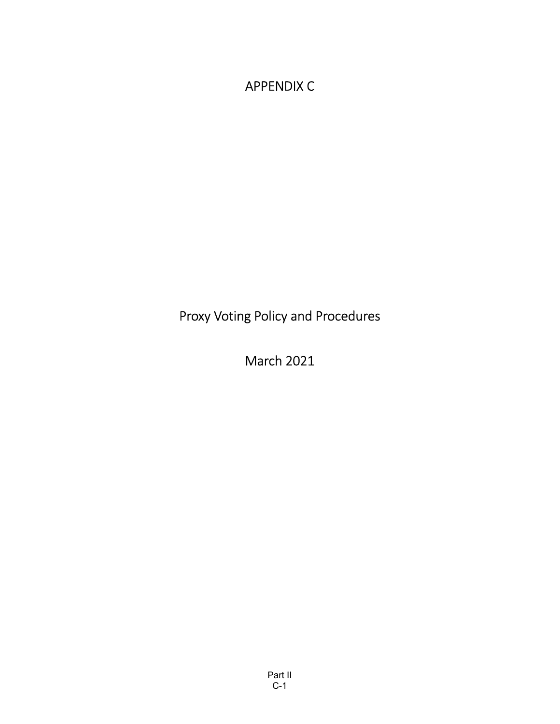APPENDIX C

Proxy Voting Policy and Procedures

March 2021

Part II C-1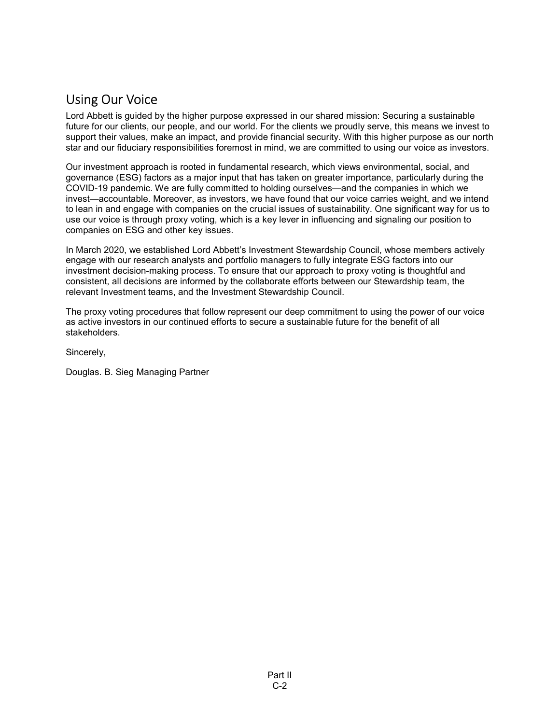### Using Our Voice

Lord Abbett is guided by the higher purpose expressed in our shared mission: Securing a sustainable future for our clients, our people, and our world. For the clients we proudly serve, this means we invest to support their values, make an impact, and provide financial security. With this higher purpose as our north star and our fiduciary responsibilities foremost in mind, we are committed to using our voice as investors.

Our investment approach is rooted in fundamental research, which views environmental, social, and governance (ESG) factors as a major input that has taken on greater importance, particularly during the COVID-19 pandemic. We are fully committed to holding ourselves—and the companies in which we invest—accountable. Moreover, as investors, we have found that our voice carries weight, and we intend to lean in and engage with companies on the crucial issues of sustainability. One significant way for us to use our voice is through proxy voting, which is a key lever in influencing and signaling our position to companies on ESG and other key issues.

In March 2020, we established Lord Abbett's Investment Stewardship Council, whose members actively engage with our research analysts and portfolio managers to fully integrate ESG factors into our investment decision-making process. To ensure that our approach to proxy voting is thoughtful and consistent, all decisions are informed by the collaborate efforts between our Stewardship team, the relevant Investment teams, and the Investment Stewardship Council.

The proxy voting procedures that follow represent our deep commitment to using the power of our voice as active investors in our continued efforts to secure a sustainable future for the benefit of all stakeholders.

Sincerely,

Douglas. B. Sieg Managing Partner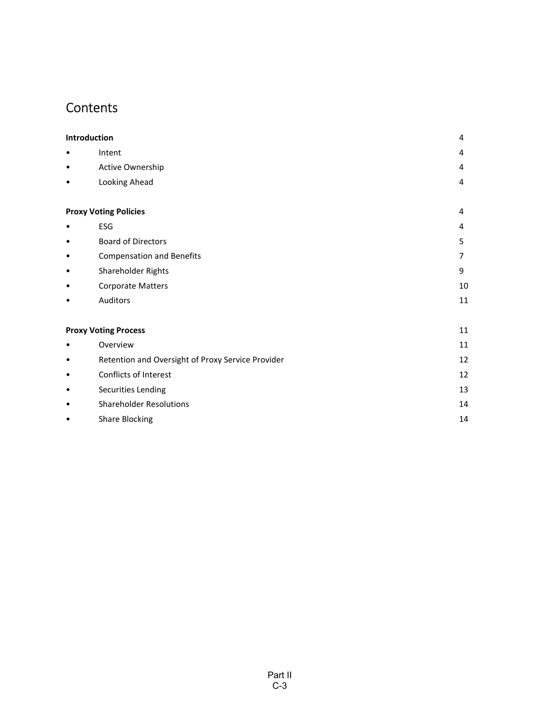### **Contents**

| <b>Introduction</b><br>4     |                                                   |                |
|------------------------------|---------------------------------------------------|----------------|
| ٠                            | Intent                                            | 4              |
| ٠                            | Active Ownership                                  | 4              |
| ٠                            | Looking Ahead                                     | 4              |
|                              |                                                   |                |
| <b>Proxy Voting Policies</b> |                                                   | 4              |
|                              | <b>ESG</b>                                        | 4              |
| ٠                            | <b>Board of Directors</b>                         | 5              |
|                              | <b>Compensation and Benefits</b>                  | $\overline{7}$ |
| ٠                            | Shareholder Rights                                | 9              |
|                              | <b>Corporate Matters</b>                          | 10             |
| ٠                            | Auditors                                          | 11             |
|                              | <b>Proxy Voting Process</b>                       | 11             |
|                              | Overview                                          | 11             |
| ٠                            | Retention and Oversight of Proxy Service Provider | 12             |
| ٠                            | Conflicts of Interest                             | 12             |
|                              | Securities Lending                                | 13             |
|                              | <b>Shareholder Resolutions</b>                    | 14             |
|                              | <b>Share Blocking</b>                             | 14             |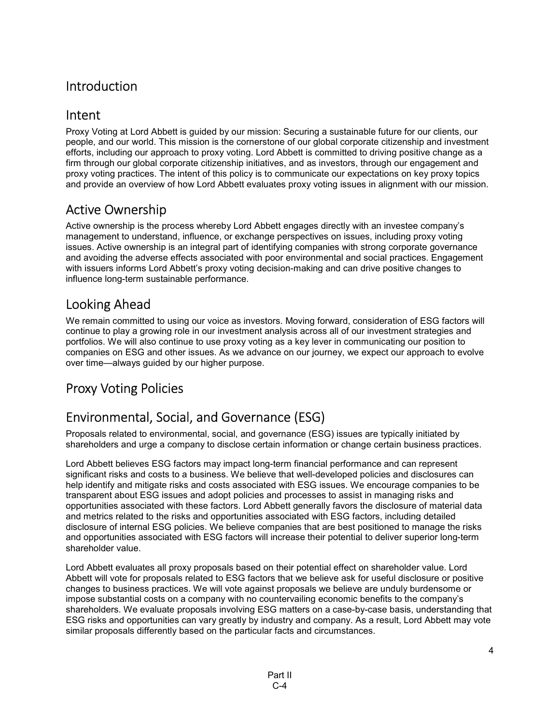## Introduction

### Intent

Proxy Voting at Lord Abbett is guided by our mission: Securing a sustainable future for our clients, our people, and our world. This mission is the cornerstone of our global corporate citizenship and investment efforts, including our approach to proxy voting. Lord Abbett is committed to driving positive change as a firm through our global corporate citizenship initiatives, and as investors, through our engagement and proxy voting practices. The intent of this policy is to communicate our expectations on key proxy topics and provide an overview of how Lord Abbett evaluates proxy voting issues in alignment with our mission.

# Active Ownership

Active ownership is the process whereby Lord Abbett engages directly with an investee company's management to understand, influence, or exchange perspectives on issues, including proxy voting issues. Active ownership is an integral part of identifying companies with strong corporate governance and avoiding the adverse effects associated with poor environmental and social practices. Engagement with issuers informs Lord Abbett's proxy voting decision-making and can drive positive changes to influence long-term sustainable performance.

# Looking Ahead

We remain committed to using our voice as investors. Moving forward, consideration of ESG factors will continue to play a growing role in our investment analysis across all of our investment strategies and portfolios. We will also continue to use proxy voting as a key lever in communicating our position to companies on ESG and other issues. As we advance on our journey, we expect our approach to evolve over time—always guided by our higher purpose.

# Proxy Voting Policies

# Environmental, Social, and Governance (ESG)

Proposals related to environmental, social, and governance (ESG) issues are typically initiated by shareholders and urge a company to disclose certain information or change certain business practices.

Lord Abbett believes ESG factors may impact long-term financial performance and can represent significant risks and costs to a business. We believe that well-developed policies and disclosures can help identify and mitigate risks and costs associated with ESG issues. We encourage companies to be transparent about ESG issues and adopt policies and processes to assist in managing risks and opportunities associated with these factors. Lord Abbett generally favors the disclosure of material data and metrics related to the risks and opportunities associated with ESG factors, including detailed disclosure of internal ESG policies. We believe companies that are best positioned to manage the risks and opportunities associated with ESG factors will increase their potential to deliver superior long-term shareholder value.

Lord Abbett evaluates all proxy proposals based on their potential effect on shareholder value. Lord Abbett will vote for proposals related to ESG factors that we believe ask for useful disclosure or positive changes to business practices. We will vote against proposals we believe are unduly burdensome or impose substantial costs on a company with no countervailing economic benefits to the company's shareholders. We evaluate proposals involving ESG matters on a case-by-case basis, understanding that ESG risks and opportunities can vary greatly by industry and company. As a result, Lord Abbett may vote similar proposals differently based on the particular facts and circumstances.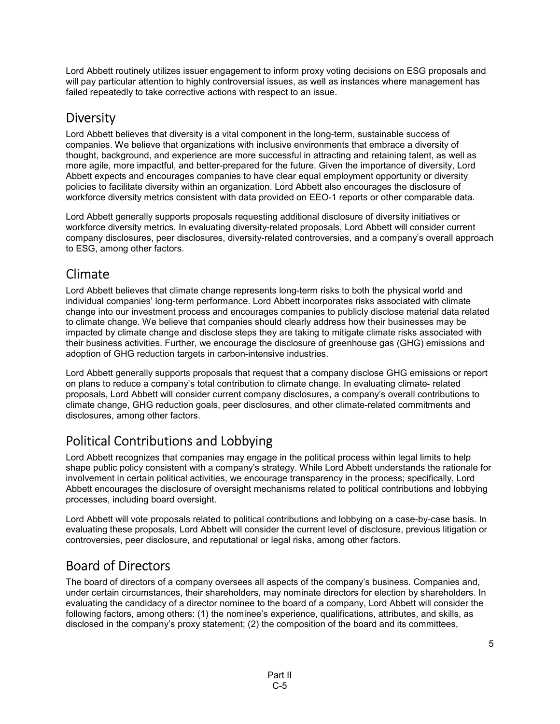Lord Abbett routinely utilizes issuer engagement to inform proxy voting decisions on ESG proposals and will pay particular attention to highly controversial issues, as well as instances where management has failed repeatedly to take corrective actions with respect to an issue.

### **Diversity**

Lord Abbett believes that diversity is a vital component in the long-term, sustainable success of companies. We believe that organizations with inclusive environments that embrace a diversity of thought, background, and experience are more successful in attracting and retaining talent, as well as more agile, more impactful, and better-prepared for the future. Given the importance of diversity, Lord Abbett expects and encourages companies to have clear equal employment opportunity or diversity policies to facilitate diversity within an organization. Lord Abbett also encourages the disclosure of workforce diversity metrics consistent with data provided on EEO-1 reports or other comparable data.

Lord Abbett generally supports proposals requesting additional disclosure of diversity initiatives or workforce diversity metrics. In evaluating diversity-related proposals, Lord Abbett will consider current company disclosures, peer disclosures, diversity-related controversies, and a company's overall approach to ESG, among other factors.

# Climate

Lord Abbett believes that climate change represents long-term risks to both the physical world and individual companies' long-term performance. Lord Abbett incorporates risks associated with climate change into our investment process and encourages companies to publicly disclose material data related to climate change. We believe that companies should clearly address how their businesses may be impacted by climate change and disclose steps they are taking to mitigate climate risks associated with their business activities. Further, we encourage the disclosure of greenhouse gas (GHG) emissions and adoption of GHG reduction targets in carbon-intensive industries.

Lord Abbett generally supports proposals that request that a company disclose GHG emissions or report on plans to reduce a company's total contribution to climate change. In evaluating climate- related proposals, Lord Abbett will consider current company disclosures, a company's overall contributions to climate change, GHG reduction goals, peer disclosures, and other climate-related commitments and disclosures, among other factors.

# Political Contributions and Lobbying

Lord Abbett recognizes that companies may engage in the political process within legal limits to help shape public policy consistent with a company's strategy. While Lord Abbett understands the rationale for involvement in certain political activities, we encourage transparency in the process; specifically, Lord Abbett encourages the disclosure of oversight mechanisms related to political contributions and lobbying processes, including board oversight.

Lord Abbett will vote proposals related to political contributions and lobbying on a case-by-case basis. In evaluating these proposals, Lord Abbett will consider the current level of disclosure, previous litigation or controversies, peer disclosure, and reputational or legal risks, among other factors.

# Board of Directors

The board of directors of a company oversees all aspects of the company's business. Companies and, under certain circumstances, their shareholders, may nominate directors for election by shareholders. In evaluating the candidacy of a director nominee to the board of a company, Lord Abbett will consider the following factors, among others: (1) the nominee's experience, qualifications, attributes, and skills, as disclosed in the company's proxy statement; (2) the composition of the board and its committees,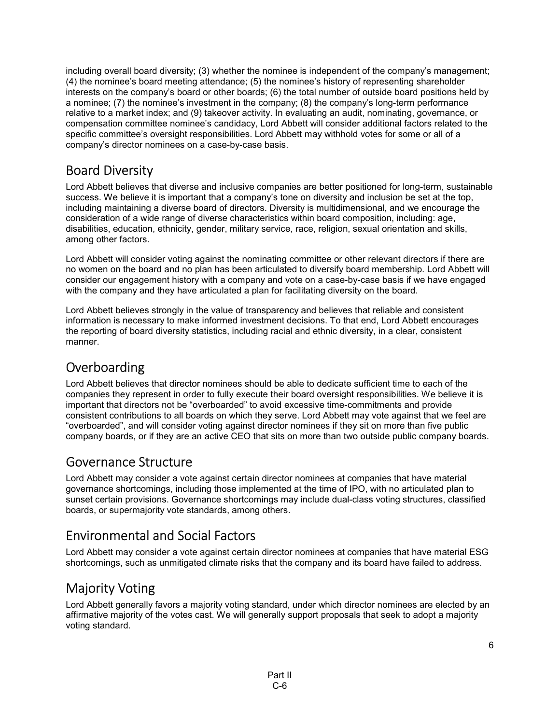including overall board diversity; (3) whether the nominee is independent of the company's management; (4) the nominee's board meeting attendance; (5) the nominee's history of representing shareholder interests on the company's board or other boards; (6) the total number of outside board positions held by a nominee; (7) the nominee's investment in the company; (8) the company's long-term performance relative to a market index; and (9) takeover activity. In evaluating an audit, nominating, governance, or compensation committee nominee's candidacy, Lord Abbett will consider additional factors related to the specific committee's oversight responsibilities. Lord Abbett may withhold votes for some or all of a company's director nominees on a case-by-case basis.

## Board Diversity

Lord Abbett believes that diverse and inclusive companies are better positioned for long-term, sustainable success. We believe it is important that a company's tone on diversity and inclusion be set at the top, including maintaining a diverse board of directors. Diversity is multidimensional, and we encourage the consideration of a wide range of diverse characteristics within board composition, including: age, disabilities, education, ethnicity, gender, military service, race, religion, sexual orientation and skills, among other factors.

Lord Abbett will consider voting against the nominating committee or other relevant directors if there are no women on the board and no plan has been articulated to diversify board membership. Lord Abbett will consider our engagement history with a company and vote on a case-by-case basis if we have engaged with the company and they have articulated a plan for facilitating diversity on the board.

Lord Abbett believes strongly in the value of transparency and believes that reliable and consistent information is necessary to make informed investment decisions. To that end, Lord Abbett encourages the reporting of board diversity statistics, including racial and ethnic diversity, in a clear, consistent manner.

# **Overboarding**

Lord Abbett believes that director nominees should be able to dedicate sufficient time to each of the companies they represent in order to fully execute their board oversight responsibilities. We believe it is important that directors not be "overboarded" to avoid excessive time-commitments and provide consistent contributions to all boards on which they serve. Lord Abbett may vote against that we feel are "overboarded", and will consider voting against director nominees if they sit on more than five public company boards, or if they are an active CEO that sits on more than two outside public company boards.

## Governance Structure

Lord Abbett may consider a vote against certain director nominees at companies that have material governance shortcomings, including those implemented at the time of IPO, with no articulated plan to sunset certain provisions. Governance shortcomings may include dual-class voting structures, classified boards, or supermajority vote standards, among others.

# Environmental and Social Factors

Lord Abbett may consider a vote against certain director nominees at companies that have material ESG shortcomings, such as unmitigated climate risks that the company and its board have failed to address.

## Majority Voting

Lord Abbett generally favors a majority voting standard, under which director nominees are elected by an affirmative majority of the votes cast. We will generally support proposals that seek to adopt a majority voting standard.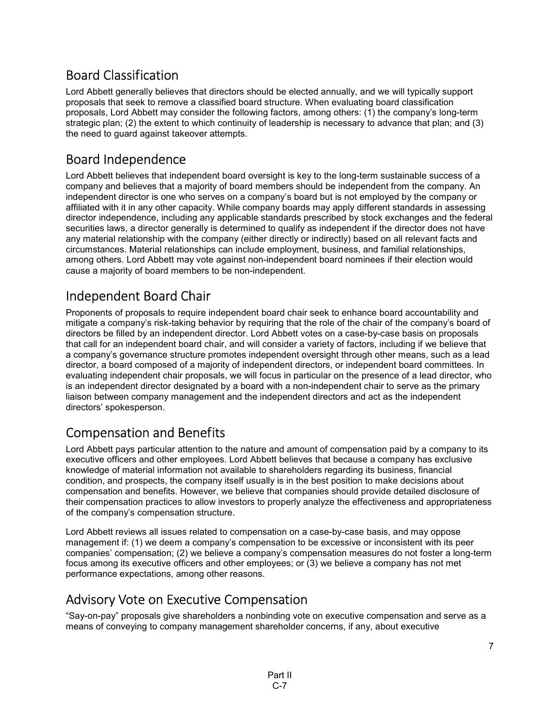# Board Classification

Lord Abbett generally believes that directors should be elected annually, and we will typically support proposals that seek to remove a classified board structure. When evaluating board classification proposals, Lord Abbett may consider the following factors, among others: (1) the company's long-term strategic plan; (2) the extent to which continuity of leadership is necessary to advance that plan; and (3) the need to guard against takeover attempts.

## Board Independence

Lord Abbett believes that independent board oversight is key to the long-term sustainable success of a company and believes that a majority of board members should be independent from the company. An independent director is one who serves on a company's board but is not employed by the company or affiliated with it in any other capacity. While company boards may apply different standards in assessing director independence, including any applicable standards prescribed by stock exchanges and the federal securities laws, a director generally is determined to qualify as independent if the director does not have any material relationship with the company (either directly or indirectly) based on all relevant facts and circumstances. Material relationships can include employment, business, and familial relationships, among others. Lord Abbett may vote against non-independent board nominees if their election would cause a majority of board members to be non-independent.

# Independent Board Chair

Proponents of proposals to require independent board chair seek to enhance board accountability and mitigate a company's risk-taking behavior by requiring that the role of the chair of the company's board of directors be filled by an independent director. Lord Abbett votes on a case-by-case basis on proposals that call for an independent board chair, and will consider a variety of factors, including if we believe that a company's governance structure promotes independent oversight through other means, such as a lead director, a board composed of a majority of independent directors, or independent board committees. In evaluating independent chair proposals, we will focus in particular on the presence of a lead director, who is an independent director designated by a board with a non-independent chair to serve as the primary liaison between company management and the independent directors and act as the independent directors' spokesperson.

# Compensation and Benefits

Lord Abbett pays particular attention to the nature and amount of compensation paid by a company to its executive officers and other employees. Lord Abbett believes that because a company has exclusive knowledge of material information not available to shareholders regarding its business, financial condition, and prospects, the company itself usually is in the best position to make decisions about compensation and benefits. However, we believe that companies should provide detailed disclosure of their compensation practices to allow investors to properly analyze the effectiveness and appropriateness of the company's compensation structure.

Lord Abbett reviews all issues related to compensation on a case-by-case basis, and may oppose management if: (1) we deem a company's compensation to be excessive or inconsistent with its peer companies' compensation; (2) we believe a company's compensation measures do not foster a long-term focus among its executive officers and other employees; or (3) we believe a company has not met performance expectations, among other reasons.

# Advisory Vote on Executive Compensation

"Say-on-pay" proposals give shareholders a nonbinding vote on executive compensation and serve as a means of conveying to company management shareholder concerns, if any, about executive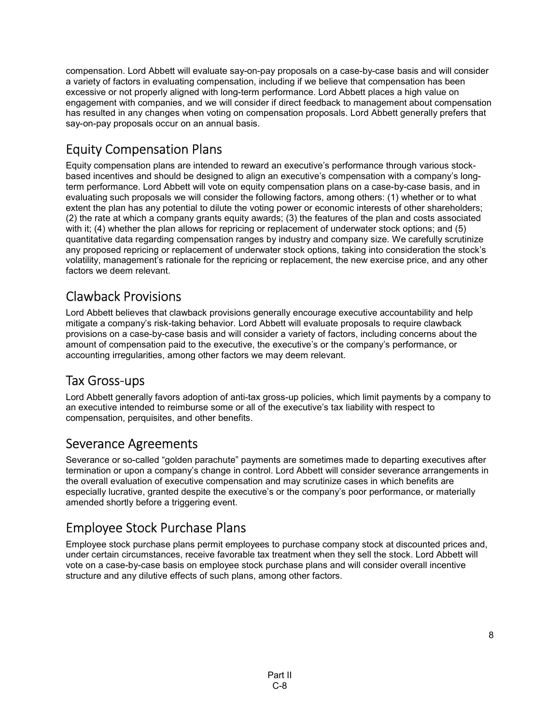compensation. Lord Abbett will evaluate say-on-pay proposals on a case-by-case basis and will consider a variety of factors in evaluating compensation, including if we believe that compensation has been excessive or not properly aligned with long-term performance. Lord Abbett places a high value on engagement with companies, and we will consider if direct feedback to management about compensation has resulted in any changes when voting on compensation proposals. Lord Abbett generally prefers that say-on-pay proposals occur on an annual basis.

# Equity Compensation Plans

Equity compensation plans are intended to reward an executive's performance through various stockbased incentives and should be designed to align an executive's compensation with a company's longterm performance. Lord Abbett will vote on equity compensation plans on a case-by-case basis, and in evaluating such proposals we will consider the following factors, among others: (1) whether or to what extent the plan has any potential to dilute the voting power or economic interests of other shareholders; (2) the rate at which a company grants equity awards; (3) the features of the plan and costs associated with it; (4) whether the plan allows for repricing or replacement of underwater stock options; and (5) quantitative data regarding compensation ranges by industry and company size. We carefully scrutinize any proposed repricing or replacement of underwater stock options, taking into consideration the stock's volatility, management's rationale for the repricing or replacement, the new exercise price, and any other factors we deem relevant.

# Clawback Provisions

Lord Abbett believes that clawback provisions generally encourage executive accountability and help mitigate a company's risk-taking behavior. Lord Abbett will evaluate proposals to require clawback provisions on a case-by-case basis and will consider a variety of factors, including concerns about the amount of compensation paid to the executive, the executive's or the company's performance, or accounting irregularities, among other factors we may deem relevant.

# Tax Gross-ups

Lord Abbett generally favors adoption of anti-tax gross-up policies, which limit payments by a company to an executive intended to reimburse some or all of the executive's tax liability with respect to compensation, perquisites, and other benefits.

# Severance Agreements

Severance or so-called "golden parachute" payments are sometimes made to departing executives after termination or upon a company's change in control. Lord Abbett will consider severance arrangements in the overall evaluation of executive compensation and may scrutinize cases in which benefits are especially lucrative, granted despite the executive's or the company's poor performance, or materially amended shortly before a triggering event.

# Employee Stock Purchase Plans

Employee stock purchase plans permit employees to purchase company stock at discounted prices and, under certain circumstances, receive favorable tax treatment when they sell the stock. Lord Abbett will vote on a case-by-case basis on employee stock purchase plans and will consider overall incentive structure and any dilutive effects of such plans, among other factors.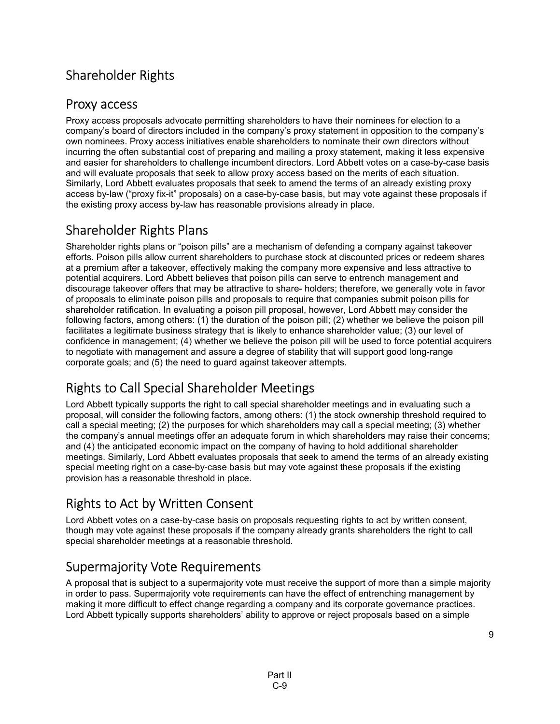# Shareholder Rights

### Proxy access

Proxy access proposals advocate permitting shareholders to have their nominees for election to a company's board of directors included in the company's proxy statement in opposition to the company's own nominees. Proxy access initiatives enable shareholders to nominate their own directors without incurring the often substantial cost of preparing and mailing a proxy statement, making it less expensive and easier for shareholders to challenge incumbent directors. Lord Abbett votes on a case-by-case basis and will evaluate proposals that seek to allow proxy access based on the merits of each situation. Similarly, Lord Abbett evaluates proposals that seek to amend the terms of an already existing proxy access by-law ("proxy fix-it" proposals) on a case-by-case basis, but may vote against these proposals if the existing proxy access by-law has reasonable provisions already in place.

# Shareholder Rights Plans

Shareholder rights plans or "poison pills" are a mechanism of defending a company against takeover efforts. Poison pills allow current shareholders to purchase stock at discounted prices or redeem shares at a premium after a takeover, effectively making the company more expensive and less attractive to potential acquirers. Lord Abbett believes that poison pills can serve to entrench management and discourage takeover offers that may be attractive to share- holders; therefore, we generally vote in favor of proposals to eliminate poison pills and proposals to require that companies submit poison pills for shareholder ratification. In evaluating a poison pill proposal, however, Lord Abbett may consider the following factors, among others: (1) the duration of the poison pill; (2) whether we believe the poison pill facilitates a legitimate business strategy that is likely to enhance shareholder value; (3) our level of confidence in management; (4) whether we believe the poison pill will be used to force potential acquirers to negotiate with management and assure a degree of stability that will support good long-range corporate goals; and (5) the need to guard against takeover attempts.

# Rights to Call Special Shareholder Meetings

Lord Abbett typically supports the right to call special shareholder meetings and in evaluating such a proposal, will consider the following factors, among others: (1) the stock ownership threshold required to call a special meeting; (2) the purposes for which shareholders may call a special meeting; (3) whether the company's annual meetings offer an adequate forum in which shareholders may raise their concerns; and (4) the anticipated economic impact on the company of having to hold additional shareholder meetings. Similarly, Lord Abbett evaluates proposals that seek to amend the terms of an already existing special meeting right on a case-by-case basis but may vote against these proposals if the existing provision has a reasonable threshold in place.

# Rights to Act by Written Consent

Lord Abbett votes on a case-by-case basis on proposals requesting rights to act by written consent, though may vote against these proposals if the company already grants shareholders the right to call special shareholder meetings at a reasonable threshold.

# Supermajority Vote Requirements

A proposal that is subject to a supermajority vote must receive the support of more than a simple majority in order to pass. Supermajority vote requirements can have the effect of entrenching management by making it more difficult to effect change regarding a company and its corporate governance practices. Lord Abbett typically supports shareholders' ability to approve or reject proposals based on a simple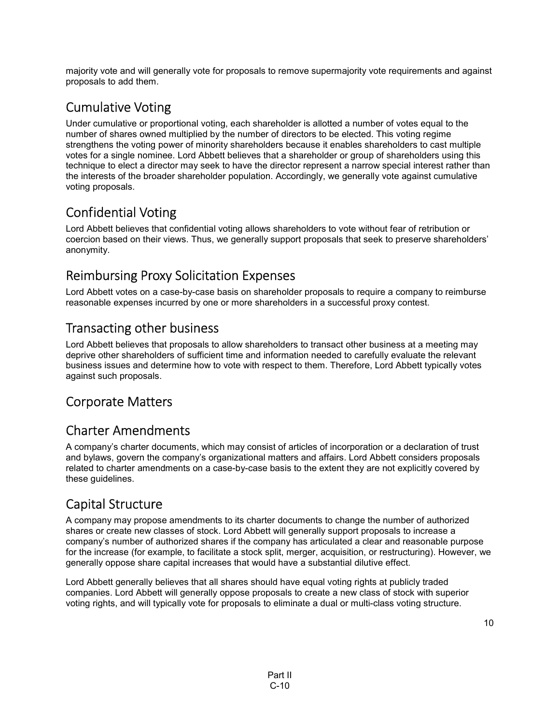majority vote and will generally vote for proposals to remove supermajority vote requirements and against proposals to add them.

## Cumulative Voting

Under cumulative or proportional voting, each shareholder is allotted a number of votes equal to the number of shares owned multiplied by the number of directors to be elected. This voting regime strengthens the voting power of minority shareholders because it enables shareholders to cast multiple votes for a single nominee. Lord Abbett believes that a shareholder or group of shareholders using this technique to elect a director may seek to have the director represent a narrow special interest rather than the interests of the broader shareholder population. Accordingly, we generally vote against cumulative voting proposals.

# Confidential Voting

Lord Abbett believes that confidential voting allows shareholders to vote without fear of retribution or coercion based on their views. Thus, we generally support proposals that seek to preserve shareholders' anonymity.

## Reimbursing Proxy Solicitation Expenses

Lord Abbett votes on a case-by-case basis on shareholder proposals to require a company to reimburse reasonable expenses incurred by one or more shareholders in a successful proxy contest.

## Transacting other business

Lord Abbett believes that proposals to allow shareholders to transact other business at a meeting may deprive other shareholders of sufficient time and information needed to carefully evaluate the relevant business issues and determine how to vote with respect to them. Therefore, Lord Abbett typically votes against such proposals.

# Corporate Matters

# Charter Amendments

A company's charter documents, which may consist of articles of incorporation or a declaration of trust and bylaws, govern the company's organizational matters and affairs. Lord Abbett considers proposals related to charter amendments on a case-by-case basis to the extent they are not explicitly covered by these guidelines.

## Capital Structure

A company may propose amendments to its charter documents to change the number of authorized shares or create new classes of stock. Lord Abbett will generally support proposals to increase a company's number of authorized shares if the company has articulated a clear and reasonable purpose for the increase (for example, to facilitate a stock split, merger, acquisition, or restructuring). However, we generally oppose share capital increases that would have a substantial dilutive effect.

Lord Abbett generally believes that all shares should have equal voting rights at publicly traded companies. Lord Abbett will generally oppose proposals to create a new class of stock with superior voting rights, and will typically vote for proposals to eliminate a dual or multi-class voting structure.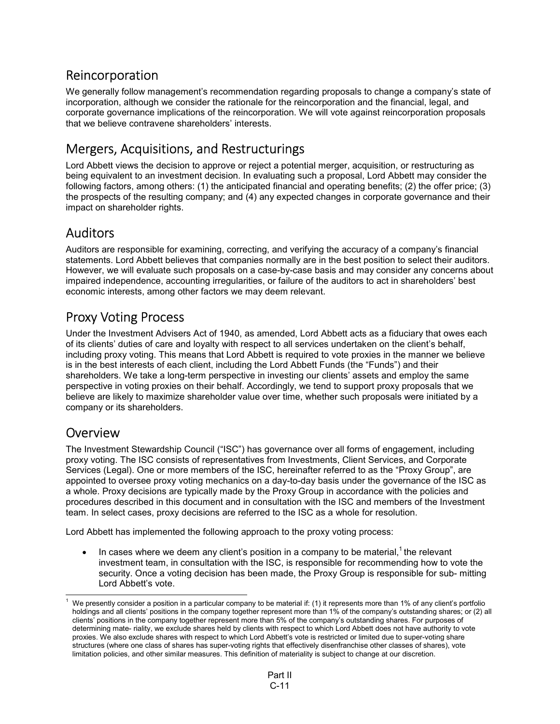### Reincorporation

We generally follow management's recommendation regarding proposals to change a company's state of incorporation, although we consider the rationale for the reincorporation and the financial, legal, and corporate governance implications of the reincorporation. We will vote against reincorporation proposals that we believe contravene shareholders' interests.

## Mergers, Acquisitions, and Restructurings

Lord Abbett views the decision to approve or reject a potential merger, acquisition, or restructuring as being equivalent to an investment decision. In evaluating such a proposal, Lord Abbett may consider the following factors, among others: (1) the anticipated financial and operating benefits; (2) the offer price; (3) the prospects of the resulting company; and (4) any expected changes in corporate governance and their impact on shareholder rights.

## Auditors

Auditors are responsible for examining, correcting, and verifying the accuracy of a company's financial statements. Lord Abbett believes that companies normally are in the best position to select their auditors. However, we will evaluate such proposals on a case-by-case basis and may consider any concerns about impaired independence, accounting irregularities, or failure of the auditors to act in shareholders' best economic interests, among other factors we may deem relevant.

### Proxy Voting Process

Under the Investment Advisers Act of 1940, as amended, Lord Abbett acts as a fiduciary that owes each of its clients' duties of care and loyalty with respect to all services undertaken on the client's behalf, including proxy voting. This means that Lord Abbett is required to vote proxies in the manner we believe is in the best interests of each client, including the Lord Abbett Funds (the "Funds") and their shareholders. We take a long-term perspective in investing our clients' assets and employ the same perspective in voting proxies on their behalf. Accordingly, we tend to support proxy proposals that we believe are likely to maximize shareholder value over time, whether such proposals were initiated by a company or its shareholders.

## **Overview**

The Investment Stewardship Council ("ISC") has governance over all forms of engagement, including proxy voting. The ISC consists of representatives from Investments, Client Services, and Corporate Services (Legal). One or more members of the ISC, hereinafter referred to as the "Proxy Group", are appointed to oversee proxy voting mechanics on a day-to-day basis under the governance of the ISC as a whole. Proxy decisions are typically made by the Proxy Group in accordance with the policies and procedures described in this document and in consultation with the ISC and members of the Investment team. In select cases, proxy decisions are referred to the ISC as a whole for resolution.

Lord Abbett has implemented the following approach to the proxy voting process:

In cases where we deem any client's position in a company to be material, the relevant investment team, in consultation with the ISC, is responsible for recommending how to vote the security. Once a voting decision has been made, the Proxy Group is responsible for sub- mitting Lord Abbett's vote.

<sup>1</sup> We presently consider a position in a particular company to be material if: (1) it represents more than 1% of any client's portfolio holdings and all clients' positions in the company together represent more than 1% of the company's outstanding shares; or (2) all clients' positions in the company together represent more than 5% of the company's outstanding shares. For purposes of determining mate- riality, we exclude shares held by clients with respect to which Lord Abbett does not have authority to vote proxies. We also exclude shares with respect to which Lord Abbett's vote is restricted or limited due to super-voting share structures (where one class of shares has super-voting rights that effectively disenfranchise other classes of shares), vote limitation policies, and other similar measures. This definition of materiality is subject to change at our discretion.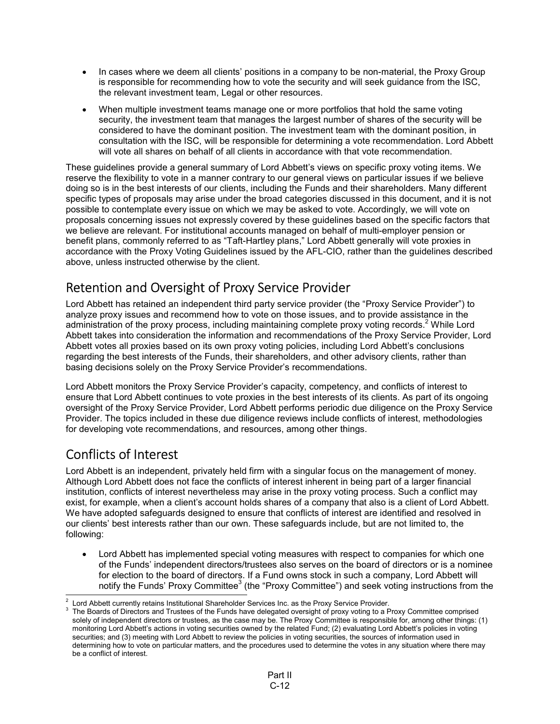- In cases where we deem all clients' positions in a company to be non-material, the Proxy Group is responsible for recommending how to vote the security and will seek guidance from the ISC, the relevant investment team, Legal or other resources.
- When multiple investment teams manage one or more portfolios that hold the same voting security, the investment team that manages the largest number of shares of the security will be considered to have the dominant position. The investment team with the dominant position, in consultation with the ISC, will be responsible for determining a vote recommendation. Lord Abbett will vote all shares on behalf of all clients in accordance with that vote recommendation.

These guidelines provide a general summary of Lord Abbett's views on specific proxy voting items. We reserve the flexibility to vote in a manner contrary to our general views on particular issues if we believe doing so is in the best interests of our clients, including the Funds and their shareholders. Many different specific types of proposals may arise under the broad categories discussed in this document, and it is not possible to contemplate every issue on which we may be asked to vote. Accordingly, we will vote on proposals concerning issues not expressly covered by these guidelines based on the specific factors that we believe are relevant. For institutional accounts managed on behalf of multi-employer pension or benefit plans, commonly referred to as "Taft-Hartley plans," Lord Abbett generally will vote proxies in accordance with the Proxy Voting Guidelines issued by the AFL-CIO, rather than the guidelines described above, unless instructed otherwise by the client.

## Retention and Oversight of Proxy Service Provider

Lord Abbett has retained an independent third party service provider (the "Proxy Service Provider") to analyze proxy issues and recommend how to vote on those issues, and to provide assistance in the administration of the proxy process, including maintaining complete proxy voting records.<sup>2</sup> While Lord Abbett takes into consideration the information and recommendations of the Proxy Service Provider, Lord Abbett votes all proxies based on its own proxy voting policies, including Lord Abbett's conclusions regarding the best interests of the Funds, their shareholders, and other advisory clients, rather than basing decisions solely on the Proxy Service Provider's recommendations.

Lord Abbett monitors the Proxy Service Provider's capacity, competency, and conflicts of interest to ensure that Lord Abbett continues to vote proxies in the best interests of its clients. As part of its ongoing oversight of the Proxy Service Provider, Lord Abbett performs periodic due diligence on the Proxy Service Provider. The topics included in these due diligence reviews include conflicts of interest, methodologies for developing vote recommendations, and resources, among other things.

## Conflicts of Interest

Lord Abbett is an independent, privately held firm with a singular focus on the management of money. Although Lord Abbett does not face the conflicts of interest inherent in being part of a larger financial institution, conflicts of interest nevertheless may arise in the proxy voting process. Such a conflict may exist, for example, when a client's account holds shares of a company that also is a client of Lord Abbett. We have adopted safeguards designed to ensure that conflicts of interest are identified and resolved in our clients' best interests rather than our own. These safeguards include, but are not limited to, the following:

• Lord Abbett has implemented special voting measures with respect to companies for which one of the Funds' independent directors/trustees also serves on the board of directors or is a nominee for election to the board of directors. If a Fund owns stock in such a company, Lord Abbett will notify the Funds' Proxy Committee<sup>3</sup> (the "Proxy Committee") and seek voting instructions from the

<sup>2</sup> Lord Abbett currently retains Institutional Shareholder Services Inc. as the Proxy Service Provider.

<sup>3</sup> The Boards of Directors and Trustees of the Funds have delegated oversight of proxy voting to a Proxy Committee comprised solely of independent directors or trustees, as the case may be. The Proxy Committee is responsible for, among other things: (1) monitoring Lord Abbett's actions in voting securities owned by the related Fund; (2) evaluating Lord Abbett's policies in voting securities; and (3) meeting with Lord Abbett to review the policies in voting securities, the sources of information used in determining how to vote on particular matters, and the procedures used to determine the votes in any situation where there may be a conflict of interest.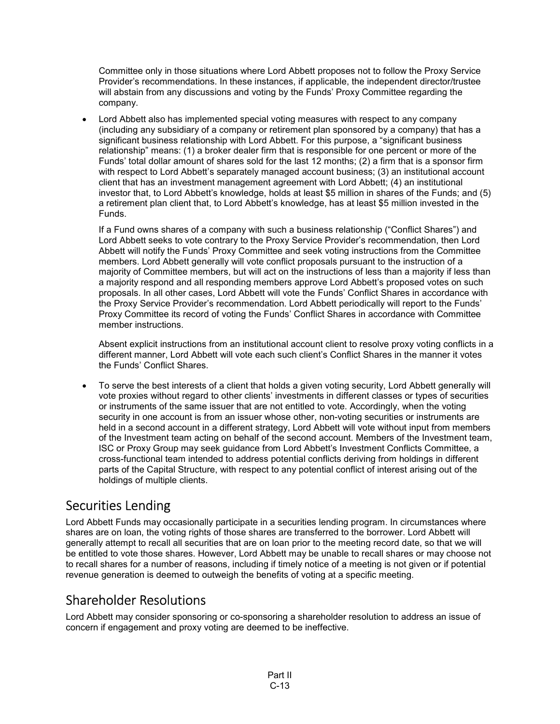Committee only in those situations where Lord Abbett proposes not to follow the Proxy Service Provider's recommendations. In these instances, if applicable, the independent director/trustee will abstain from any discussions and voting by the Funds' Proxy Committee regarding the company.

• Lord Abbett also has implemented special voting measures with respect to any company (including any subsidiary of a company or retirement plan sponsored by a company) that has a significant business relationship with Lord Abbett. For this purpose, a "significant business relationship" means: (1) a broker dealer firm that is responsible for one percent or more of the Funds' total dollar amount of shares sold for the last 12 months; (2) a firm that is a sponsor firm with respect to Lord Abbett's separately managed account business; (3) an institutional account client that has an investment management agreement with Lord Abbett; (4) an institutional investor that, to Lord Abbett's knowledge, holds at least \$5 million in shares of the Funds; and (5) a retirement plan client that, to Lord Abbett's knowledge, has at least \$5 million invested in the Funds.

If a Fund owns shares of a company with such a business relationship ("Conflict Shares") and Lord Abbett seeks to vote contrary to the Proxy Service Provider's recommendation, then Lord Abbett will notify the Funds' Proxy Committee and seek voting instructions from the Committee members. Lord Abbett generally will vote conflict proposals pursuant to the instruction of a majority of Committee members, but will act on the instructions of less than a majority if less than a majority respond and all responding members approve Lord Abbett's proposed votes on such proposals. In all other cases, Lord Abbett will vote the Funds' Conflict Shares in accordance with the Proxy Service Provider's recommendation. Lord Abbett periodically will report to the Funds' Proxy Committee its record of voting the Funds' Conflict Shares in accordance with Committee member instructions.

Absent explicit instructions from an institutional account client to resolve proxy voting conflicts in a different manner, Lord Abbett will vote each such client's Conflict Shares in the manner it votes the Funds' Conflict Shares.

• To serve the best interests of a client that holds a given voting security, Lord Abbett generally will vote proxies without regard to other clients' investments in different classes or types of securities or instruments of the same issuer that are not entitled to vote. Accordingly, when the voting security in one account is from an issuer whose other, non-voting securities or instruments are held in a second account in a different strategy, Lord Abbett will vote without input from members of the Investment team acting on behalf of the second account. Members of the Investment team, ISC or Proxy Group may seek guidance from Lord Abbett's Investment Conflicts Committee, a cross-functional team intended to address potential conflicts deriving from holdings in different parts of the Capital Structure, with respect to any potential conflict of interest arising out of the holdings of multiple clients.

### Securities Lending

Lord Abbett Funds may occasionally participate in a securities lending program. In circumstances where shares are on loan, the voting rights of those shares are transferred to the borrower. Lord Abbett will generally attempt to recall all securities that are on loan prior to the meeting record date, so that we will be entitled to vote those shares. However, Lord Abbett may be unable to recall shares or may choose not to recall shares for a number of reasons, including if timely notice of a meeting is not given or if potential revenue generation is deemed to outweigh the benefits of voting at a specific meeting.

### Shareholder Resolutions

Lord Abbett may consider sponsoring or co-sponsoring a shareholder resolution to address an issue of concern if engagement and proxy voting are deemed to be ineffective.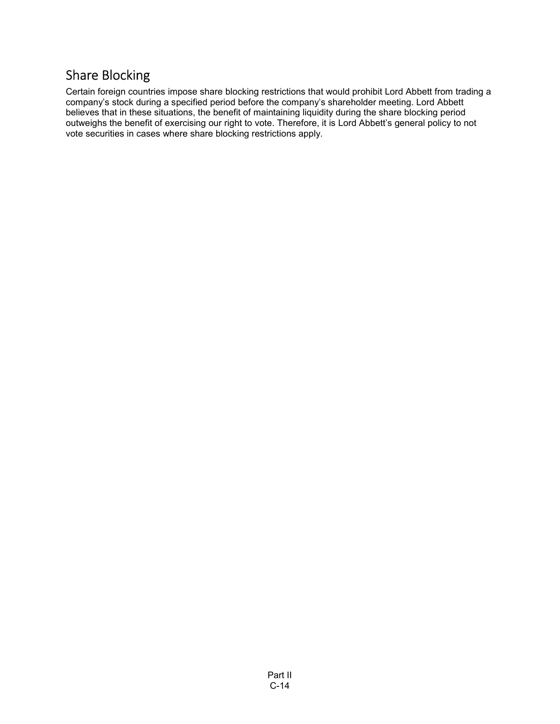## Share Blocking

Certain foreign countries impose share blocking restrictions that would prohibit Lord Abbett from trading a company's stock during a specified period before the company's shareholder meeting. Lord Abbett believes that in these situations, the benefit of maintaining liquidity during the share blocking period outweighs the benefit of exercising our right to vote. Therefore, it is Lord Abbett's general policy to not vote securities in cases where share blocking restrictions apply.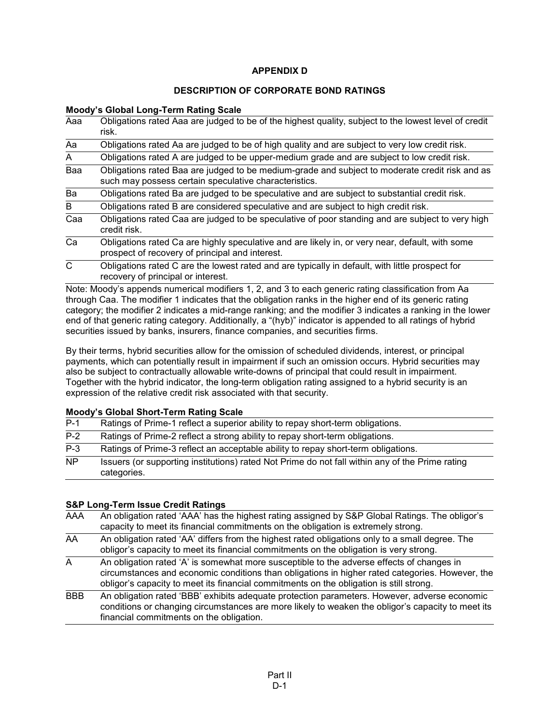### **APPENDIX D**

### **DESCRIPTION OF CORPORATE BOND RATINGS**

#### **Moody's Global Long-Term Rating Scale**

| Aaa          | Obligations rated Aaa are judged to be of the highest quality, subject to the lowest level of credit<br>risk.                                           |
|--------------|---------------------------------------------------------------------------------------------------------------------------------------------------------|
| Aa           | Obligations rated Aa are judged to be of high quality and are subject to very low credit risk.                                                          |
| $\mathsf{A}$ | Obligations rated A are judged to be upper-medium grade and are subject to low credit risk.                                                             |
| Baa          | Obligations rated Baa are judged to be medium-grade and subject to moderate credit risk and as<br>such may possess certain speculative characteristics. |
| Ba           | Obligations rated Ba are judged to be speculative and are subject to substantial credit risk.                                                           |
| B            | Obligations rated B are considered speculative and are subject to high credit risk.                                                                     |
| Caa          | Obligations rated Caa are judged to be speculative of poor standing and are subject to very high<br>credit risk.                                        |
| Ca           | Obligations rated Ca are highly speculative and are likely in, or very near, default, with some<br>prospect of recovery of principal and interest.      |
| $\mathsf{C}$ | Obligations rated C are the lowest rated and are typically in default, with little prospect for                                                         |

recovery of principal or interest. Note: Moody's appends numerical modifiers 1, 2, and 3 to each generic rating classification from Aa through Caa. The modifier 1 indicates that the obligation ranks in the higher end of its generic rating

category; the modifier 2 indicates a mid-range ranking; and the modifier 3 indicates a ranking in the lower end of that generic rating category. Additionally, a "(hyb)" indicator is appended to all ratings of hybrid securities issued by banks, insurers, finance companies, and securities firms.

By their terms, hybrid securities allow for the omission of scheduled dividends, interest, or principal payments, which can potentially result in impairment if such an omission occurs. Hybrid securities may also be subject to contractually allowable write-downs of principal that could result in impairment. Together with the hybrid indicator, the long-term obligation rating assigned to a hybrid security is an expression of the relative credit risk associated with that security.

### **Moody's Global Short-Term Rating Scale**

| $P-1$     | Ratings of Prime-1 reflect a superior ability to repay short-term obligations.                                 |
|-----------|----------------------------------------------------------------------------------------------------------------|
| $P-2$     | Ratings of Prime-2 reflect a strong ability to repay short-term obligations.                                   |
| $P-3$     | Ratings of Prime-3 reflect an acceptable ability to repay short-term obligations.                              |
| <b>NP</b> | Issuers (or supporting institutions) rated Not Prime do not fall within any of the Prime rating<br>categories. |

### **S&P Long-Term Issue Credit Ratings**

financial commitments on the obligation.

| AAA        | An obligation rated 'AAA' has the highest rating assigned by S&P Global Ratings. The obligor's<br>capacity to meet its financial commitments on the obligation is extremely strong.                                                                                                     |
|------------|-----------------------------------------------------------------------------------------------------------------------------------------------------------------------------------------------------------------------------------------------------------------------------------------|
| AA         | An obligation rated 'AA' differs from the highest rated obligations only to a small degree. The<br>obligor's capacity to meet its financial commitments on the obligation is very strong.                                                                                               |
| A          | An obligation rated 'A' is somewhat more susceptible to the adverse effects of changes in<br>circumstances and economic conditions than obligations in higher rated categories. However, the<br>obligor's capacity to meet its financial commitments on the obligation is still strong. |
| <b>BBB</b> | An obligation rated 'BBB' exhibits adequate protection parameters. However, adverse economic<br>conditions or changing circumstances are more likely to weaken the obligor's capacity to meet its                                                                                       |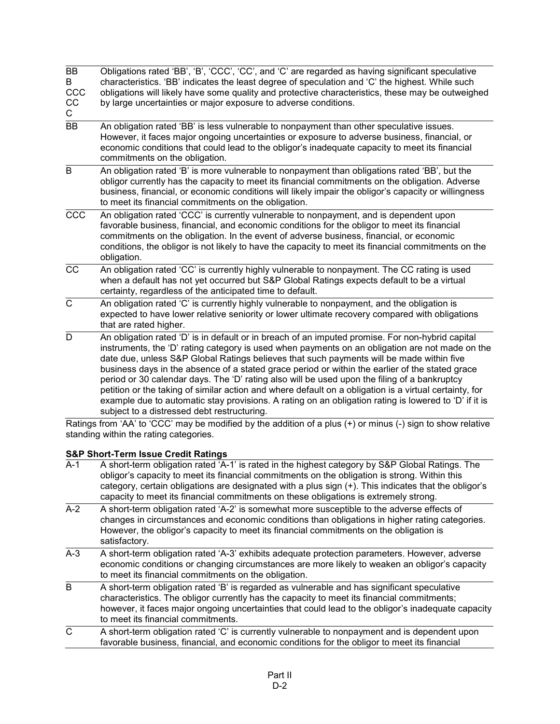B<sub>B</sub> B **CCC** CC C Obligations rated 'BB', 'B', 'CCC', 'CC', and 'C' are regarded as having significant speculative characteristics. 'BB' indicates the least degree of speculation and 'C' the highest. While such obligations will likely have some quality and protective characteristics, these may be outweighed by large uncertainties or major exposure to adverse conditions. BB An obligation rated 'BB' is less vulnerable to nonpayment than other speculative issues. However, it faces major ongoing uncertainties or exposure to adverse business, financial, or economic conditions that could lead to the obligor's inadequate capacity to meet its financial commitments on the obligation. B An obligation rated 'B' is more vulnerable to nonpayment than obligations rated 'BB', but the obligor currently has the capacity to meet its financial commitments on the obligation. Adverse business, financial, or economic conditions will likely impair the obligor's capacity or willingness to meet its financial commitments on the obligation. CCC An obligation rated 'CCC' is currently vulnerable to nonpayment, and is dependent upon favorable business, financial, and economic conditions for the obligor to meet its financial commitments on the obligation. In the event of adverse business, financial, or economic conditions, the obligor is not likely to have the capacity to meet its financial commitments on the obligation. CC An obligation rated 'CC' is currently highly vulnerable to nonpayment. The CC rating is used when a default has not yet occurred but S&P Global Ratings expects default to be a virtual certainty, regardless of the anticipated time to default.  $\overline{C}$  An obligation rated 'C' is currently highly vulnerable to nonpayment, and the obligation is expected to have lower relative seniority or lower ultimate recovery compared with obligations that are rated higher. D An obligation rated 'D' is in default or in breach of an imputed promise. For non-hybrid capital instruments, the 'D' rating category is used when payments on an obligation are not made on the date due, unless S&P Global Ratings believes that such payments will be made within five business days in the absence of a stated grace period or within the earlier of the stated grace period or 30 calendar days. The 'D' rating also will be used upon the filing of a bankruptcy petition or the taking of similar action and where default on a obligation is a virtual certainty, for example due to automatic stay provisions. A rating on an obligation rating is lowered to 'D' if it is

Ratings from 'AA' to 'CCC' may be modified by the addition of a plus (+) or minus (-) sign to show relative standing within the rating categories.

### **S&P Short-Term Issue Credit Ratings**

subject to a distressed debt restructuring.

- A-1 A short-term obligation rated 'A-1' is rated in the highest category by S&P Global Ratings. The obligor's capacity to meet its financial commitments on the obligation is strong. Within this category, certain obligations are designated with a plus sign (+). This indicates that the obligor's capacity to meet its financial commitments on these obligations is extremely strong.
- A-2 A short-term obligation rated 'A-2' is somewhat more susceptible to the adverse effects of changes in circumstances and economic conditions than obligations in higher rating categories. However, the obligor's capacity to meet its financial commitments on the obligation is satisfactory.
- A-3 A short-term obligation rated 'A-3' exhibits adequate protection parameters. However, adverse economic conditions or changing circumstances are more likely to weaken an obligor's capacity to meet its financial commitments on the obligation.
- B A short-term obligation rated 'B' is regarded as vulnerable and has significant speculative characteristics. The obligor currently has the capacity to meet its financial commitments; however, it faces major ongoing uncertainties that could lead to the obligor's inadequate capacity to meet its financial commitments.
- $\overline{C}$  A short-term obligation rated 'C' is currently vulnerable to nonpayment and is dependent upon favorable business, financial, and economic conditions for the obligor to meet its financial